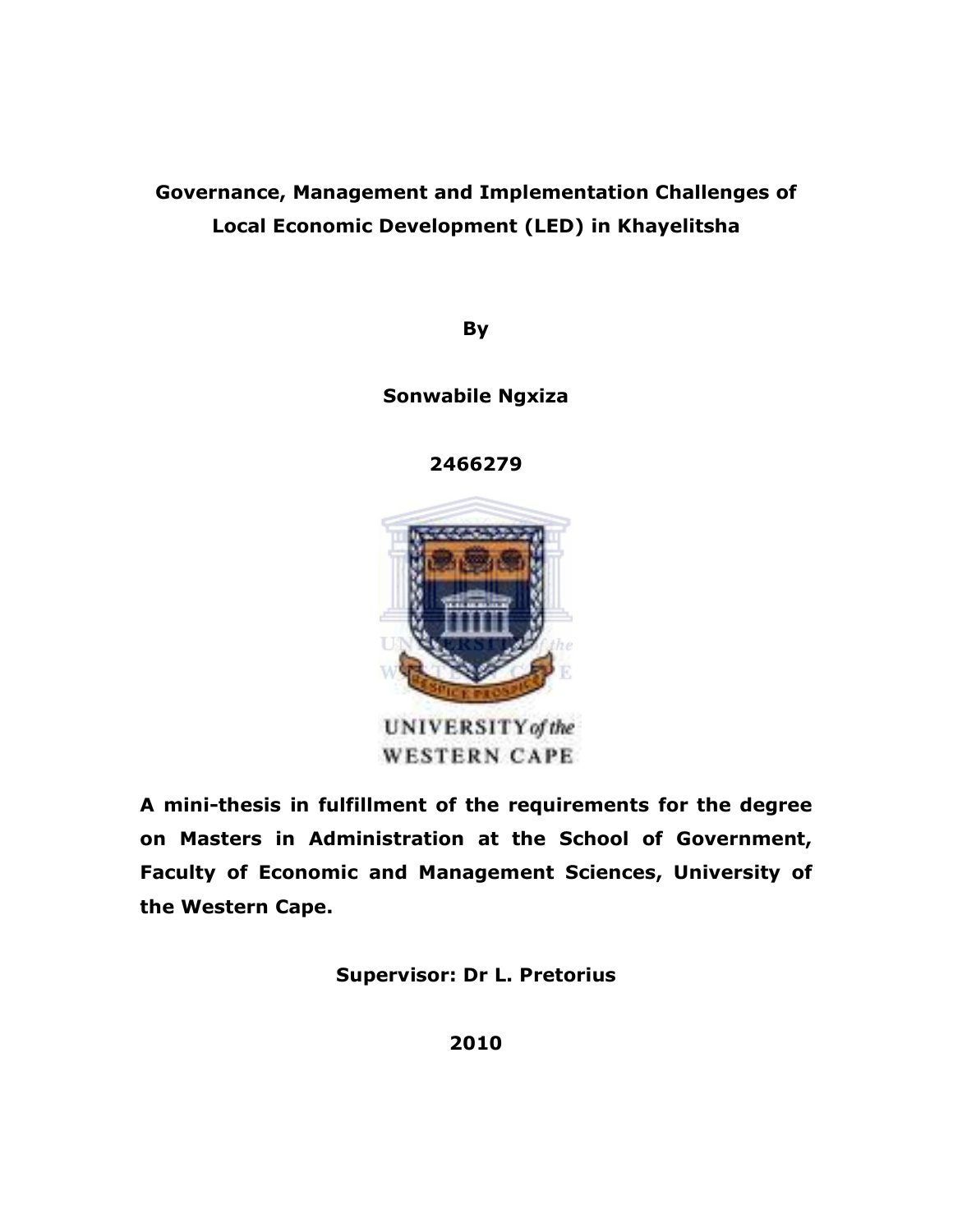# **Governance, Management and Implementation Challenges of Local Economic Development (LED) in Khayelitsha**

**By** 

**Sonwabile Ngxiza** 

**2466279** 



**UNIVERSITY** of the **WESTERN CAPE** 

**A mini-thesis in fulfillment of the requirements for the degree on Masters in Administration at the School of Government, Faculty of Economic and Management Sciences, University of the Western Cape.** 

**Supervisor: Dr L. Pretorius** 

**2010**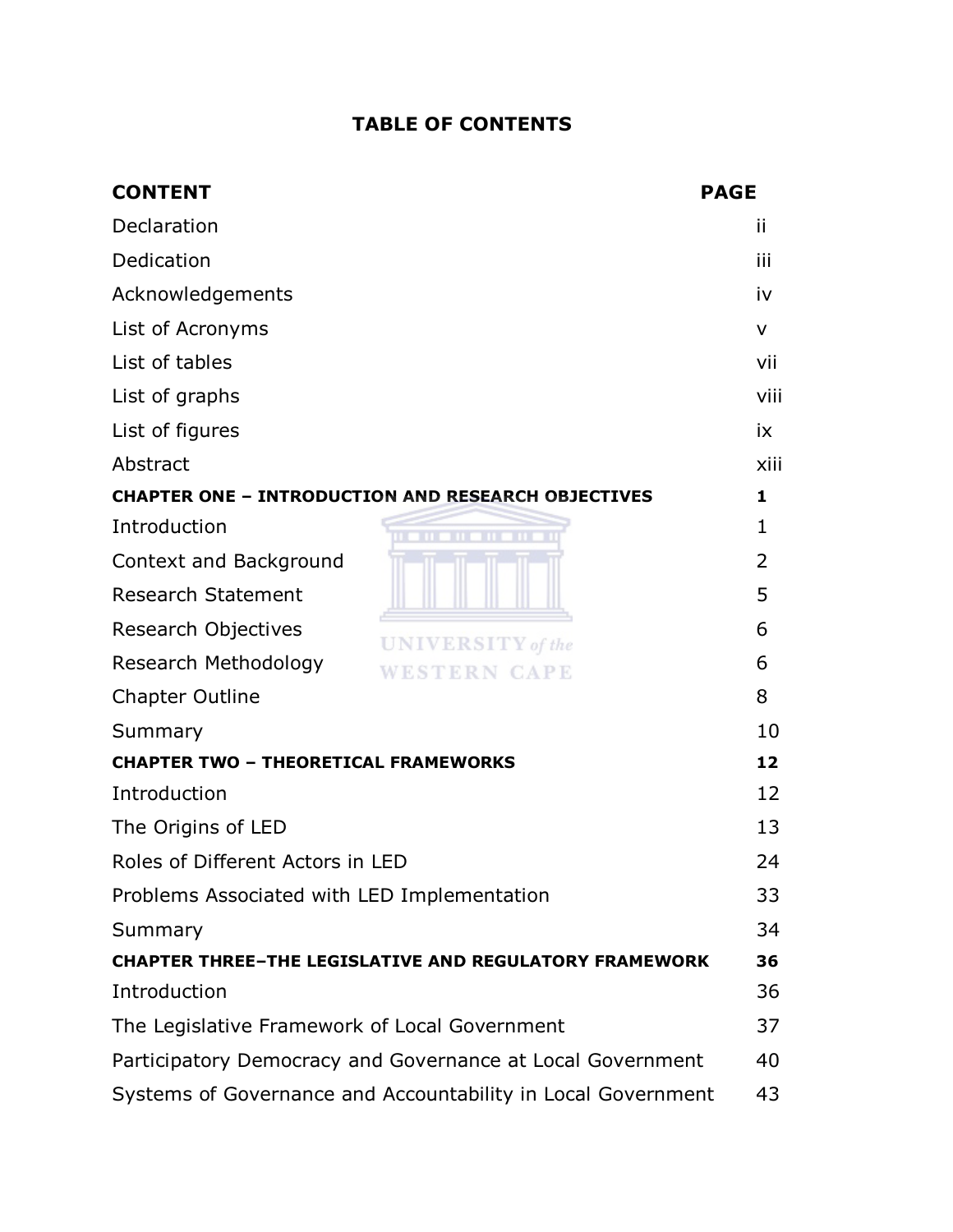# **TABLE OF CONTENTS**

| <b>CONTENT</b>                                                | <b>PAGE</b>    |
|---------------------------------------------------------------|----------------|
| Declaration                                                   | Ϊİ             |
| Dedication                                                    | iii            |
| Acknowledgements                                              | iv             |
| List of Acronyms                                              | $\vee$         |
| List of tables                                                | vii            |
| List of graphs                                                | viii           |
| List of figures                                               | ix             |
| Abstract                                                      | xiii           |
| <b>CHAPTER ONE - INTRODUCTION AND RESEARCH OBJECTIVES</b>     | 1              |
| Introduction<br>$\mathbf{u}$ and $\mathbf{u}$<br>ТT           | 1              |
| Context and Background                                        | $\overline{2}$ |
| <b>Research Statement</b>                                     | 5              |
| Research Objectives<br><b>UNIVERSITY</b> of the               | 6              |
| Research Methodology<br>WESTERN CAPE                          | 6              |
| <b>Chapter Outline</b>                                        | 8              |
| Summary                                                       | 10             |
| <b>CHAPTER TWO - THEORETICAL FRAMEWORKS</b>                   | 12             |
| Introduction                                                  | 12             |
| The Origins of LED                                            | 13             |
| Roles of Different Actors in LED                              | 24             |
| Problems Associated with LED Implementation                   | 33             |
| Summary                                                       | 34             |
| <b>CHAPTER THREE-THE LEGISLATIVE AND REGULATORY FRAMEWORK</b> | 36             |
| Introduction                                                  | 36             |
| The Legislative Framework of Local Government                 | 37             |
| Participatory Democracy and Governance at Local Government    | 40             |
| Systems of Governance and Accountability in Local Government  | 43             |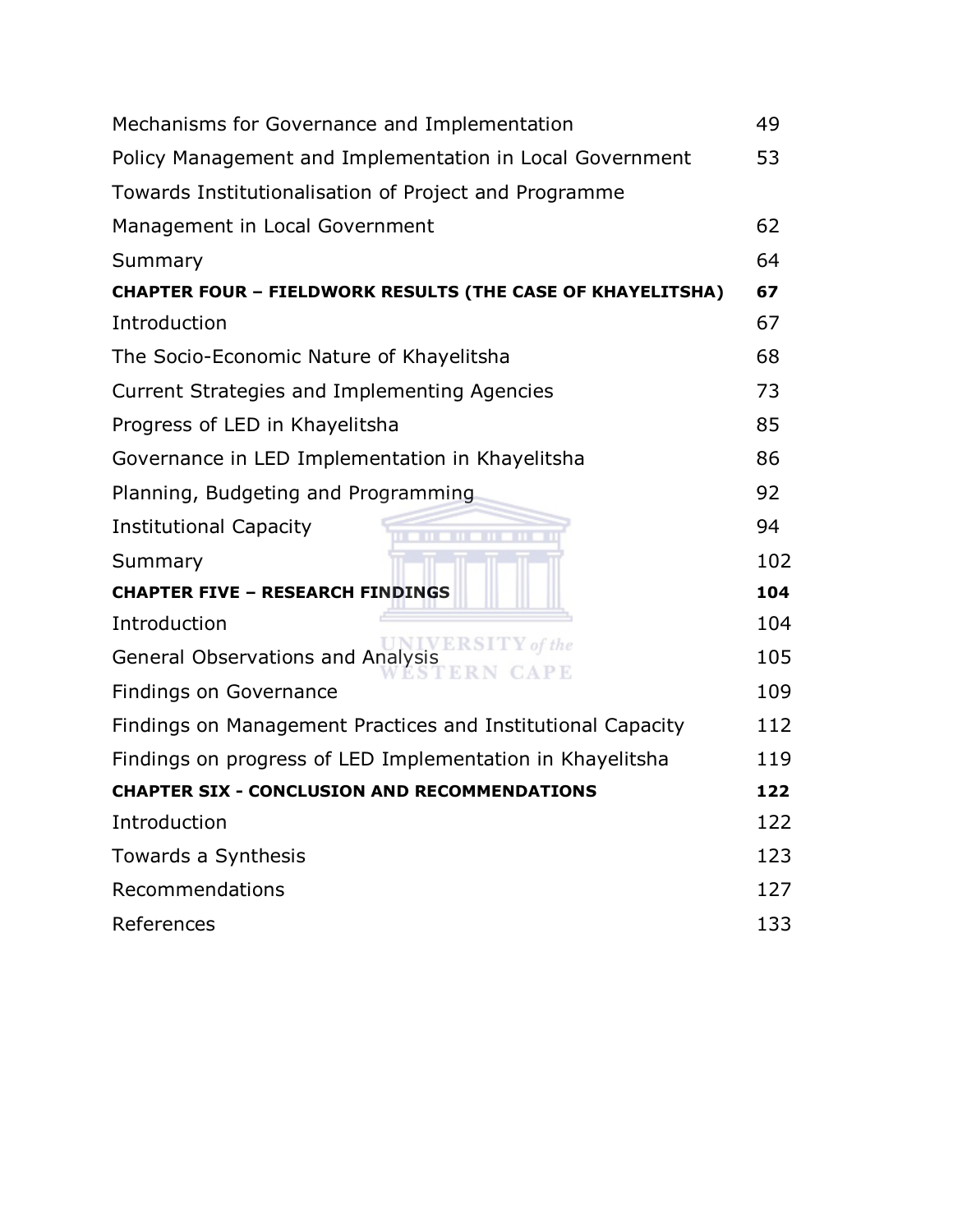| Mechanisms for Governance and Implementation                      | 49  |
|-------------------------------------------------------------------|-----|
| Policy Management and Implementation in Local Government          | 53  |
| Towards Institutionalisation of Project and Programme             |     |
| Management in Local Government                                    | 62  |
| Summary                                                           | 64  |
| <b>CHAPTER FOUR - FIELDWORK RESULTS (THE CASE OF KHAYELITSHA)</b> | 67  |
| Introduction                                                      | 67  |
| The Socio-Economic Nature of Khayelitsha                          | 68  |
| Current Strategies and Implementing Agencies                      | 73  |
| Progress of LED in Khayelitsha                                    | 85  |
| Governance in LED Implementation in Khayelitsha                   | 86  |
| Planning, Budgeting and Programming                               | 92  |
| <b>Institutional Capacity</b>                                     | 94  |
| Summary                                                           | 102 |
| <b>CHAPTER FIVE - RESEARCH FINDINGS</b>                           | 104 |
| Introduction                                                      | 104 |
| General Observations and Analysis                                 | 105 |
| <b>Findings on Governance</b>                                     | 109 |
| Findings on Management Practices and Institutional Capacity       | 112 |
| Findings on progress of LED Implementation in Khayelitsha         | 119 |
| <b>CHAPTER SIX - CONCLUSION AND RECOMMENDATIONS</b>               | 122 |
| Introduction                                                      | 122 |
| Towards a Synthesis                                               | 123 |
| Recommendations                                                   | 127 |
| References                                                        | 133 |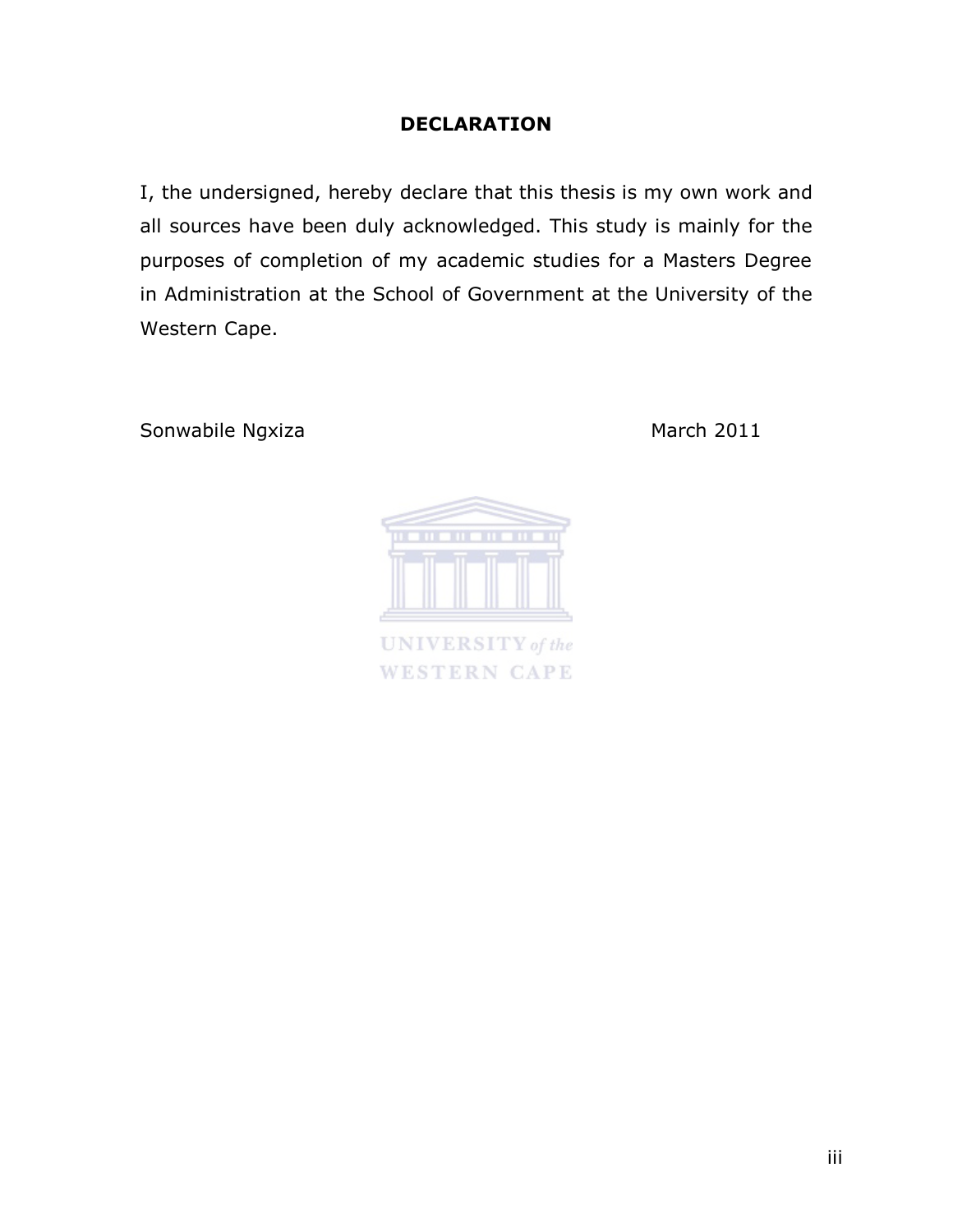## **DECLARATION**

I, the undersigned, hereby declare that this thesis is my own work and all sources have been duly acknowledged. This study is mainly for the purposes of completion of my academic studies for a Masters Degree in Administration at the School of Government at the University of the Western Cape.

Sonwabile Ngxiza March 2011



**UNIVERSITY** of the **WESTERN CAPE**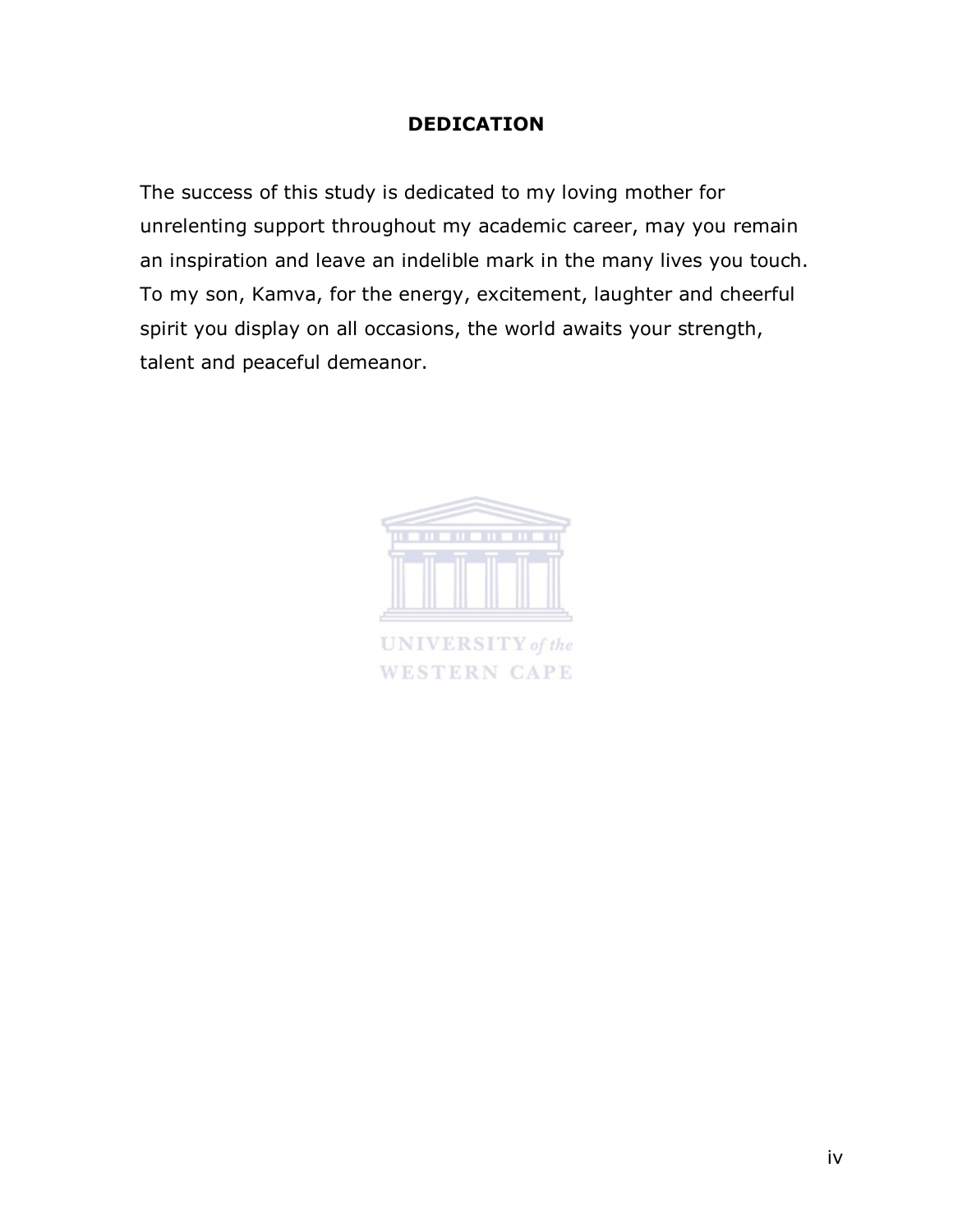## **DEDICATION**

The success of this study is dedicated to my loving mother for unrelenting support throughout my academic career, may you remain an inspiration and leave an indelible mark in the many lives you touch. To my son, Kamva, for the energy, excitement, laughter and cheerful spirit you display on all occasions, the world awaits your strength, talent and peaceful demeanor.



**WESTERN CAPE**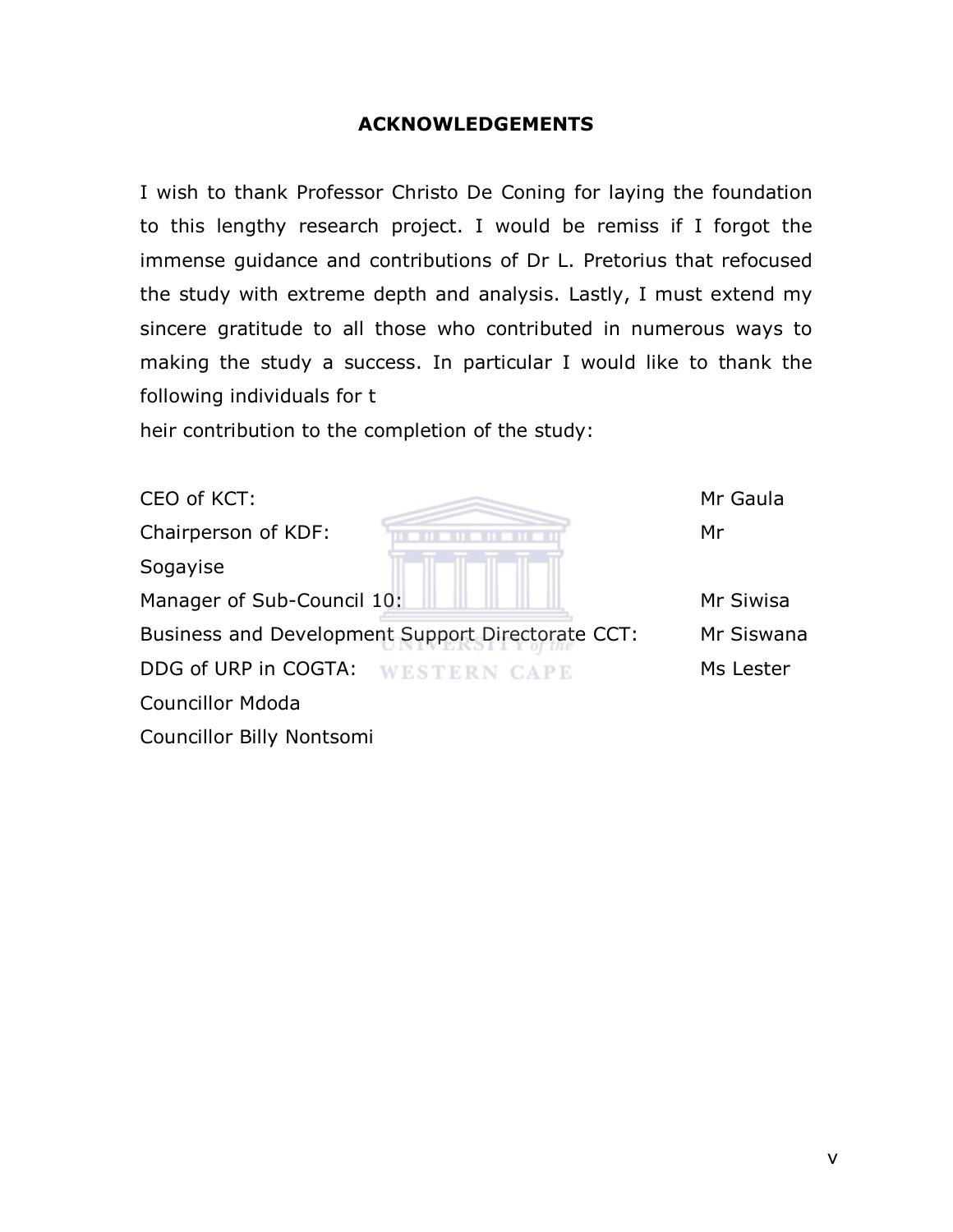## **ACKNOWLEDGEMENTS**

I wish to thank Professor Christo De Coning for laying the foundation to this lengthy research project. I would be remiss if I forgot the immense guidance and contributions of Dr L. Pretorius that refocused the study with extreme depth and analysis. Lastly, I must extend my sincere gratitude to all those who contributed in numerous ways to making the study a success. In particular I would like to thank the following individuals for t

heir contribution to the completion of the study:

| CEO of KCT:                                       | Mr Gaula   |
|---------------------------------------------------|------------|
| Chairperson of KDF:                               | Mr         |
| Sogayise                                          |            |
| Manager of Sub-Council 10:                        | Mr Siwisa  |
| Business and Development Support Directorate CCT: | Mr Siswana |
| DDG of URP in COGTA:<br><b>WESTERN CAPE</b>       | Ms Lester  |
| <b>Councillor Mdoda</b>                           |            |
| Councillor Billy Nontsomi                         |            |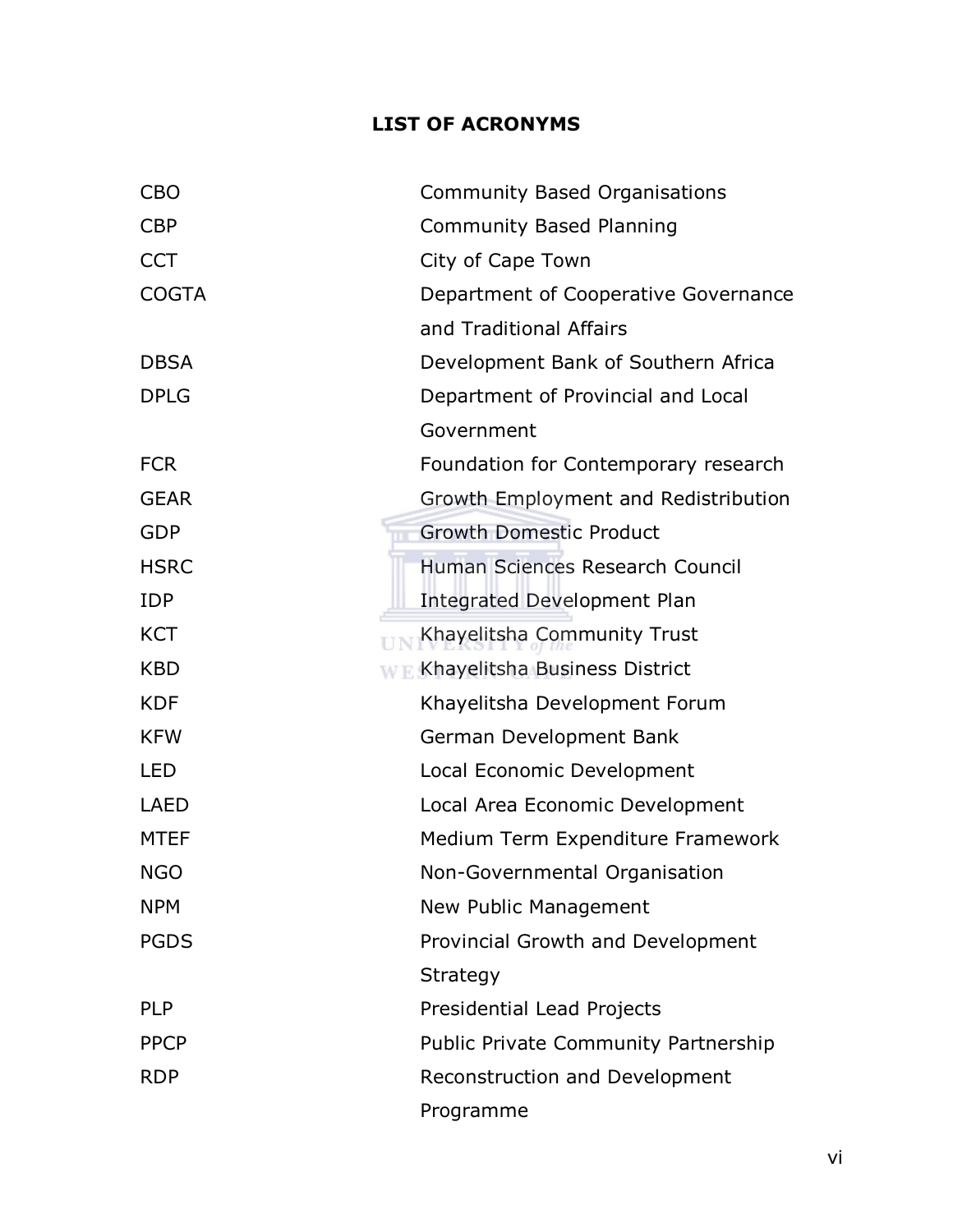# **LIST OF ACRONYMS**

| <b>CBO</b>   | <b>Community Based Organisations</b>        |  |  |
|--------------|---------------------------------------------|--|--|
| <b>CBP</b>   | <b>Community Based Planning</b>             |  |  |
| <b>CCT</b>   | City of Cape Town                           |  |  |
| <b>COGTA</b> | Department of Cooperative Governance        |  |  |
|              | and Traditional Affairs                     |  |  |
| <b>DBSA</b>  | Development Bank of Southern Africa         |  |  |
| <b>DPLG</b>  | Department of Provincial and Local          |  |  |
|              | Government                                  |  |  |
| <b>FCR</b>   | Foundation for Contemporary research        |  |  |
| <b>GEAR</b>  | Growth Employment and Redistribution        |  |  |
| <b>GDP</b>   | <b>Growth Domestic Product</b>              |  |  |
| <b>HSRC</b>  | Human Sciences Research Council             |  |  |
| <b>IDP</b>   | <b>Integrated Development Plan</b>          |  |  |
| <b>KCT</b>   | Khayelitsha Community Trust                 |  |  |
| <b>KBD</b>   | <b>WE Khayelitsha Business District</b>     |  |  |
| <b>KDF</b>   | Khayelitsha Development Forum               |  |  |
| <b>KFW</b>   | German Development Bank                     |  |  |
| <b>LED</b>   | Local Economic Development                  |  |  |
| <b>LAED</b>  | Local Area Economic Development             |  |  |
| <b>MTEF</b>  | Medium Term Expenditure Framework           |  |  |
| <b>NGO</b>   | Non-Governmental Organisation               |  |  |
| <b>NPM</b>   | New Public Management                       |  |  |
| <b>PGDS</b>  | Provincial Growth and Development           |  |  |
|              | Strategy                                    |  |  |
| <b>PLP</b>   | Presidential Lead Projects                  |  |  |
| <b>PPCP</b>  | <b>Public Private Community Partnership</b> |  |  |
| <b>RDP</b>   | Reconstruction and Development              |  |  |
|              | Programme                                   |  |  |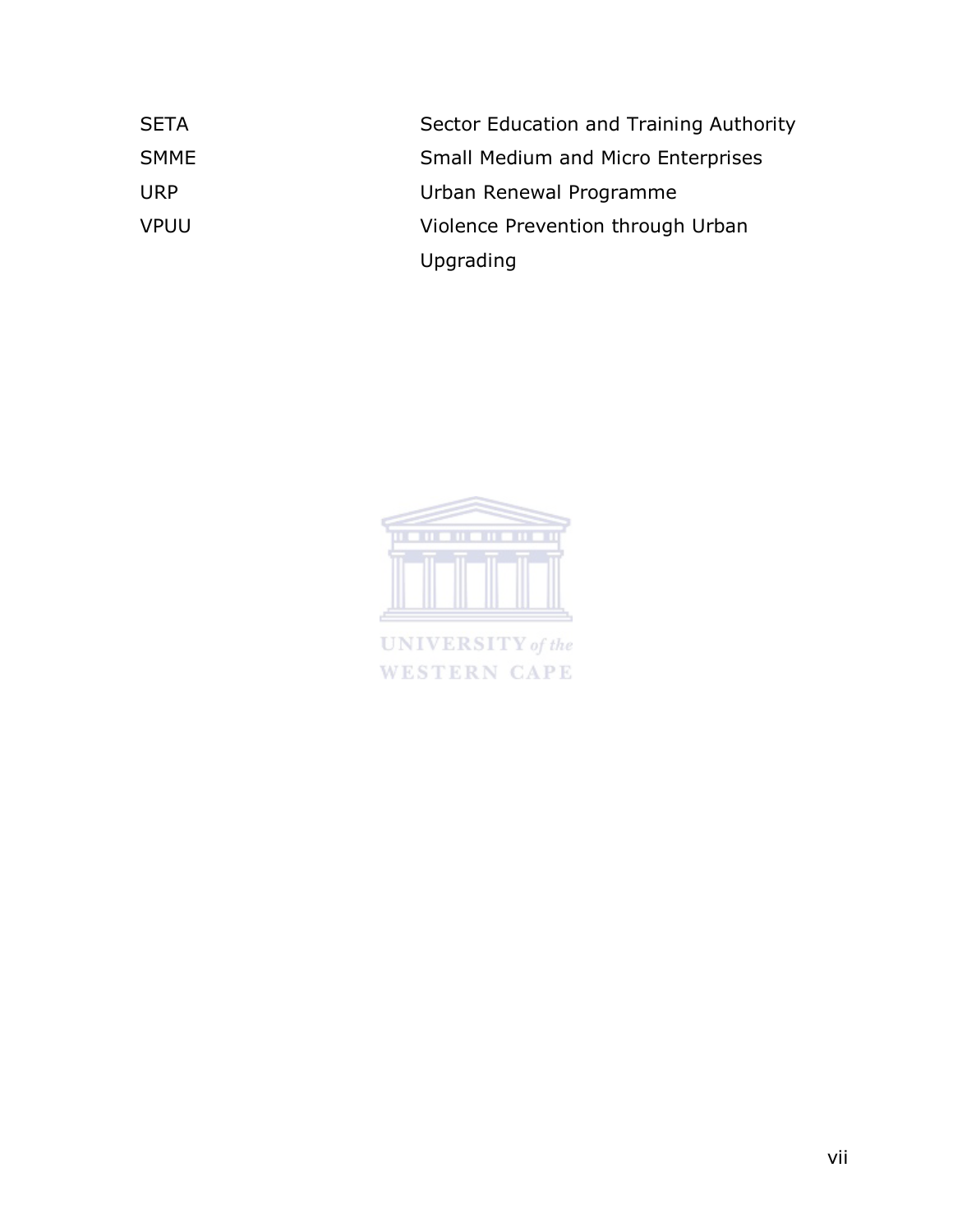| <b>SETA</b> | Sector Education and Training Authority   |  |
|-------------|-------------------------------------------|--|
| <b>SMME</b> | <b>Small Medium and Micro Enterprises</b> |  |
| <b>URP</b>  | Urban Renewal Programme                   |  |
| <b>VPUU</b> | Violence Prevention through Urban         |  |
|             | Upgrading                                 |  |



UNIVERSITY of the WESTERN CAPE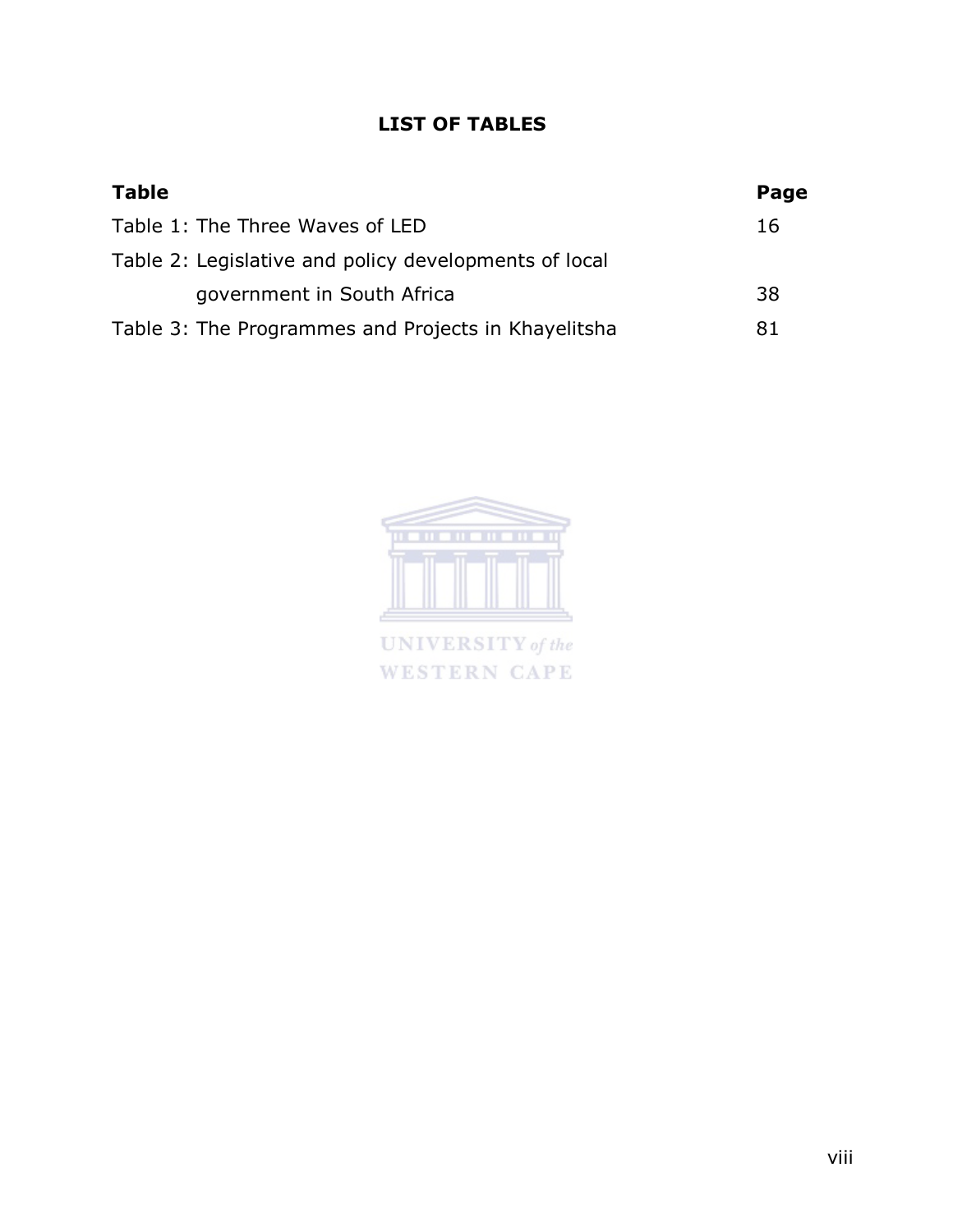# **LIST OF TABLES**

| <b>Table</b>                                          | Page |
|-------------------------------------------------------|------|
| Table 1: The Three Waves of LED                       | 16   |
| Table 2: Legislative and policy developments of local |      |
| government in South Africa                            | 38   |
| Table 3: The Programmes and Projects in Khayelitsha   | 81   |



UNIVERSITY of the WESTERN CAPE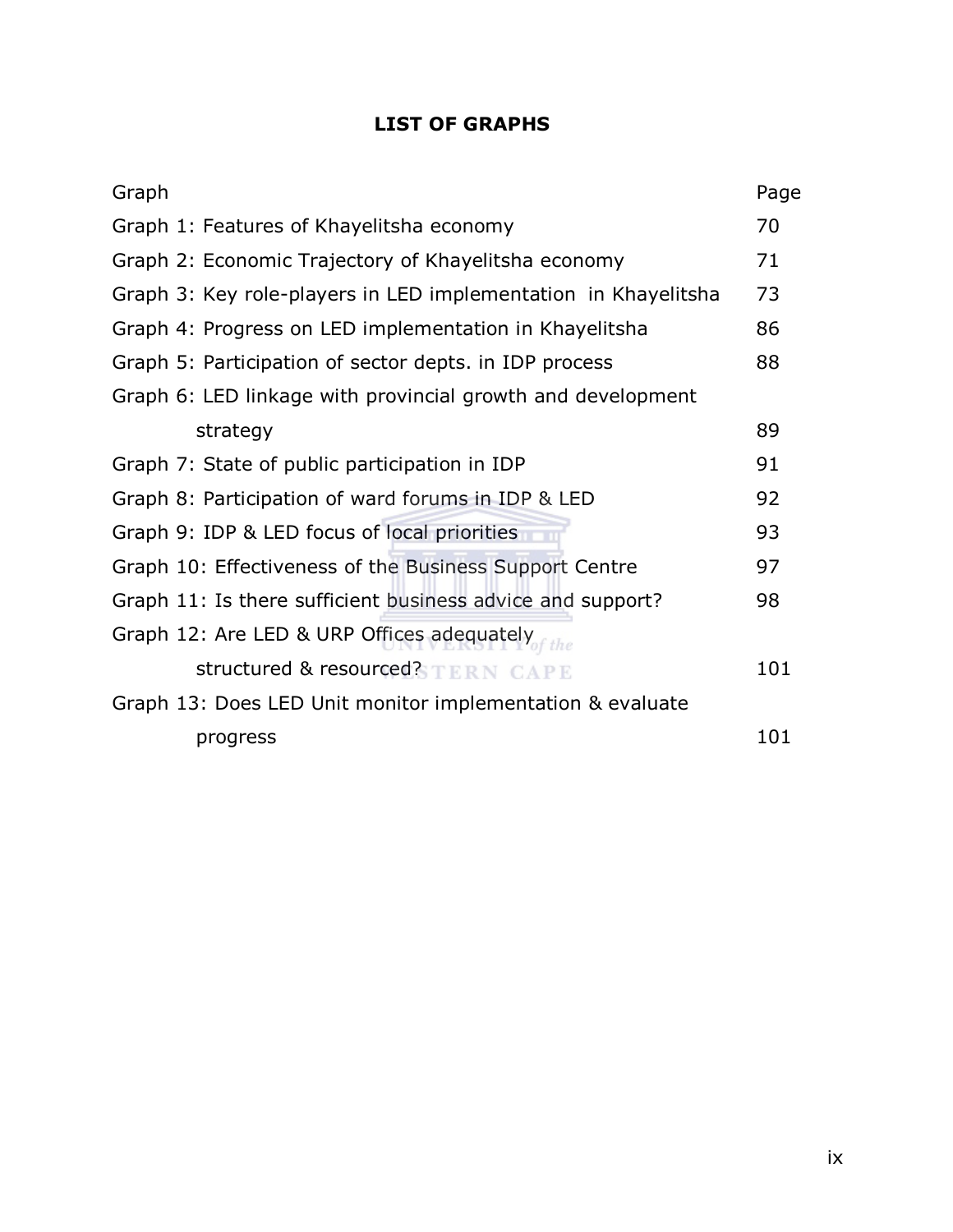# **LIST OF GRAPHS**

| Graph                                                          | Page |
|----------------------------------------------------------------|------|
| Graph 1: Features of Khayelitsha economy                       | 70   |
| Graph 2: Economic Trajectory of Khayelitsha economy            | 71   |
| Graph 3: Key role-players in LED implementation in Khayelitsha | 73   |
| Graph 4: Progress on LED implementation in Khayelitsha         | 86   |
| Graph 5: Participation of sector depts. in IDP process         | 88   |
| Graph 6: LED linkage with provincial growth and development    |      |
| strategy                                                       | 89   |
| Graph 7: State of public participation in IDP                  | 91   |
| Graph 8: Participation of ward forums in IDP & LED             | 92   |
| Graph 9: IDP & LED focus of local priorities                   | 93   |
| Graph 10: Effectiveness of the Business Support Centre         | 97   |
| Graph 11: Is there sufficient business advice and support?     | 98   |
| Graph 12: Are LED & URP Offices adequately                     |      |
| structured & resourced's TERN CAPE                             | 101  |
| Graph 13: Does LED Unit monitor implementation & evaluate      |      |
| progress                                                       | 101  |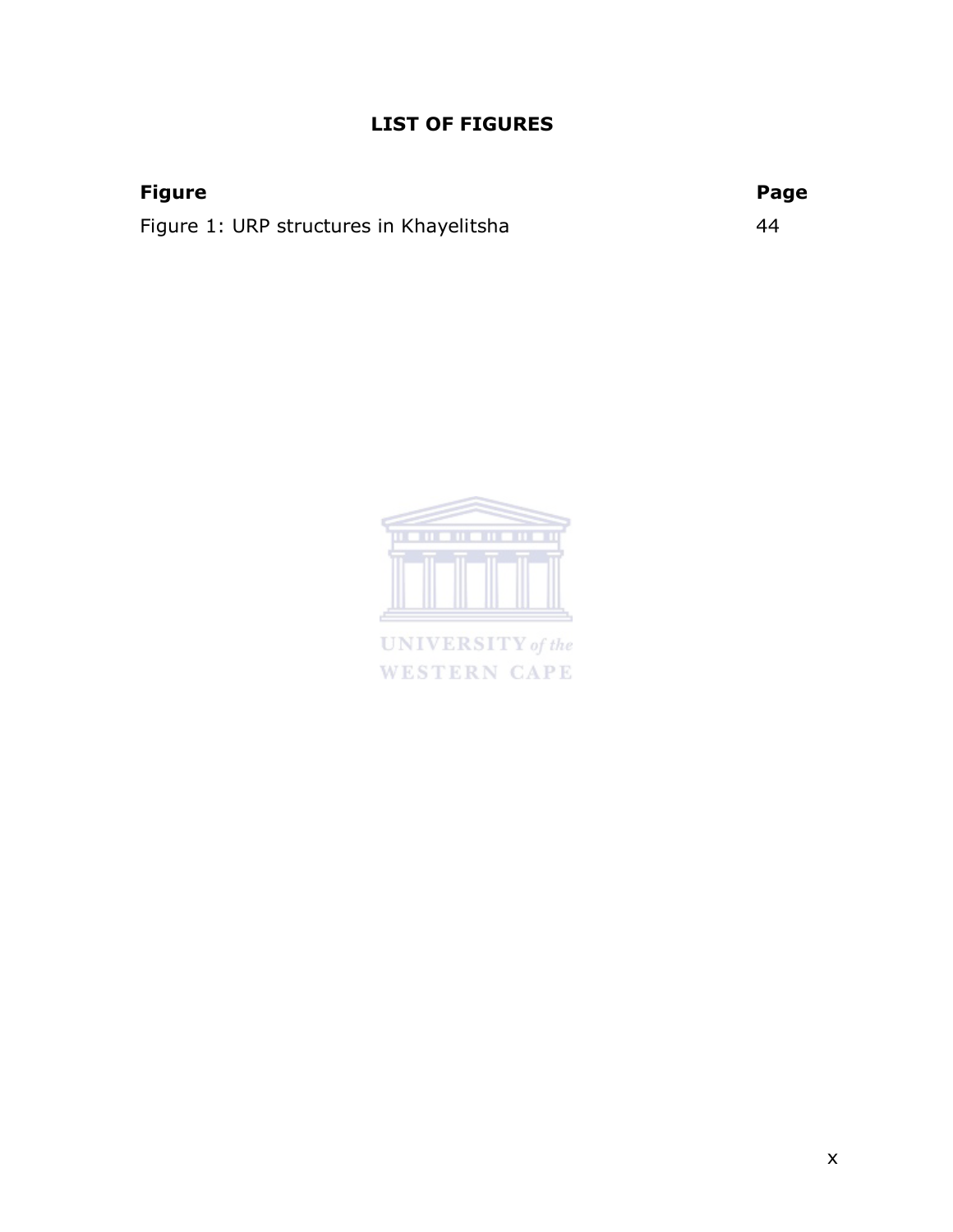# **LIST OF FIGURES**

# **Figure Page 2012**

Figure 1: URP structures in Khayelitsha 44



**UNIVERSITY** of the **WESTERN CAPE**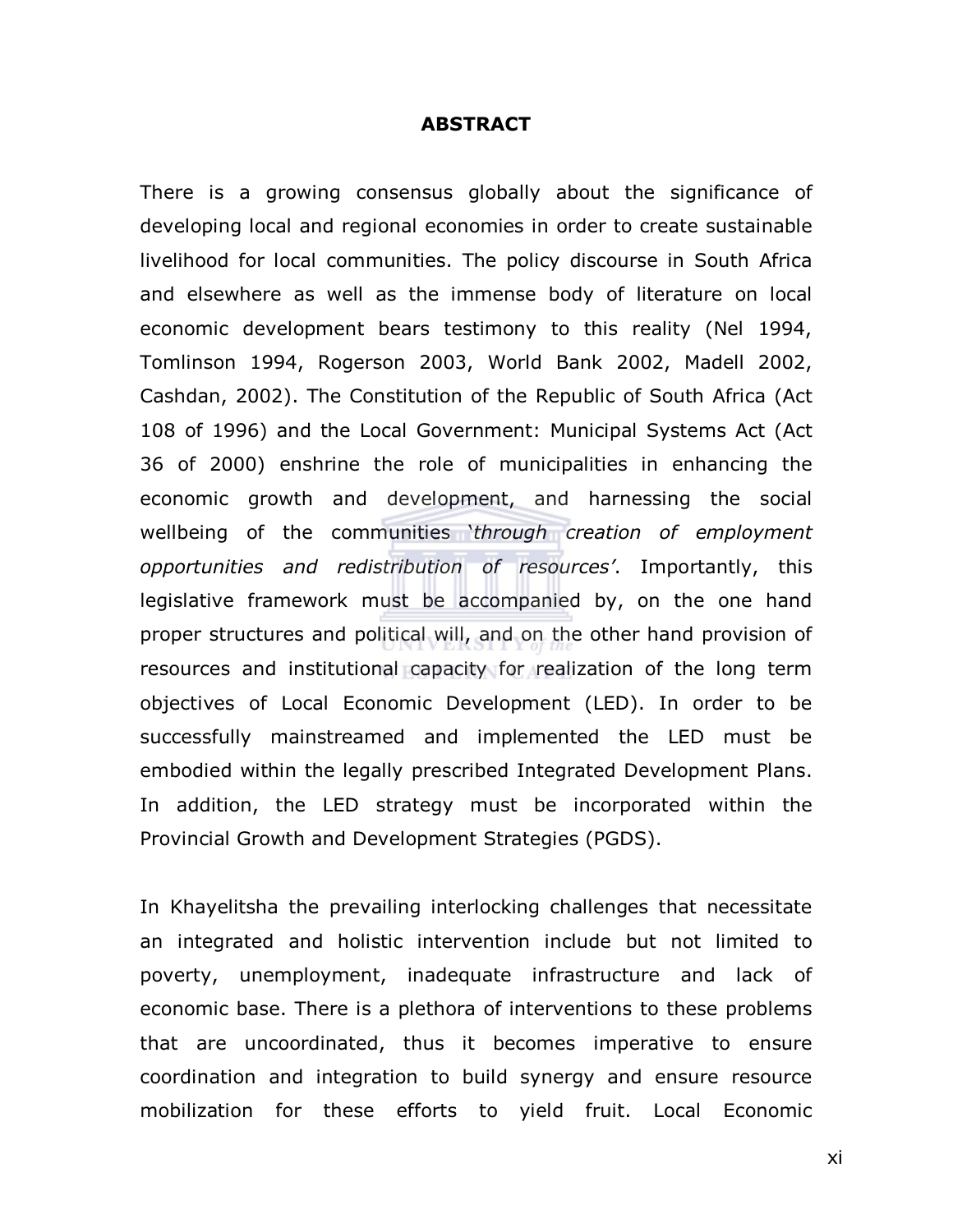#### **ABSTRACT**

There is a growing consensus globally about the significance of developing local and regional economies in order to create sustainable livelihood for local communities. The policy discourse in South Africa and elsewhere as well as the immense body of literature on local economic development bears testimony to this reality (Nel 1994, Tomlinson 1994, Rogerson 2003, World Bank 2002, Madell 2002, Cashdan, 2002). The Constitution of the Republic of South Africa (Act 108 of 1996) and the Local Government: Municipal Systems Act (Act 36 of 2000) enshrine the role of municipalities in enhancing the economic growth and development, and harnessing the social wellbeing of the communities '*through creation of employment opportunities and redistribution of resources'*. Importantly, this legislative framework must be accompanied by, on the one hand proper structures and political will, and on the other hand provision of resources and institutional capacity for realization of the long term objectives of Local Economic Development (LED). In order to be successfully mainstreamed and implemented the LED must be embodied within the legally prescribed Integrated Development Plans. In addition, the LED strategy must be incorporated within the Provincial Growth and Development Strategies (PGDS).

In Khayelitsha the prevailing interlocking challenges that necessitate an integrated and holistic intervention include but not limited to poverty, unemployment, inadequate infrastructure and lack of economic base. There is a plethora of interventions to these problems that are uncoordinated, thus it becomes imperative to ensure coordination and integration to build synergy and ensure resource mobilization for these efforts to yield fruit. Local Economic

xi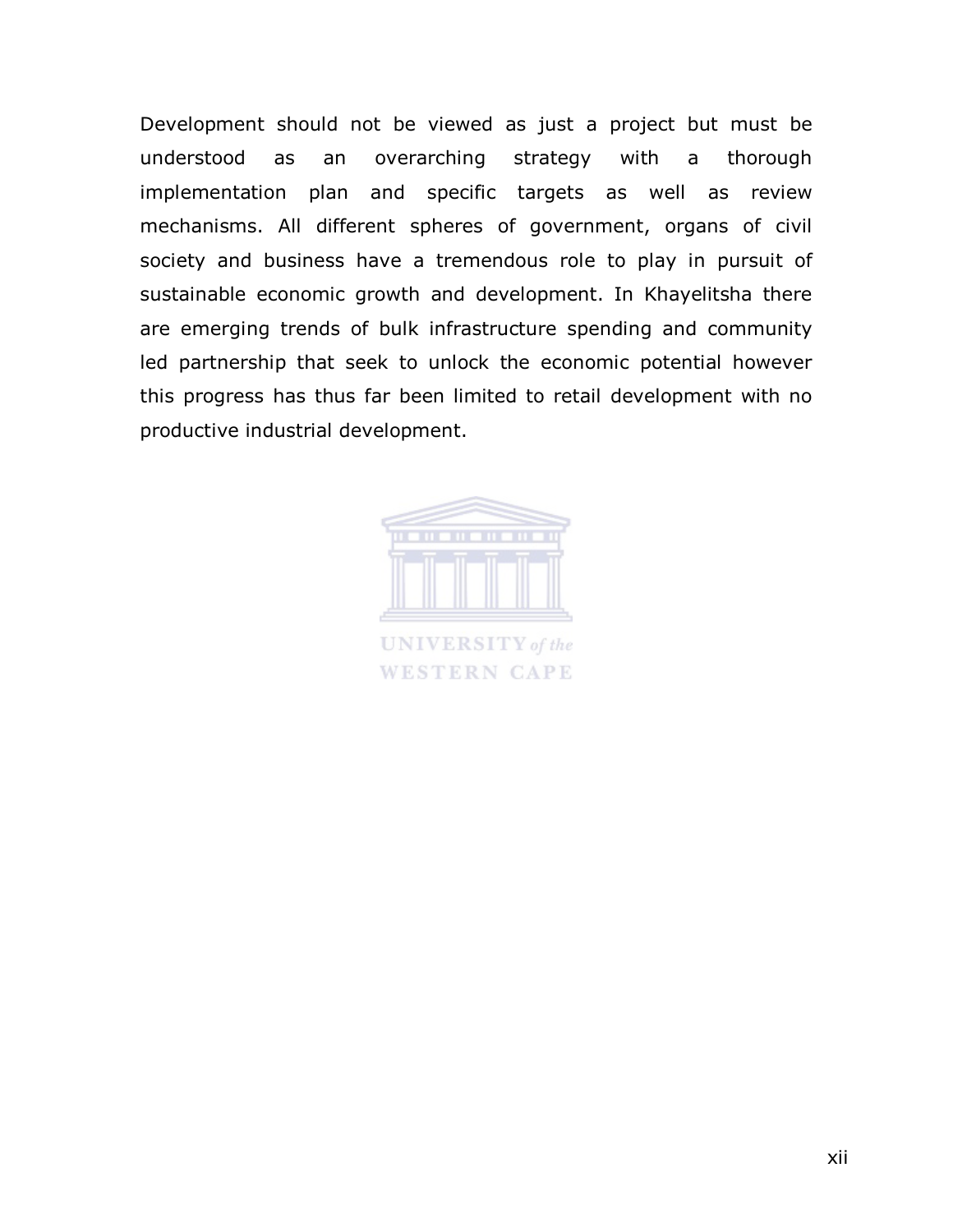Development should not be viewed as just a project but must be understood as an overarching strategy with a thorough implementation plan and specific targets as well as review mechanisms. All different spheres of government, organs of civil society and business have a tremendous role to play in pursuit of sustainable economic growth and development. In Khayelitsha there are emerging trends of bulk infrastructure spending and community led partnership that seek to unlock the economic potential however this progress has thus far been limited to retail development with no productive industrial development.



**WESTERN CAPE**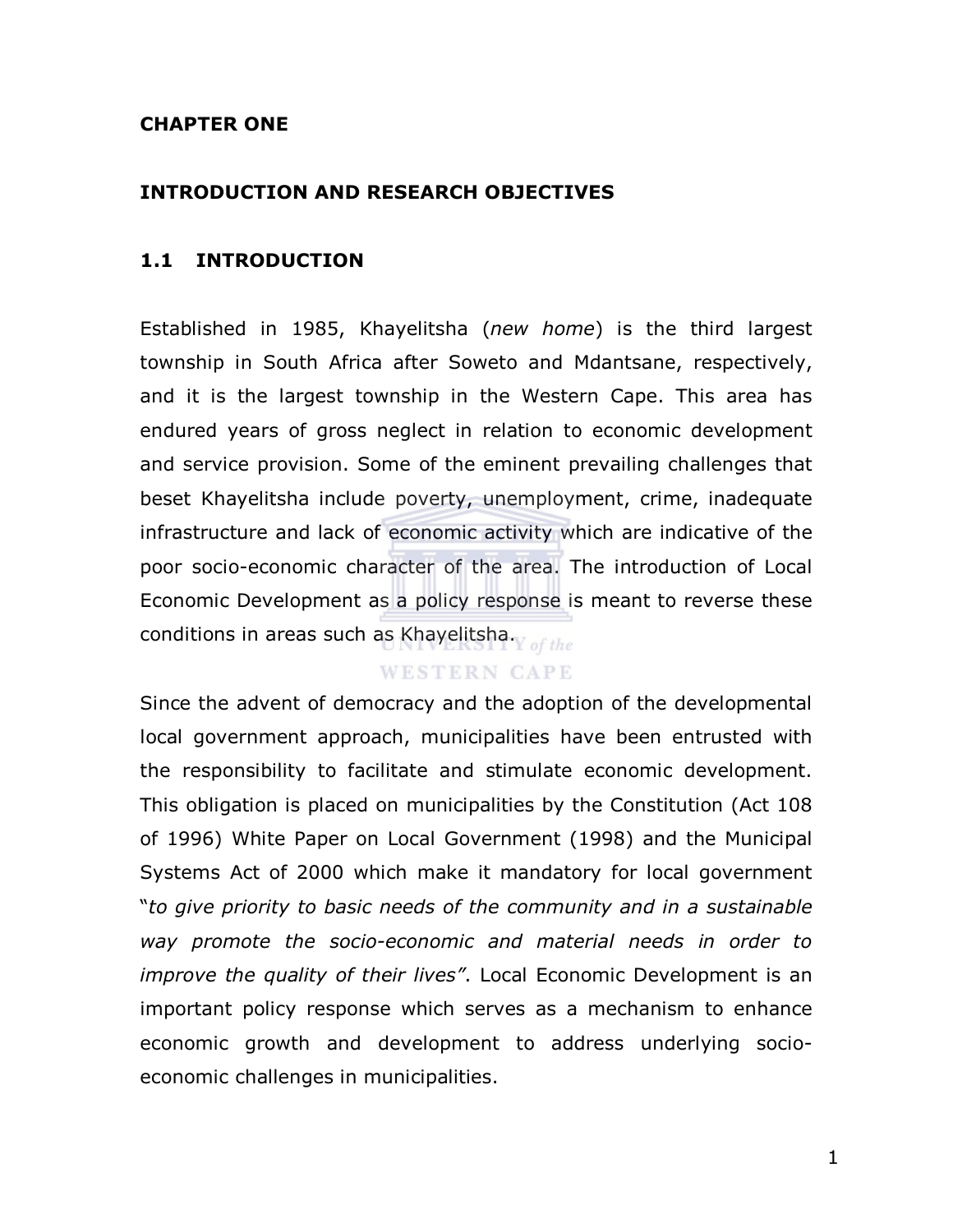## **CHAPTER ONE**

## **INTRODUCTION AND RESEARCH OBJECTIVES**

## **1.1 INTRODUCTION**

Established in 1985, Khayelitsha (*new home*) is the third largest township in South Africa after Soweto and Mdantsane, respectively, and it is the largest township in the Western Cape. This area has endured years of gross neglect in relation to economic development and service provision. Some of the eminent prevailing challenges that beset Khayelitsha include poverty, unemployment, crime, inadequate infrastructure and lack of economic activity which are indicative of the poor socio-economic character of the area. The introduction of Local Economic Development as a policy response is meant to reverse these conditions in areas such as Khayelitsha.

## **WESTERN CAPE**

Since the advent of democracy and the adoption of the developmental local government approach, municipalities have been entrusted with the responsibility to facilitate and stimulate economic development. This obligation is placed on municipalities by the Constitution (Act 108 of 1996) White Paper on Local Government (1998) and the Municipal Systems Act of 2000 which make it mandatory for local government "*to give priority to basic needs of the community and in a sustainable way promote the socio-economic and material needs in order to improve the quality of their lives"*. Local Economic Development is an important policy response which serves as a mechanism to enhance economic growth and development to address underlying socioeconomic challenges in municipalities.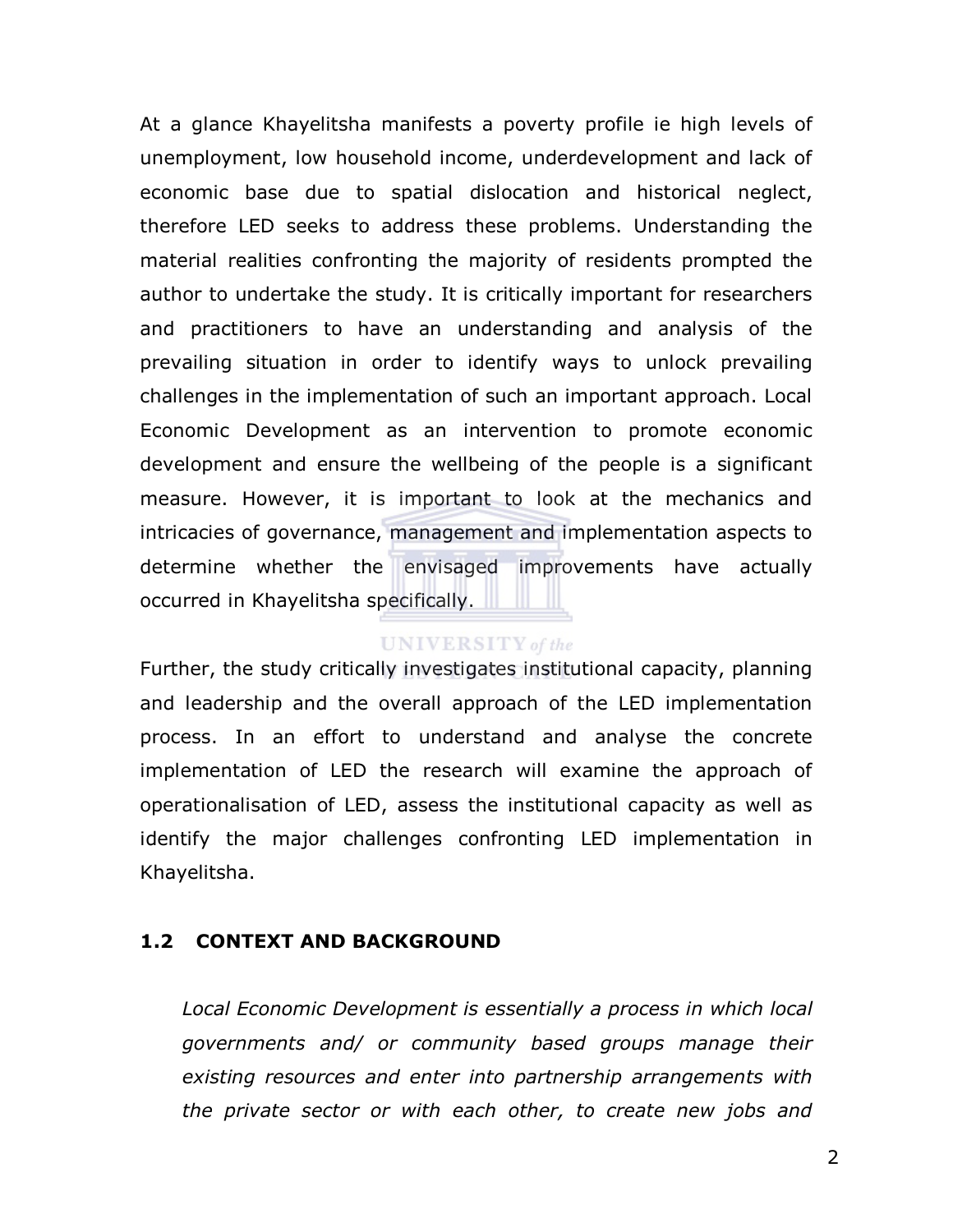At a glance Khayelitsha manifests a poverty profile ie high levels of unemployment, low household income, underdevelopment and lack of economic base due to spatial dislocation and historical neglect, therefore LED seeks to address these problems. Understanding the material realities confronting the majority of residents prompted the author to undertake the study. It is critically important for researchers and practitioners to have an understanding and analysis of the prevailing situation in order to identify ways to unlock prevailing challenges in the implementation of such an important approach. Local Economic Development as an intervention to promote economic development and ensure the wellbeing of the people is a significant measure. However, it is important to look at the mechanics and intricacies of governance, management and implementation aspects to determine whether the envisaged improvements have actually occurred in Khayelitsha specifically.

#### **UNIVERSITY** of the

Further, the study critically investigates institutional capacity, planning and leadership and the overall approach of the LED implementation process. In an effort to understand and analyse the concrete implementation of LED the research will examine the approach of operationalisation of LED, assess the institutional capacity as well as identify the major challenges confronting LED implementation in Khayelitsha.

#### **1.2 CONTEXT AND BACKGROUND**

*Local Economic Development is essentially a process in which local governments and/ or community based groups manage their existing resources and enter into partnership arrangements with the private sector or with each other, to create new jobs and*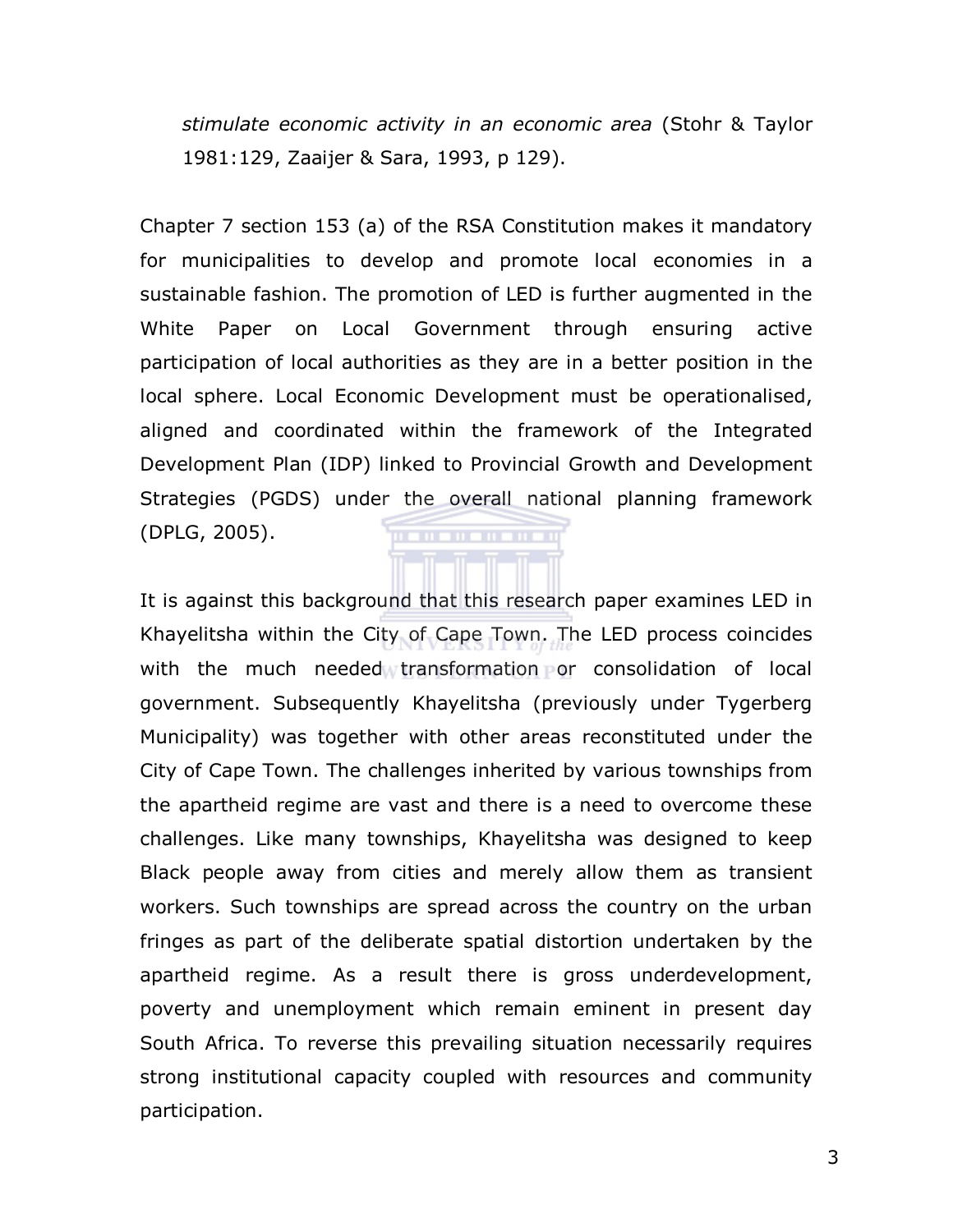*stimulate economic activity in an economic area* (Stohr & Taylor 1981:129, Zaaijer & Sara, 1993, p 129).

Chapter 7 section 153 (a) of the RSA Constitution makes it mandatory for municipalities to develop and promote local economies in a sustainable fashion. The promotion of LED is further augmented in the White Paper on Local Government through ensuring active participation of local authorities as they are in a better position in the local sphere. Local Economic Development must be operationalised, aligned and coordinated within the framework of the Integrated Development Plan (IDP) linked to Provincial Growth and Development Strategies (PGDS) under the overall national planning framework (DPLG, 2005). **TITLE** 

It is against this background that this research paper examines LED in Khayelitsha within the City of Cape Town. The LED process coincides with the much needed transformation  $\overline{P}$  or consolidation of local government. Subsequently Khayelitsha (previously under Tygerberg Municipality) was together with other areas reconstituted under the City of Cape Town. The challenges inherited by various townships from the apartheid regime are vast and there is a need to overcome these challenges. Like many townships, Khayelitsha was designed to keep Black people away from cities and merely allow them as transient workers. Such townships are spread across the country on the urban fringes as part of the deliberate spatial distortion undertaken by the apartheid regime. As a result there is gross underdevelopment, poverty and unemployment which remain eminent in present day South Africa. To reverse this prevailing situation necessarily requires strong institutional capacity coupled with resources and community participation.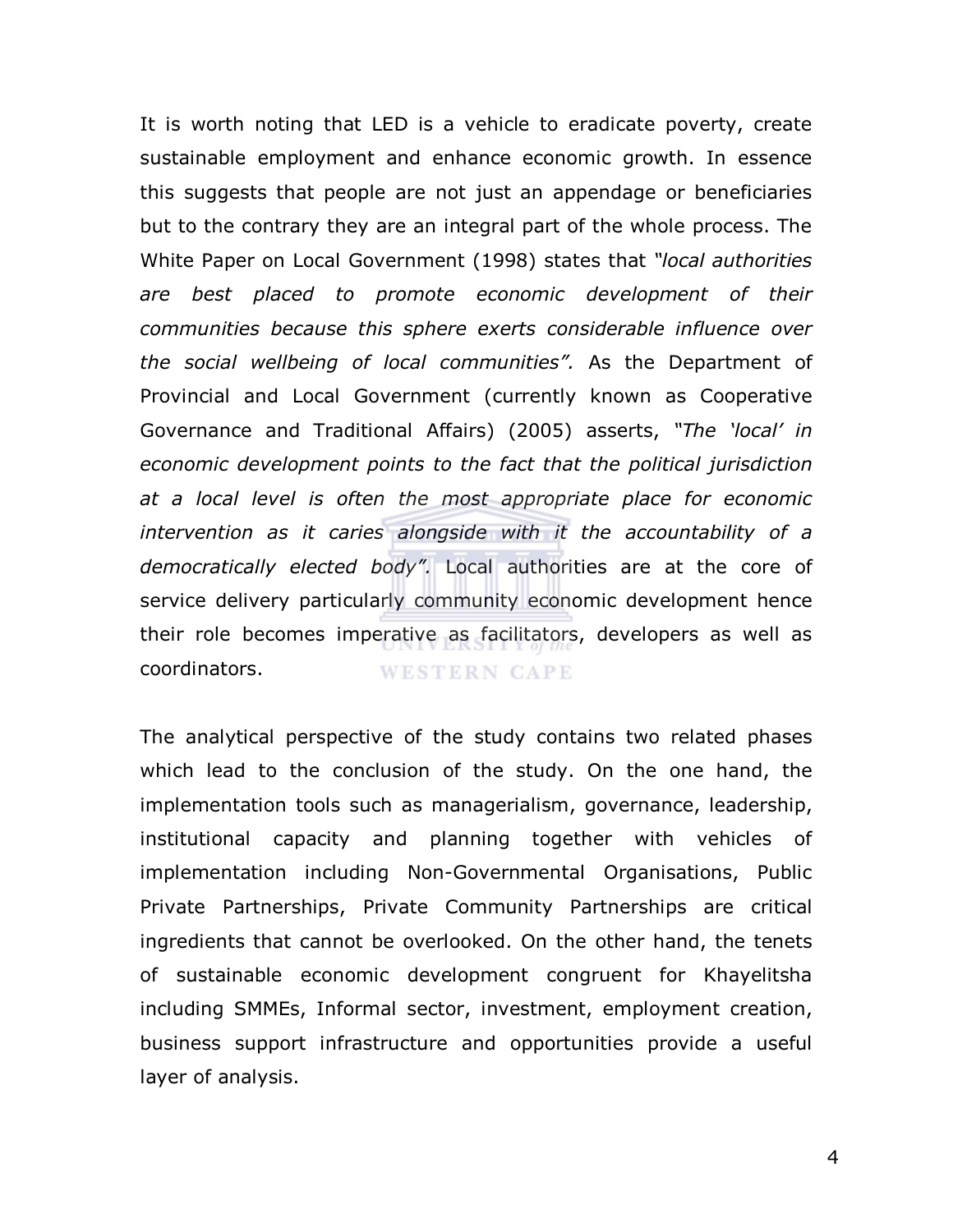It is worth noting that LED is a vehicle to eradicate poverty, create sustainable employment and enhance economic growth. In essence this suggests that people are not just an appendage or beneficiaries but to the contrary they are an integral part of the whole process. The White Paper on Local Government (1998) states that *"local authorities are best placed to promote economic development of their communities because this sphere exerts considerable influence over the social wellbeing of local communities".* As the Department of Provincial and Local Government (currently known as Cooperative Governance and Traditional Affairs) (2005) asserts, *"The 'local' in economic development points to the fact that the political jurisdiction at a local level is often the most appropriate place for economic intervention as it caries alongside with it the accountability of a democratically elected body".* Local authorities are at the core of service delivery particularly community economic development hence their role becomes imperative as facilitators, developers as well as coordinators. **WESTERN CAPE** 

The analytical perspective of the study contains two related phases which lead to the conclusion of the study. On the one hand, the implementation tools such as managerialism, governance, leadership, institutional capacity and planning together with vehicles of implementation including Non-Governmental Organisations, Public Private Partnerships, Private Community Partnerships are critical ingredients that cannot be overlooked. On the other hand, the tenets of sustainable economic development congruent for Khayelitsha including SMMEs, Informal sector, investment, employment creation, business support infrastructure and opportunities provide a useful layer of analysis.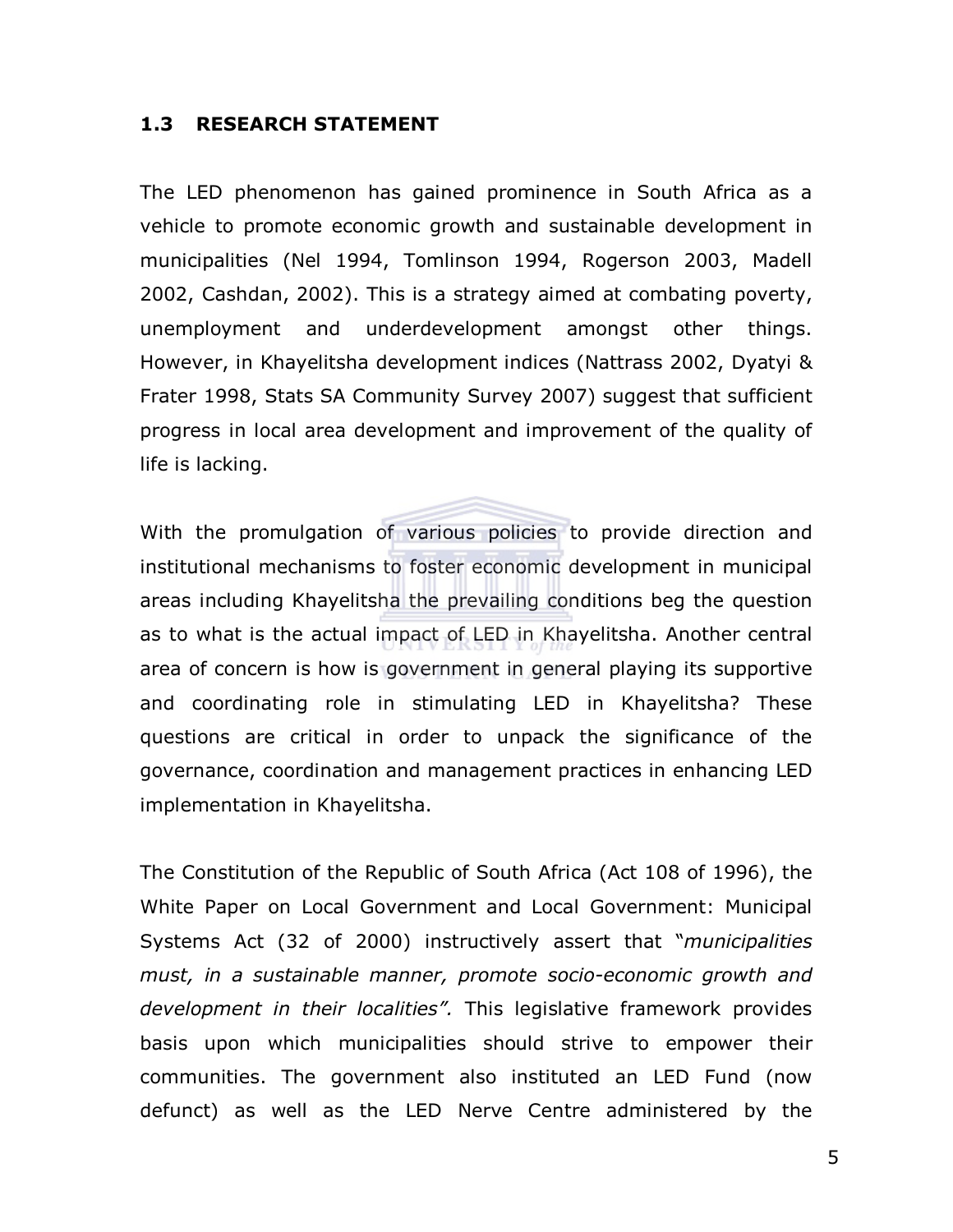### **1.3 RESEARCH STATEMENT**

The LED phenomenon has gained prominence in South Africa as a vehicle to promote economic growth and sustainable development in municipalities (Nel 1994, Tomlinson 1994, Rogerson 2003, Madell 2002, Cashdan, 2002). This is a strategy aimed at combating poverty, unemployment and underdevelopment amongst other things. However, in Khayelitsha development indices (Nattrass 2002, Dyatyi & Frater 1998, Stats SA Community Survey 2007) suggest that sufficient progress in local area development and improvement of the quality of life is lacking.

With the promulgation of various policies to provide direction and institutional mechanisms to foster economic development in municipal areas including Khayelitsha the prevailing conditions beg the question as to what is the actual impact of LED in Khayelitsha. Another central area of concern is how is government in general playing its supportive and coordinating role in stimulating LED in Khayelitsha? These questions are critical in order to unpack the significance of the governance, coordination and management practices in enhancing LED implementation in Khayelitsha.

The Constitution of the Republic of South Africa (Act 108 of 1996), the White Paper on Local Government and Local Government: Municipal Systems Act (32 of 2000) instructively assert that "*municipalities must, in a sustainable manner, promote socio-economic growth and development in their localities".* This legislative framework provides basis upon which municipalities should strive to empower their communities. The government also instituted an LED Fund (now defunct) as well as the LED Nerve Centre administered by the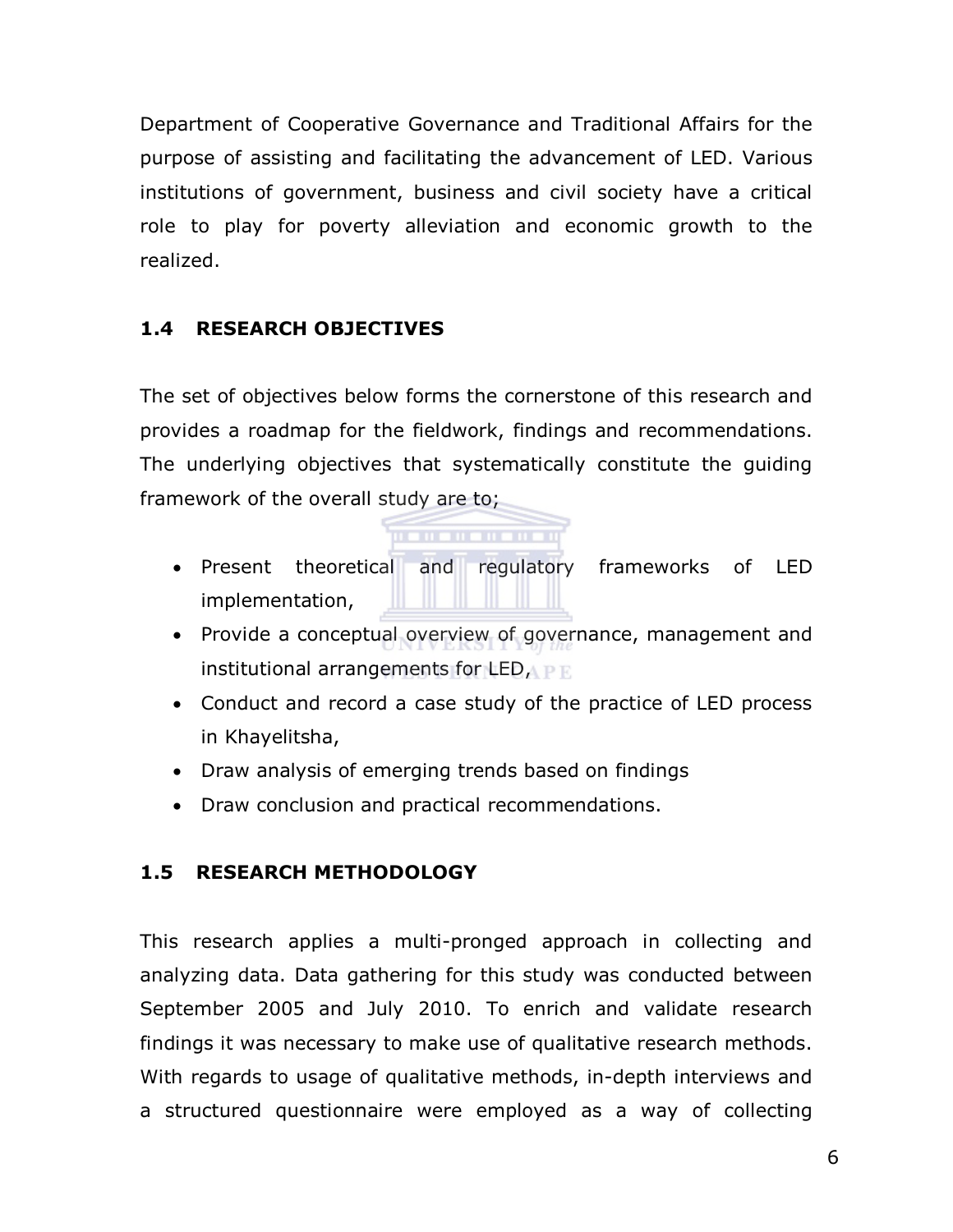Department of Cooperative Governance and Traditional Affairs for the purpose of assisting and facilitating the advancement of LED. Various institutions of government, business and civil society have a critical role to play for poverty alleviation and economic growth to the realized.

# **1.4 RESEARCH OBJECTIVES**

The set of objectives below forms the cornerstone of this research and provides a roadmap for the fieldwork, findings and recommendations. The underlying objectives that systematically constitute the guiding framework of the overall study are to;

. . . . . . . . . . . . .

- · Present theoretical and regulatory frameworks of LED implementation,
- · Provide a conceptual overview of governance, management and institutional arrangements for LED,  $P_{\text{E}}$
- · Conduct and record a case study of the practice of LED process in Khayelitsha,
- · Draw analysis of emerging trends based on findings
- · Draw conclusion and practical recommendations.

# **1.5 RESEARCH METHODOLOGY**

This research applies a multi-pronged approach in collecting and analyzing data. Data gathering for this study was conducted between September 2005 and July 2010. To enrich and validate research findings it was necessary to make use of qualitative research methods. With regards to usage of qualitative methods, in-depth interviews and a structured questionnaire were employed as a way of collecting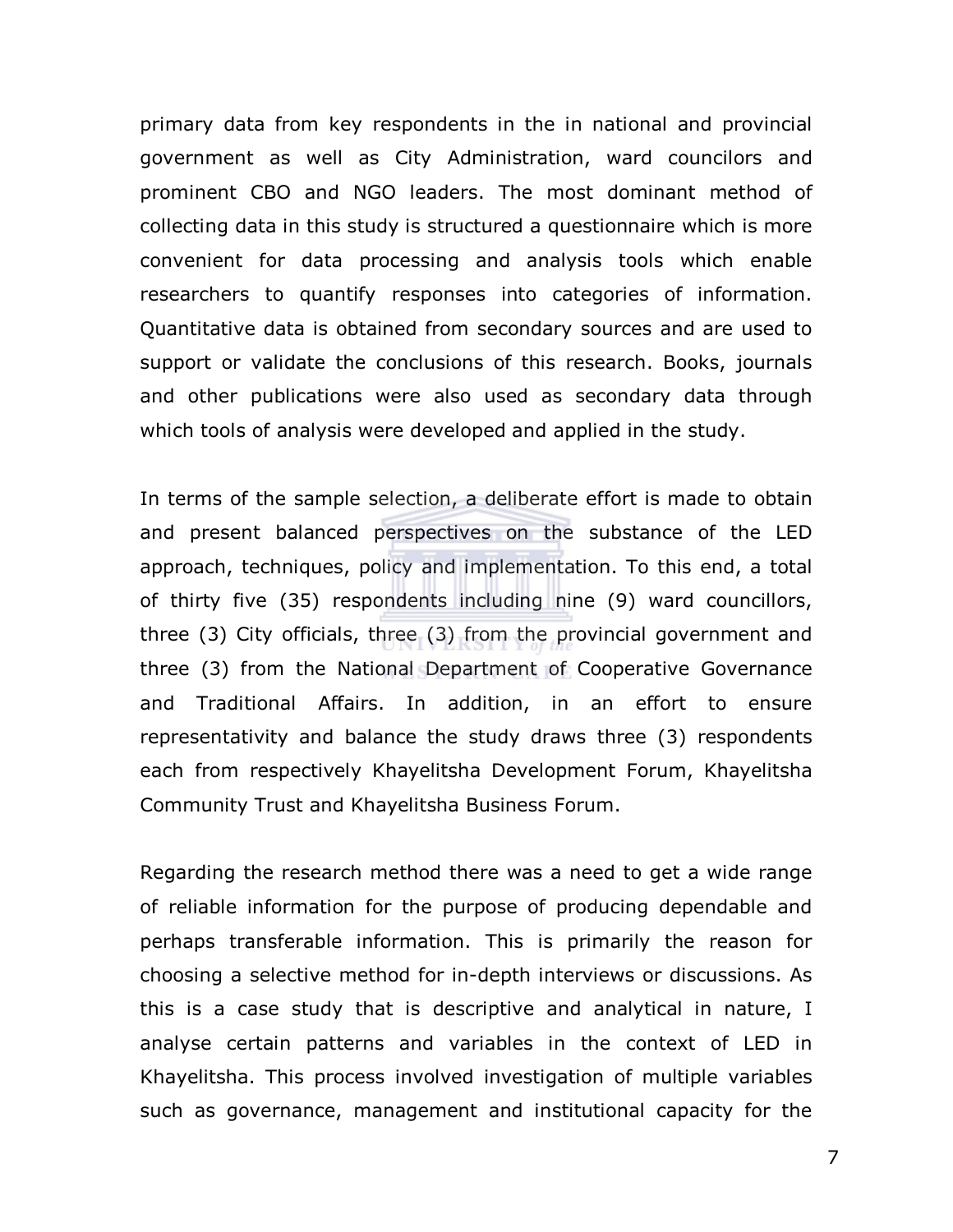primary data from key respondents in the in national and provincial government as well as City Administration, ward councilors and prominent CBO and NGO leaders. The most dominant method of collecting data in this study is structured a questionnaire which is more convenient for data processing and analysis tools which enable researchers to quantify responses into categories of information. Quantitative data is obtained from secondary sources and are used to support or validate the conclusions of this research. Books, journals and other publications were also used as secondary data through which tools of analysis were developed and applied in the study.

In terms of the sample selection, a deliberate effort is made to obtain and present balanced perspectives on the substance of the LED approach, techniques, policy and implementation. To this end, a total of thirty five (35) respondents including nine (9) ward councillors, three (3) City officials, three  $(3)$  from the provincial government and three (3) from the National Department of Cooperative Governance and Traditional Affairs. In addition, in an effort to ensure representativity and balance the study draws three (3) respondents each from respectively Khayelitsha Development Forum, Khayelitsha Community Trust and Khayelitsha Business Forum.

Regarding the research method there was a need to get a wide range of reliable information for the purpose of producing dependable and perhaps transferable information. This is primarily the reason for choosing a selective method for in-depth interviews or discussions. As this is a case study that is descriptive and analytical in nature, I analyse certain patterns and variables in the context of LED in Khayelitsha. This process involved investigation of multiple variables such as governance, management and institutional capacity for the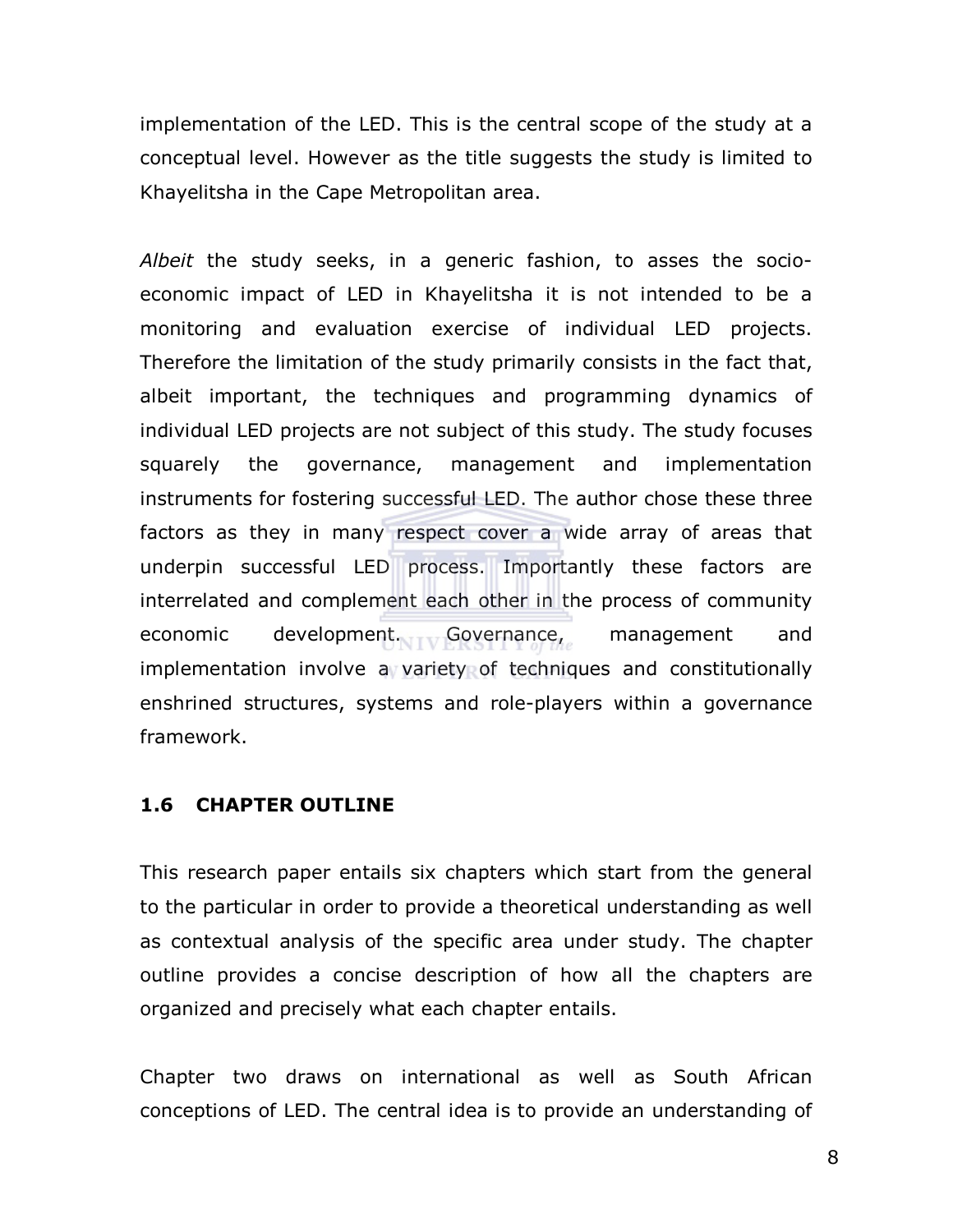implementation of the LED. This is the central scope of the study at a conceptual level. However as the title suggests the study is limited to Khayelitsha in the Cape Metropolitan area.

*Albeit* the study seeks, in a generic fashion, to asses the socioeconomic impact of LED in Khayelitsha it is not intended to be a monitoring and evaluation exercise of individual LED projects. Therefore the limitation of the study primarily consists in the fact that, albeit important, the techniques and programming dynamics of individual LED projects are not subject of this study. The study focuses squarely the governance, management and implementation instruments for fostering successful LED. The author chose these three factors as they in many respect cover a wide array of areas that underpin successful LED process. Importantly these factors are interrelated and complement each other in the process of community economic development. Governance, management and implementation involve a variety of techniques and constitutionally enshrined structures, systems and role-players within a governance framework.

#### **1.6 CHAPTER OUTLINE**

This research paper entails six chapters which start from the general to the particular in order to provide a theoretical understanding as well as contextual analysis of the specific area under study. The chapter outline provides a concise description of how all the chapters are organized and precisely what each chapter entails.

Chapter two draws on international as well as South African conceptions of LED. The central idea is to provide an understanding of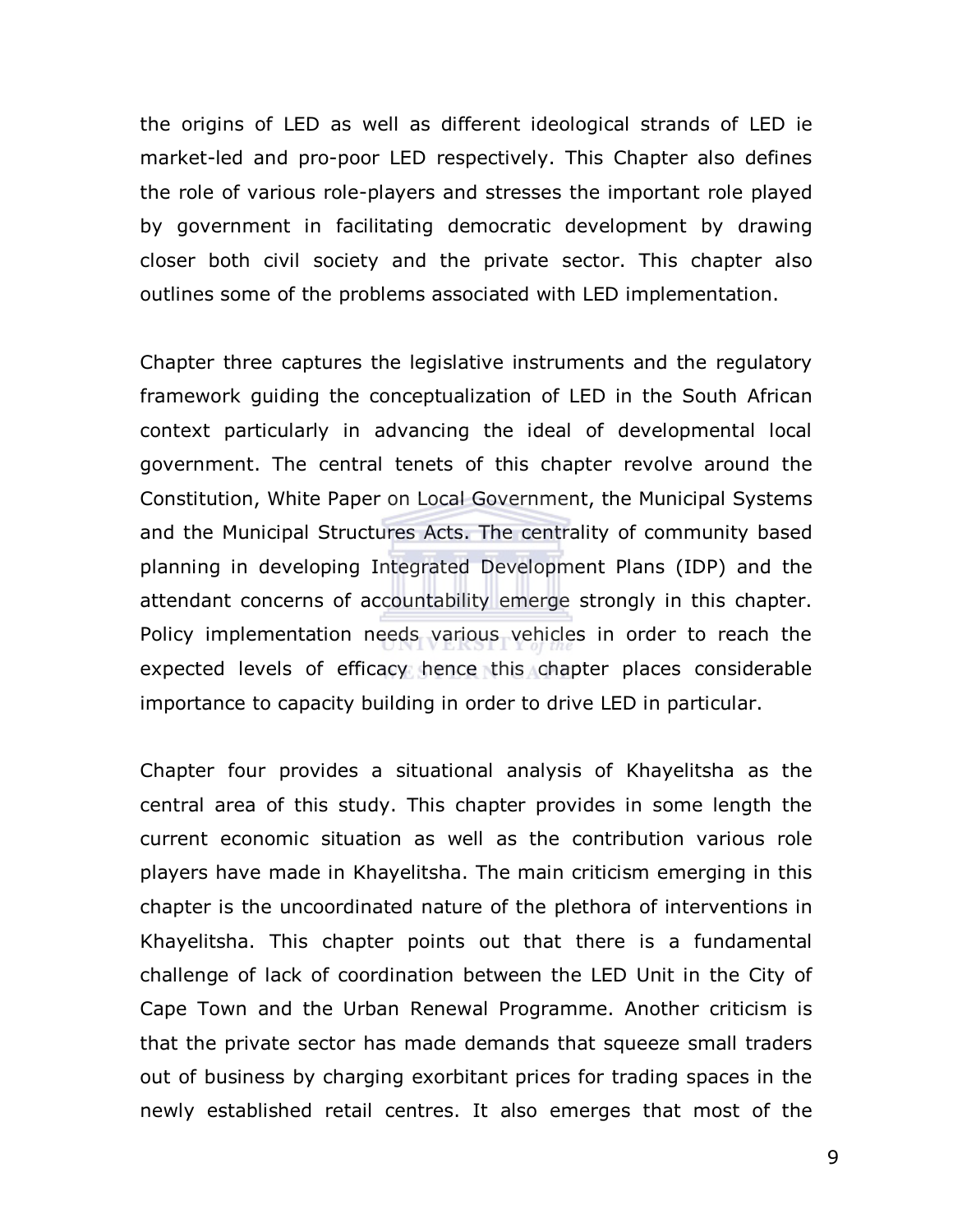the origins of LED as well as different ideological strands of LED ie market-led and pro-poor LED respectively. This Chapter also defines the role of various role-players and stresses the important role played by government in facilitating democratic development by drawing closer both civil society and the private sector. This chapter also outlines some of the problems associated with LED implementation.

Chapter three captures the legislative instruments and the regulatory framework guiding the conceptualization of LED in the South African context particularly in advancing the ideal of developmental local government. The central tenets of this chapter revolve around the Constitution, White Paper on Local Government, the Municipal Systems and the Municipal Structures Acts. The centrality of community based planning in developing Integrated Development Plans (IDP) and the attendant concerns of accountability emerge strongly in this chapter. Policy implementation needs various vehicles in order to reach the expected levels of efficacy hence this chapter places considerable importance to capacity building in order to drive LED in particular.

Chapter four provides a situational analysis of Khayelitsha as the central area of this study. This chapter provides in some length the current economic situation as well as the contribution various role players have made in Khayelitsha. The main criticism emerging in this chapter is the uncoordinated nature of the plethora of interventions in Khayelitsha. This chapter points out that there is a fundamental challenge of lack of coordination between the LED Unit in the City of Cape Town and the Urban Renewal Programme. Another criticism is that the private sector has made demands that squeeze small traders out of business by charging exorbitant prices for trading spaces in the newly established retail centres. It also emerges that most of the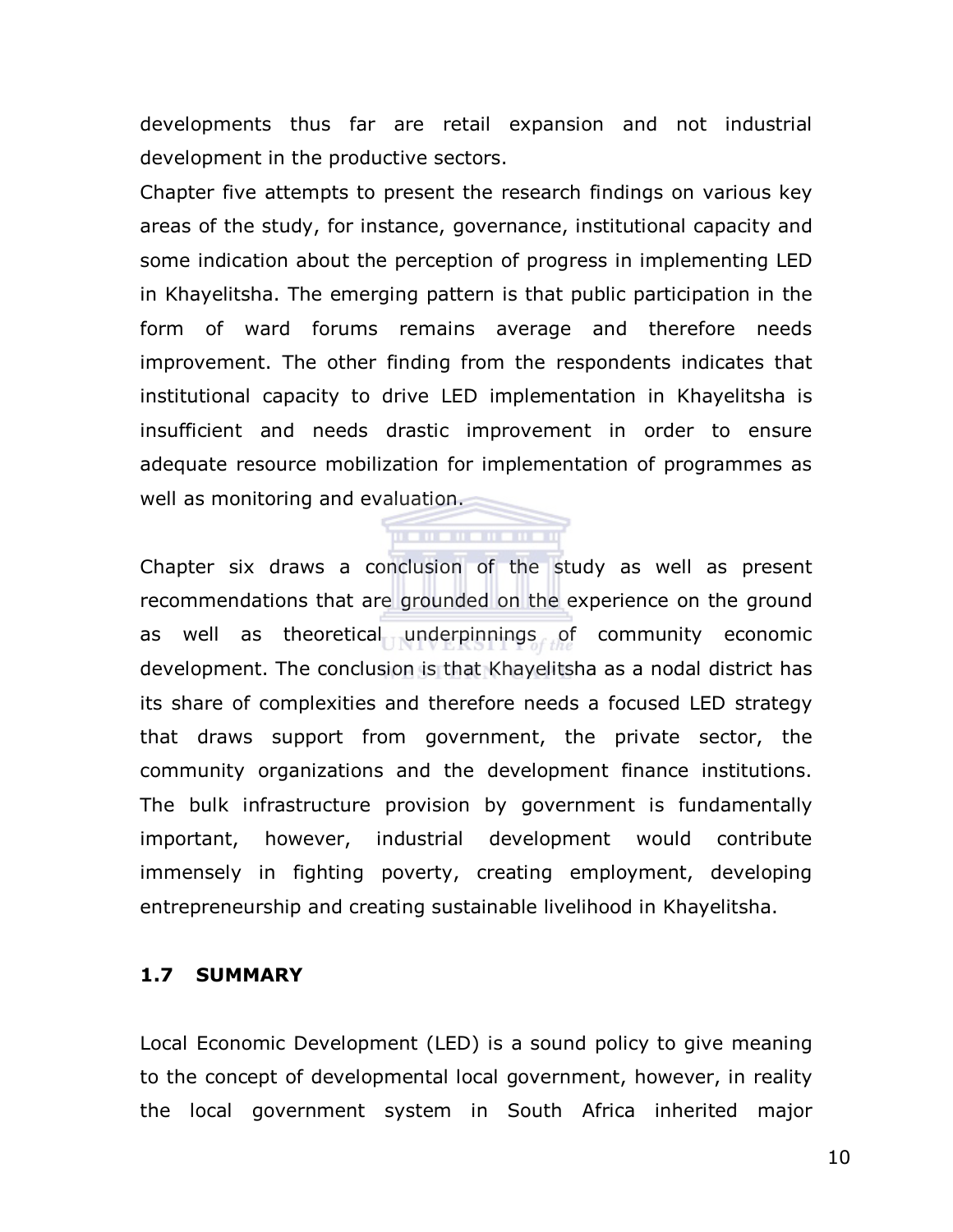developments thus far are retail expansion and not industrial development in the productive sectors.

Chapter five attempts to present the research findings on various key areas of the study, for instance, governance, institutional capacity and some indication about the perception of progress in implementing LED in Khayelitsha. The emerging pattern is that public participation in the form of ward forums remains average and therefore needs improvement. The other finding from the respondents indicates that institutional capacity to drive LED implementation in Khayelitsha is insufficient and needs drastic improvement in order to ensure adequate resource mobilization for implementation of programmes as well as monitoring and evaluation.

. . . . . . . . . . . . . .

Chapter six draws a conclusion of the study as well as present recommendations that are grounded on the experience on the ground as well as theoretical underpinnings of community economic development. The conclusion is that Khayelitsha as a nodal district has its share of complexities and therefore needs a focused LED strategy that draws support from government, the private sector, the community organizations and the development finance institutions. The bulk infrastructure provision by government is fundamentally important, however, industrial development would contribute immensely in fighting poverty, creating employment, developing entrepreneurship and creating sustainable livelihood in Khayelitsha.

#### **1.7 SUMMARY**

Local Economic Development (LED) is a sound policy to give meaning to the concept of developmental local government, however, in reality the local government system in South Africa inherited major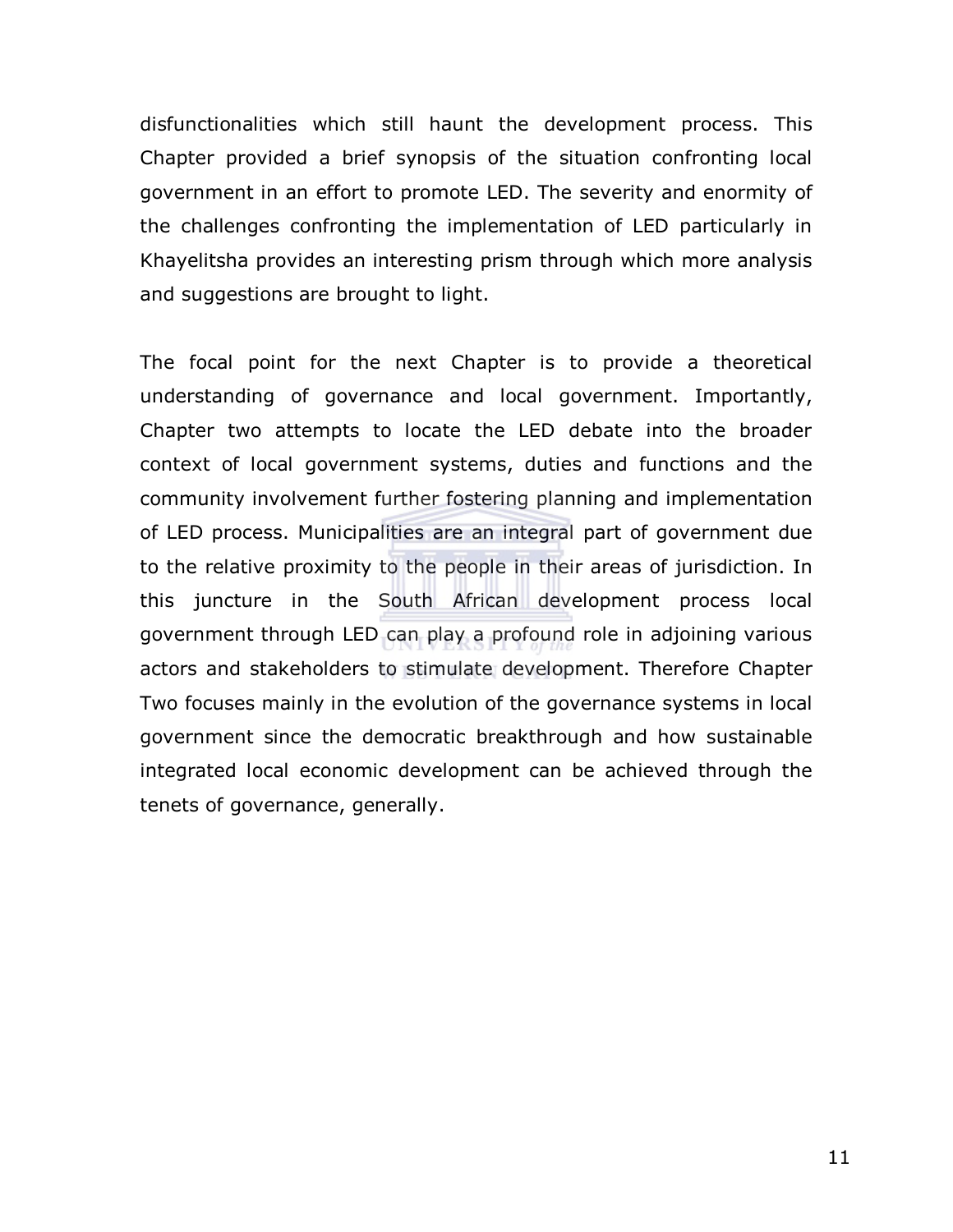disfunctionalities which still haunt the development process. This Chapter provided a brief synopsis of the situation confronting local government in an effort to promote LED. The severity and enormity of the challenges confronting the implementation of LED particularly in Khayelitsha provides an interesting prism through which more analysis and suggestions are brought to light.

The focal point for the next Chapter is to provide a theoretical understanding of governance and local government. Importantly, Chapter two attempts to locate the LED debate into the broader context of local government systems, duties and functions and the community involvement further fostering planning and implementation of LED process. Municipalities are an integral part of government due to the relative proximity to the people in their areas of jurisdiction. In this juncture in the South African development process local government through LED can play a profound role in adjoining various actors and stakeholders to stimulate development. Therefore Chapter Two focuses mainly in the evolution of the governance systems in local government since the democratic breakthrough and how sustainable integrated local economic development can be achieved through the tenets of governance, generally.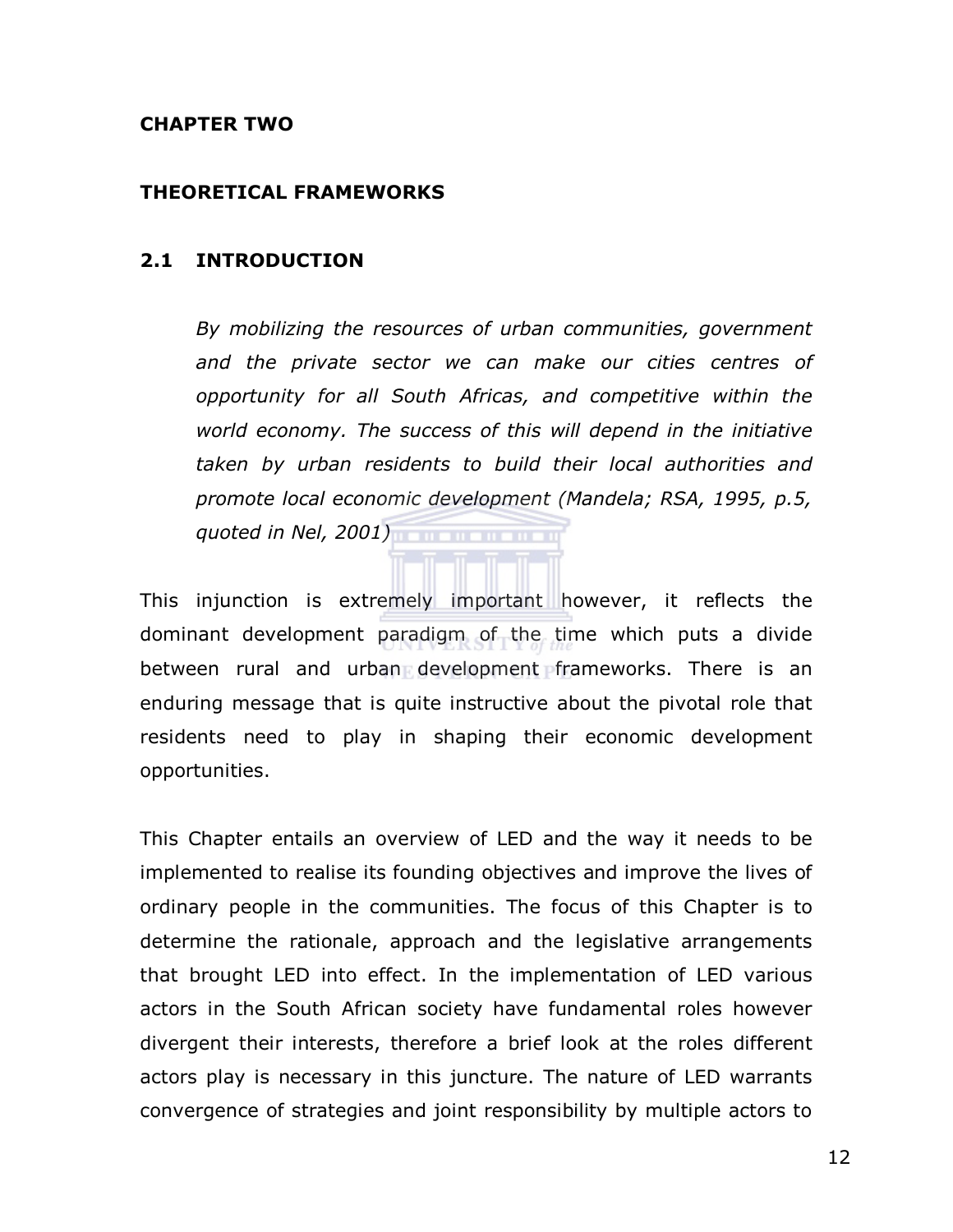## **CHAPTER TWO**

#### **THEORETICAL FRAMEWORKS**

#### **2.1 INTRODUCTION**

*By mobilizing the resources of urban communities, government and the private sector we can make our cities centres of opportunity for all South Africas, and competitive within the world economy. The success of this will depend in the initiative taken by urban residents to build their local authorities and promote local economic development (Mandela; RSA, 1995, p.5, quoted in Nel, 2001)* 

This injunction is extremely important however, it reflects the dominant development paradigm of the time which puts a divide between rural and urban development frameworks. There is an enduring message that is quite instructive about the pivotal role that residents need to play in shaping their economic development opportunities.

This Chapter entails an overview of LED and the way it needs to be implemented to realise its founding objectives and improve the lives of ordinary people in the communities. The focus of this Chapter is to determine the rationale, approach and the legislative arrangements that brought LED into effect. In the implementation of LED various actors in the South African society have fundamental roles however divergent their interests, therefore a brief look at the roles different actors play is necessary in this juncture. The nature of LED warrants convergence of strategies and joint responsibility by multiple actors to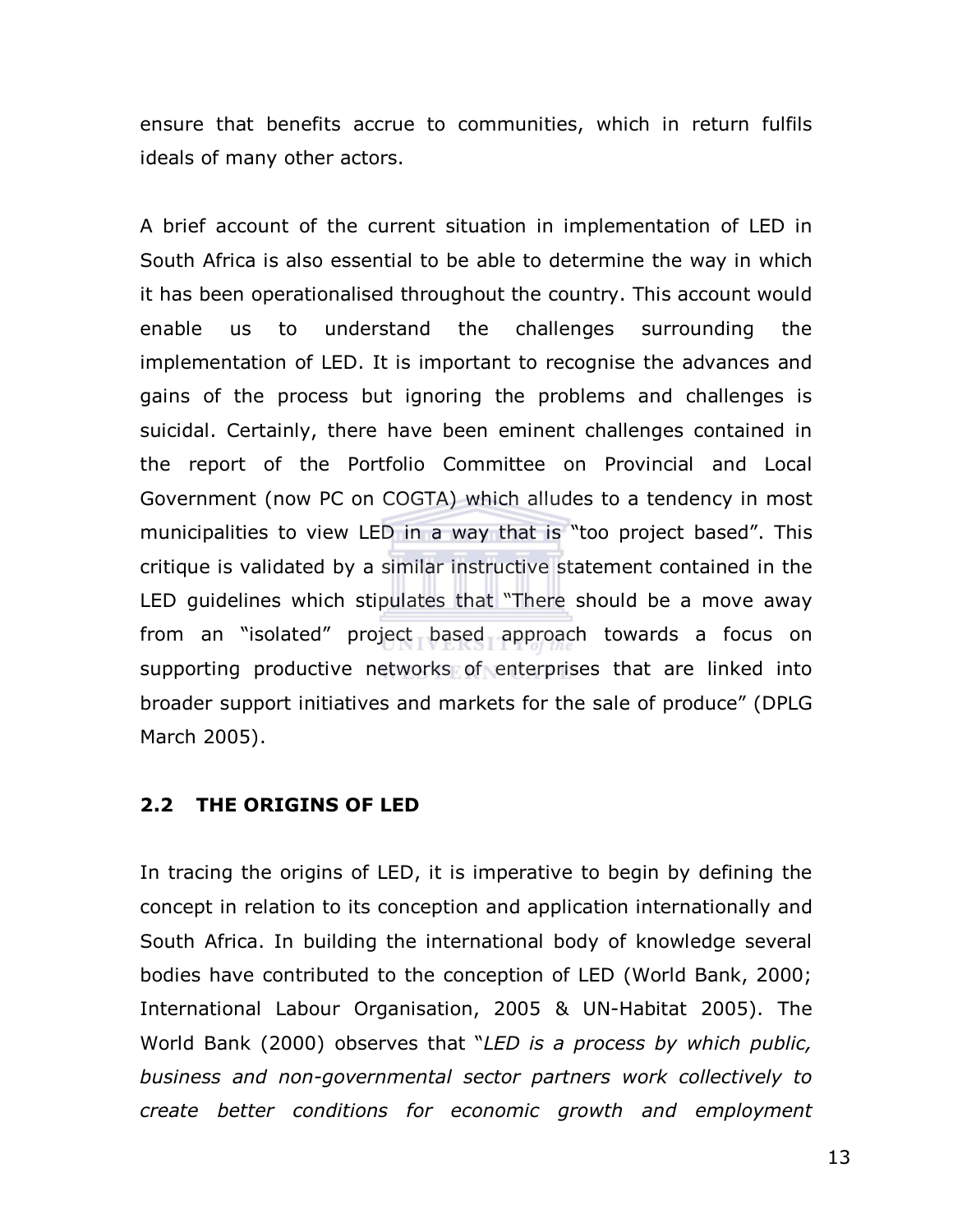ensure that benefits accrue to communities, which in return fulfils ideals of many other actors.

A brief account of the current situation in implementation of LED in South Africa is also essential to be able to determine the way in which it has been operationalised throughout the country. This account would enable us to understand the challenges surrounding the implementation of LED. It is important to recognise the advances and gains of the process but ignoring the problems and challenges is suicidal. Certainly, there have been eminent challenges contained in the report of the Portfolio Committee on Provincial and Local Government (now PC on COGTA) which alludes to a tendency in most municipalities to view LED in a way that is "too project based". This critique is validated by a similar instructive statement contained in the LED guidelines which stipulates that "There should be a move away from an "isolated" project based approach towards a focus on supporting productive networks of enterprises that are linked into broader support initiatives and markets for the sale of produce" (DPLG March 2005).

## **2.2 THE ORIGINS OF LED**

In tracing the origins of LED, it is imperative to begin by defining the concept in relation to its conception and application internationally and South Africa. In building the international body of knowledge several bodies have contributed to the conception of LED (World Bank, 2000; International Labour Organisation, 2005 & UN-Habitat 2005). The World Bank (2000) observes that "*LED is a process by which public, business and non-governmental sector partners work collectively to create better conditions for economic growth and employment*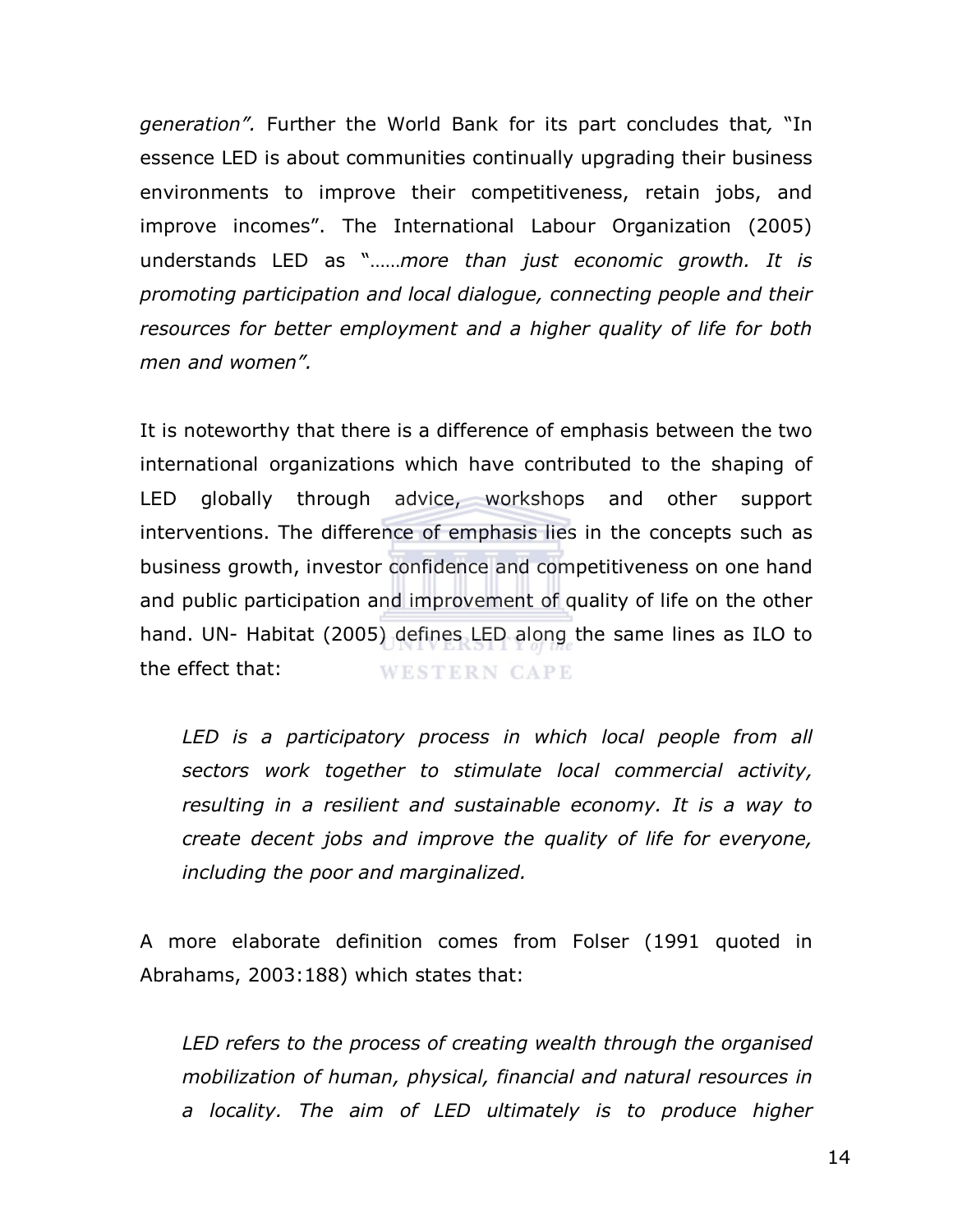*generation".* Further the World Bank for its part concludes that*,* "In essence LED is about communities continually upgrading their business environments to improve their competitiveness, retain jobs, and improve incomes". The International Labour Organization (2005) understands LED as "……*more than just economic growth. It is promoting participation and local dialogue, connecting people and their resources for better employment and a higher quality of life for both men and women".*

It is noteworthy that there is a difference of emphasis between the two international organizations which have contributed to the shaping of LED globally through advice, workshops and other support interventions. The difference of emphasis lies in the concepts such as business growth, investor confidence and competitiveness on one hand and public participation and improvement of quality of life on the other hand. UN- Habitat (2005) defines LED along the same lines as ILO to the effect that: **WESTERN CAPE** 

*LED is a participatory process in which local people from all sectors work together to stimulate local commercial activity, resulting in a resilient and sustainable economy. It is a way to create decent jobs and improve the quality of life for everyone, including the poor and marginalized.* 

A more elaborate definition comes from Folser (1991 quoted in Abrahams, 2003:188) which states that:

*LED refers to the process of creating wealth through the organised mobilization of human, physical, financial and natural resources in a locality. The aim of LED ultimately is to produce higher*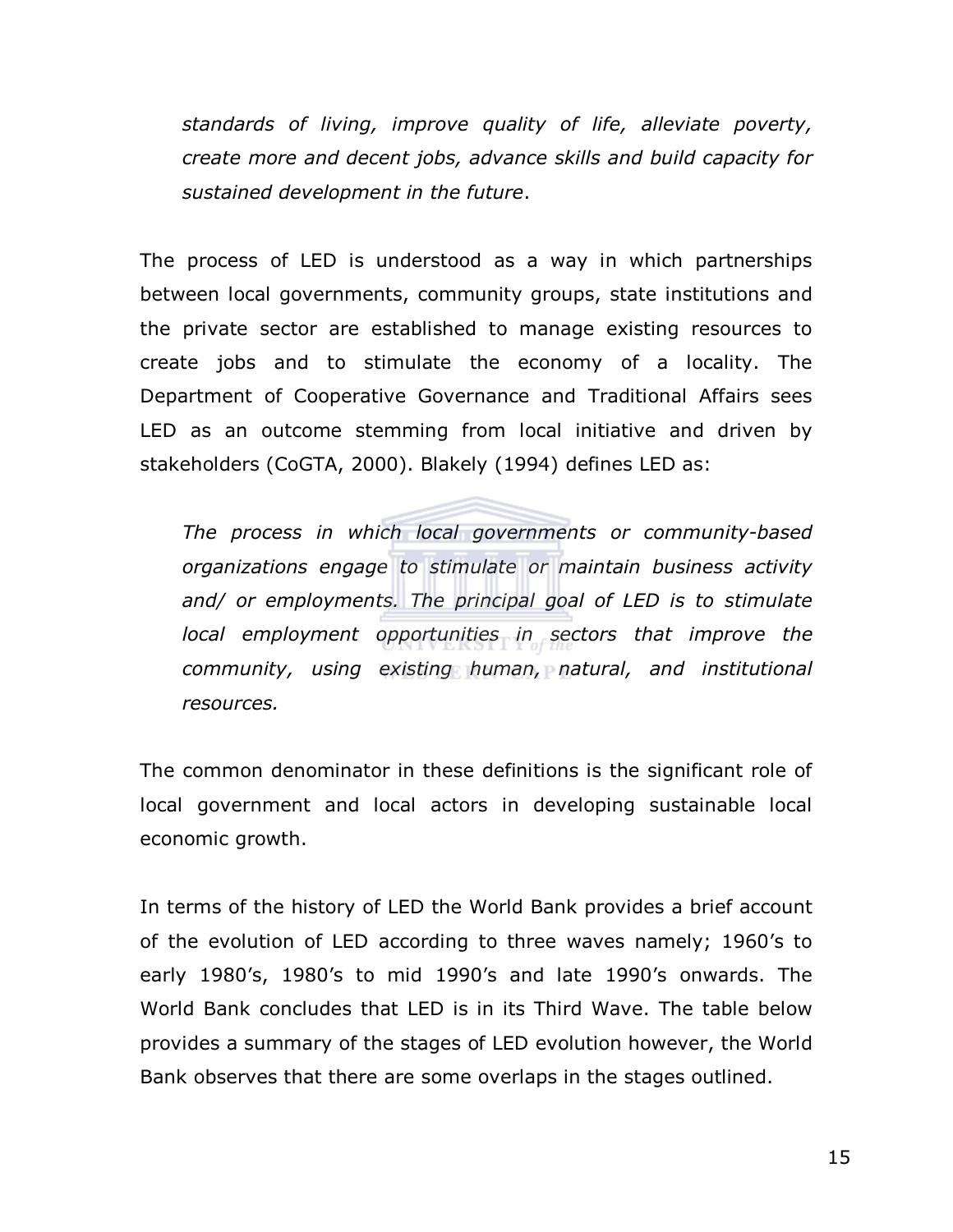*standards of living, improve quality of life, alleviate poverty, create more and decent jobs, advance skills and build capacity for sustained development in the future*.

The process of LED is understood as a way in which partnerships between local governments, community groups, state institutions and the private sector are established to manage existing resources to create jobs and to stimulate the economy of a locality. The Department of Cooperative Governance and Traditional Affairs sees LED as an outcome stemming from local initiative and driven by stakeholders (CoGTA, 2000). Blakely (1994) defines LED as:

*The process in which local governments or community-based organizations engage to stimulate or maintain business activity and/ or employments. The principal goal of LED is to stimulate local employment opportunities in sectors that improve the community, using existing human, natural, and institutional resources.* 

The common denominator in these definitions is the significant role of local government and local actors in developing sustainable local economic growth.

In terms of the history of LED the World Bank provides a brief account of the evolution of LED according to three waves namely; 1960's to early 1980's, 1980's to mid 1990's and late 1990's onwards. The World Bank concludes that LED is in its Third Wave. The table below provides a summary of the stages of LED evolution however, the World Bank observes that there are some overlaps in the stages outlined.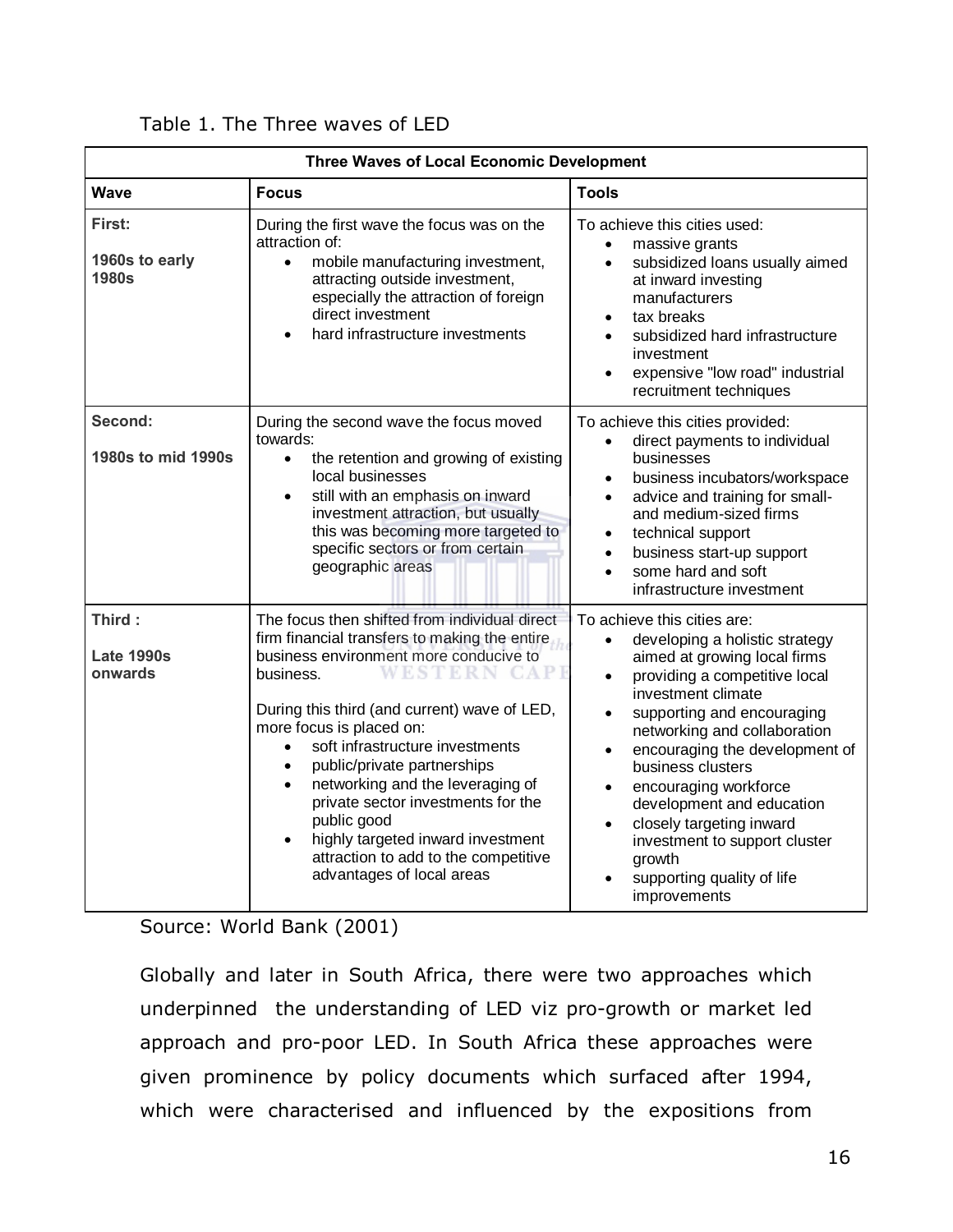|  |  | Table 1. The Three waves of LED |  |
|--|--|---------------------------------|--|
|  |  |                                 |  |

| Three Waves of Local Economic Development |                                                                                                                                                                                                                                                                                                                                                                                                                                                                                                                                                            |                                                                                                                                                                                                                                                                                                                                                                                                                                                                                                                                    |  |  |
|-------------------------------------------|------------------------------------------------------------------------------------------------------------------------------------------------------------------------------------------------------------------------------------------------------------------------------------------------------------------------------------------------------------------------------------------------------------------------------------------------------------------------------------------------------------------------------------------------------------|------------------------------------------------------------------------------------------------------------------------------------------------------------------------------------------------------------------------------------------------------------------------------------------------------------------------------------------------------------------------------------------------------------------------------------------------------------------------------------------------------------------------------------|--|--|
| Wave                                      | <b>Focus</b>                                                                                                                                                                                                                                                                                                                                                                                                                                                                                                                                               | <b>Tools</b>                                                                                                                                                                                                                                                                                                                                                                                                                                                                                                                       |  |  |
| First:<br>1960s to early<br><b>1980s</b>  | During the first wave the focus was on the<br>attraction of:<br>mobile manufacturing investment,<br>$\bullet$<br>attracting outside investment,<br>especially the attraction of foreign<br>direct investment<br>hard infrastructure investments<br>$\bullet$                                                                                                                                                                                                                                                                                               | To achieve this cities used:<br>massive grants<br>$\bullet$<br>subsidized loans usually aimed<br>$\bullet$<br>at inward investing<br>manufacturers<br>tax breaks<br>$\bullet$<br>subsidized hard infrastructure<br>investment<br>expensive "low road" industrial<br>$\bullet$<br>recruitment techniques                                                                                                                                                                                                                            |  |  |
| Second:<br>1980s to mid 1990s             | During the second wave the focus moved<br>towards:<br>the retention and growing of existing<br>$\bullet$<br>local businesses<br>still with an emphasis on inward<br>$\bullet$<br>investment attraction, but usually<br>this was becoming more targeted to<br>specific sectors or from certain<br>geographic areas                                                                                                                                                                                                                                          | To achieve this cities provided:<br>direct payments to individual<br>$\bullet$<br>businesses<br>business incubators/workspace<br>advice and training for small-<br>$\bullet$<br>and medium-sized firms<br>technical support<br>$\bullet$<br>business start-up support<br>$\bullet$<br>some hard and soft<br>$\bullet$<br>infrastructure investment                                                                                                                                                                                 |  |  |
| Third:<br><b>Late 1990s</b><br>onwards    | The focus then shifted from individual direct<br>firm financial transfers to making the entire<br>business environment more conducive to<br>business.<br>During this third (and current) wave of LED,<br>more focus is placed on:<br>soft infrastructure investments<br>$\bullet$<br>public/private partnerships<br>$\bullet$<br>networking and the leveraging of<br>$\bullet$<br>private sector investments for the<br>public good<br>highly targeted inward investment<br>$\bullet$<br>attraction to add to the competitive<br>advantages of local areas | To achieve this cities are:<br>developing a holistic strategy<br>$\bullet$<br>aimed at growing local firms<br>providing a competitive local<br>$\bullet$<br>investment climate<br>supporting and encouraging<br>$\bullet$<br>networking and collaboration<br>encouraging the development of<br>$\bullet$<br>business clusters<br>encouraging workforce<br>$\bullet$<br>development and education<br>closely targeting inward<br>$\bullet$<br>investment to support cluster<br>growth<br>supporting quality of life<br>improvements |  |  |

Source: World Bank (2001)

Globally and later in South Africa, there were two approaches which underpinned the understanding of LED viz pro-growth or market led approach and pro-poor LED. In South Africa these approaches were given prominence by policy documents which surfaced after 1994, which were characterised and influenced by the expositions from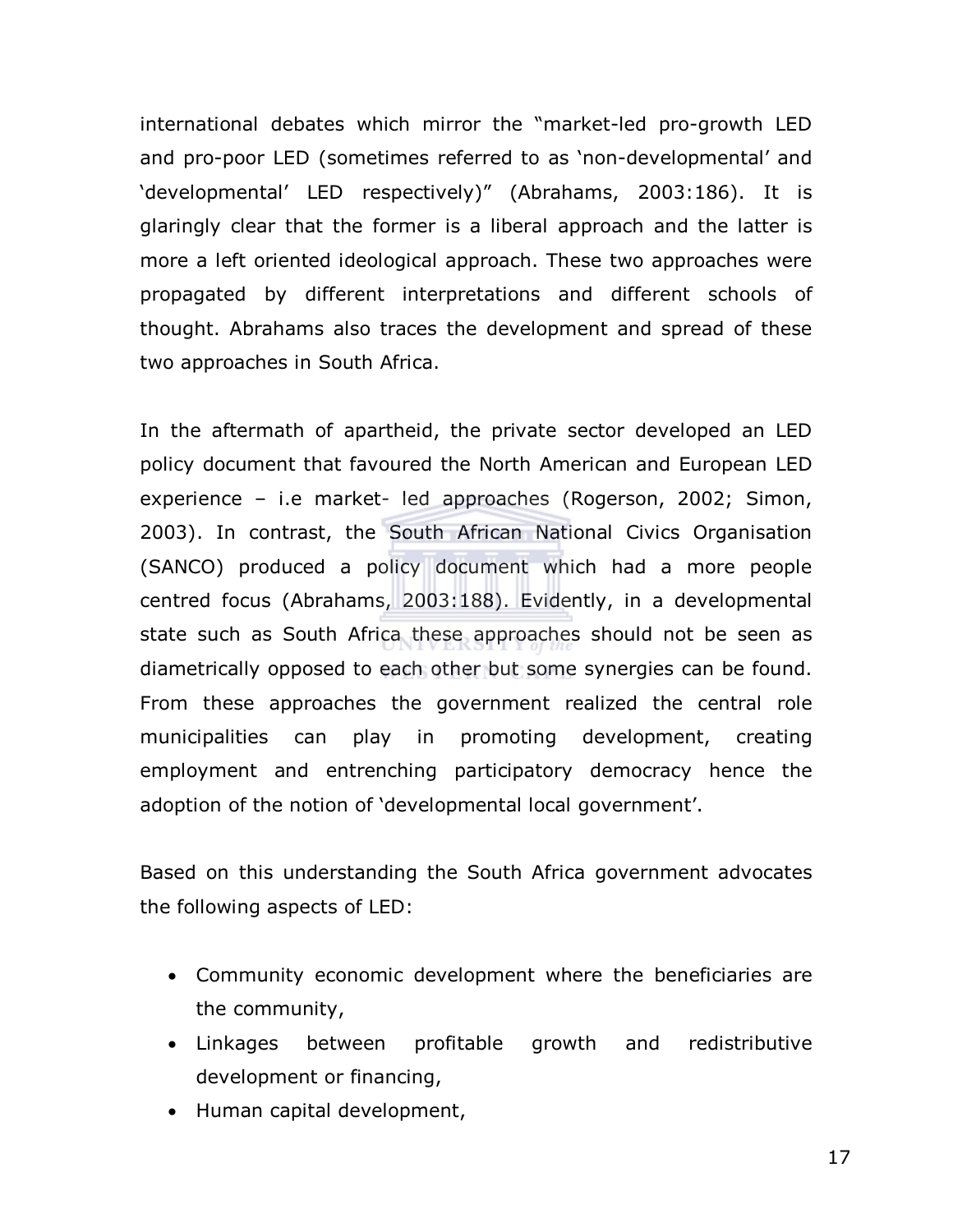international debates which mirror the "market-led pro-growth LED and pro-poor LED (sometimes referred to as 'non-developmental' and 'developmental' LED respectively)" (Abrahams, 2003:186). It is glaringly clear that the former is a liberal approach and the latter is more a left oriented ideological approach. These two approaches were propagated by different interpretations and different schools of thought. Abrahams also traces the development and spread of these two approaches in South Africa.

In the aftermath of apartheid, the private sector developed an LED policy document that favoured the North American and European LED experience – i.e market- led approaches (Rogerson, 2002; Simon, 2003). In contrast, the South African National Civics Organisation (SANCO) produced a policy document which had a more people centred focus (Abrahams, 2003:188). Evidently, in a developmental state such as South Africa these approaches should not be seen as diametrically opposed to each other but some synergies can be found. From these approaches the government realized the central role municipalities can play in promoting development, creating employment and entrenching participatory democracy hence the adoption of the notion of 'developmental local government'.

Based on this understanding the South Africa government advocates the following aspects of LED:

- · Community economic development where the beneficiaries are the community,
- · Linkages between profitable growth and redistributive development or financing,
- · Human capital development,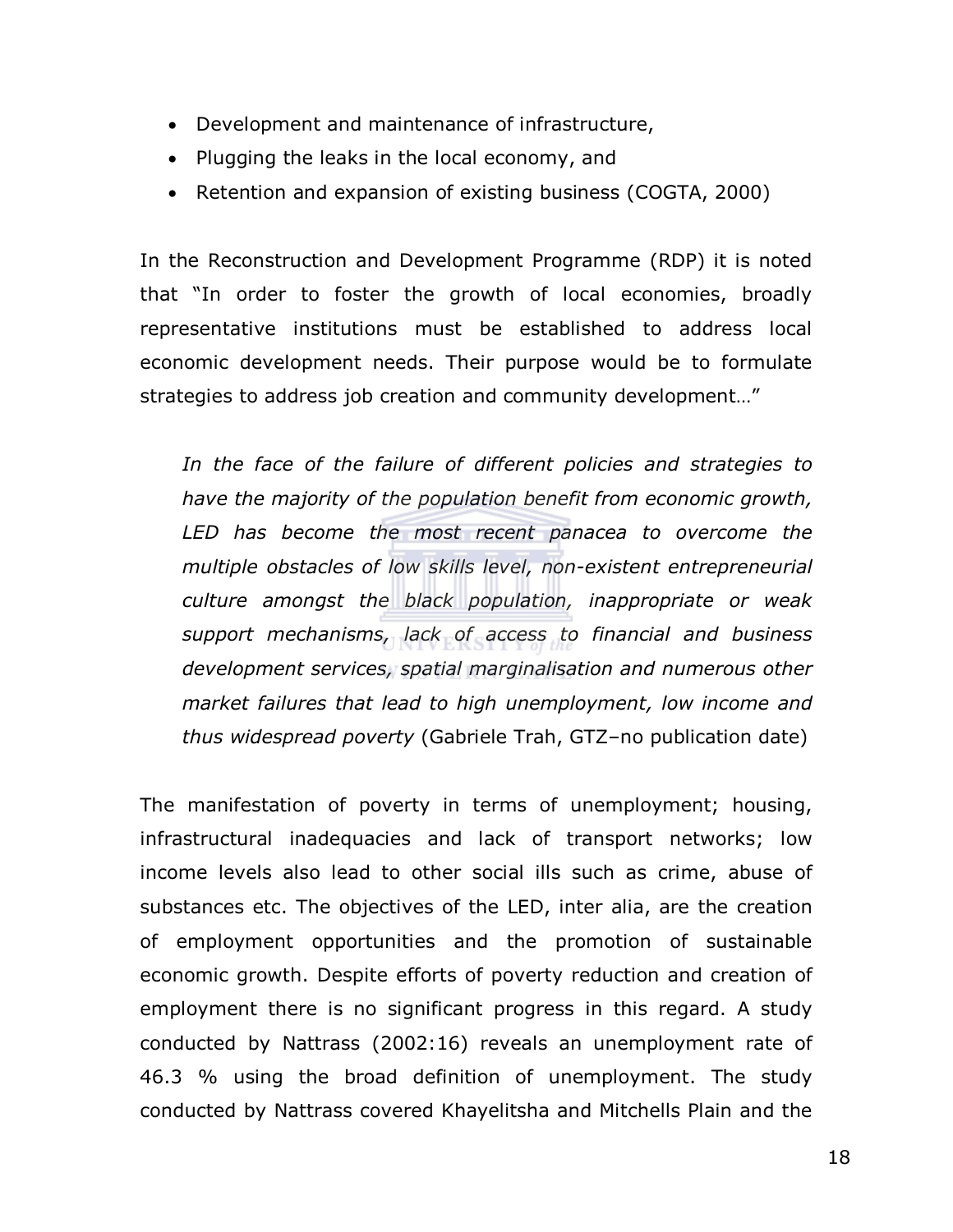- · Development and maintenance of infrastructure,
- · Plugging the leaks in the local economy, and
- · Retention and expansion of existing business (COGTA, 2000)

In the Reconstruction and Development Programme (RDP) it is noted that "In order to foster the growth of local economies, broadly representative institutions must be established to address local economic development needs. Their purpose would be to formulate strategies to address job creation and community development…"

*In the face of the failure of different policies and strategies to have the majority of the population benefit from economic growth, LED has become the most recent panacea to overcome the multiple obstacles of low skills level, non-existent entrepreneurial culture amongst the black population, inappropriate or weak support mechanisms, lack of access to financial and business development services, spatial marginalisation and numerous other market failures that lead to high unemployment, low income and thus widespread poverty* (Gabriele Trah, GTZ–no publication date)

The manifestation of poverty in terms of unemployment; housing, infrastructural inadequacies and lack of transport networks; low income levels also lead to other social ills such as crime, abuse of substances etc. The objectives of the LED, inter alia, are the creation of employment opportunities and the promotion of sustainable economic growth. Despite efforts of poverty reduction and creation of employment there is no significant progress in this regard. A study conducted by Nattrass (2002:16) reveals an unemployment rate of 46.3 % using the broad definition of unemployment. The study conducted by Nattrass covered Khayelitsha and Mitchells Plain and the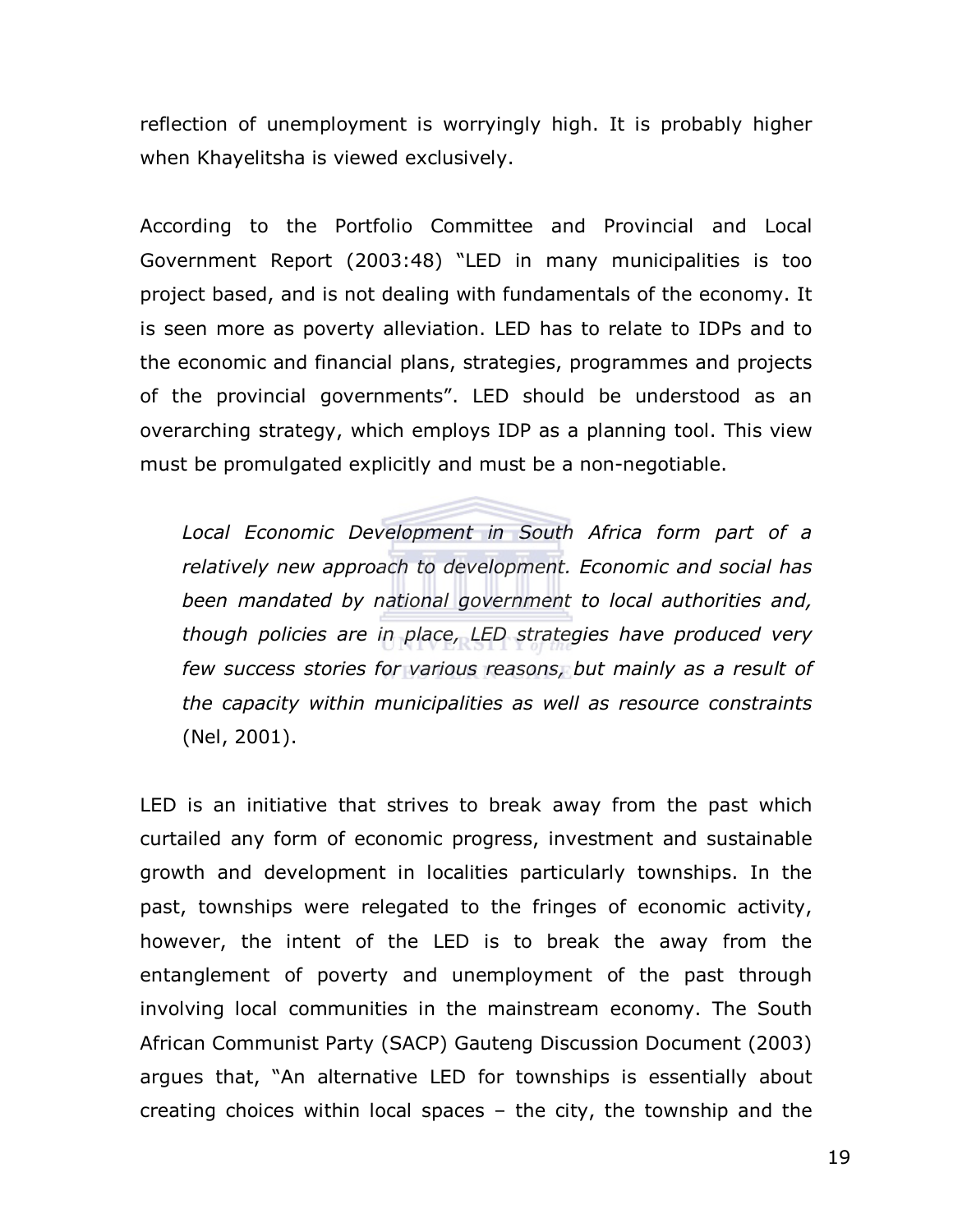reflection of unemployment is worryingly high. It is probably higher when Khayelitsha is viewed exclusively.

According to the Portfolio Committee and Provincial and Local Government Report (2003:48) "LED in many municipalities is too project based, and is not dealing with fundamentals of the economy. It is seen more as poverty alleviation. LED has to relate to IDPs and to the economic and financial plans, strategies, programmes and projects of the provincial governments". LED should be understood as an overarching strategy, which employs IDP as a planning tool. This view must be promulgated explicitly and must be a non-negotiable.

*Local Economic Development in South Africa form part of a relatively new approach to development. Economic and social has been mandated by national government to local authorities and, though policies are in place, LED strategies have produced very few success stories for various reasons, but mainly as a result of the capacity within municipalities as well as resource constraints* (Nel, 2001).

LED is an initiative that strives to break away from the past which curtailed any form of economic progress, investment and sustainable growth and development in localities particularly townships. In the past, townships were relegated to the fringes of economic activity, however, the intent of the LED is to break the away from the entanglement of poverty and unemployment of the past through involving local communities in the mainstream economy. The South African Communist Party (SACP) Gauteng Discussion Document (2003) argues that, "An alternative LED for townships is essentially about creating choices within local spaces – the city, the township and the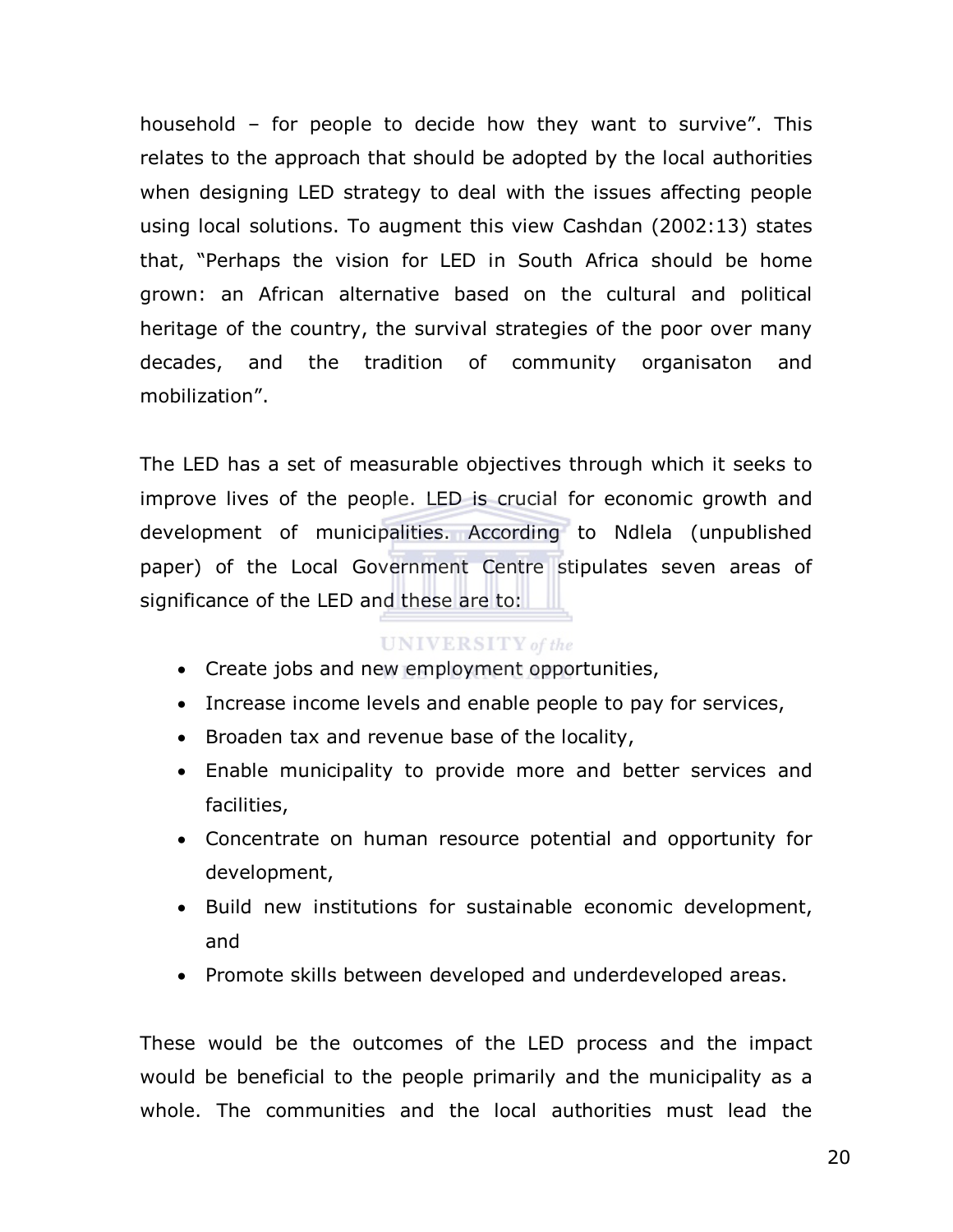household – for people to decide how they want to survive". This relates to the approach that should be adopted by the local authorities when designing LED strategy to deal with the issues affecting people using local solutions. To augment this view Cashdan (2002:13) states that, "Perhaps the vision for LED in South Africa should be home grown: an African alternative based on the cultural and political heritage of the country, the survival strategies of the poor over many decades, and the tradition of community organisaton and mobilization".

The LED has a set of measurable objectives through which it seeks to improve lives of the people. LED is crucial for economic growth and development of municipalities. According to Ndlela (unpublished paper) of the Local Government Centre stipulates seven areas of significance of the LED and these are to:

#### **UNIVERSITY** of the

- · Create jobs and new employment opportunities,
- · Increase income levels and enable people to pay for services,
- · Broaden tax and revenue base of the locality,
- · Enable municipality to provide more and better services and facilities,
- · Concentrate on human resource potential and opportunity for development,
- · Build new institutions for sustainable economic development, and
- · Promote skills between developed and underdeveloped areas.

These would be the outcomes of the LED process and the impact would be beneficial to the people primarily and the municipality as a whole. The communities and the local authorities must lead the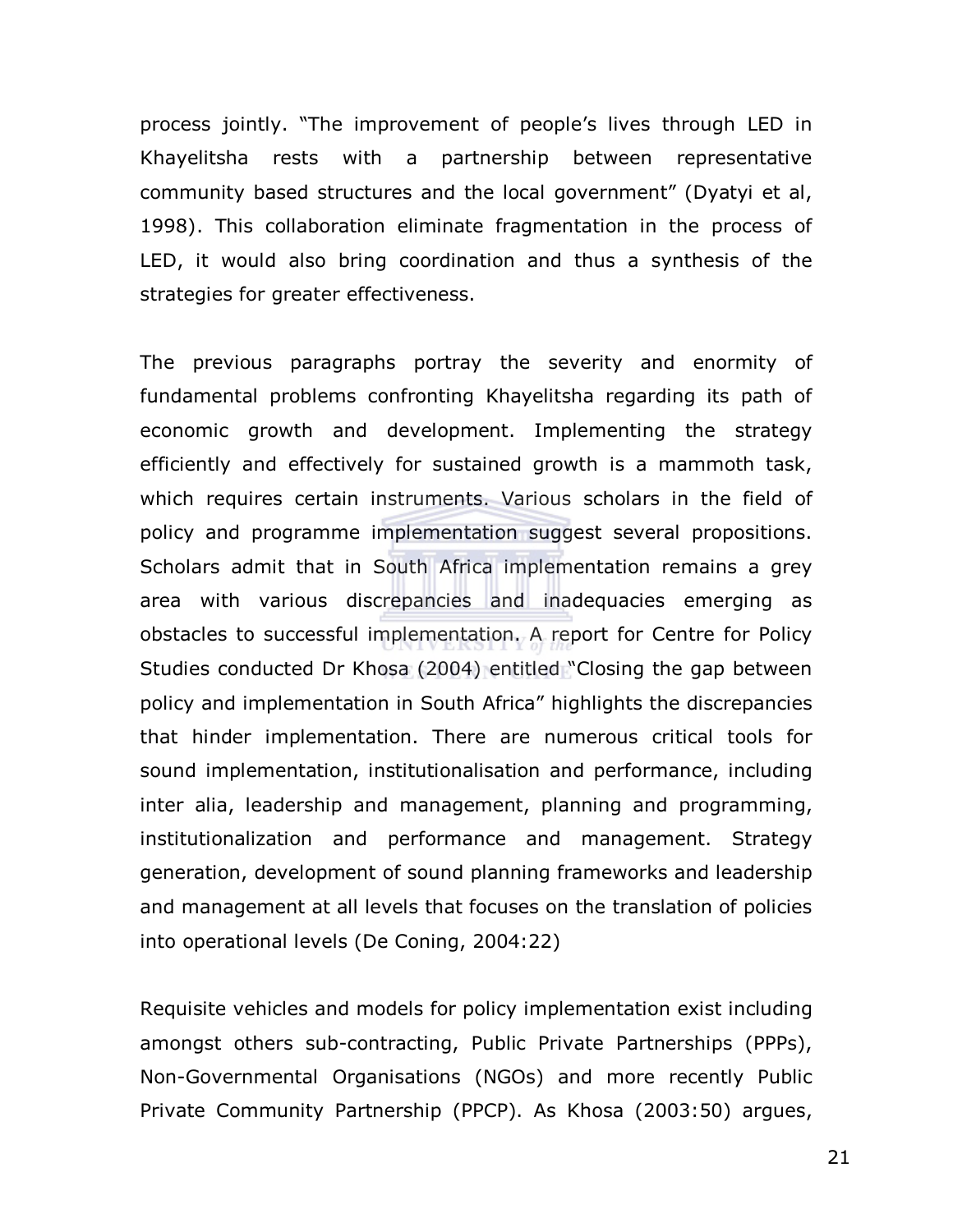process jointly. "The improvement of people's lives through LED in Khayelitsha rests with a partnership between representative community based structures and the local government" (Dyatyi et al, 1998). This collaboration eliminate fragmentation in the process of LED, it would also bring coordination and thus a synthesis of the strategies for greater effectiveness.

The previous paragraphs portray the severity and enormity of fundamental problems confronting Khayelitsha regarding its path of economic growth and development. Implementing the strategy efficiently and effectively for sustained growth is a mammoth task, which requires certain instruments. Various scholars in the field of policy and programme implementation suggest several propositions. Scholars admit that in South Africa implementation remains a grey area with various discrepancies and inadequacies emerging as obstacles to successful implementation. A report for Centre for Policy Studies conducted Dr Khosa (2004) entitled "Closing the gap between policy and implementation in South Africa" highlights the discrepancies that hinder implementation. There are numerous critical tools for sound implementation, institutionalisation and performance, including inter alia, leadership and management, planning and programming, institutionalization and performance and management. Strategy generation, development of sound planning frameworks and leadership and management at all levels that focuses on the translation of policies into operational levels (De Coning, 2004:22)

Requisite vehicles and models for policy implementation exist including amongst others sub-contracting, Public Private Partnerships (PPPs), Non-Governmental Organisations (NGOs) and more recently Public Private Community Partnership (PPCP). As Khosa (2003:50) argues,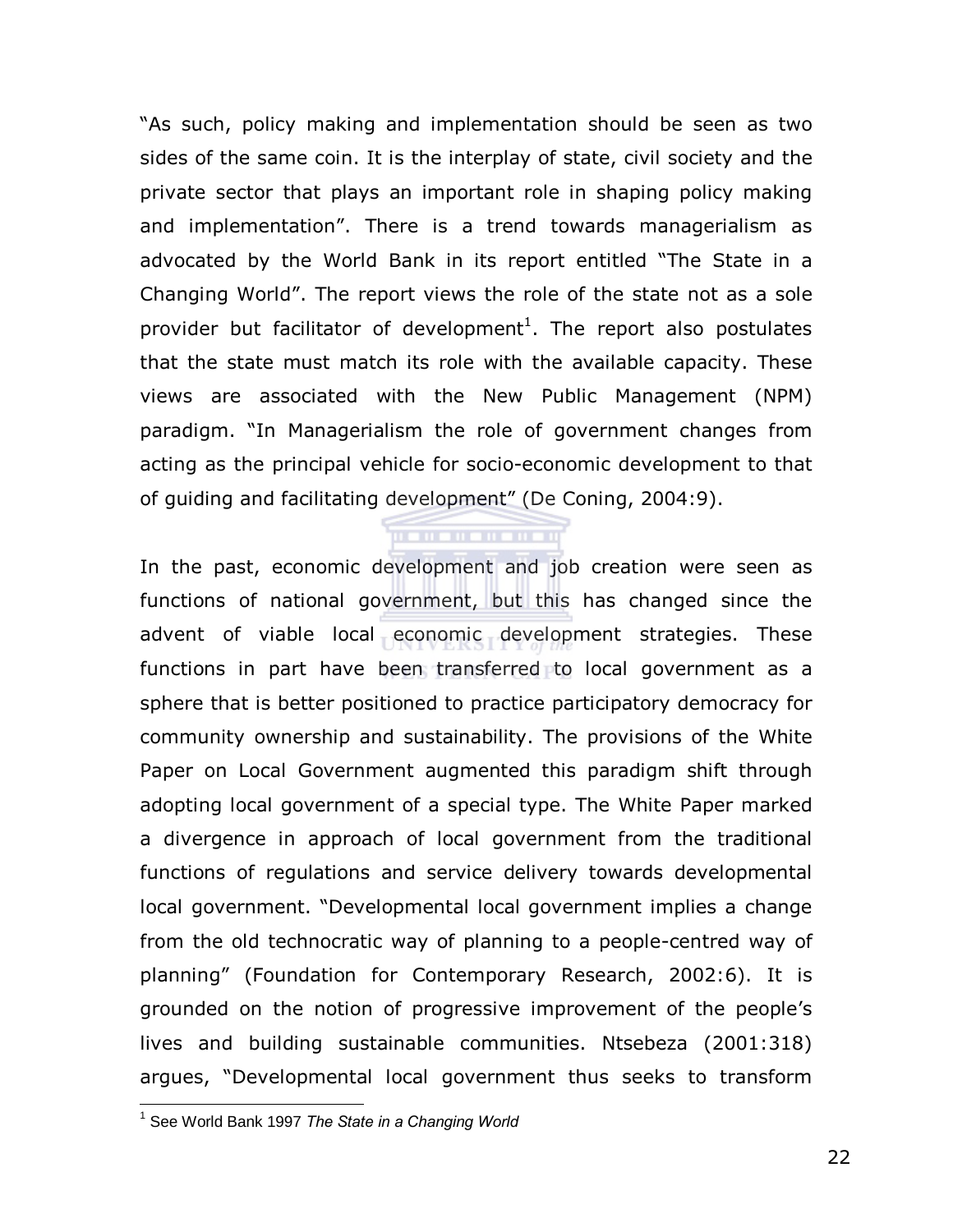"As such, policy making and implementation should be seen as two sides of the same coin. It is the interplay of state, civil society and the private sector that plays an important role in shaping policy making and implementation". There is a trend towards managerialism as advocated by the World Bank in its report entitled "The State in a Changing World". The report views the role of the state not as a sole provider but facilitator of development<sup>1</sup>. The report also postulates that the state must match its role with the available capacity. These views are associated with the New Public Management (NPM) paradigm. "In Managerialism the role of government changes from acting as the principal vehicle for socio-economic development to that of guiding and facilitating development" (De Coning, 2004:9).

In the past, economic development and job creation were seen as functions of national government, but this has changed since the advent of viable local economic development strategies. These functions in part have been transferred to local government as a sphere that is better positioned to practice participatory democracy for community ownership and sustainability. The provisions of the White Paper on Local Government augmented this paradigm shift through adopting local government of a special type. The White Paper marked a divergence in approach of local government from the traditional functions of regulations and service delivery towards developmental local government. "Developmental local government implies a change from the old technocratic way of planning to a people-centred way of planning" (Foundation for Contemporary Research, 2002:6). It is grounded on the notion of progressive improvement of the people's lives and building sustainable communities. Ntsebeza (2001:318) argues, "Developmental local government thus seeks to transform

 1 See World Bank 1997 *The State in a Changing World*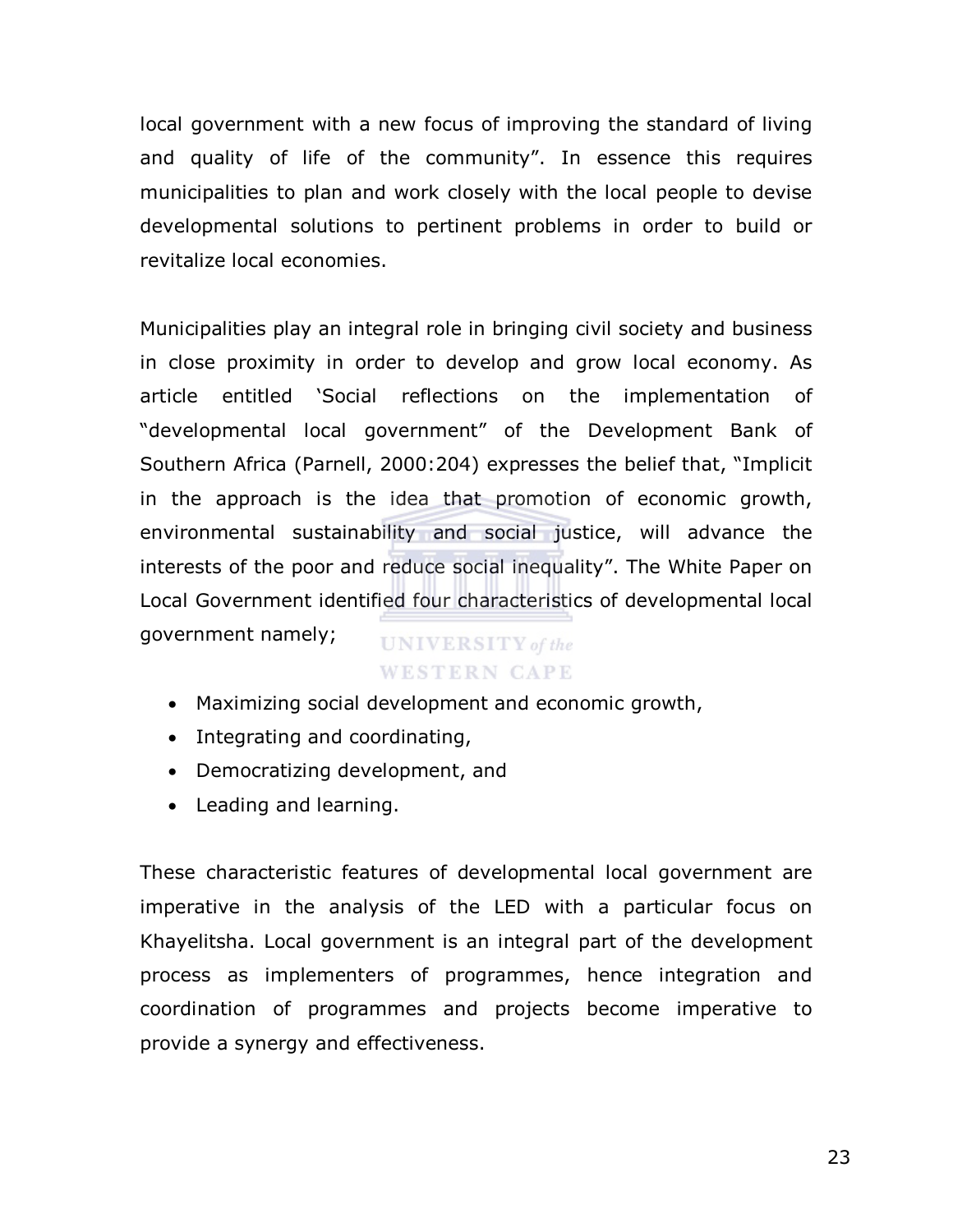local government with a new focus of improving the standard of living and quality of life of the community". In essence this requires municipalities to plan and work closely with the local people to devise developmental solutions to pertinent problems in order to build or revitalize local economies.

Municipalities play an integral role in bringing civil society and business in close proximity in order to develop and grow local economy. As article entitled 'Social reflections on the implementation of "developmental local government" of the Development Bank of Southern Africa (Parnell, 2000:204) expresses the belief that, "Implicit in the approach is the idea that promotion of economic growth, environmental sustainability and social justice, will advance the interests of the poor and reduce social inequality". The White Paper on Local Government identified four characteristics of developmental local government namely; **UNIVERSITY** of the

# **WESTERN CAPE**

- · Maximizing social development and economic growth,
- · Integrating and coordinating,
- · Democratizing development, and
- · Leading and learning.

These characteristic features of developmental local government are imperative in the analysis of the LED with a particular focus on Khayelitsha. Local government is an integral part of the development process as implementers of programmes, hence integration and coordination of programmes and projects become imperative to provide a synergy and effectiveness.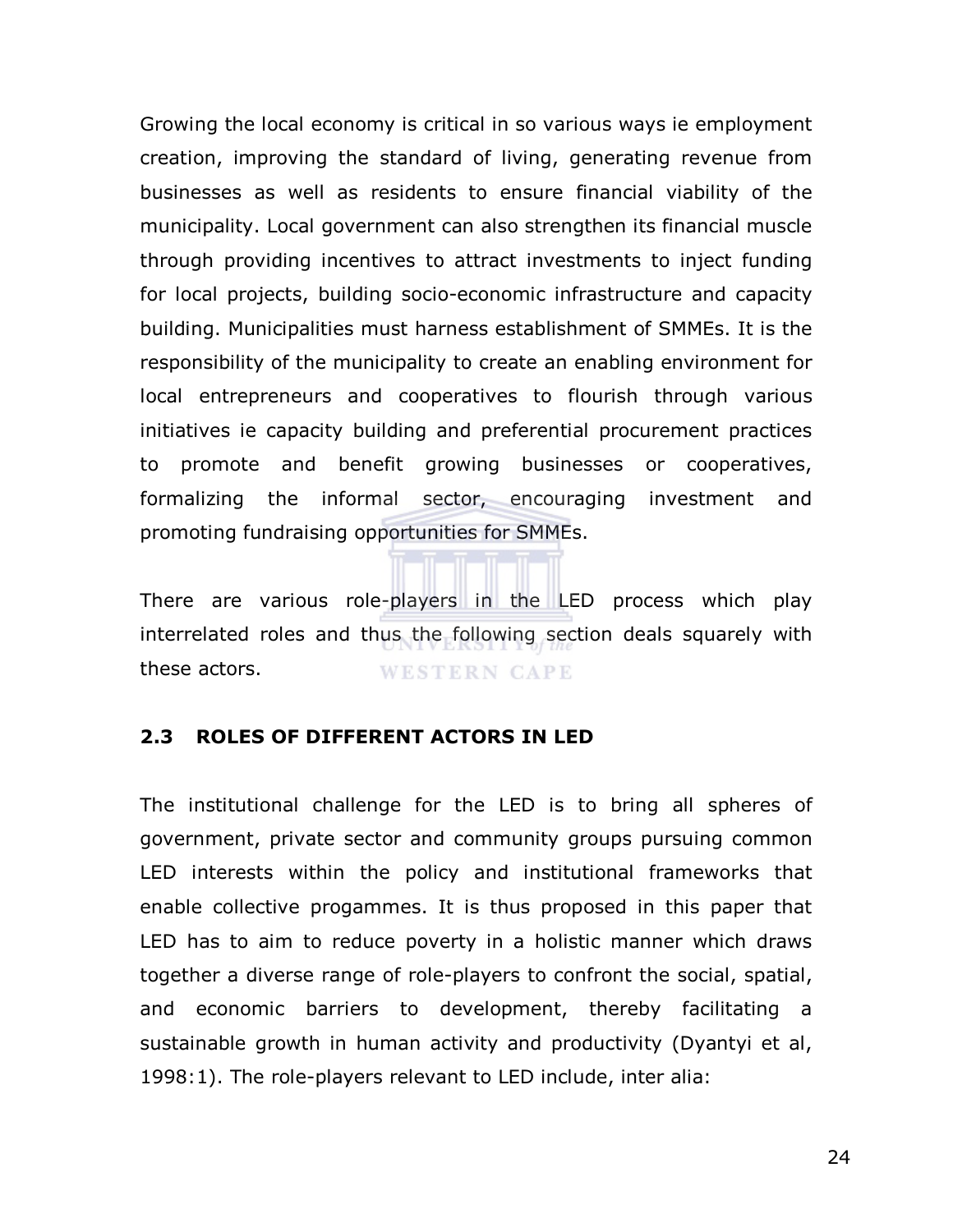Growing the local economy is critical in so various ways ie employment creation, improving the standard of living, generating revenue from businesses as well as residents to ensure financial viability of the municipality. Local government can also strengthen its financial muscle through providing incentives to attract investments to inject funding for local projects, building socio-economic infrastructure and capacity building. Municipalities must harness establishment of SMMEs. It is the responsibility of the municipality to create an enabling environment for local entrepreneurs and cooperatives to flourish through various initiatives ie capacity building and preferential procurement practices to promote and benefit growing businesses or cooperatives, formalizing the informal sector, encouraging investment and promoting fundraising opportunities for SMMEs.

There are various role-players in the LED process which play interrelated roles and thus the following section deals squarely with these actors. **WESTERN CAPE** 

#### **2.3 ROLES OF DIFFERENT ACTORS IN LED**

The institutional challenge for the LED is to bring all spheres of government, private sector and community groups pursuing common LED interests within the policy and institutional frameworks that enable collective progammes. It is thus proposed in this paper that LED has to aim to reduce poverty in a holistic manner which draws together a diverse range of role-players to confront the social, spatial, and economic barriers to development, thereby facilitating a sustainable growth in human activity and productivity (Dyantyi et al, 1998:1). The role-players relevant to LED include, inter alia: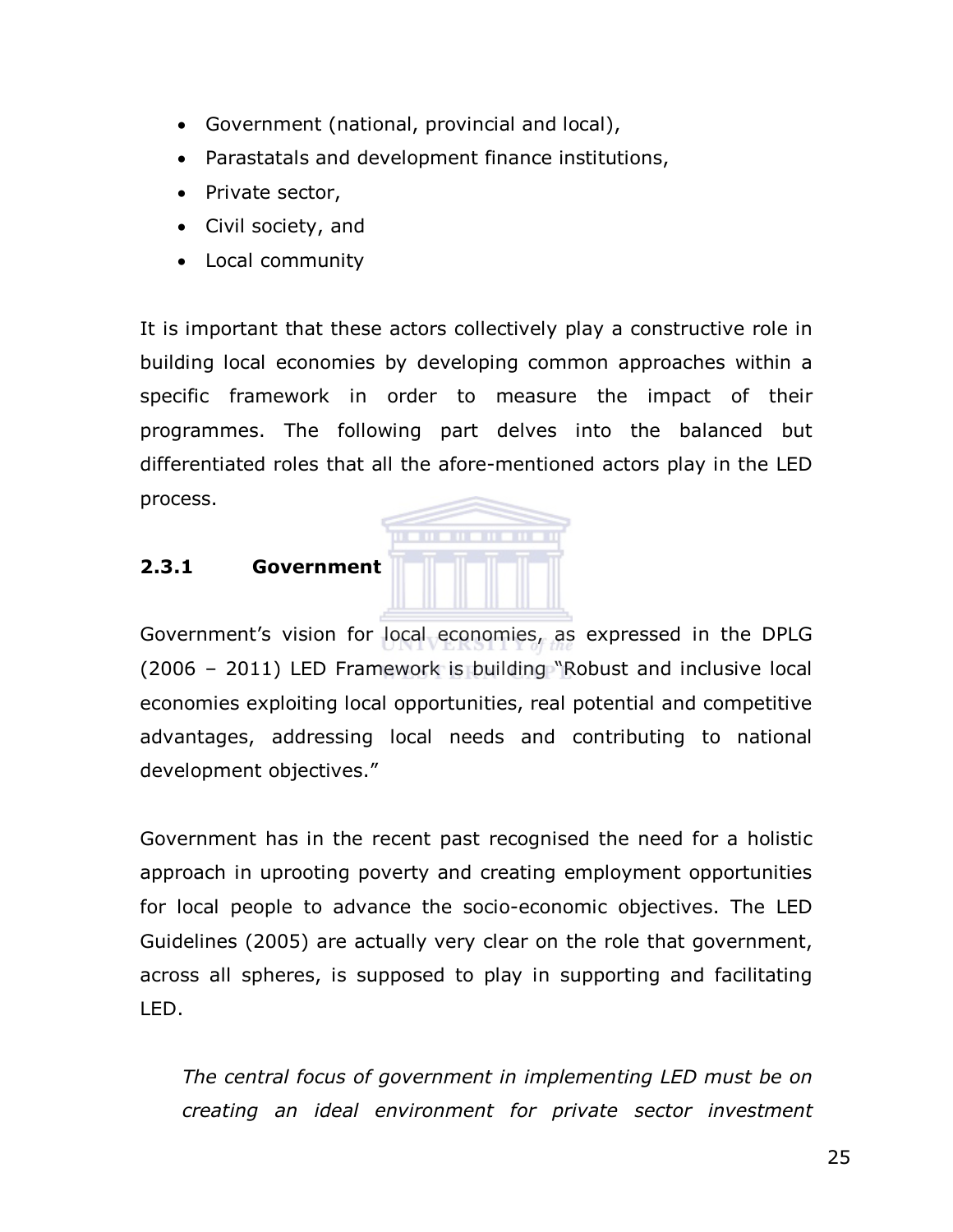- · Government (national, provincial and local),
- · Parastatals and development finance institutions,
- Private sector,
- · Civil society, and
- · Local community

It is important that these actors collectively play a constructive role in building local economies by developing common approaches within a specific framework in order to measure the impact of their programmes. The following part delves into the balanced but differentiated roles that all the afore-mentioned actors play in the LED process.

## 111 **111 111 111 2.3.1 Government**

Government's vision for local economies, as expressed in the DPLG (2006 – 2011) LED Framework is building "Robust and inclusive local economies exploiting local opportunities, real potential and competitive advantages, addressing local needs and contributing to national development objectives."

Government has in the recent past recognised the need for a holistic approach in uprooting poverty and creating employment opportunities for local people to advance the socio-economic objectives. The LED Guidelines (2005) are actually very clear on the role that government, across all spheres, is supposed to play in supporting and facilitating LED.

*The central focus of government in implementing LED must be on creating an ideal environment for private sector investment*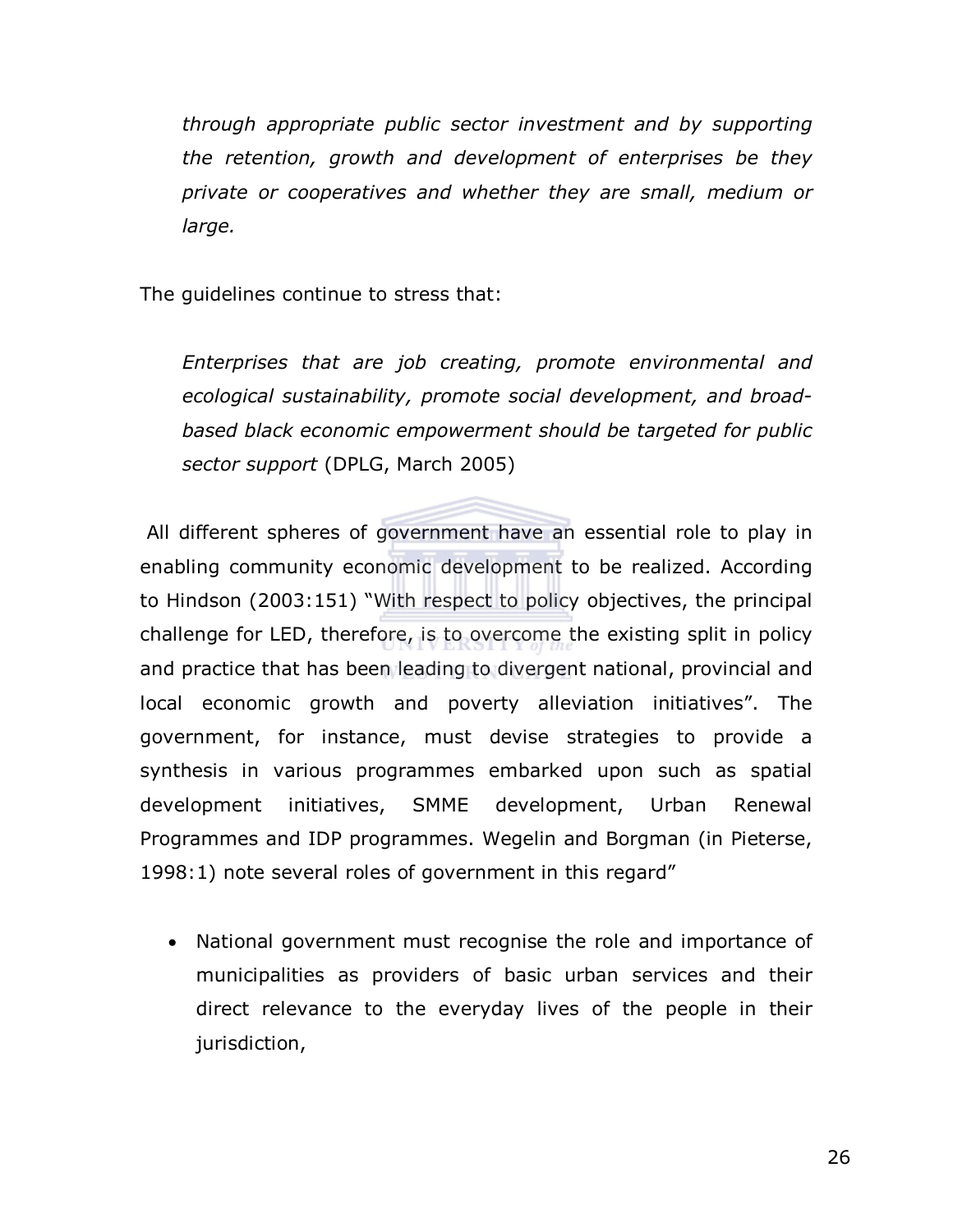*through appropriate public sector investment and by supporting the retention, growth and development of enterprises be they private or cooperatives and whether they are small, medium or large.* 

The guidelines continue to stress that:

*Enterprises that are job creating, promote environmental and ecological sustainability, promote social development, and broadbased black economic empowerment should be targeted for public sector support* (DPLG, March 2005)

 All different spheres of government have an essential role to play in enabling community economic development to be realized. According to Hindson (2003:151) "With respect to policy objectives, the principal challenge for LED, therefore, is to overcome the existing split in policy and practice that has been leading to divergent national, provincial and local economic growth and poverty alleviation initiatives". The government, for instance, must devise strategies to provide a synthesis in various programmes embarked upon such as spatial development initiatives, SMME development, Urban Renewal Programmes and IDP programmes. Wegelin and Borgman (in Pieterse, 1998:1) note several roles of government in this regard"

· National government must recognise the role and importance of municipalities as providers of basic urban services and their direct relevance to the everyday lives of the people in their jurisdiction,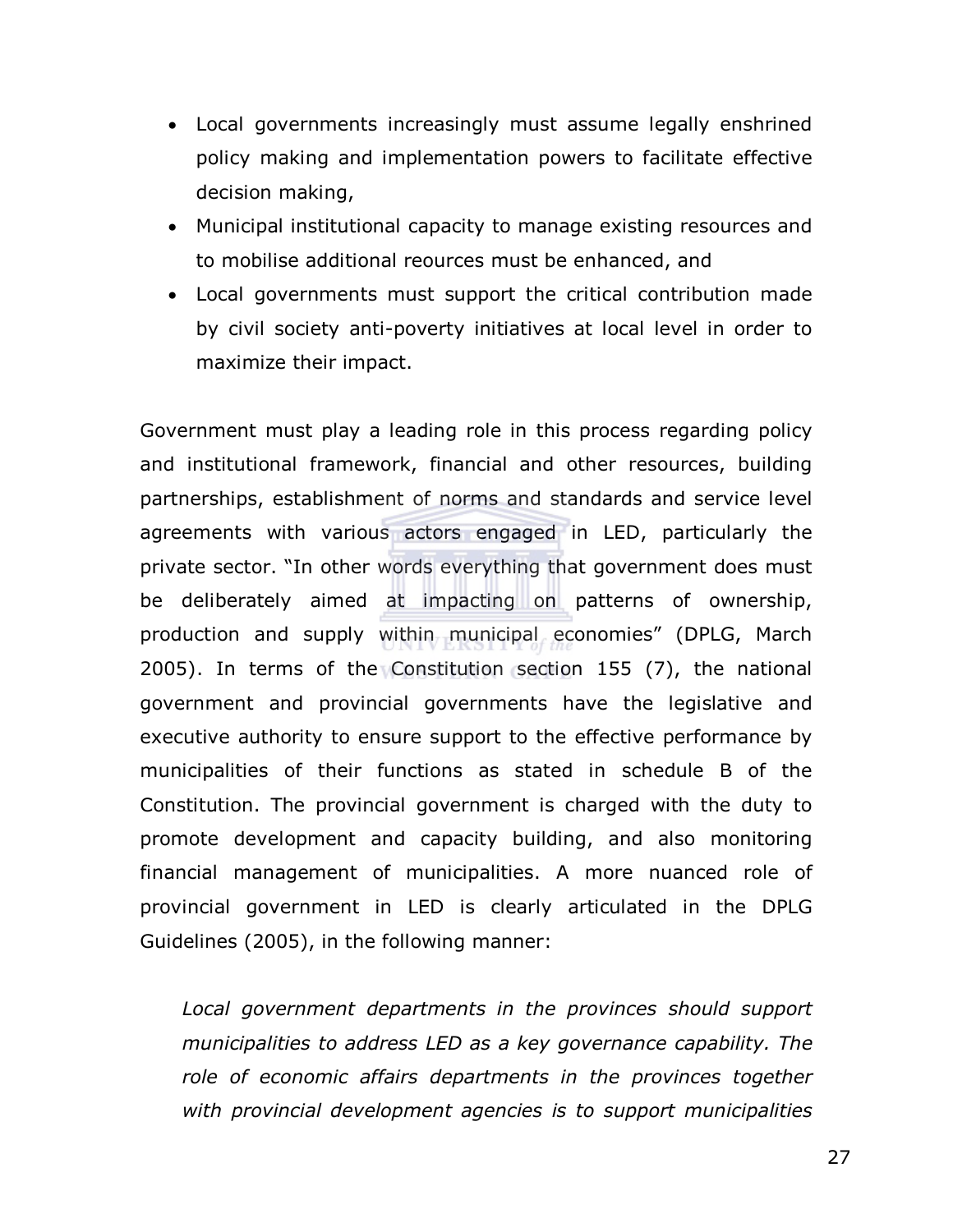- · Local governments increasingly must assume legally enshrined policy making and implementation powers to facilitate effective decision making,
- · Municipal institutional capacity to manage existing resources and to mobilise additional reources must be enhanced, and
- · Local governments must support the critical contribution made by civil society anti-poverty initiatives at local level in order to maximize their impact.

Government must play a leading role in this process regarding policy and institutional framework, financial and other resources, building partnerships, establishment of norms and standards and service level agreements with various actors engaged in LED, particularly the private sector. "In other words everything that government does must be deliberately aimed at impacting on patterns of ownership, production and supply within municipal economies" (DPLG, March 2005). In terms of the Constitution section 155 (7), the national government and provincial governments have the legislative and executive authority to ensure support to the effective performance by municipalities of their functions as stated in schedule B of the Constitution. The provincial government is charged with the duty to promote development and capacity building, and also monitoring financial management of municipalities. A more nuanced role of provincial government in LED is clearly articulated in the DPLG Guidelines (2005), in the following manner:

Local government departments in the provinces should support *municipalities to address LED as a key governance capability. The*  role of economic affairs departments in the provinces together *with provincial development agencies is to support municipalities*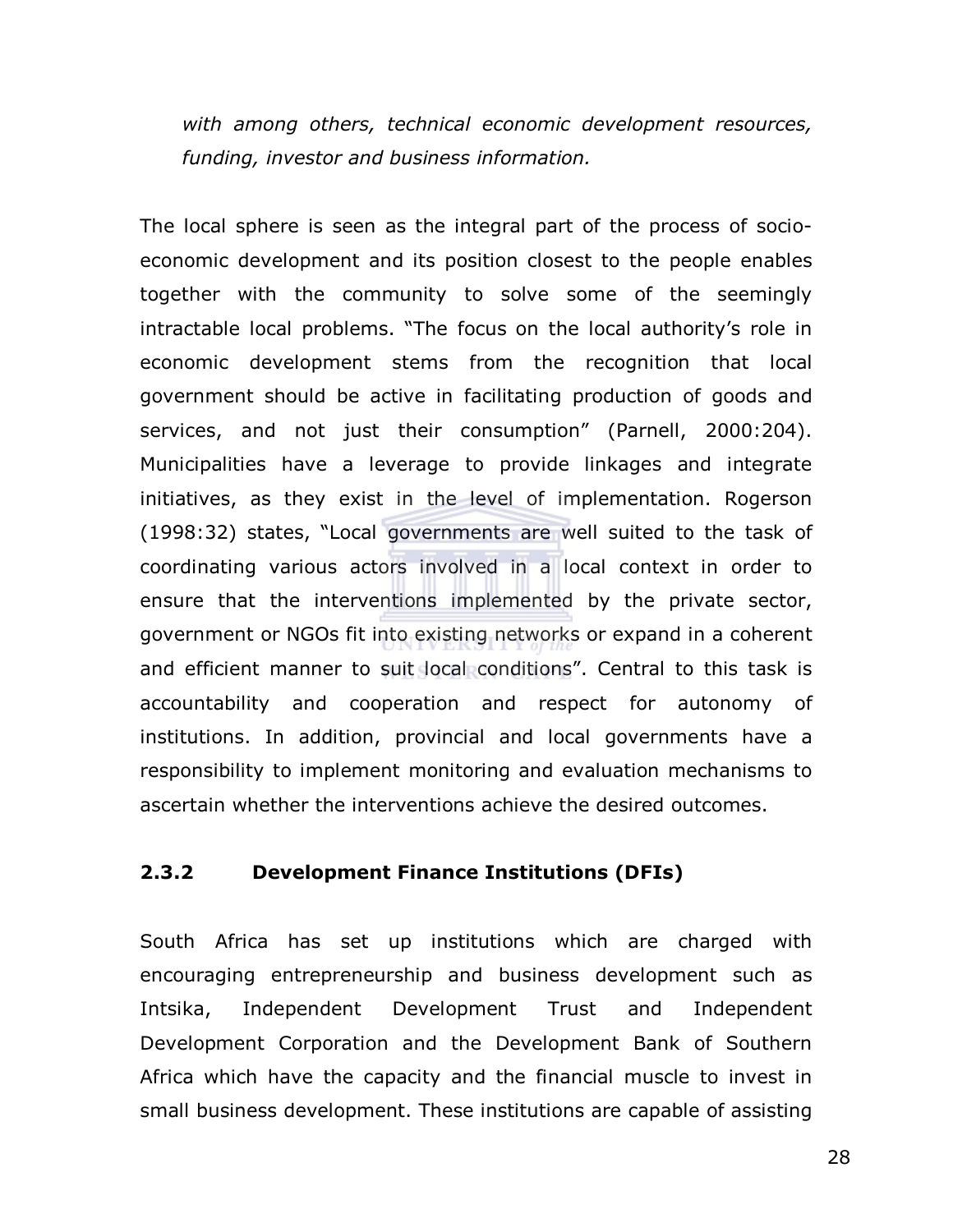*with among others, technical economic development resources, funding, investor and business information.* 

The local sphere is seen as the integral part of the process of socioeconomic development and its position closest to the people enables together with the community to solve some of the seemingly intractable local problems. "The focus on the local authority's role in economic development stems from the recognition that local government should be active in facilitating production of goods and services, and not just their consumption" (Parnell, 2000:204). Municipalities have a leverage to provide linkages and integrate initiatives, as they exist in the level of implementation. Rogerson (1998:32) states, "Local governments are well suited to the task of coordinating various actors involved in a local context in order to ensure that the interventions implemented by the private sector, government or NGOs fit into existing networks or expand in a coherent and efficient manner to suit local conditions". Central to this task is accountability and cooperation and respect for autonomy of institutions. In addition, provincial and local governments have a responsibility to implement monitoring and evaluation mechanisms to ascertain whether the interventions achieve the desired outcomes.

#### **2.3.2 Development Finance Institutions (DFIs)**

South Africa has set up institutions which are charged with encouraging entrepreneurship and business development such as Intsika, Independent Development Trust and Independent Development Corporation and the Development Bank of Southern Africa which have the capacity and the financial muscle to invest in small business development. These institutions are capable of assisting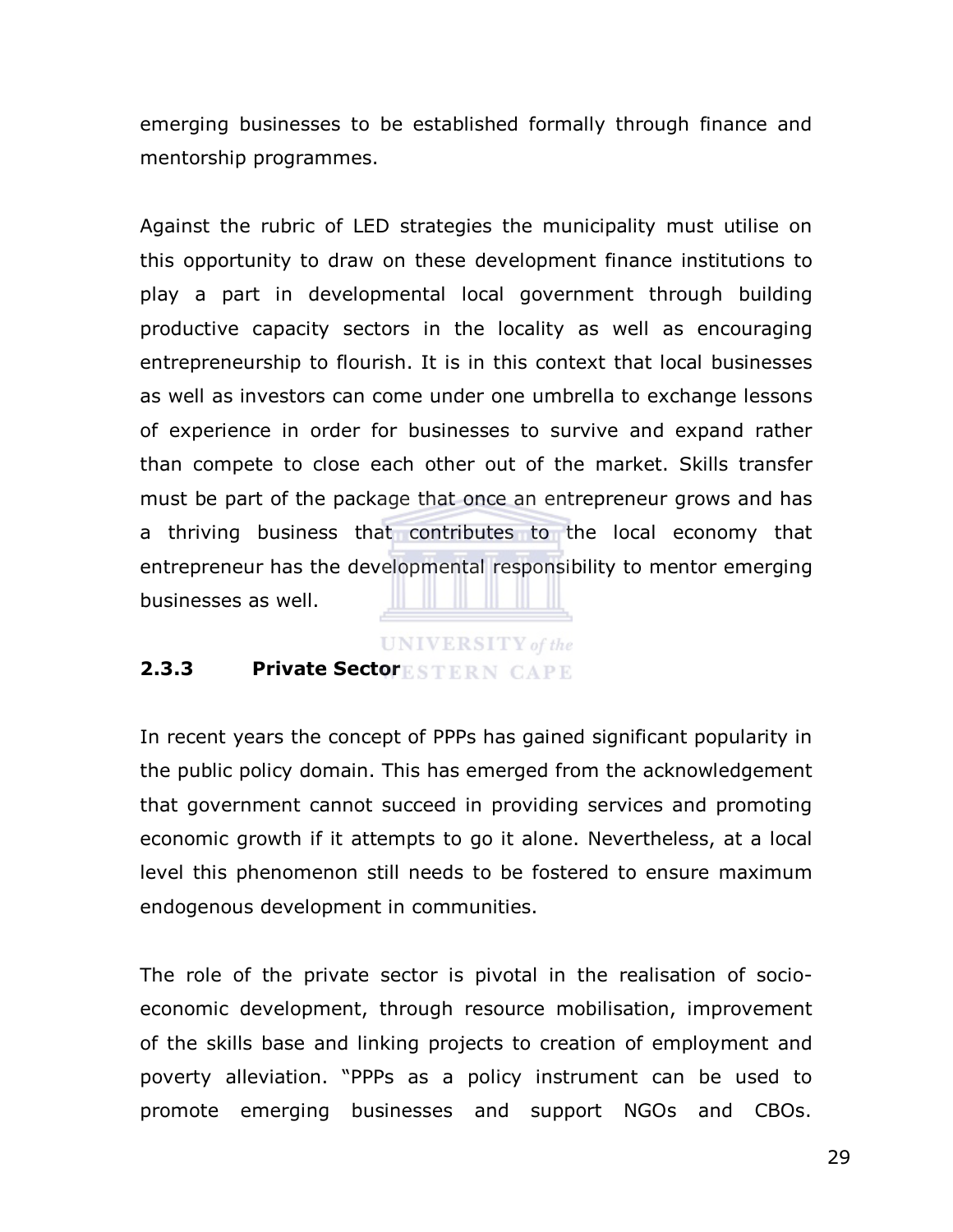emerging businesses to be established formally through finance and mentorship programmes.

Against the rubric of LED strategies the municipality must utilise on this opportunity to draw on these development finance institutions to play a part in developmental local government through building productive capacity sectors in the locality as well as encouraging entrepreneurship to flourish. It is in this context that local businesses as well as investors can come under one umbrella to exchange lessons of experience in order for businesses to survive and expand rather than compete to close each other out of the market. Skills transfer must be part of the package that once an entrepreneur grows and has a thriving business that contributes to the local economy that entrepreneur has the developmental responsibility to mentor emerging businesses as well.

#### **UNIVERSITY** of the

## **2.3.3 Private Sector ESTERN CAPE**

In recent years the concept of PPPs has gained significant popularity in the public policy domain. This has emerged from the acknowledgement that government cannot succeed in providing services and promoting economic growth if it attempts to go it alone. Nevertheless, at a local level this phenomenon still needs to be fostered to ensure maximum endogenous development in communities.

The role of the private sector is pivotal in the realisation of socioeconomic development, through resource mobilisation, improvement of the skills base and linking projects to creation of employment and poverty alleviation. "PPPs as a policy instrument can be used to promote emerging businesses and support NGOs and CBOs.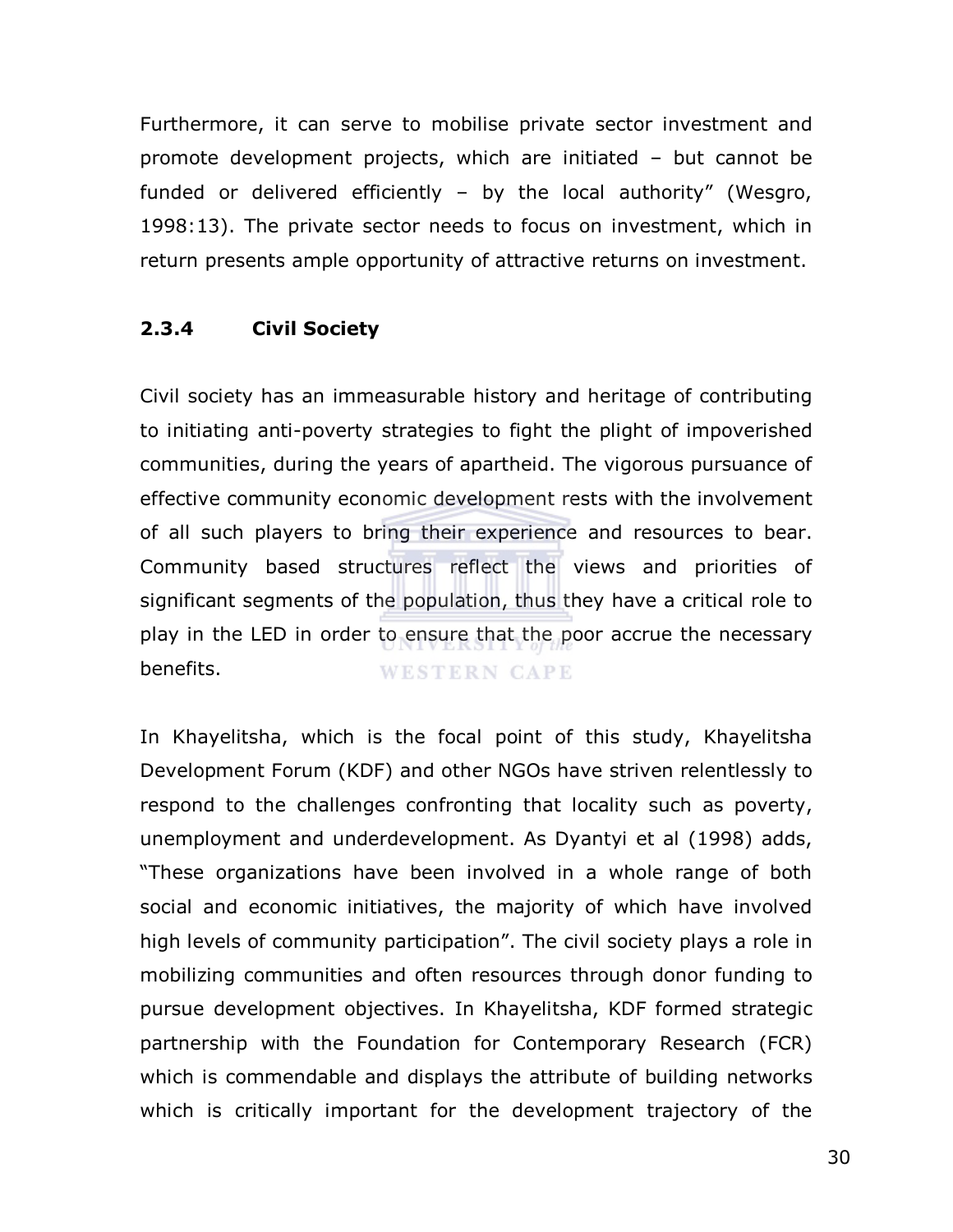Furthermore, it can serve to mobilise private sector investment and promote development projects, which are initiated – but cannot be funded or delivered efficiently – by the local authority" (Wesgro, 1998:13). The private sector needs to focus on investment, which in return presents ample opportunity of attractive returns on investment.

## **2.3.4 Civil Society**

Civil society has an immeasurable history and heritage of contributing to initiating anti-poverty strategies to fight the plight of impoverished communities, during the years of apartheid. The vigorous pursuance of effective community economic development rests with the involvement of all such players to bring their experience and resources to bear. Community based structures reflect the views and priorities of significant segments of the population, thus they have a critical role to play in the LED in order to ensure that the poor accrue the necessary benefits. **WESTERN CAPE** 

In Khayelitsha, which is the focal point of this study, Khayelitsha Development Forum (KDF) and other NGOs have striven relentlessly to respond to the challenges confronting that locality such as poverty, unemployment and underdevelopment. As Dyantyi et al (1998) adds, "These organizations have been involved in a whole range of both social and economic initiatives, the majority of which have involved high levels of community participation". The civil society plays a role in mobilizing communities and often resources through donor funding to pursue development objectives. In Khayelitsha, KDF formed strategic partnership with the Foundation for Contemporary Research (FCR) which is commendable and displays the attribute of building networks which is critically important for the development trajectory of the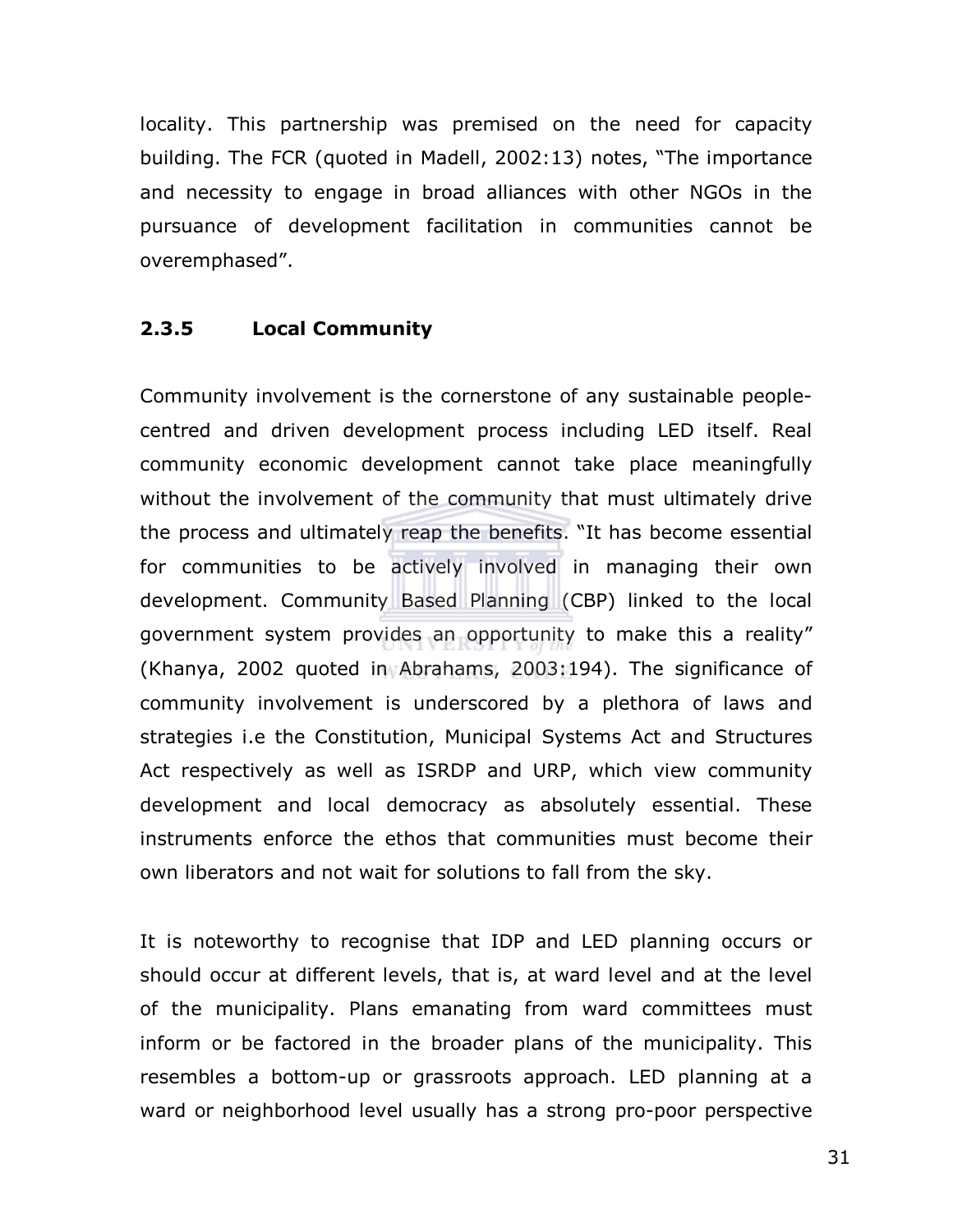locality. This partnership was premised on the need for capacity building. The FCR (quoted in Madell, 2002:13) notes, "The importance and necessity to engage in broad alliances with other NGOs in the pursuance of development facilitation in communities cannot be overemphased".

## **2.3.5 Local Community**

Community involvement is the cornerstone of any sustainable peoplecentred and driven development process including LED itself. Real community economic development cannot take place meaningfully without the involvement of the community that must ultimately drive the process and ultimately reap the benefits. "It has become essential for communities to be actively involved in managing their own development. Community Based Planning (CBP) linked to the local government system provides an opportunity to make this a reality" (Khanya, 2002 quoted in Abrahams, 2003:194). The significance of community involvement is underscored by a plethora of laws and strategies i.e the Constitution, Municipal Systems Act and Structures Act respectively as well as ISRDP and URP, which view community development and local democracy as absolutely essential. These instruments enforce the ethos that communities must become their own liberators and not wait for solutions to fall from the sky.

It is noteworthy to recognise that IDP and LED planning occurs or should occur at different levels, that is, at ward level and at the level of the municipality. Plans emanating from ward committees must inform or be factored in the broader plans of the municipality. This resembles a bottom-up or grassroots approach. LED planning at a ward or neighborhood level usually has a strong pro-poor perspective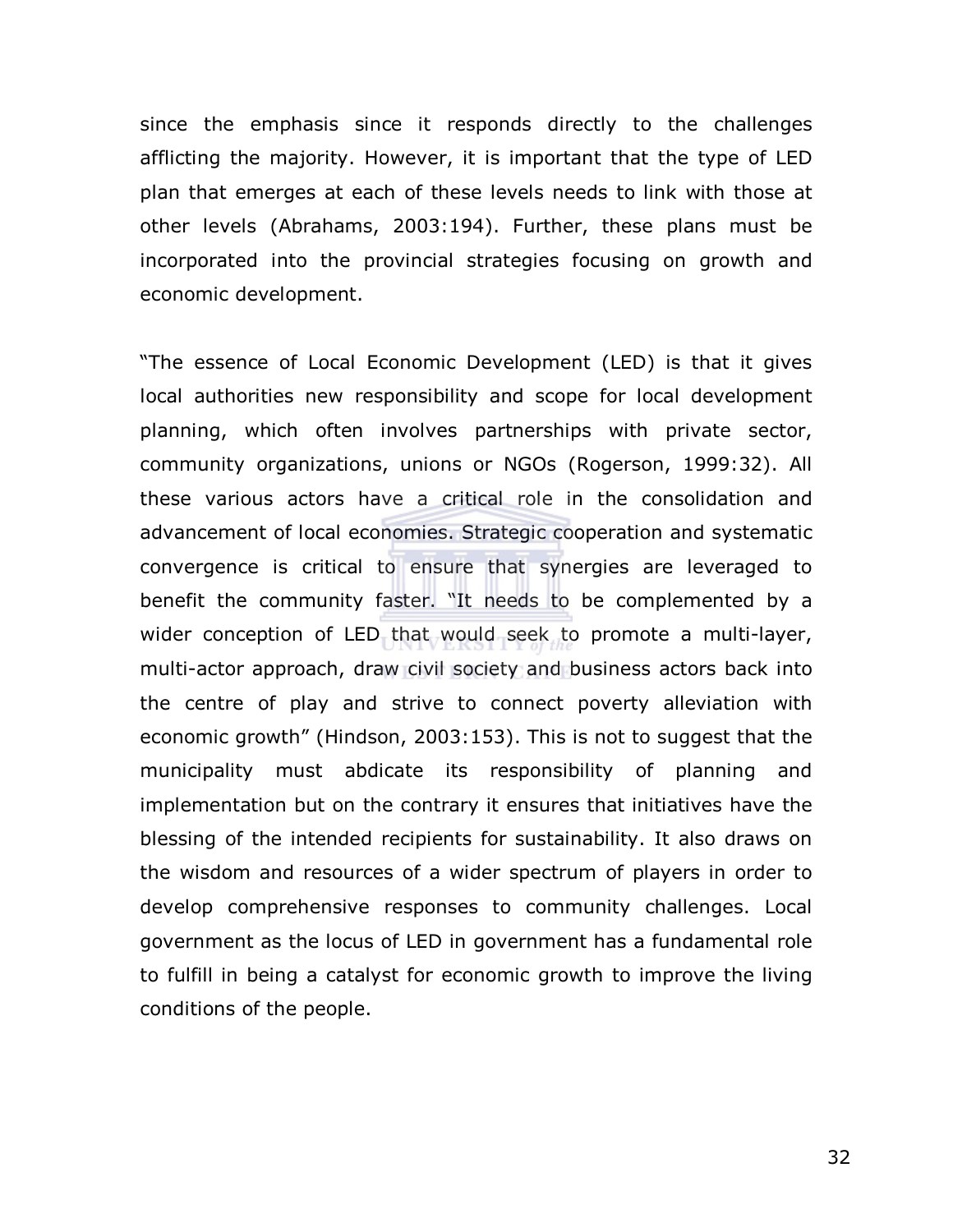since the emphasis since it responds directly to the challenges afflicting the majority. However, it is important that the type of LED plan that emerges at each of these levels needs to link with those at other levels (Abrahams, 2003:194). Further, these plans must be incorporated into the provincial strategies focusing on growth and economic development.

"The essence of Local Economic Development (LED) is that it gives local authorities new responsibility and scope for local development planning, which often involves partnerships with private sector, community organizations, unions or NGOs (Rogerson, 1999:32). All these various actors have a critical role in the consolidation and advancement of local economies. Strategic cooperation and systematic convergence is critical to ensure that synergies are leveraged to benefit the community faster. "It needs to be complemented by a wider conception of LED that would seek to promote a multi-layer, multi-actor approach, draw civil society and business actors back into the centre of play and strive to connect poverty alleviation with economic growth" (Hindson, 2003:153). This is not to suggest that the municipality must abdicate its responsibility of planning and implementation but on the contrary it ensures that initiatives have the blessing of the intended recipients for sustainability. It also draws on the wisdom and resources of a wider spectrum of players in order to develop comprehensive responses to community challenges. Local government as the locus of LED in government has a fundamental role to fulfill in being a catalyst for economic growth to improve the living conditions of the people.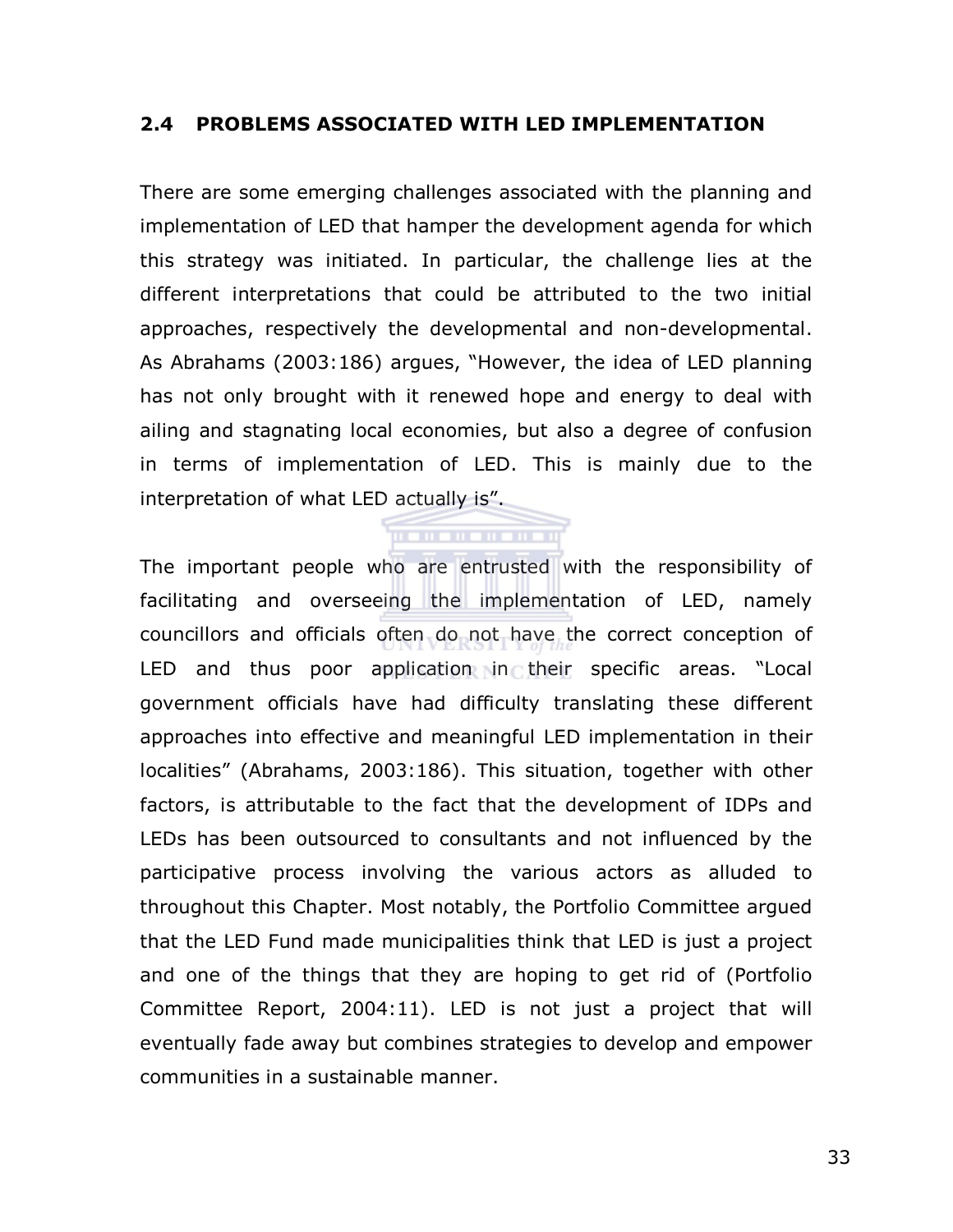#### **2.4 PROBLEMS ASSOCIATED WITH LED IMPLEMENTATION**

There are some emerging challenges associated with the planning and implementation of LED that hamper the development agenda for which this strategy was initiated. In particular, the challenge lies at the different interpretations that could be attributed to the two initial approaches, respectively the developmental and non-developmental. As Abrahams (2003:186) argues, "However, the idea of LED planning has not only brought with it renewed hope and energy to deal with ailing and stagnating local economies, but also a degree of confusion in terms of implementation of LED. This is mainly due to the interpretation of what LED actually is".

,,,,,,,,,,,,,,,,,

The important people who are entrusted with the responsibility of facilitating and overseeing the implementation of LED, namely councillors and officials often do not have the correct conception of LED and thus poor application in their specific areas. "Local government officials have had difficulty translating these different approaches into effective and meaningful LED implementation in their localities" (Abrahams, 2003:186). This situation, together with other factors, is attributable to the fact that the development of IDPs and LEDs has been outsourced to consultants and not influenced by the participative process involving the various actors as alluded to throughout this Chapter. Most notably, the Portfolio Committee argued that the LED Fund made municipalities think that LED is just a project and one of the things that they are hoping to get rid of (Portfolio Committee Report, 2004:11). LED is not just a project that will eventually fade away but combines strategies to develop and empower communities in a sustainable manner.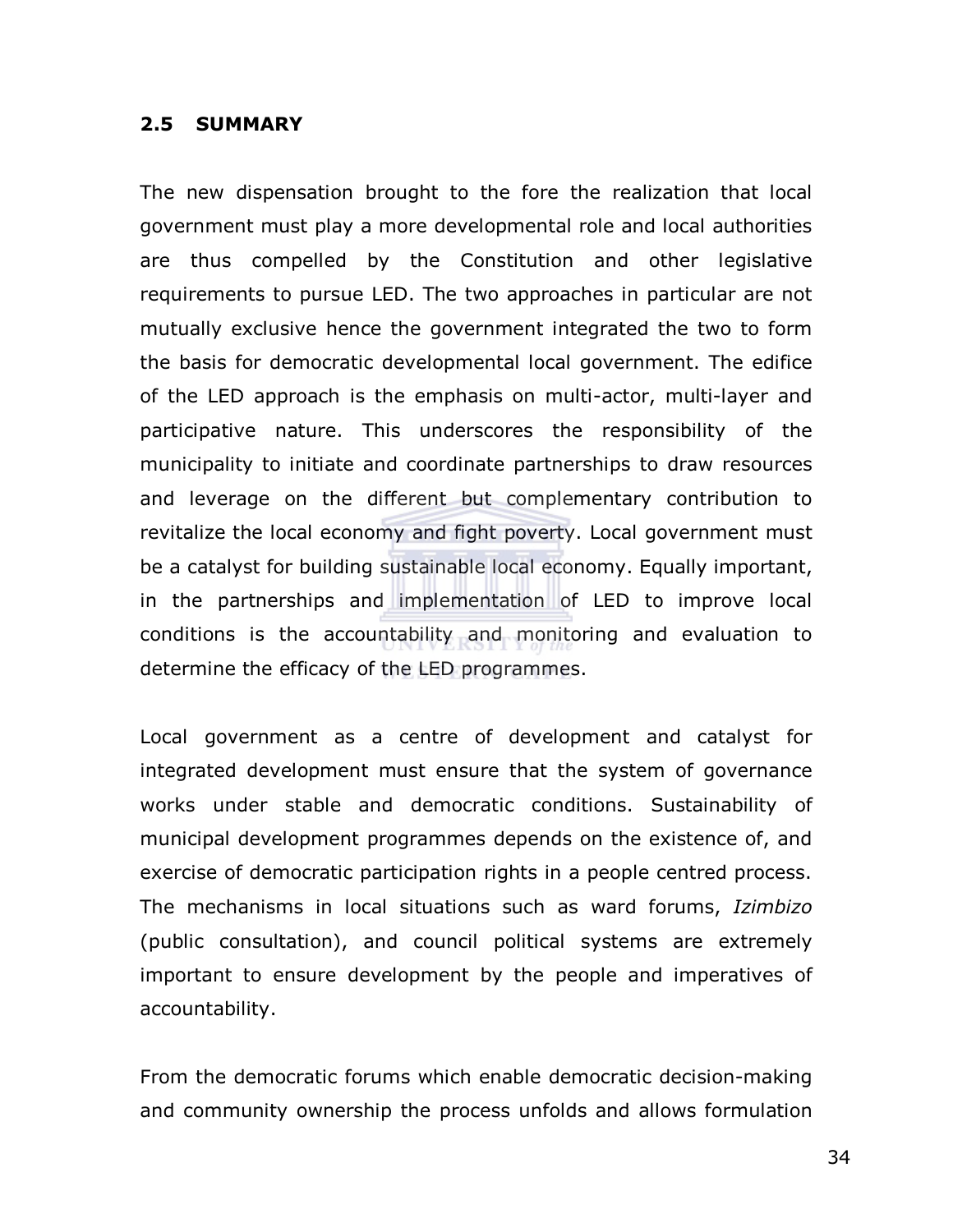#### **2.5 SUMMARY**

The new dispensation brought to the fore the realization that local government must play a more developmental role and local authorities are thus compelled by the Constitution and other legislative requirements to pursue LED. The two approaches in particular are not mutually exclusive hence the government integrated the two to form the basis for democratic developmental local government. The edifice of the LED approach is the emphasis on multi-actor, multi-layer and participative nature. This underscores the responsibility of the municipality to initiate and coordinate partnerships to draw resources and leverage on the different but complementary contribution to revitalize the local economy and fight poverty. Local government must be a catalyst for building sustainable local economy. Equally important, in the partnerships and implementation of LED to improve local conditions is the accountability and monitoring and evaluation to determine the efficacy of the LED programmes.

Local government as a centre of development and catalyst for integrated development must ensure that the system of governance works under stable and democratic conditions. Sustainability of municipal development programmes depends on the existence of, and exercise of democratic participation rights in a people centred process. The mechanisms in local situations such as ward forums, *Izimbizo*  (public consultation), and council political systems are extremely important to ensure development by the people and imperatives of accountability.

From the democratic forums which enable democratic decision-making and community ownership the process unfolds and allows formulation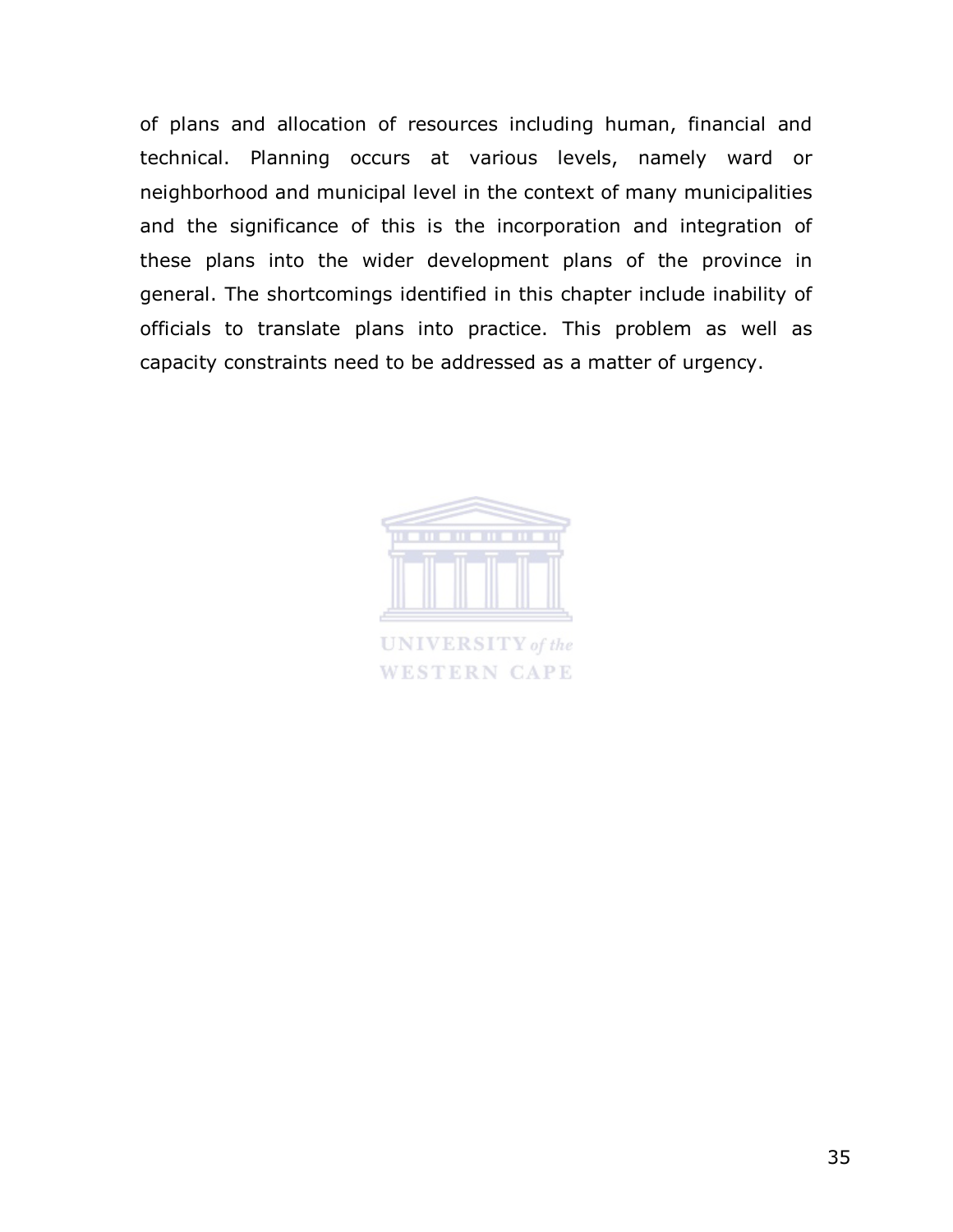of plans and allocation of resources including human, financial and technical. Planning occurs at various levels, namely ward or neighborhood and municipal level in the context of many municipalities and the significance of this is the incorporation and integration of these plans into the wider development plans of the province in general. The shortcomings identified in this chapter include inability of officials to translate plans into practice. This problem as well as capacity constraints need to be addressed as a matter of urgency.



**WESTERN CAPE**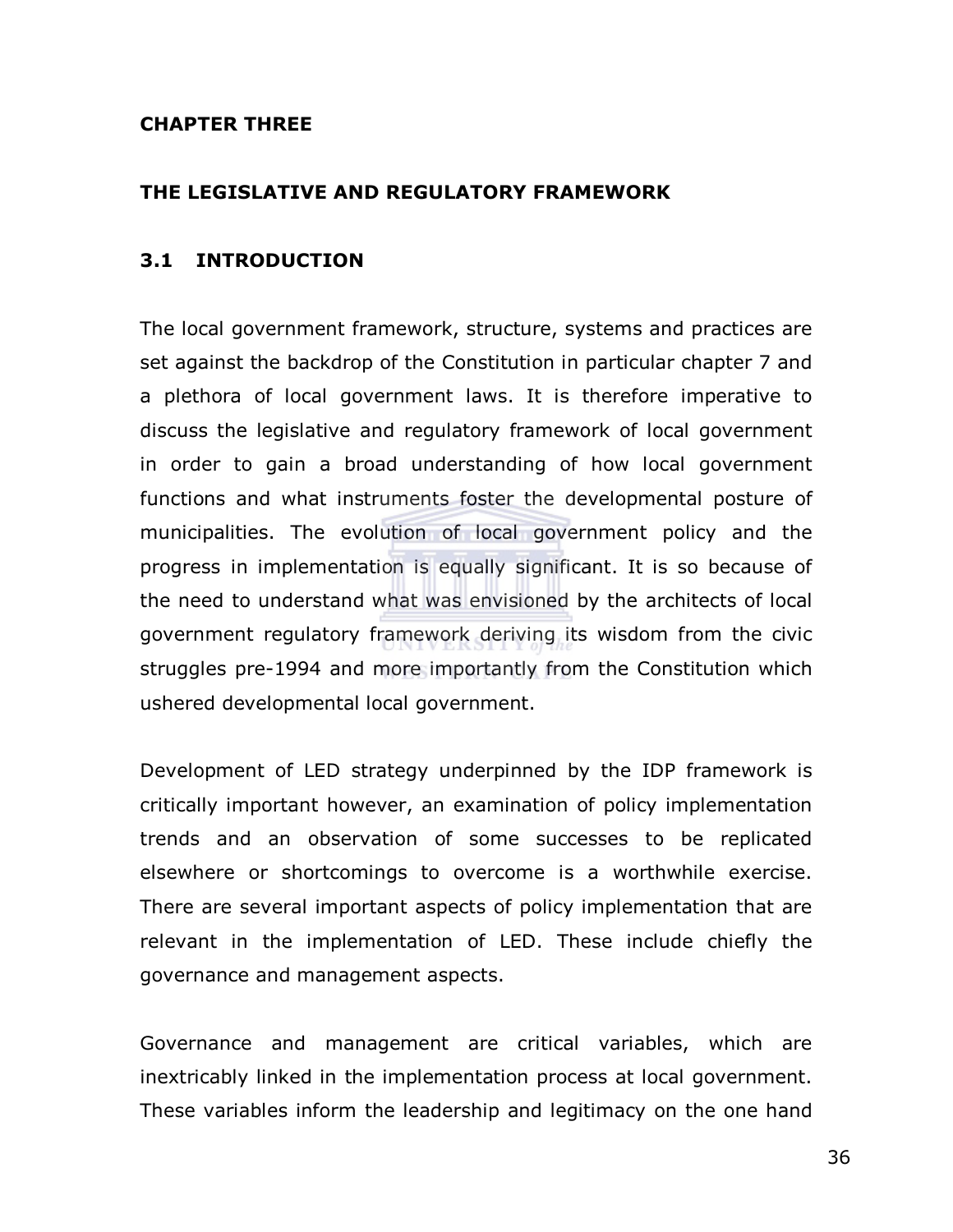## **CHAPTER THREE**

## **THE LEGISLATIVE AND REGULATORY FRAMEWORK**

#### **3.1 INTRODUCTION**

The local government framework, structure, systems and practices are set against the backdrop of the Constitution in particular chapter 7 and a plethora of local government laws. It is therefore imperative to discuss the legislative and regulatory framework of local government in order to gain a broad understanding of how local government functions and what instruments foster the developmental posture of municipalities. The evolution of local government policy and the progress in implementation is equally significant. It is so because of the need to understand what was envisioned by the architects of local government regulatory framework deriving its wisdom from the civic struggles pre-1994 and more importantly from the Constitution which ushered developmental local government.

Development of LED strategy underpinned by the IDP framework is critically important however, an examination of policy implementation trends and an observation of some successes to be replicated elsewhere or shortcomings to overcome is a worthwhile exercise. There are several important aspects of policy implementation that are relevant in the implementation of LED. These include chiefly the governance and management aspects.

Governance and management are critical variables, which are inextricably linked in the implementation process at local government. These variables inform the leadership and legitimacy on the one hand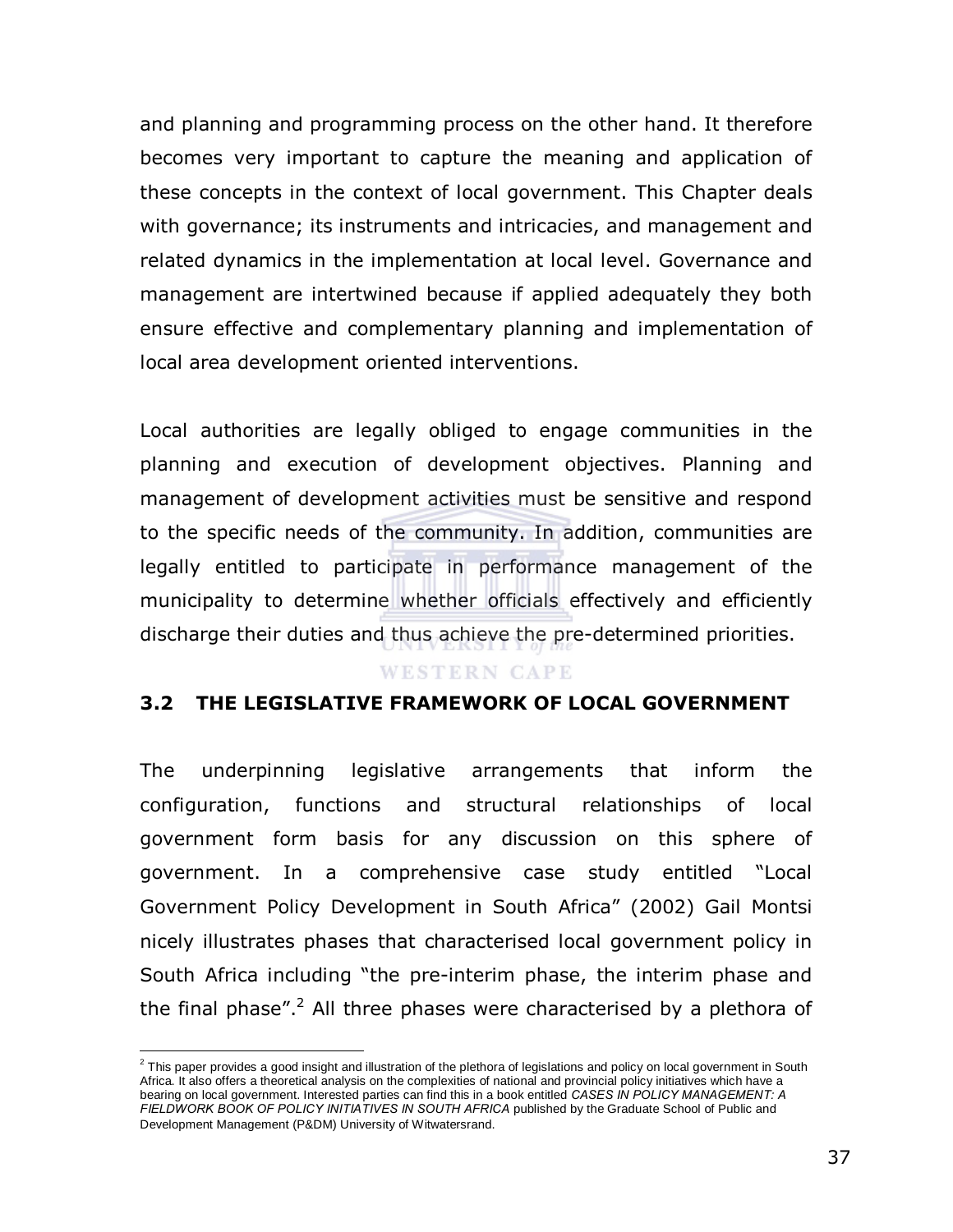and planning and programming process on the other hand. It therefore becomes very important to capture the meaning and application of these concepts in the context of local government. This Chapter deals with governance; its instruments and intricacies, and management and related dynamics in the implementation at local level. Governance and management are intertwined because if applied adequately they both ensure effective and complementary planning and implementation of local area development oriented interventions.

Local authorities are legally obliged to engage communities in the planning and execution of development objectives. Planning and management of development activities must be sensitive and respond to the specific needs of the community. In addition, communities are legally entitled to participate in performance management of the municipality to determine whether officials effectively and efficiently discharge their duties and thus achieve the pre-determined priorities.

#### **WESTERN CAPE**

#### **3.2 THE LEGISLATIVE FRAMEWORK OF LOCAL GOVERNMENT**

The underpinning legislative arrangements that inform the configuration, functions and structural relationships of local government form basis for any discussion on this sphere of government. In a comprehensive case study entitled "Local Government Policy Development in South Africa" (2002) Gail Montsi nicely illustrates phases that characterised local government policy in South Africa including "the pre-interim phase, the interim phase and the final phase".<sup>2</sup> All three phases were characterised by a plethora of

1

 $^2$  This paper provides a good insight and illustration of the plethora of legislations and policy on local government in South Africa. It also offers a theoretical analysis on the complexities of national and provincial policy initiatives which have a bearing on local government. Interested parties can find this in a book entitled *CASES IN POLICY MANAGEMENT: A FIELDWORK BOOK OF POLICY INITIATIVES IN SOUTH AFRICA* published by the Graduate School of Public and Development Management (P&DM) University of Witwatersrand.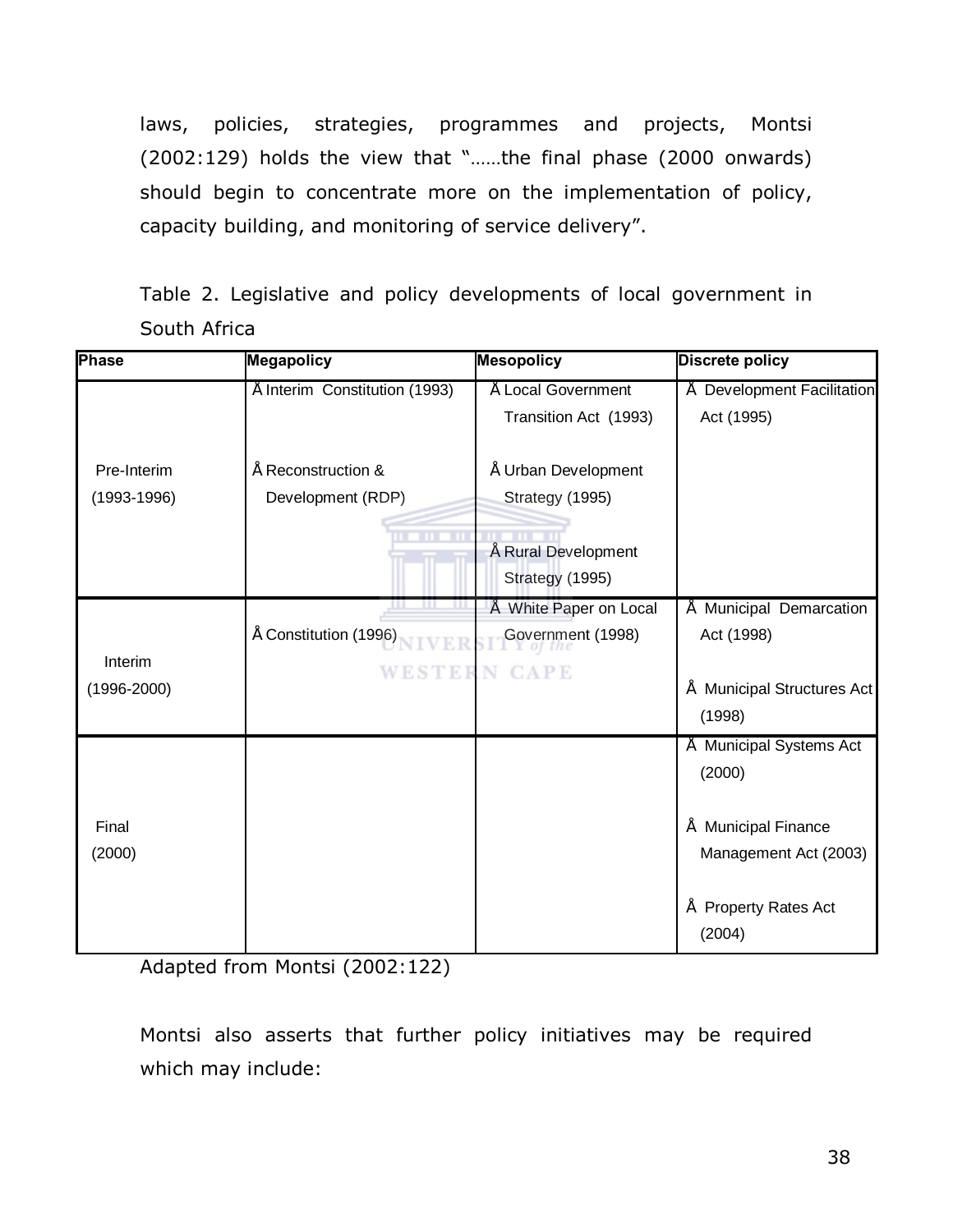laws, policies, strategies, programmes and projects, Montsi (2002:129) holds the view that "……the final phase (2000 onwards) should begin to concentrate more on the implementation of policy, capacity building, and monitoring of service delivery".

Table 2. Legislative and policy developments of local government in South Africa

| Phase                          | <b>Megapolicy</b>                                              | <b>Mesopolicy</b>                                                                | <b>Discrete policy</b>                                                                                              |
|--------------------------------|----------------------------------------------------------------|----------------------------------------------------------------------------------|---------------------------------------------------------------------------------------------------------------------|
|                                | É Interim Constitution (1993)                                  | <b>É Local Government</b><br>Transition Act (1993)                               | É Development Facilitation<br>Act (1995)                                                                            |
| Pre-Interim<br>$(1993 - 1996)$ | É Reconstruction &<br>Development (RDP)<br>m<br>$\blacksquare$ | É Urban Development<br>Strategy (1995)<br>É Rural Development<br>Strategy (1995) |                                                                                                                     |
| Interim<br>$(1996 - 2000)$     | É Constitution (1996)<br>ESTER                                 | É White Paper on Local<br>Government (1998)<br>CAPE<br>'N                        | É Municipal Demarcation<br>Act (1998)<br>É Municipal Structures Act<br>(1998)                                       |
| Final<br>(2000)                |                                                                |                                                                                  | É Municipal Systems Act<br>(2000)<br>É Municipal Finance<br>Management Act (2003)<br>É Property Rates Act<br>(2004) |

Adapted from Montsi (2002:122)

Montsi also asserts that further policy initiatives may be required which may include: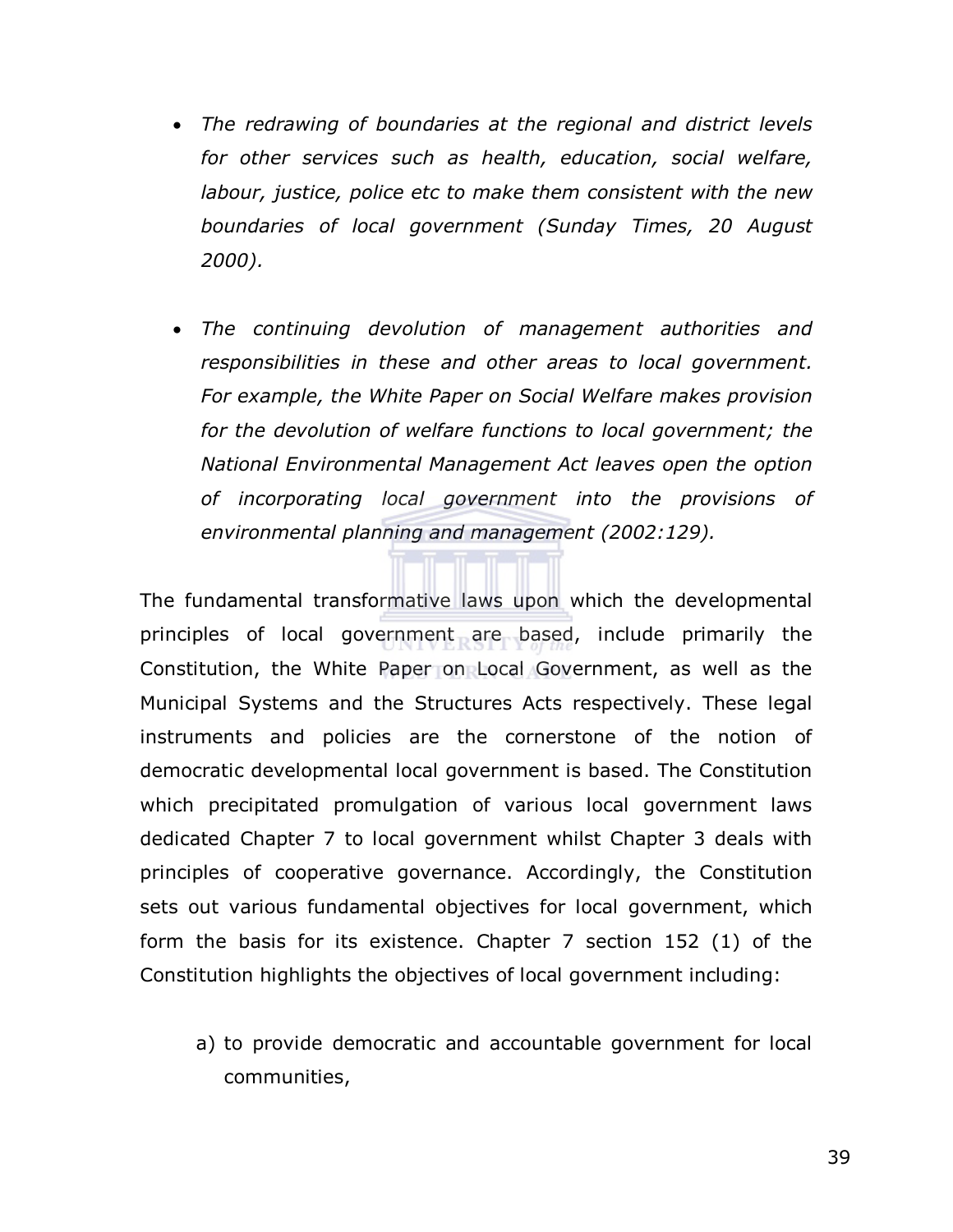- · *The redrawing of boundaries at the regional and district levels for other services such as health, education, social welfare, labour, justice, police etc to make them consistent with the new boundaries of local government (Sunday Times, 20 August 2000).*
- · *The continuing devolution of management authorities and responsibilities in these and other areas to local government. For example, the White Paper on Social Welfare makes provision for the devolution of welfare functions to local government; the National Environmental Management Act leaves open the option of incorporating local government into the provisions of environmental planning and management (2002:129).*

The fundamental transformative laws upon which the developmental principles of local government are based, include primarily the Constitution, the White Paper on Local Government, as well as the Municipal Systems and the Structures Acts respectively. These legal instruments and policies are the cornerstone of the notion of democratic developmental local government is based. The Constitution which precipitated promulgation of various local government laws dedicated Chapter 7 to local government whilst Chapter 3 deals with principles of cooperative governance. Accordingly, the Constitution sets out various fundamental objectives for local government, which form the basis for its existence. Chapter 7 section 152 (1) of the Constitution highlights the objectives of local government including:

a) to provide democratic and accountable government for local communities,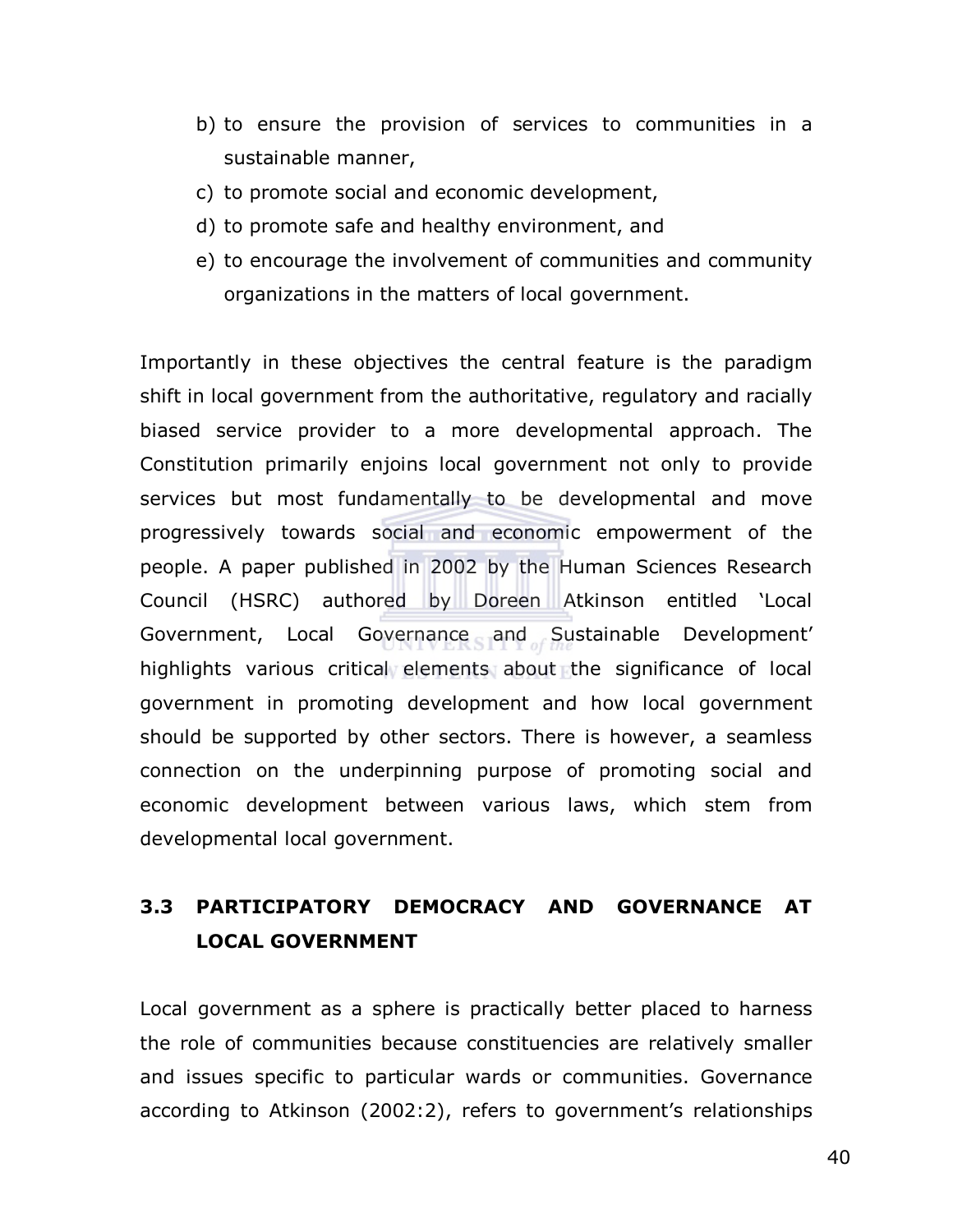- b) to ensure the provision of services to communities in a sustainable manner,
- c) to promote social and economic development,
- d) to promote safe and healthy environment, and
- e) to encourage the involvement of communities and community organizations in the matters of local government.

Importantly in these objectives the central feature is the paradigm shift in local government from the authoritative, regulatory and racially biased service provider to a more developmental approach. The Constitution primarily enjoins local government not only to provide services but most fundamentally to be developmental and move progressively towards social and economic empowerment of the people. A paper published in 2002 by the Human Sciences Research Council (HSRC) authored by Doreen Atkinson entitled 'Local Government, Local Governance and Sustainable Development' highlights various critical elements about the significance of local government in promoting development and how local government should be supported by other sectors. There is however, a seamless connection on the underpinning purpose of promoting social and economic development between various laws, which stem from developmental local government.

# **3.3 PARTICIPATORY DEMOCRACY AND GOVERNANCE AT LOCAL GOVERNMENT**

Local government as a sphere is practically better placed to harness the role of communities because constituencies are relatively smaller and issues specific to particular wards or communities. Governance according to Atkinson (2002:2), refers to government's relationships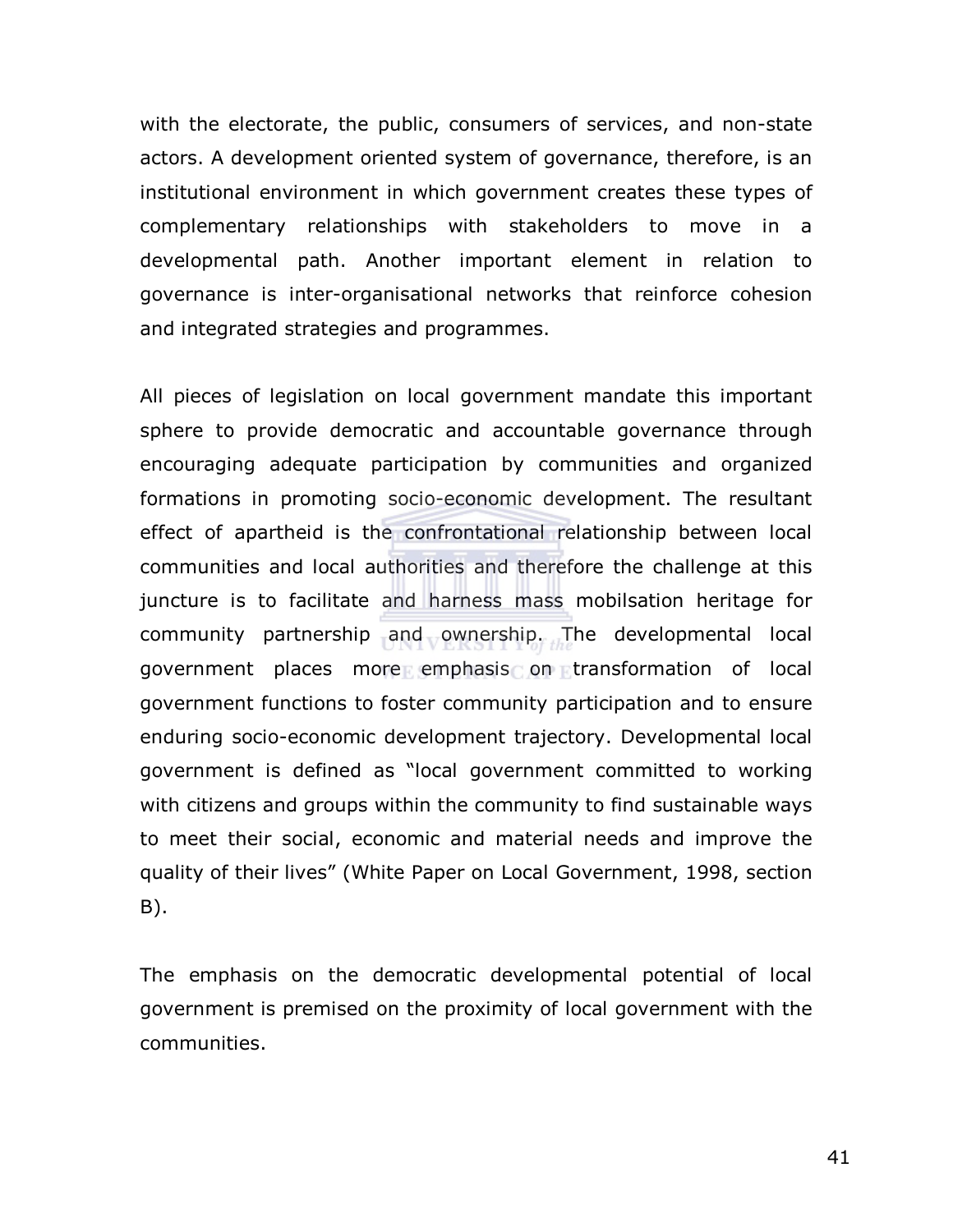with the electorate, the public, consumers of services, and non-state actors. A development oriented system of governance, therefore, is an institutional environment in which government creates these types of complementary relationships with stakeholders to move in a developmental path. Another important element in relation to governance is inter-organisational networks that reinforce cohesion and integrated strategies and programmes.

All pieces of legislation on local government mandate this important sphere to provide democratic and accountable governance through encouraging adequate participation by communities and organized formations in promoting socio-economic development. The resultant effect of apartheid is the confrontational relationship between local communities and local authorities and therefore the challenge at this juncture is to facilitate and harness mass mobilsation heritage for community partnership and ownership. The developmental local government places more emphasis on transformation of local government functions to foster community participation and to ensure enduring socio-economic development trajectory. Developmental local government is defined as "local government committed to working with citizens and groups within the community to find sustainable ways to meet their social, economic and material needs and improve the quality of their lives" (White Paper on Local Government, 1998, section B).

The emphasis on the democratic developmental potential of local government is premised on the proximity of local government with the communities.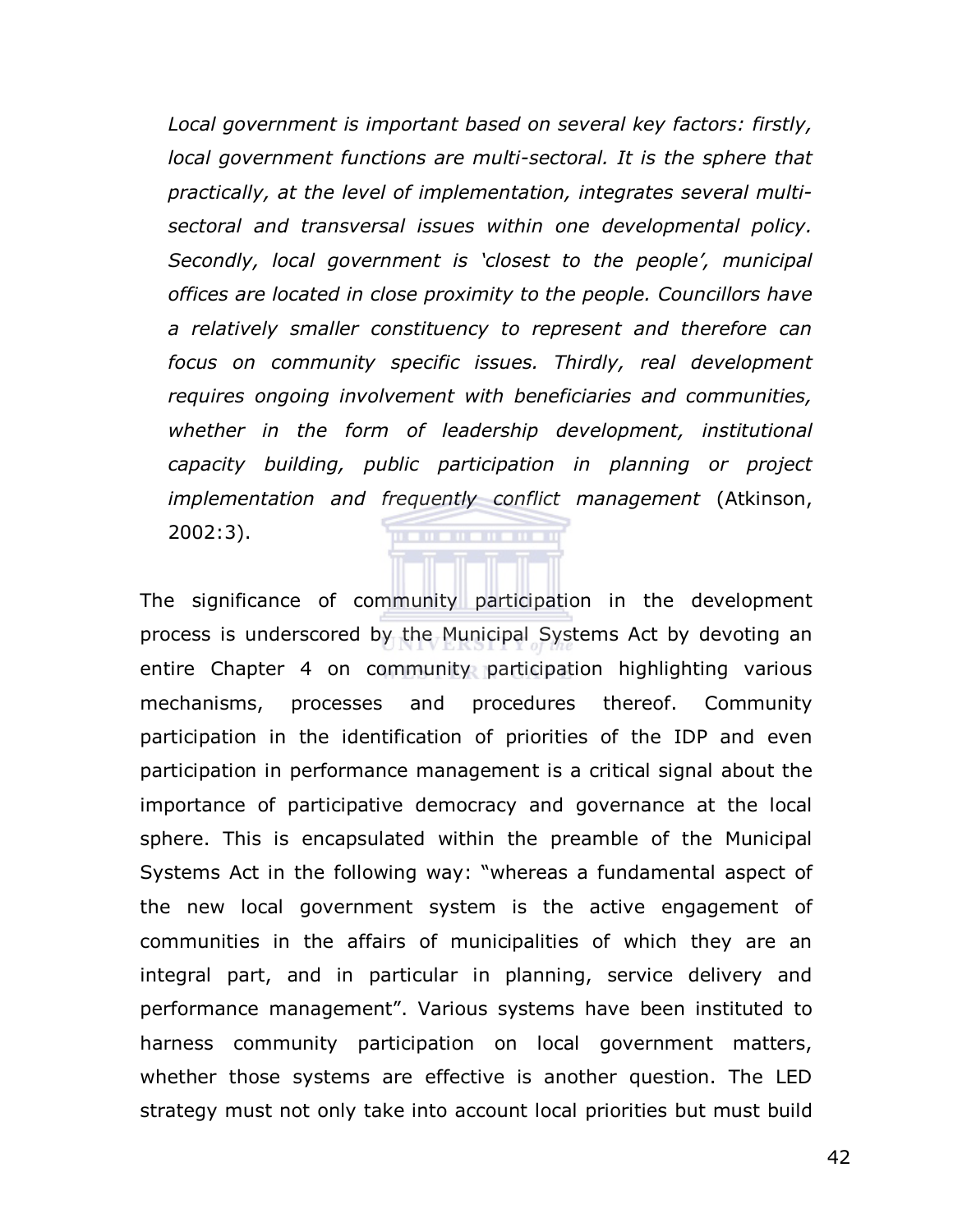*Local government is important based on several key factors: firstly,*  local government functions are multi-sectoral. It is the sphere that *practically, at the level of implementation, integrates several multisectoral and transversal issues within one developmental policy. Secondly, local government is 'closest to the people', municipal offices are located in close proximity to the people. Councillors have a relatively smaller constituency to represent and therefore can*  focus on community specific issues. Thirdly, real development *requires ongoing involvement with beneficiaries and communities, whether in the form of leadership development, institutional capacity building, public participation in planning or project implementation and frequently conflict management* (Atkinson, 2002:3). **THE HEADER** 

The significance of community participation in the development process is underscored by the Municipal Systems Act by devoting an entire Chapter 4 on community participation highlighting various mechanisms, processes and procedures thereof. Community participation in the identification of priorities of the IDP and even participation in performance management is a critical signal about the importance of participative democracy and governance at the local sphere. This is encapsulated within the preamble of the Municipal Systems Act in the following way: "whereas a fundamental aspect of the new local government system is the active engagement of communities in the affairs of municipalities of which they are an integral part, and in particular in planning, service delivery and performance management". Various systems have been instituted to harness community participation on local government matters, whether those systems are effective is another question. The LED strategy must not only take into account local priorities but must build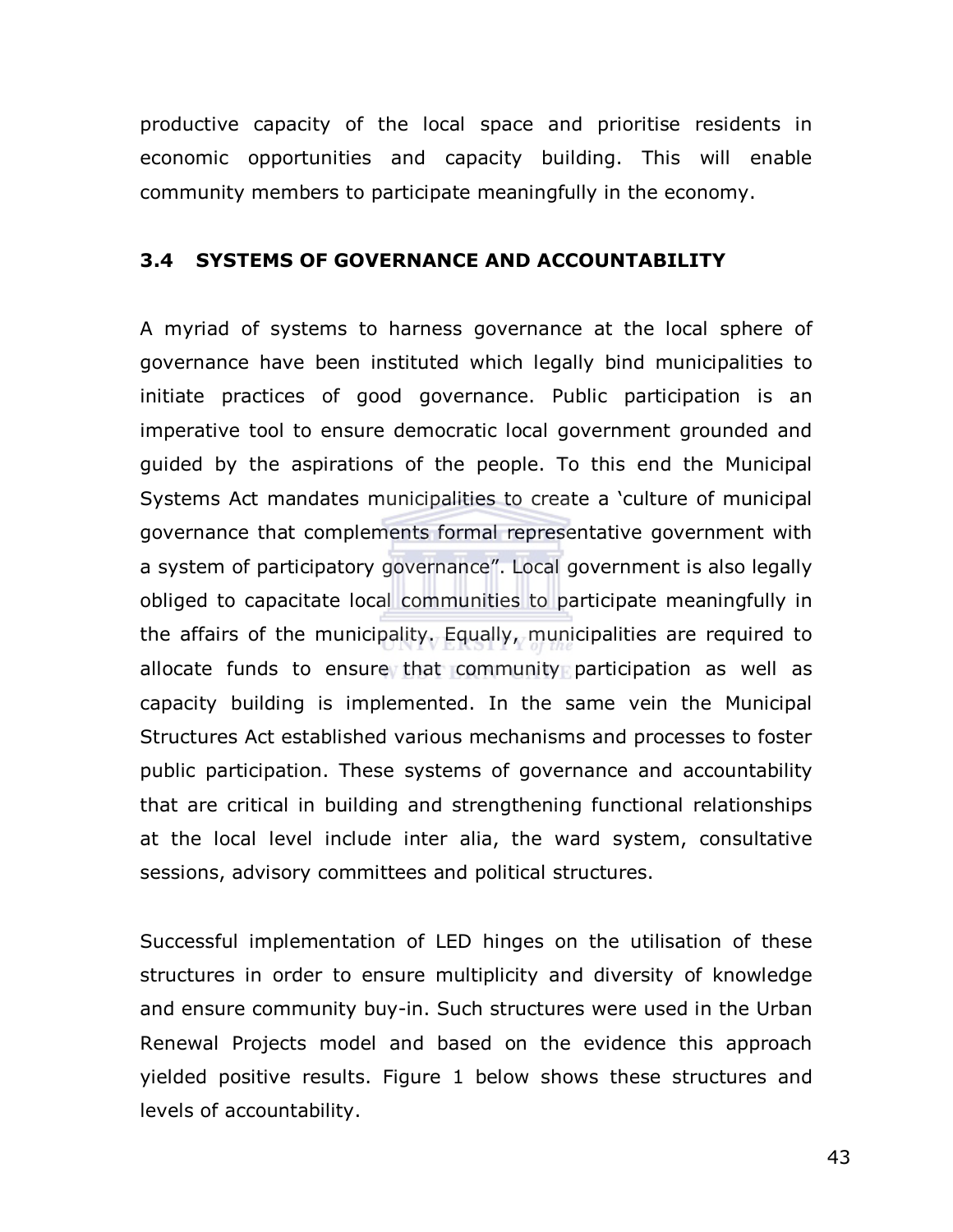productive capacity of the local space and prioritise residents in economic opportunities and capacity building. This will enable community members to participate meaningfully in the economy.

#### **3.4 SYSTEMS OF GOVERNANCE AND ACCOUNTABILITY**

A myriad of systems to harness governance at the local sphere of governance have been instituted which legally bind municipalities to initiate practices of good governance. Public participation is an imperative tool to ensure democratic local government grounded and guided by the aspirations of the people. To this end the Municipal Systems Act mandates municipalities to create a 'culture of municipal governance that complements formal representative government with a system of participatory governance". Local government is also legally obliged to capacitate local communities to participate meaningfully in the affairs of the municipality. Equally, municipalities are required to allocate funds to ensure that community participation as well as capacity building is implemented. In the same vein the Municipal Structures Act established various mechanisms and processes to foster public participation. These systems of governance and accountability that are critical in building and strengthening functional relationships at the local level include inter alia, the ward system, consultative sessions, advisory committees and political structures.

Successful implementation of LED hinges on the utilisation of these structures in order to ensure multiplicity and diversity of knowledge and ensure community buy-in. Such structures were used in the Urban Renewal Projects model and based on the evidence this approach yielded positive results. Figure 1 below shows these structures and levels of accountability.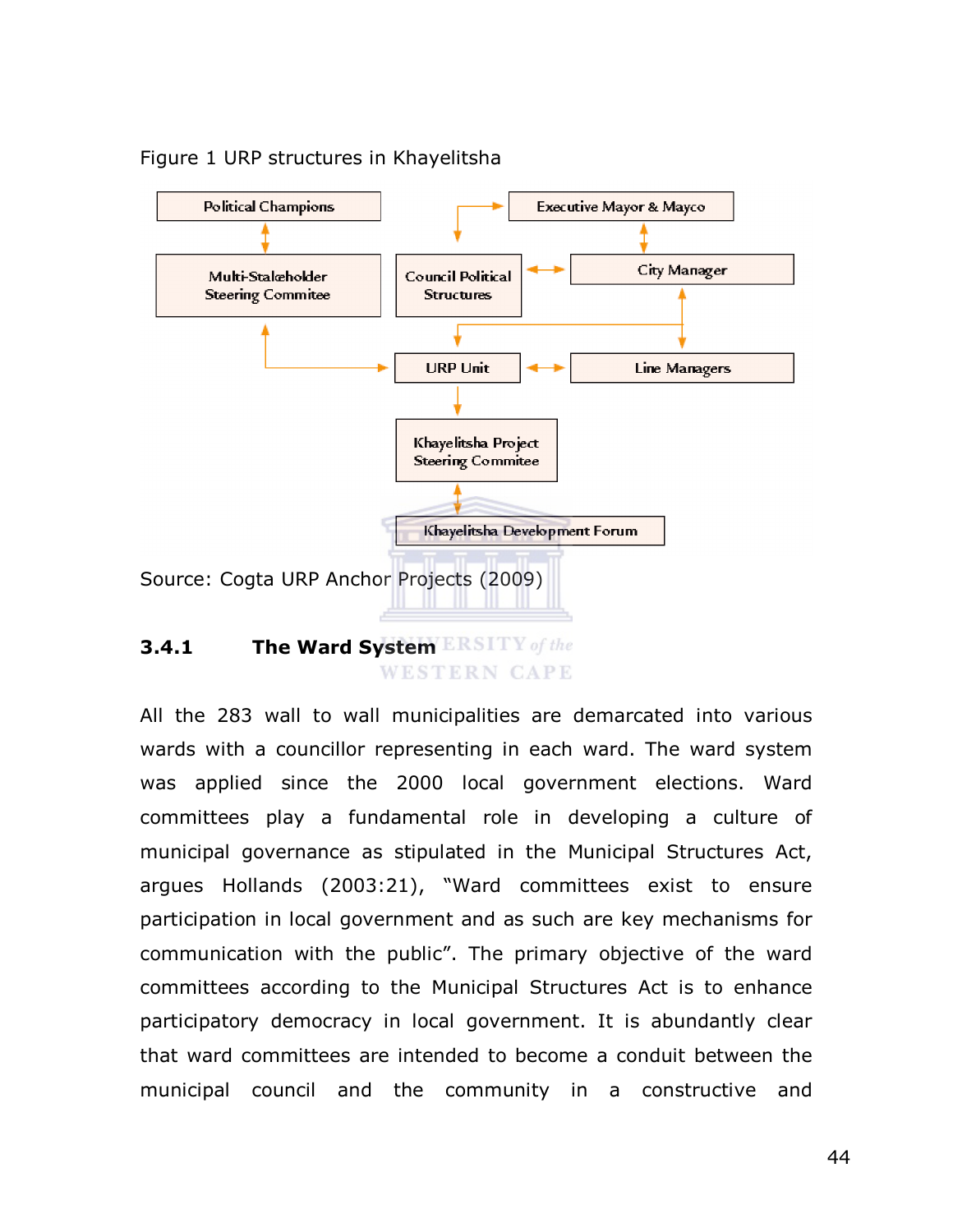

Figure 1 URP structures in Khayelitsha

## **3.4.1 The Ward System WESTERN CAPE**

All the 283 wall to wall municipalities are demarcated into various wards with a councillor representing in each ward. The ward system was applied since the 2000 local government elections. Ward committees play a fundamental role in developing a culture of municipal governance as stipulated in the Municipal Structures Act, argues Hollands (2003:21), "Ward committees exist to ensure participation in local government and as such are key mechanisms for communication with the public". The primary objective of the ward committees according to the Municipal Structures Act is to enhance participatory democracy in local government. It is abundantly clear that ward committees are intended to become a conduit between the municipal council and the community in a constructive and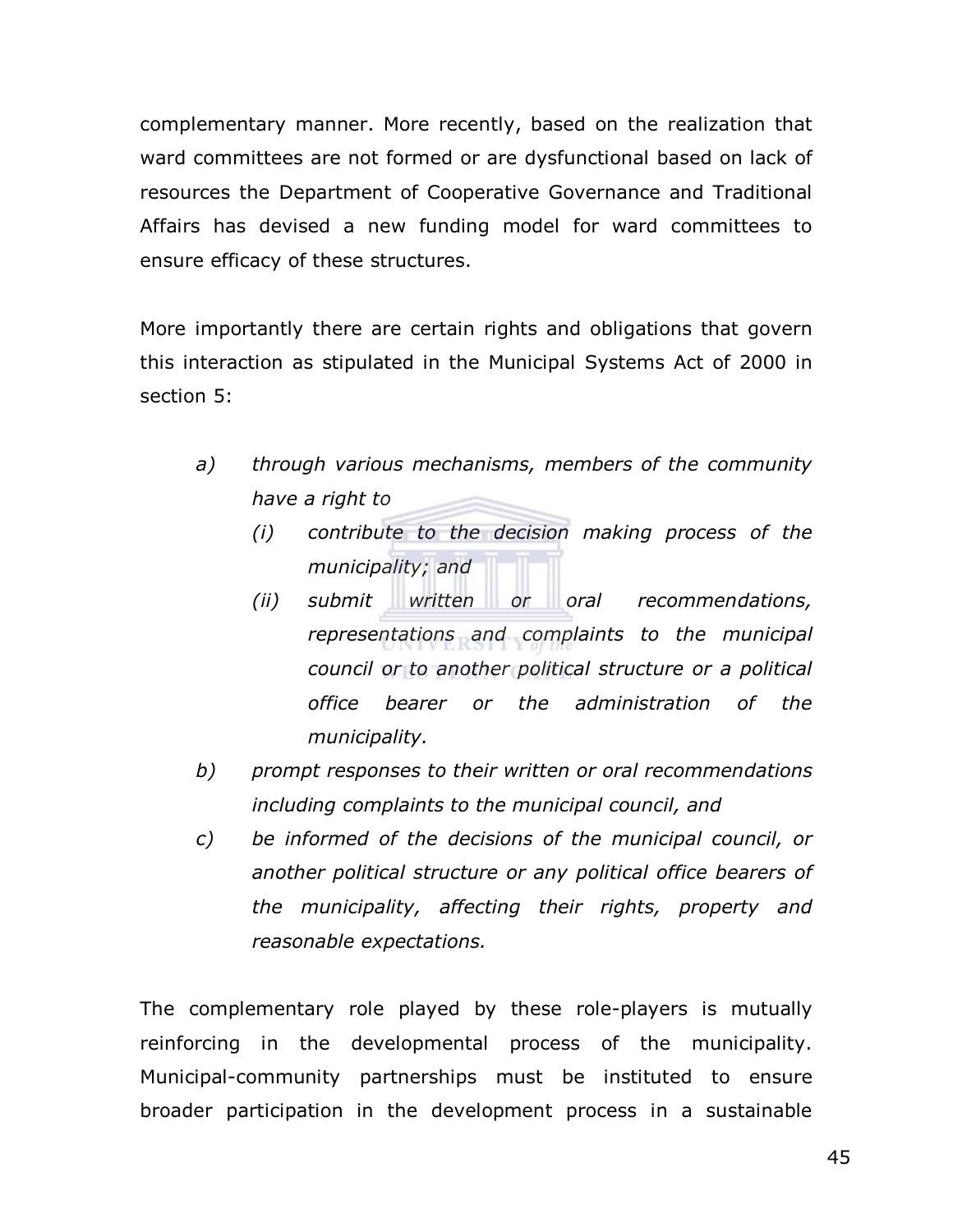complementary manner. More recently, based on the realization that ward committees are not formed or are dysfunctional based on lack of resources the Department of Cooperative Governance and Traditional Affairs has devised a new funding model for ward committees to ensure efficacy of these structures.

More importantly there are certain rights and obligations that govern this interaction as stipulated in the Municipal Systems Act of 2000 in section 5:

- *a) through various mechanisms, members of the community have a right to* 
	- *(i) contribute to the decision making process of the municipality; and*
	- *(ii) submit* written or oral recommendations, *representations and complaints to the municipal council or to another political structure or a political office bearer or the administration of the municipality.*
- *b) prompt responses to their written or oral recommendations including complaints to the municipal council, and*
- *c) be informed of the decisions of the municipal council, or another political structure or any political office bearers of the municipality, affecting their rights, property and reasonable expectations.*

The complementary role played by these role-players is mutually reinforcing in the developmental process of the municipality. Municipal-community partnerships must be instituted to ensure broader participation in the development process in a sustainable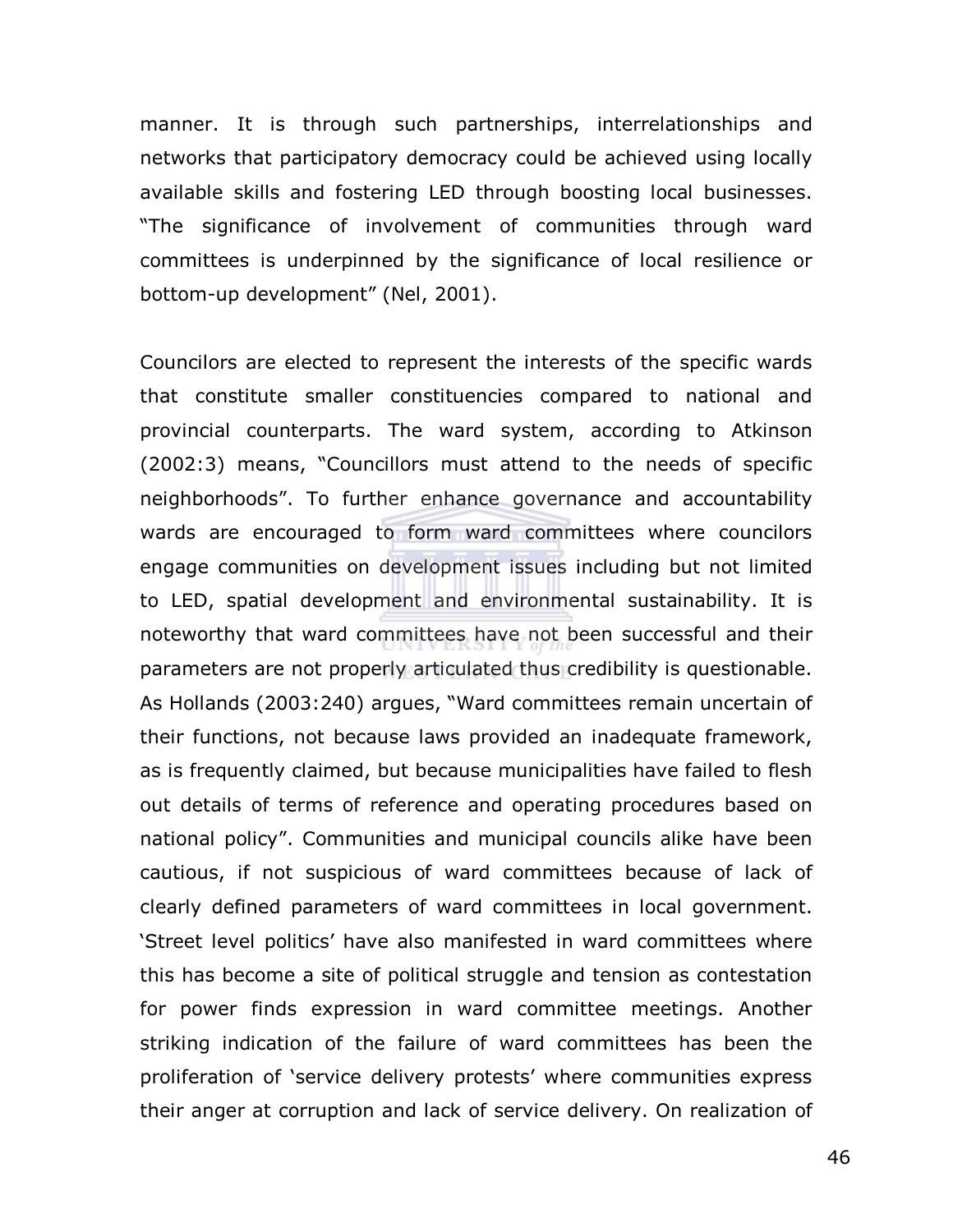manner. It is through such partnerships, interrelationships and networks that participatory democracy could be achieved using locally available skills and fostering LED through boosting local businesses. "The significance of involvement of communities through ward committees is underpinned by the significance of local resilience or bottom-up development" (Nel, 2001).

Councilors are elected to represent the interests of the specific wards that constitute smaller constituencies compared to national and provincial counterparts. The ward system, according to Atkinson (2002:3) means, "Councillors must attend to the needs of specific neighborhoods". To further enhance governance and accountability wards are encouraged to form ward committees where councilors engage communities on development issues including but not limited to LED, spatial development and environmental sustainability. It is noteworthy that ward committees have not been successful and their parameters are not properly articulated thus credibility is questionable. As Hollands (2003:240) argues, "Ward committees remain uncertain of their functions, not because laws provided an inadequate framework, as is frequently claimed, but because municipalities have failed to flesh out details of terms of reference and operating procedures based on national policy". Communities and municipal councils alike have been cautious, if not suspicious of ward committees because of lack of clearly defined parameters of ward committees in local government. 'Street level politics' have also manifested in ward committees where this has become a site of political struggle and tension as contestation for power finds expression in ward committee meetings. Another striking indication of the failure of ward committees has been the proliferation of 'service delivery protests' where communities express their anger at corruption and lack of service delivery. On realization of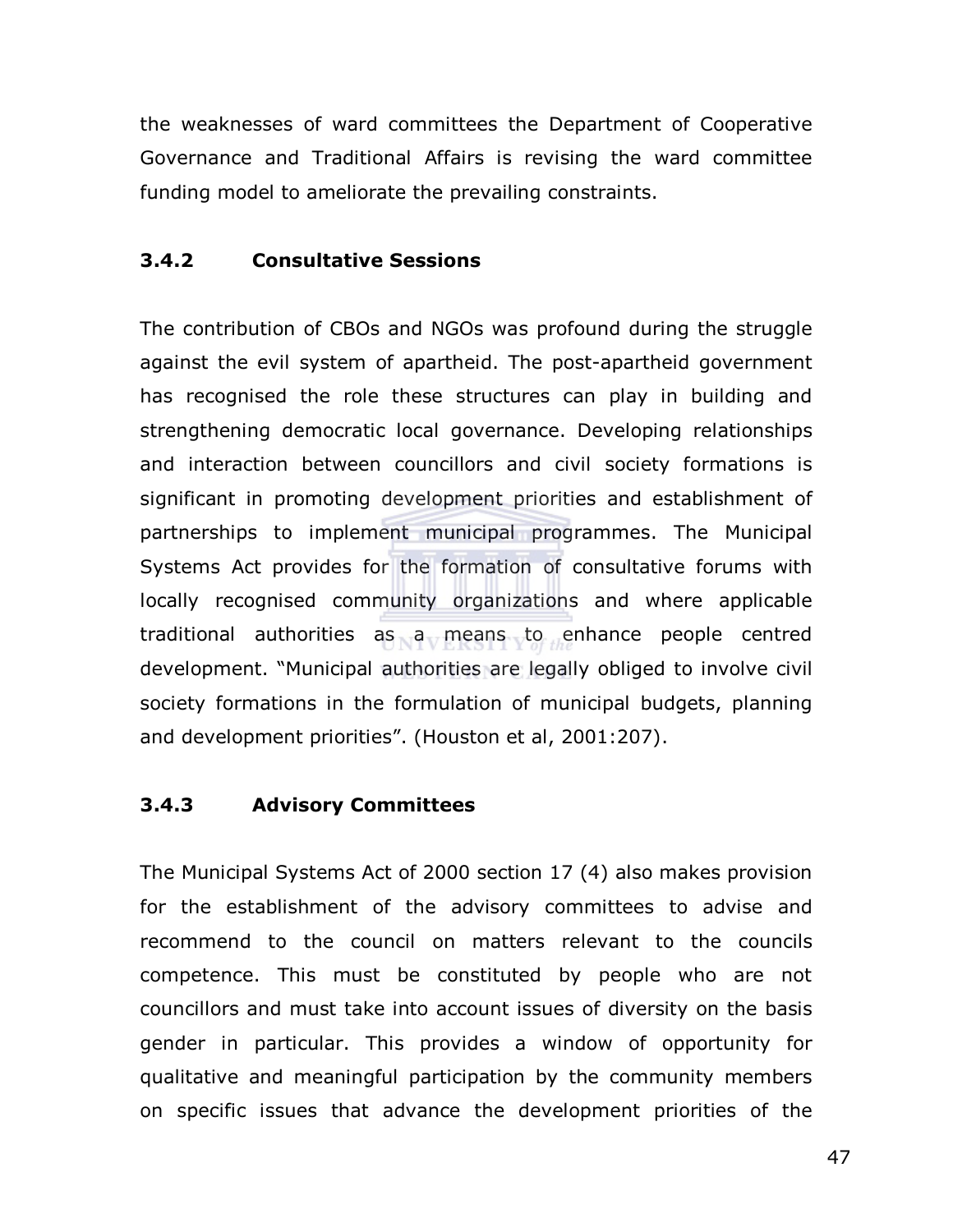the weaknesses of ward committees the Department of Cooperative Governance and Traditional Affairs is revising the ward committee funding model to ameliorate the prevailing constraints.

## **3.4.2 Consultative Sessions**

The contribution of CBOs and NGOs was profound during the struggle against the evil system of apartheid. The post-apartheid government has recognised the role these structures can play in building and strengthening democratic local governance. Developing relationships and interaction between councillors and civil society formations is significant in promoting development priorities and establishment of partnerships to implement municipal programmes. The Municipal Systems Act provides for the formation of consultative forums with locally recognised community organizations and where applicable traditional authorities as a means to enhance people centred development. "Municipal authorities are legally obliged to involve civil society formations in the formulation of municipal budgets, planning and development priorities". (Houston et al, 2001:207).

#### **3.4.3 Advisory Committees**

The Municipal Systems Act of 2000 section 17 (4) also makes provision for the establishment of the advisory committees to advise and recommend to the council on matters relevant to the councils competence. This must be constituted by people who are not councillors and must take into account issues of diversity on the basis gender in particular. This provides a window of opportunity for qualitative and meaningful participation by the community members on specific issues that advance the development priorities of the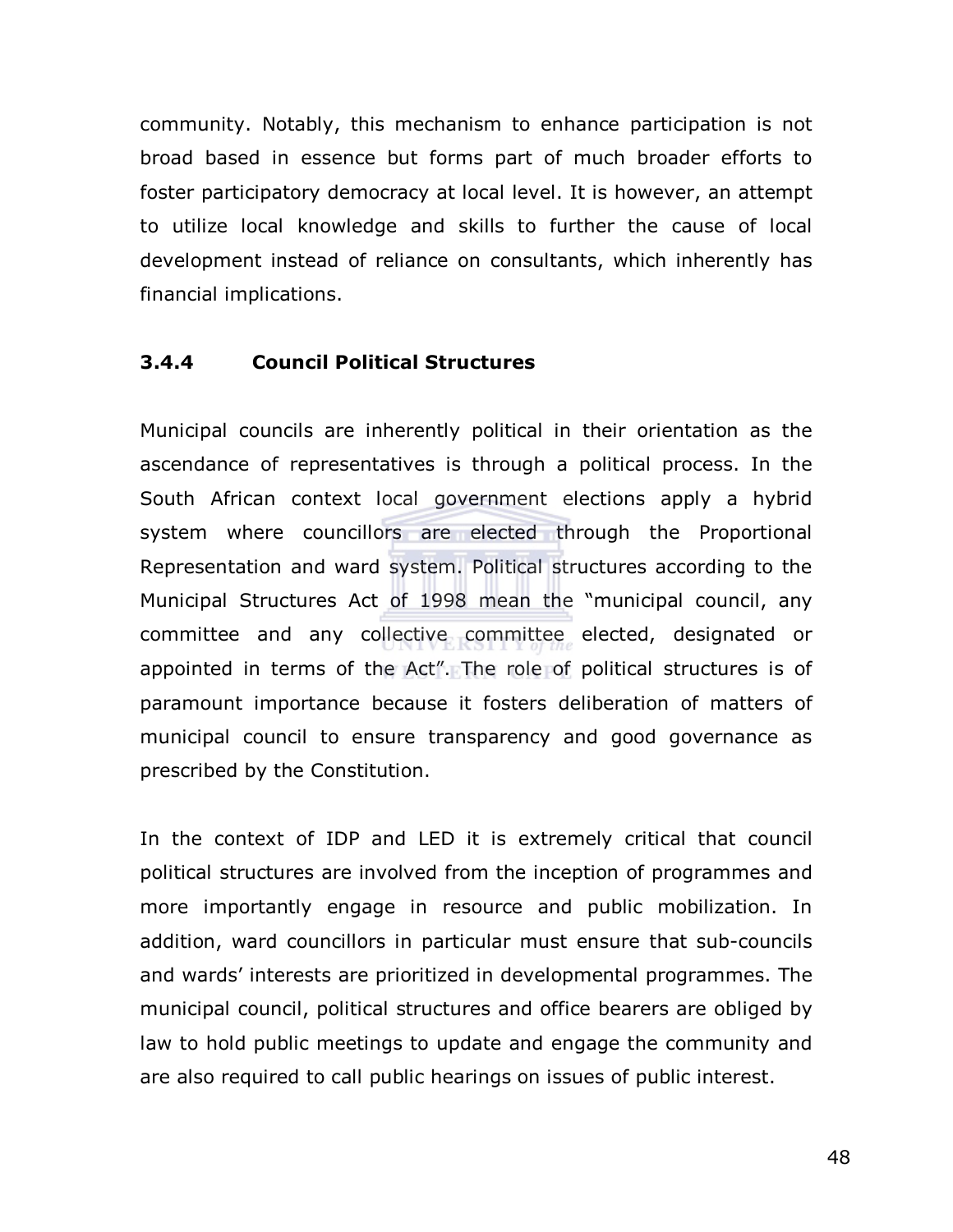community. Notably, this mechanism to enhance participation is not broad based in essence but forms part of much broader efforts to foster participatory democracy at local level. It is however, an attempt to utilize local knowledge and skills to further the cause of local development instead of reliance on consultants, which inherently has financial implications.

## **3.4.4 Council Political Structures**

Municipal councils are inherently political in their orientation as the ascendance of representatives is through a political process. In the South African context local government elections apply a hybrid system where councillors are elected through the Proportional Representation and ward system. Political structures according to the Municipal Structures Act of 1998 mean the "municipal council, any committee and any collective committee elected, designated or appointed in terms of the Act". The role of political structures is of paramount importance because it fosters deliberation of matters of municipal council to ensure transparency and good governance as prescribed by the Constitution.

In the context of IDP and LED it is extremely critical that council political structures are involved from the inception of programmes and more importantly engage in resource and public mobilization. In addition, ward councillors in particular must ensure that sub-councils and wards' interests are prioritized in developmental programmes. The municipal council, political structures and office bearers are obliged by law to hold public meetings to update and engage the community and are also required to call public hearings on issues of public interest.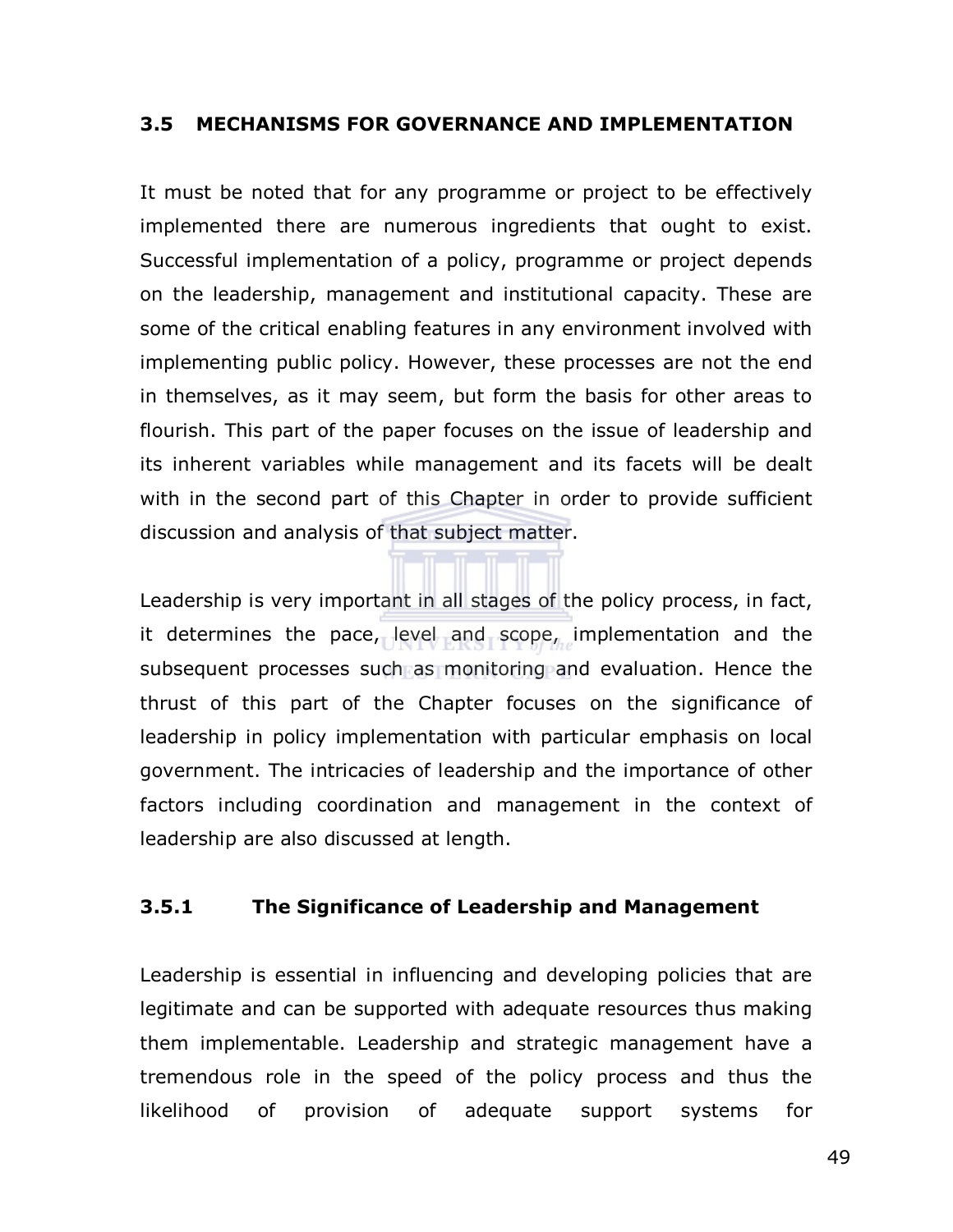#### **3.5 MECHANISMS FOR GOVERNANCE AND IMPLEMENTATION**

It must be noted that for any programme or project to be effectively implemented there are numerous ingredients that ought to exist. Successful implementation of a policy, programme or project depends on the leadership, management and institutional capacity. These are some of the critical enabling features in any environment involved with implementing public policy. However, these processes are not the end in themselves, as it may seem, but form the basis for other areas to flourish. This part of the paper focuses on the issue of leadership and its inherent variables while management and its facets will be dealt with in the second part of this Chapter in order to provide sufficient discussion and analysis of that subject matter.

Leadership is very important in all stages of the policy process, in fact, it determines the pace, level and scope, implementation and the subsequent processes such as monitoring and evaluation. Hence the thrust of this part of the Chapter focuses on the significance of leadership in policy implementation with particular emphasis on local government. The intricacies of leadership and the importance of other factors including coordination and management in the context of leadership are also discussed at length.

#### **3.5.1 The Significance of Leadership and Management**

Leadership is essential in influencing and developing policies that are legitimate and can be supported with adequate resources thus making them implementable. Leadership and strategic management have a tremendous role in the speed of the policy process and thus the likelihood of provision of adequate support systems for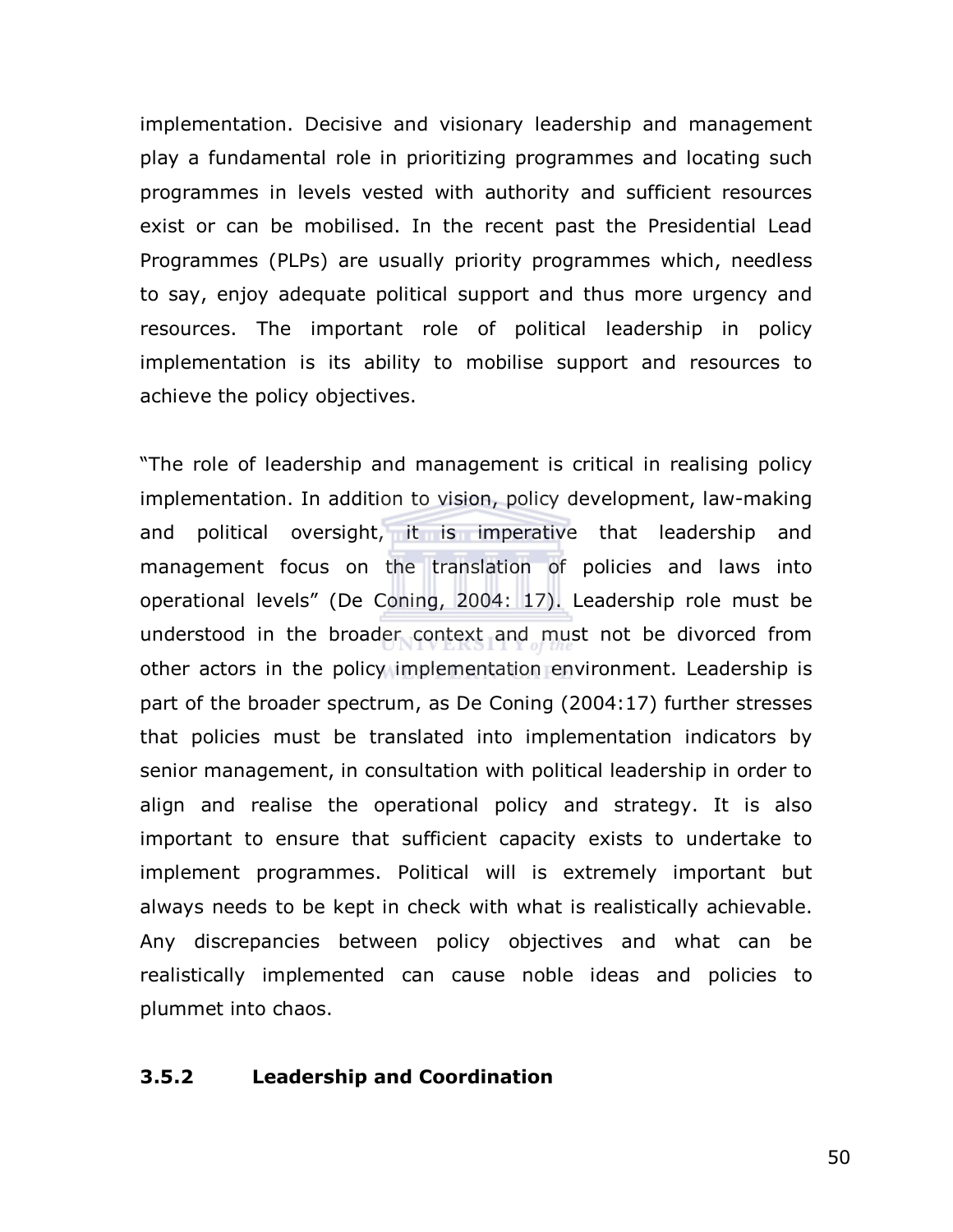implementation. Decisive and visionary leadership and management play a fundamental role in prioritizing programmes and locating such programmes in levels vested with authority and sufficient resources exist or can be mobilised. In the recent past the Presidential Lead Programmes (PLPs) are usually priority programmes which, needless to say, enjoy adequate political support and thus more urgency and resources. The important role of political leadership in policy implementation is its ability to mobilise support and resources to achieve the policy objectives.

"The role of leadership and management is critical in realising policy implementation. In addition to vision, policy development, law-making and political oversight, it is imperative that leadership and management focus on the translation of policies and laws into operational levels" (De Coning, 2004: 17). Leadership role must be understood in the broader context and must not be divorced from other actors in the policy implementation environment. Leadership is part of the broader spectrum, as De Coning (2004:17) further stresses that policies must be translated into implementation indicators by senior management, in consultation with political leadership in order to align and realise the operational policy and strategy. It is also important to ensure that sufficient capacity exists to undertake to implement programmes. Political will is extremely important but always needs to be kept in check with what is realistically achievable. Any discrepancies between policy objectives and what can be realistically implemented can cause noble ideas and policies to plummet into chaos.

#### **3.5.2 Leadership and Coordination**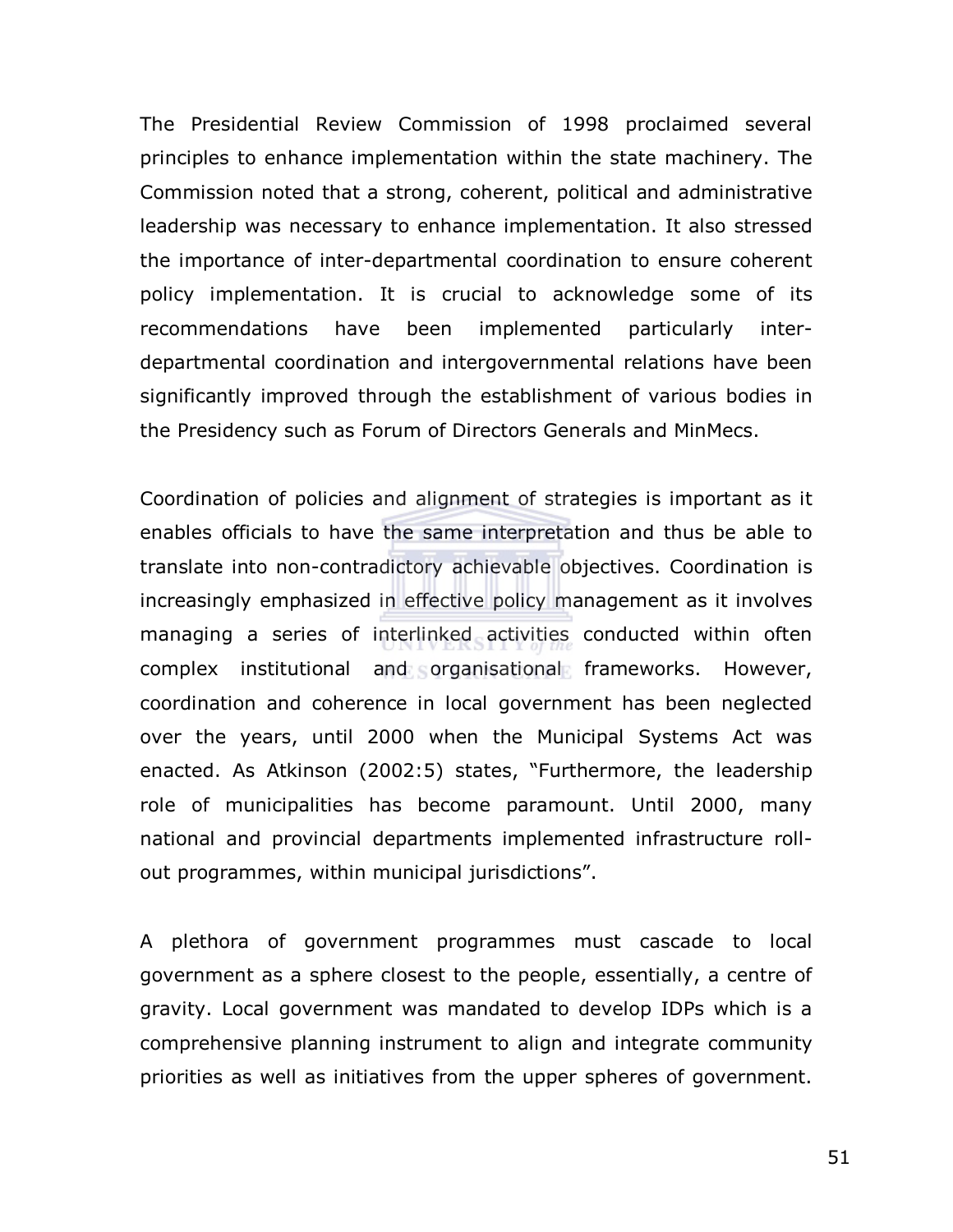The Presidential Review Commission of 1998 proclaimed several principles to enhance implementation within the state machinery. The Commission noted that a strong, coherent, political and administrative leadership was necessary to enhance implementation. It also stressed the importance of inter-departmental coordination to ensure coherent policy implementation. It is crucial to acknowledge some of its recommendations have been implemented particularly interdepartmental coordination and intergovernmental relations have been significantly improved through the establishment of various bodies in the Presidency such as Forum of Directors Generals and MinMecs.

Coordination of policies and alignment of strategies is important as it enables officials to have the same interpretation and thus be able to translate into non-contradictory achievable objectives. Coordination is increasingly emphasized in effective policy management as it involves managing a series of interlinked activities conducted within often complex institutional and organisational frameworks. However, coordination and coherence in local government has been neglected over the years, until 2000 when the Municipal Systems Act was enacted. As Atkinson (2002:5) states, "Furthermore, the leadership role of municipalities has become paramount. Until 2000, many national and provincial departments implemented infrastructure rollout programmes, within municipal jurisdictions".

A plethora of government programmes must cascade to local government as a sphere closest to the people, essentially, a centre of gravity. Local government was mandated to develop IDPs which is a comprehensive planning instrument to align and integrate community priorities as well as initiatives from the upper spheres of government.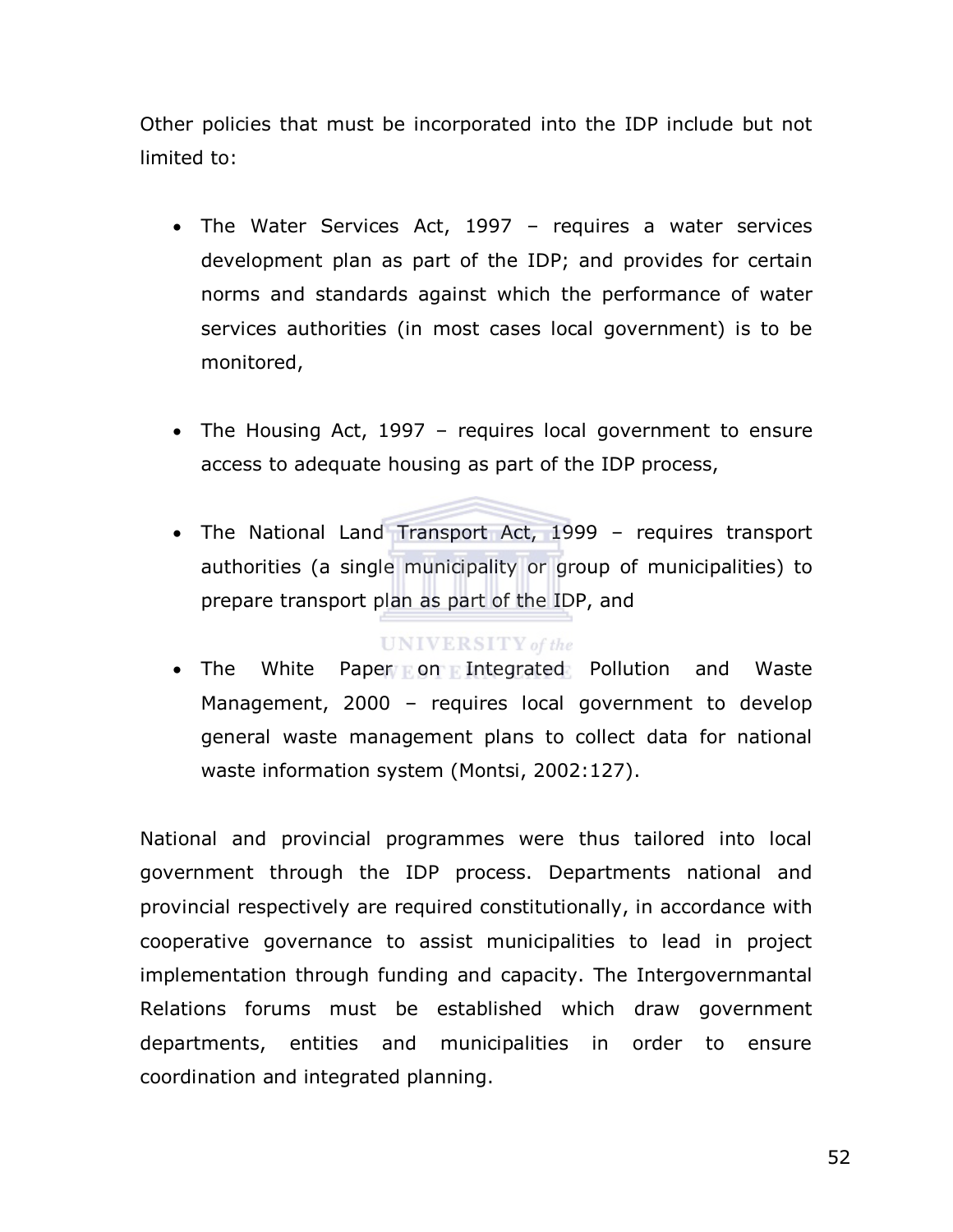Other policies that must be incorporated into the IDP include but not limited to:

- · The Water Services Act, 1997 requires a water services development plan as part of the IDP; and provides for certain norms and standards against which the performance of water services authorities (in most cases local government) is to be monitored,
- The Housing Act, 1997 requires local government to ensure access to adequate housing as part of the IDP process,
- · The National Land Transport Act, 1999 requires transport authorities (a single municipality or group of municipalities) to prepare transport plan as part of the IDP, and

#### **UNIVERSITY** of the

• The White Paper con Integrated Pollution and Waste Management, 2000 – requires local government to develop general waste management plans to collect data for national waste information system (Montsi, 2002:127).

National and provincial programmes were thus tailored into local government through the IDP process. Departments national and provincial respectively are required constitutionally, in accordance with cooperative governance to assist municipalities to lead in project implementation through funding and capacity. The Intergovernmantal Relations forums must be established which draw government departments, entities and municipalities in order to ensure coordination and integrated planning.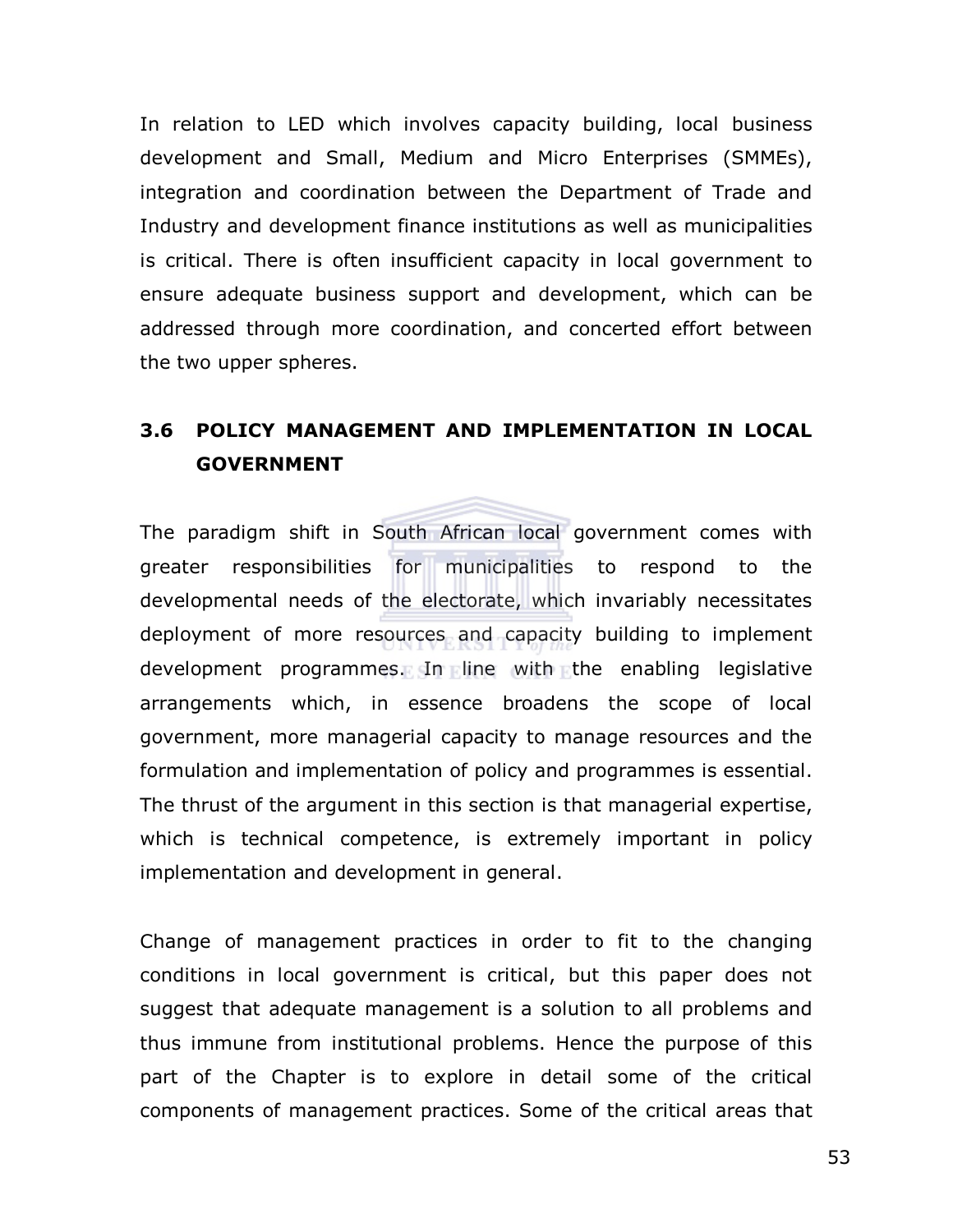In relation to LED which involves capacity building, local business development and Small, Medium and Micro Enterprises (SMMEs), integration and coordination between the Department of Trade and Industry and development finance institutions as well as municipalities is critical. There is often insufficient capacity in local government to ensure adequate business support and development, which can be addressed through more coordination, and concerted effort between the two upper spheres.

# **3.6 POLICY MANAGEMENT AND IMPLEMENTATION IN LOCAL GOVERNMENT**

The paradigm shift in South African local government comes with greater responsibilities for municipalities to respond to the developmental needs of the electorate, which invariably necessitates deployment of more resources and capacity building to implement development programmes. In  $\lim_{n \to \infty}$  with  $\lim_{n \to \infty}$  enabling legislative arrangements which, in essence broadens the scope of local government, more managerial capacity to manage resources and the formulation and implementation of policy and programmes is essential. The thrust of the argument in this section is that managerial expertise, which is technical competence, is extremely important in policy implementation and development in general.

Change of management practices in order to fit to the changing conditions in local government is critical, but this paper does not suggest that adequate management is a solution to all problems and thus immune from institutional problems. Hence the purpose of this part of the Chapter is to explore in detail some of the critical components of management practices. Some of the critical areas that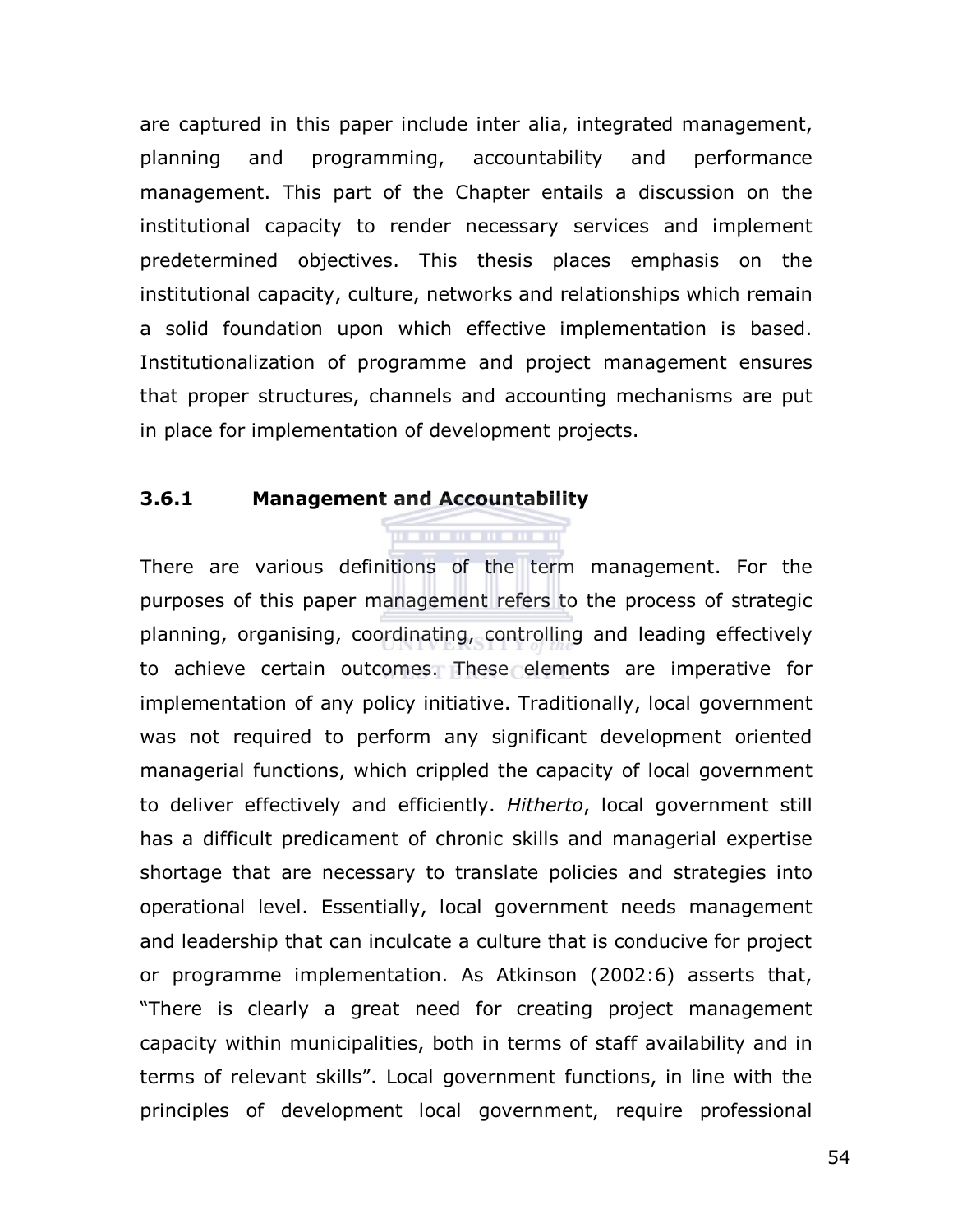are captured in this paper include inter alia, integrated management, planning and programming, accountability and performance management. This part of the Chapter entails a discussion on the institutional capacity to render necessary services and implement predetermined objectives. This thesis places emphasis on the institutional capacity, culture, networks and relationships which remain a solid foundation upon which effective implementation is based. Institutionalization of programme and project management ensures that proper structures, channels and accounting mechanisms are put in place for implementation of development projects.

. . . . . . . . . . . . . .

## **3.6.1 Management and Accountability**

There are various definitions of the term management. For the purposes of this paper management refers to the process of strategic planning, organising, coordinating, controlling and leading effectively to achieve certain outcomes. These elements are imperative for implementation of any policy initiative. Traditionally, local government was not required to perform any significant development oriented managerial functions, which crippled the capacity of local government to deliver effectively and efficiently. *Hitherto*, local government still has a difficult predicament of chronic skills and managerial expertise shortage that are necessary to translate policies and strategies into operational level. Essentially, local government needs management and leadership that can inculcate a culture that is conducive for project or programme implementation. As Atkinson (2002:6) asserts that, "There is clearly a great need for creating project management capacity within municipalities, both in terms of staff availability and in terms of relevant skills". Local government functions, in line with the principles of development local government, require professional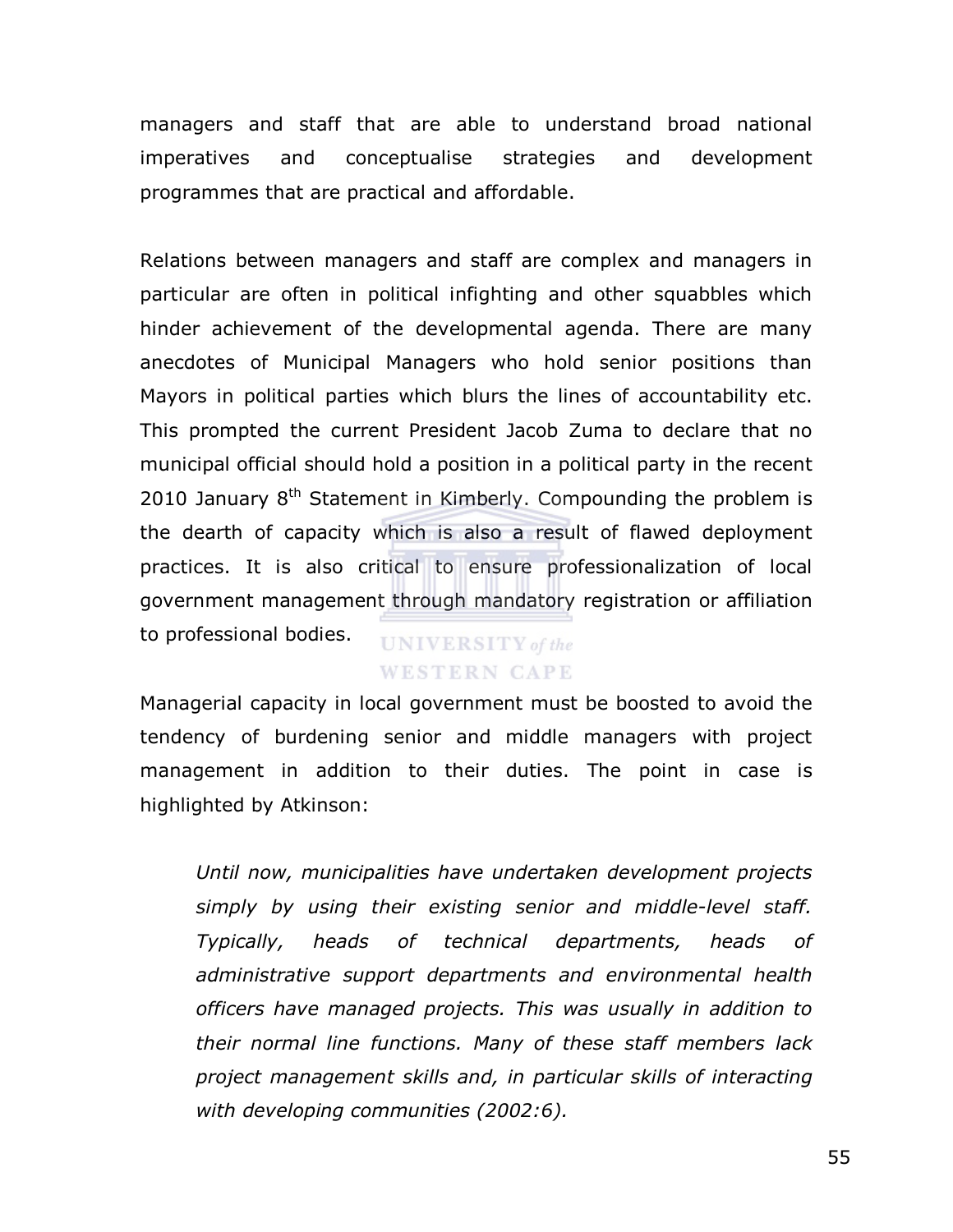managers and staff that are able to understand broad national imperatives and conceptualise strategies and development programmes that are practical and affordable.

Relations between managers and staff are complex and managers in particular are often in political infighting and other squabbles which hinder achievement of the developmental agenda. There are many anecdotes of Municipal Managers who hold senior positions than Mayors in political parties which blurs the lines of accountability etc. This prompted the current President Jacob Zuma to declare that no municipal official should hold a position in a political party in the recent 2010 January  $8<sup>th</sup>$  Statement in Kimberly. Compounding the problem is the dearth of capacity which is also a result of flawed deployment practices. It is also critical to ensure professionalization of local government management through mandatory registration or affiliation to professional bodies. **UNIVERSITY** of the

# **WESTERN CAPE**

Managerial capacity in local government must be boosted to avoid the tendency of burdening senior and middle managers with project management in addition to their duties. The point in case is highlighted by Atkinson:

 *Until now, municipalities have undertaken development projects simply by using their existing senior and middle-level staff. Typically, heads of technical departments, heads of administrative support departments and environmental health officers have managed projects. This was usually in addition to their normal line functions. Many of these staff members lack project management skills and, in particular skills of interacting with developing communities (2002:6).*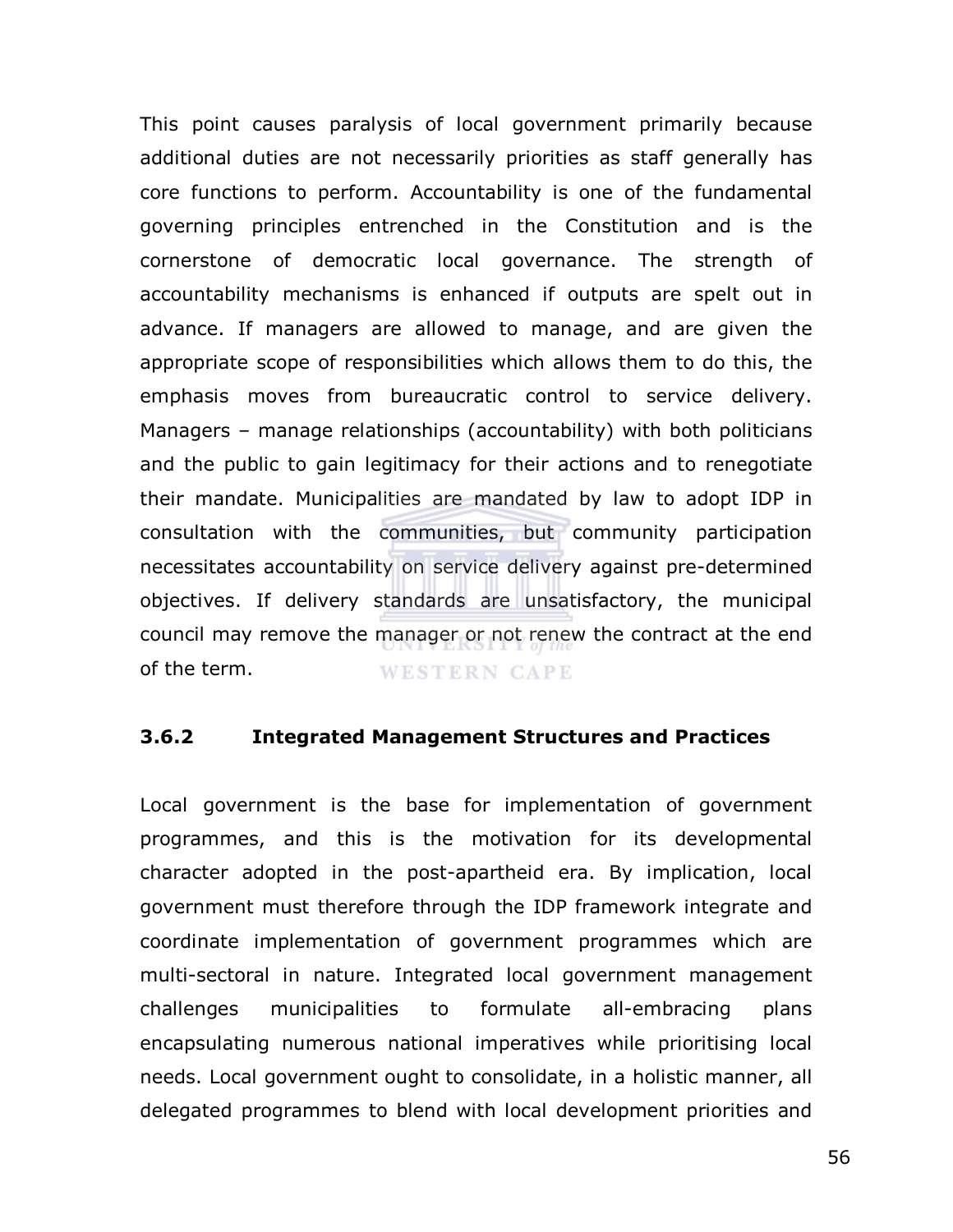This point causes paralysis of local government primarily because additional duties are not necessarily priorities as staff generally has core functions to perform. Accountability is one of the fundamental governing principles entrenched in the Constitution and is the cornerstone of democratic local governance. The strength of accountability mechanisms is enhanced if outputs are spelt out in advance. If managers are allowed to manage, and are given the appropriate scope of responsibilities which allows them to do this, the emphasis moves from bureaucratic control to service delivery. Managers – manage relationships (accountability) with both politicians and the public to gain legitimacy for their actions and to renegotiate their mandate. Municipalities are mandated by law to adopt IDP in consultation with the communities, but community participation necessitates accountability on service delivery against pre-determined objectives. If delivery standards are unsatisfactory, the municipal council may remove the manager or not renew the contract at the end of the term. **WESTERN CAPE** 

#### **3.6.2 Integrated Management Structures and Practices**

Local government is the base for implementation of government programmes, and this is the motivation for its developmental character adopted in the post-apartheid era. By implication, local government must therefore through the IDP framework integrate and coordinate implementation of government programmes which are multi-sectoral in nature. Integrated local government management challenges municipalities to formulate all-embracing plans encapsulating numerous national imperatives while prioritising local needs. Local government ought to consolidate, in a holistic manner, all delegated programmes to blend with local development priorities and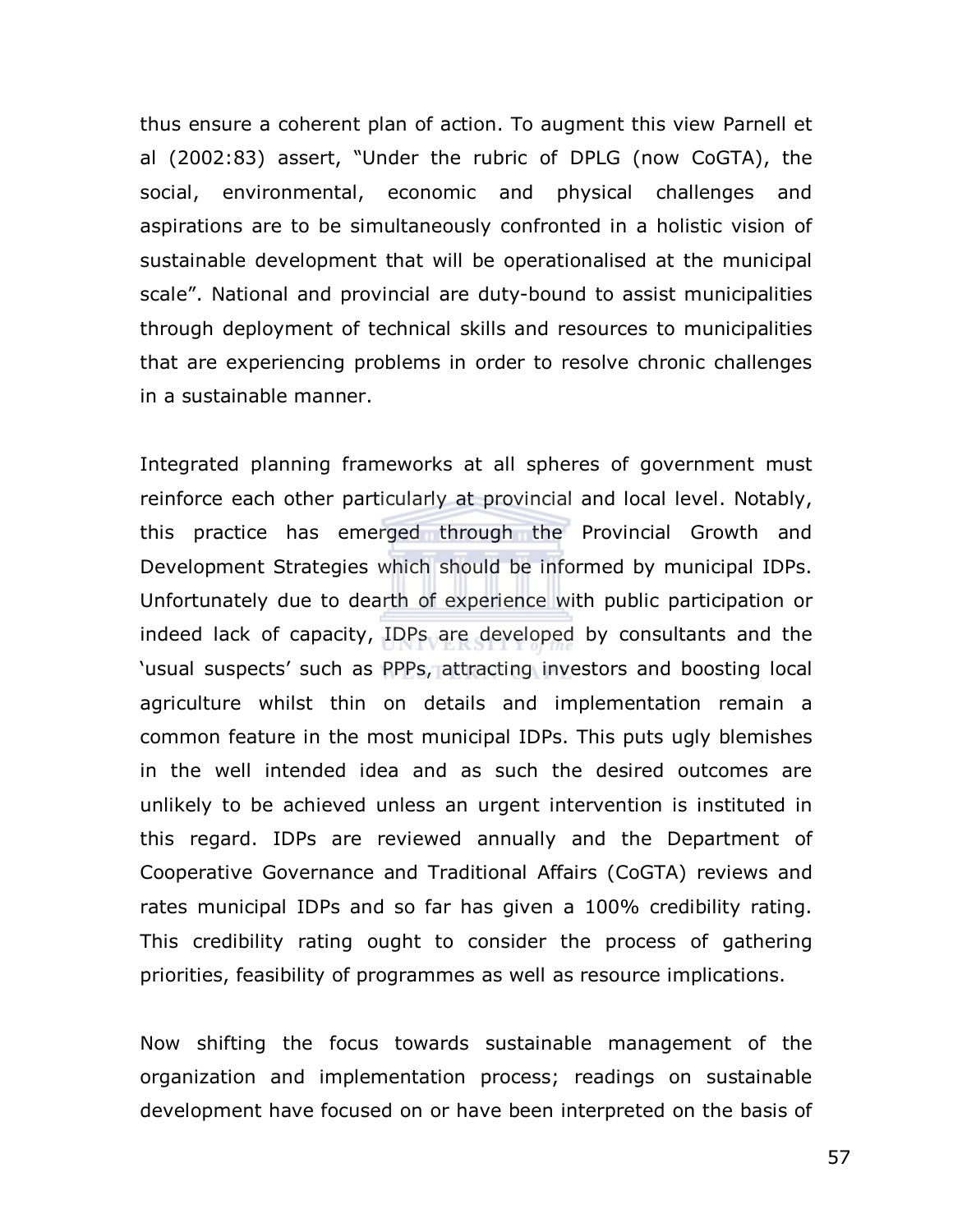thus ensure a coherent plan of action. To augment this view Parnell et al (2002:83) assert, "Under the rubric of DPLG (now CoGTA), the social, environmental, economic and physical challenges and aspirations are to be simultaneously confronted in a holistic vision of sustainable development that will be operationalised at the municipal scale". National and provincial are duty-bound to assist municipalities through deployment of technical skills and resources to municipalities that are experiencing problems in order to resolve chronic challenges in a sustainable manner.

Integrated planning frameworks at all spheres of government must reinforce each other particularly at provincial and local level. Notably, this practice has emerged through the Provincial Growth and Development Strategies which should be informed by municipal IDPs. Unfortunately due to dearth of experience with public participation or indeed lack of capacity, IDPs are developed by consultants and the 'usual suspects' such as PPPs, attracting investors and boosting local agriculture whilst thin on details and implementation remain a common feature in the most municipal IDPs. This puts ugly blemishes in the well intended idea and as such the desired outcomes are unlikely to be achieved unless an urgent intervention is instituted in this regard. IDPs are reviewed annually and the Department of Cooperative Governance and Traditional Affairs (CoGTA) reviews and rates municipal IDPs and so far has given a 100% credibility rating. This credibility rating ought to consider the process of gathering priorities, feasibility of programmes as well as resource implications.

Now shifting the focus towards sustainable management of the organization and implementation process; readings on sustainable development have focused on or have been interpreted on the basis of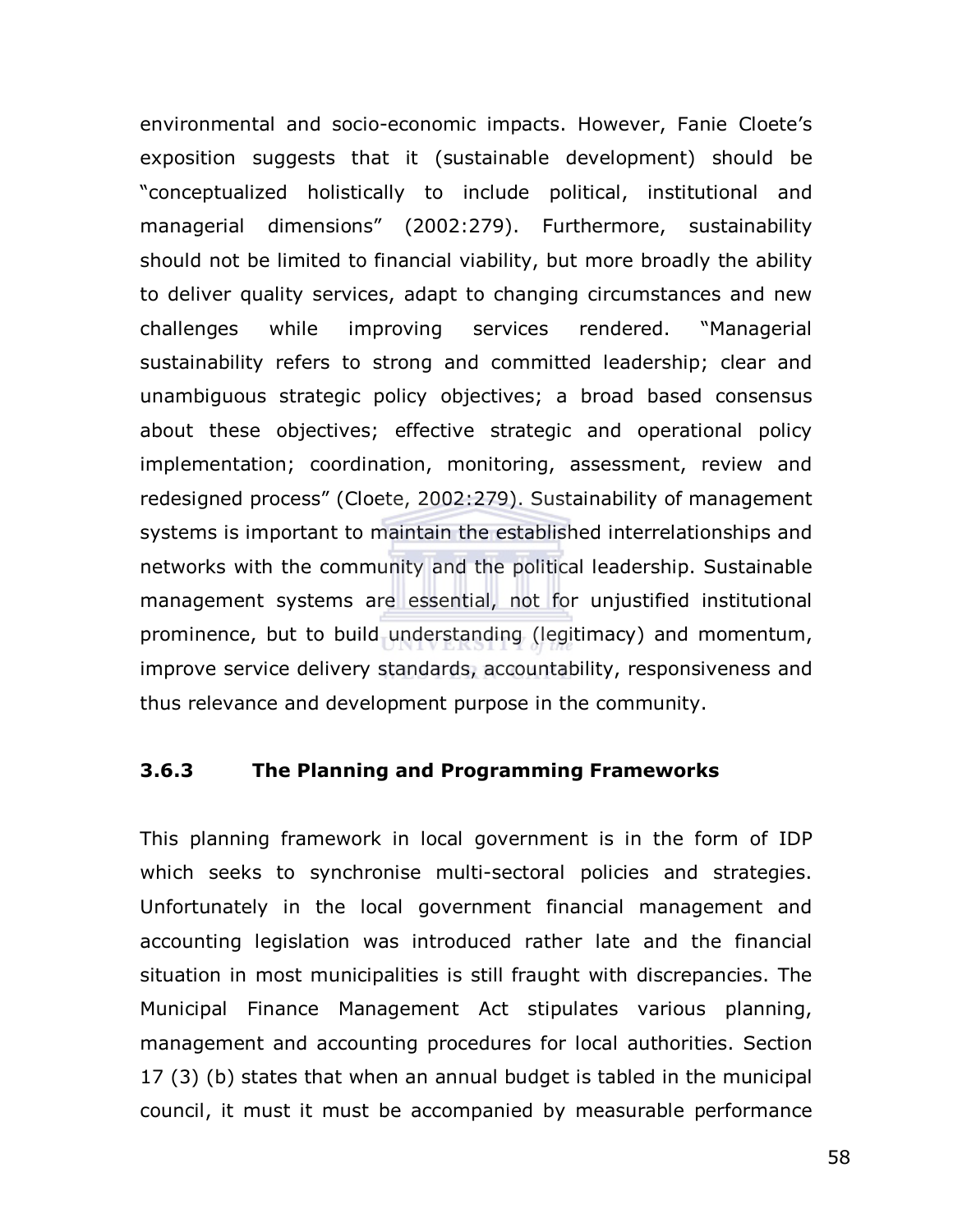environmental and socio-economic impacts. However, Fanie Cloete's exposition suggests that it (sustainable development) should be "conceptualized holistically to include political, institutional and managerial dimensions" (2002:279). Furthermore, sustainability should not be limited to financial viability, but more broadly the ability to deliver quality services, adapt to changing circumstances and new challenges while improving services rendered. "Managerial sustainability refers to strong and committed leadership; clear and unambiguous strategic policy objectives; a broad based consensus about these objectives; effective strategic and operational policy implementation; coordination, monitoring, assessment, review and redesigned process" (Cloete, 2002:279). Sustainability of management systems is important to maintain the established interrelationships and networks with the community and the political leadership. Sustainable management systems are essential, not for unjustified institutional prominence, but to build understanding (legitimacy) and momentum, improve service delivery standards, accountability, responsiveness and thus relevance and development purpose in the community.

#### **3.6.3 The Planning and Programming Frameworks**

This planning framework in local government is in the form of IDP which seeks to synchronise multi-sectoral policies and strategies. Unfortunately in the local government financial management and accounting legislation was introduced rather late and the financial situation in most municipalities is still fraught with discrepancies. The Municipal Finance Management Act stipulates various planning, management and accounting procedures for local authorities. Section 17 (3) (b) states that when an annual budget is tabled in the municipal council, it must it must be accompanied by measurable performance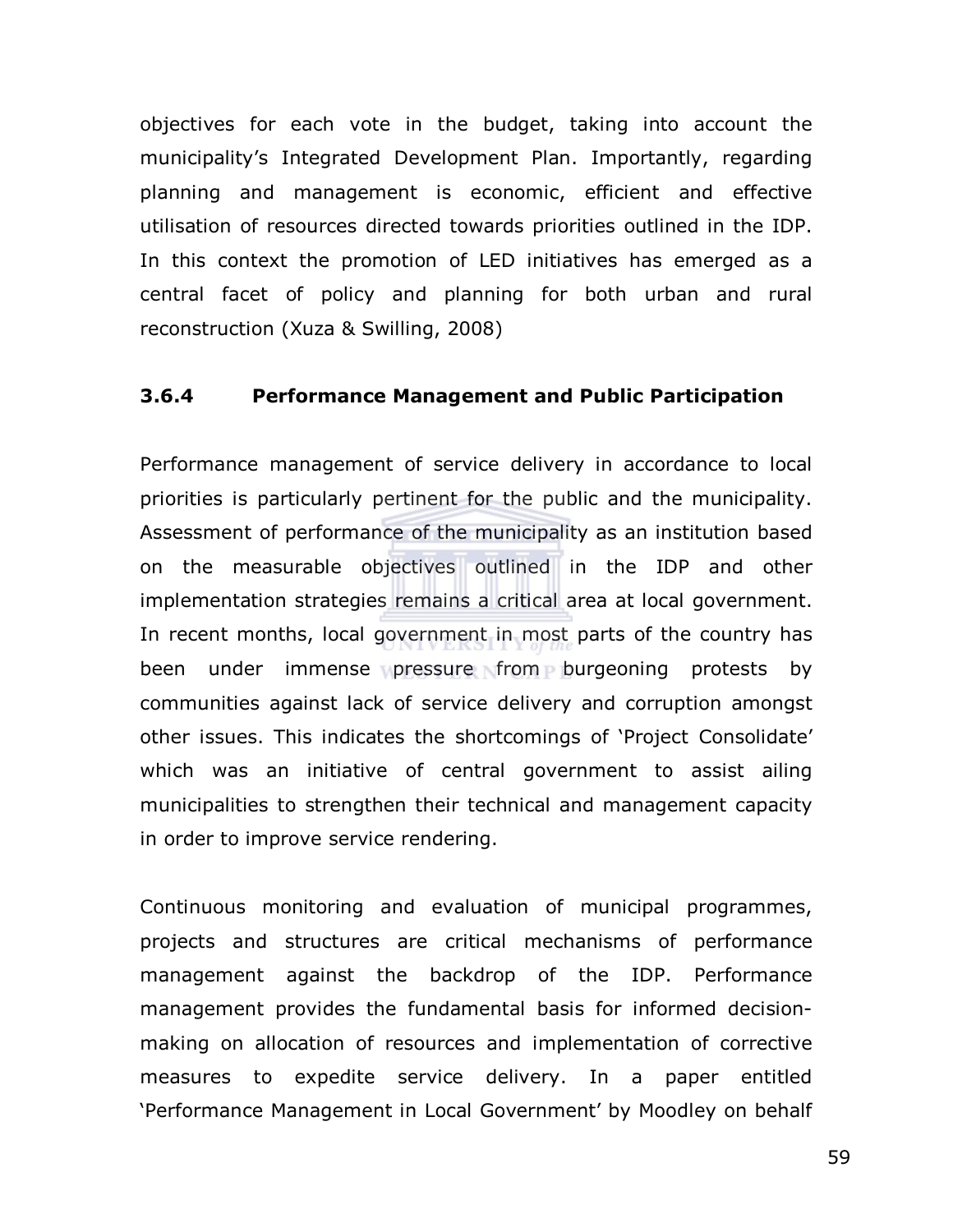objectives for each vote in the budget, taking into account the municipality's Integrated Development Plan. Importantly, regarding planning and management is economic, efficient and effective utilisation of resources directed towards priorities outlined in the IDP. In this context the promotion of LED initiatives has emerged as a central facet of policy and planning for both urban and rural reconstruction (Xuza & Swilling, 2008)

#### **3.6.4 Performance Management and Public Participation**

Performance management of service delivery in accordance to local priorities is particularly pertinent for the public and the municipality. Assessment of performance of the municipality as an institution based on the measurable objectives outlined in the IDP and other implementation strategies remains a critical area at local government. In recent months, local government in most parts of the country has been under immense pressure from burgeoning protests by communities against lack of service delivery and corruption amongst other issues. This indicates the shortcomings of 'Project Consolidate' which was an initiative of central government to assist ailing municipalities to strengthen their technical and management capacity in order to improve service rendering.

Continuous monitoring and evaluation of municipal programmes, projects and structures are critical mechanisms of performance management against the backdrop of the IDP. Performance management provides the fundamental basis for informed decisionmaking on allocation of resources and implementation of corrective measures to expedite service delivery. In a paper entitled 'Performance Management in Local Government' by Moodley on behalf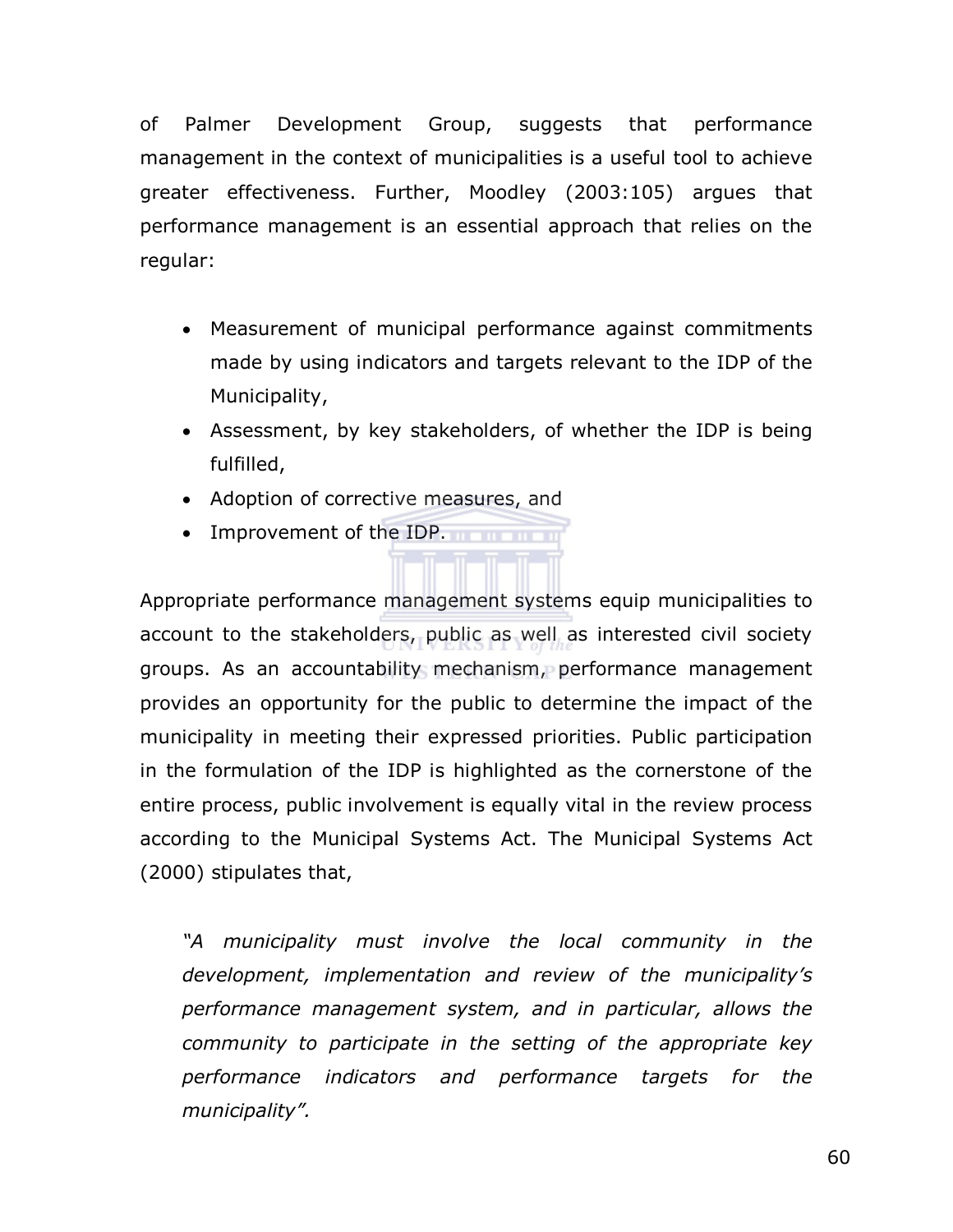of Palmer Development Group, suggests that performance management in the context of municipalities is a useful tool to achieve greater effectiveness. Further, Moodley (2003:105) argues that performance management is an essential approach that relies on the regular:

- · Measurement of municipal performance against commitments made by using indicators and targets relevant to the IDP of the Municipality,
- · Assessment, by key stakeholders, of whether the IDP is being fulfilled,
- · Adoption of corrective measures, and
- · Improvement of the IDP.

Appropriate performance management systems equip municipalities to account to the stakeholders, public as well as interested civil society groups. As an accountability mechanism, performance management provides an opportunity for the public to determine the impact of the municipality in meeting their expressed priorities. Public participation in the formulation of the IDP is highlighted as the cornerstone of the entire process, public involvement is equally vital in the review process according to the Municipal Systems Act. The Municipal Systems Act (2000) stipulates that,

*"A municipality must involve the local community in the development, implementation and review of the municipality's performance management system, and in particular, allows the community to participate in the setting of the appropriate key performance indicators and performance targets for the municipality".*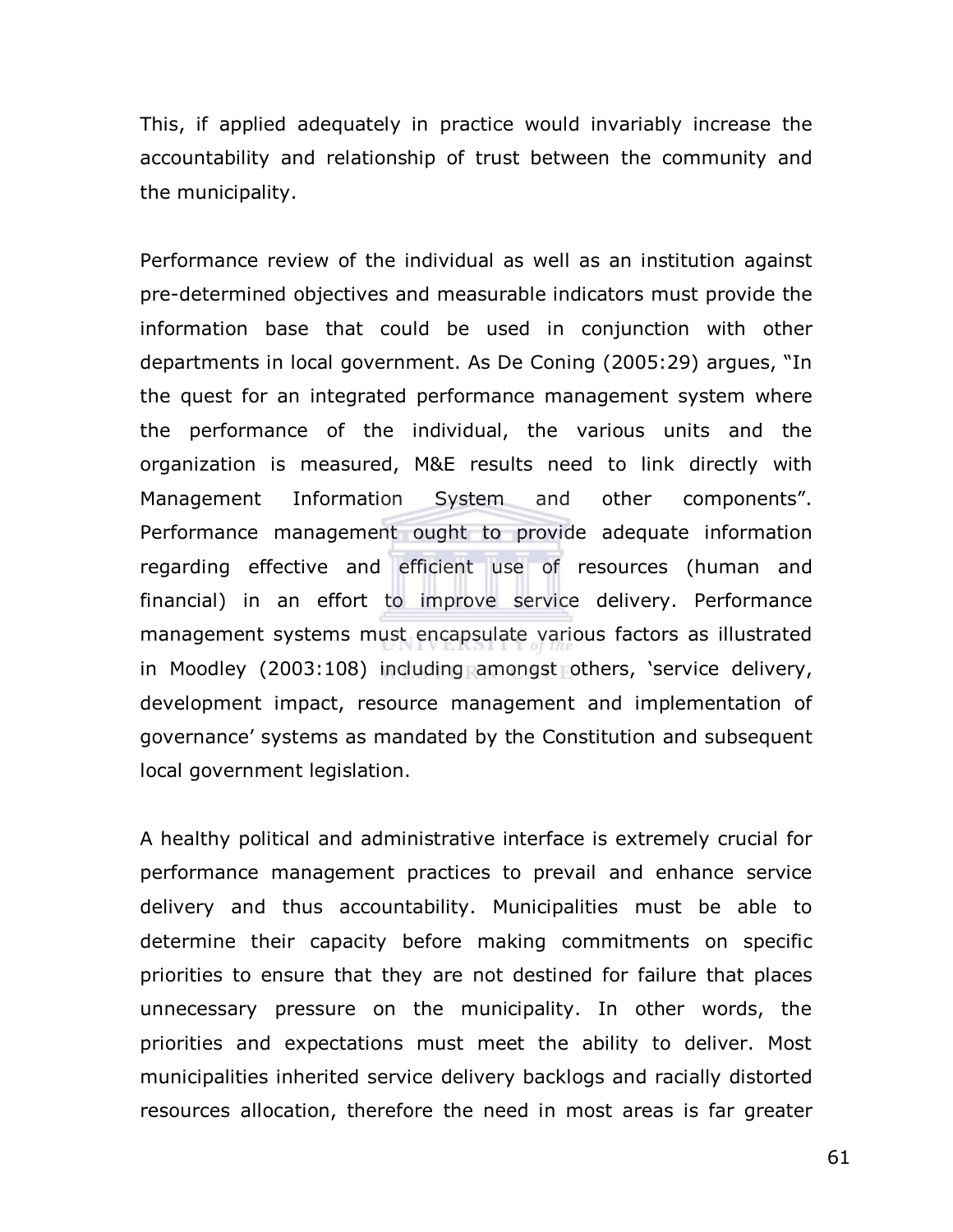This, if applied adequately in practice would invariably increase the accountability and relationship of trust between the community and the municipality.

Performance review of the individual as well as an institution against pre-determined objectives and measurable indicators must provide the information base that could be used in conjunction with other departments in local government. As De Coning (2005:29) argues, "In the quest for an integrated performance management system where the performance of the individual, the various units and the organization is measured, M&E results need to link directly with Management Information System and other components". Performance management ought to provide adequate information regarding effective and efficient use of resources (human and financial) in an effort to improve service delivery. Performance management systems must encapsulate various factors as illustrated in Moodley (2003:108) including amongst others, 'service delivery, development impact, resource management and implementation of governance' systems as mandated by the Constitution and subsequent local government legislation.

A healthy political and administrative interface is extremely crucial for performance management practices to prevail and enhance service delivery and thus accountability. Municipalities must be able to determine their capacity before making commitments on specific priorities to ensure that they are not destined for failure that places unnecessary pressure on the municipality. In other words, the priorities and expectations must meet the ability to deliver. Most municipalities inherited service delivery backlogs and racially distorted resources allocation, therefore the need in most areas is far greater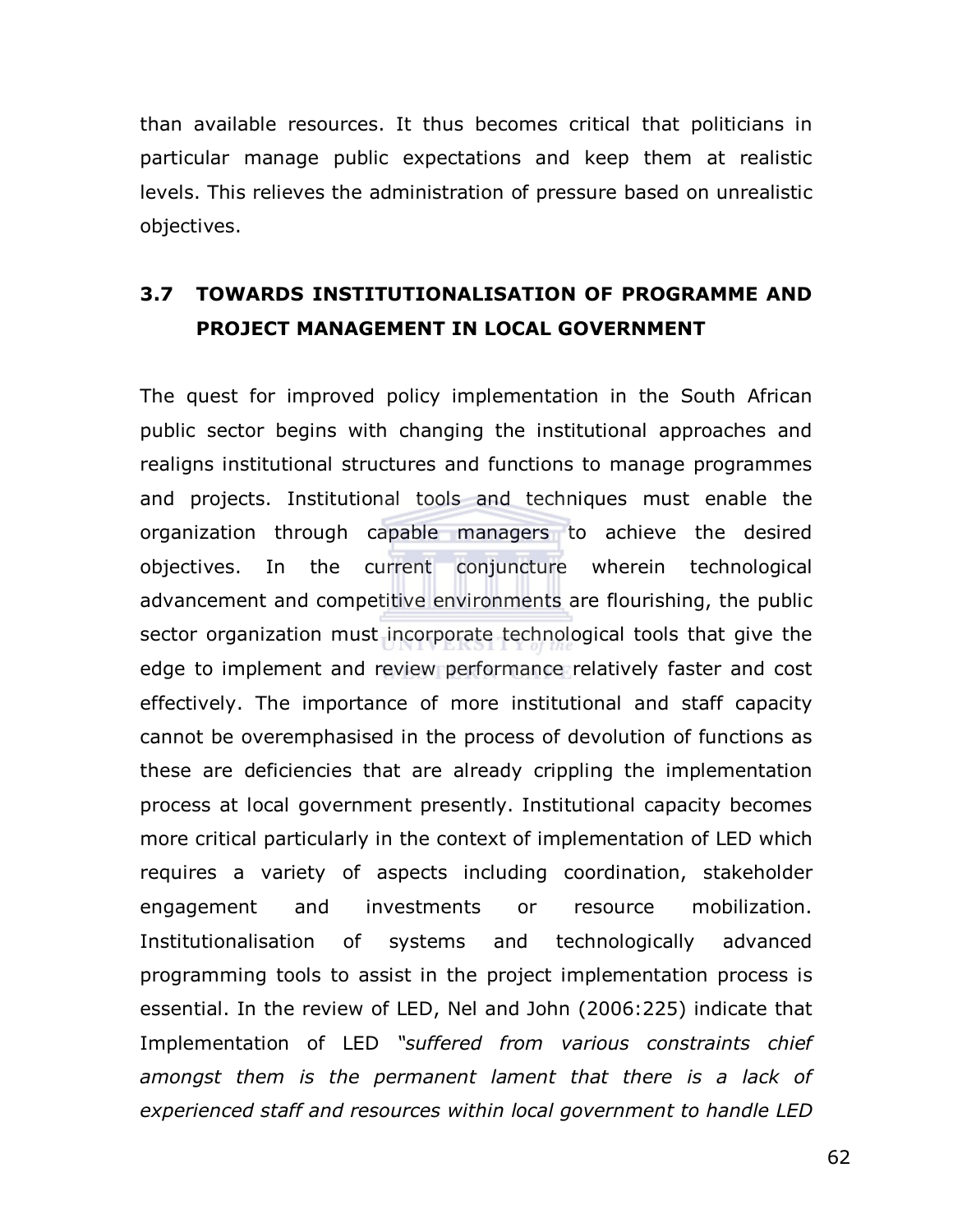than available resources. It thus becomes critical that politicians in particular manage public expectations and keep them at realistic levels. This relieves the administration of pressure based on unrealistic objectives.

# **3.7 TOWARDS INSTITUTIONALISATION OF PROGRAMME AND PROJECT MANAGEMENT IN LOCAL GOVERNMENT**

The quest for improved policy implementation in the South African public sector begins with changing the institutional approaches and realigns institutional structures and functions to manage programmes and projects. Institutional tools and techniques must enable the organization through capable managers to achieve the desired objectives. In the current conjuncture wherein technological advancement and competitive environments are flourishing, the public sector organization must incorporate technological tools that give the edge to implement and review performance relatively faster and cost effectively. The importance of more institutional and staff capacity cannot be overemphasised in the process of devolution of functions as these are deficiencies that are already crippling the implementation process at local government presently. Institutional capacity becomes more critical particularly in the context of implementation of LED which requires a variety of aspects including coordination, stakeholder engagement and investments or resource mobilization. Institutionalisation of systems and technologically advanced programming tools to assist in the project implementation process is essential. In the review of LED, Nel and John (2006:225) indicate that Implementation of LED *"suffered from various constraints chief amongst them is the permanent lament that there is a lack of experienced staff and resources within local government to handle LED*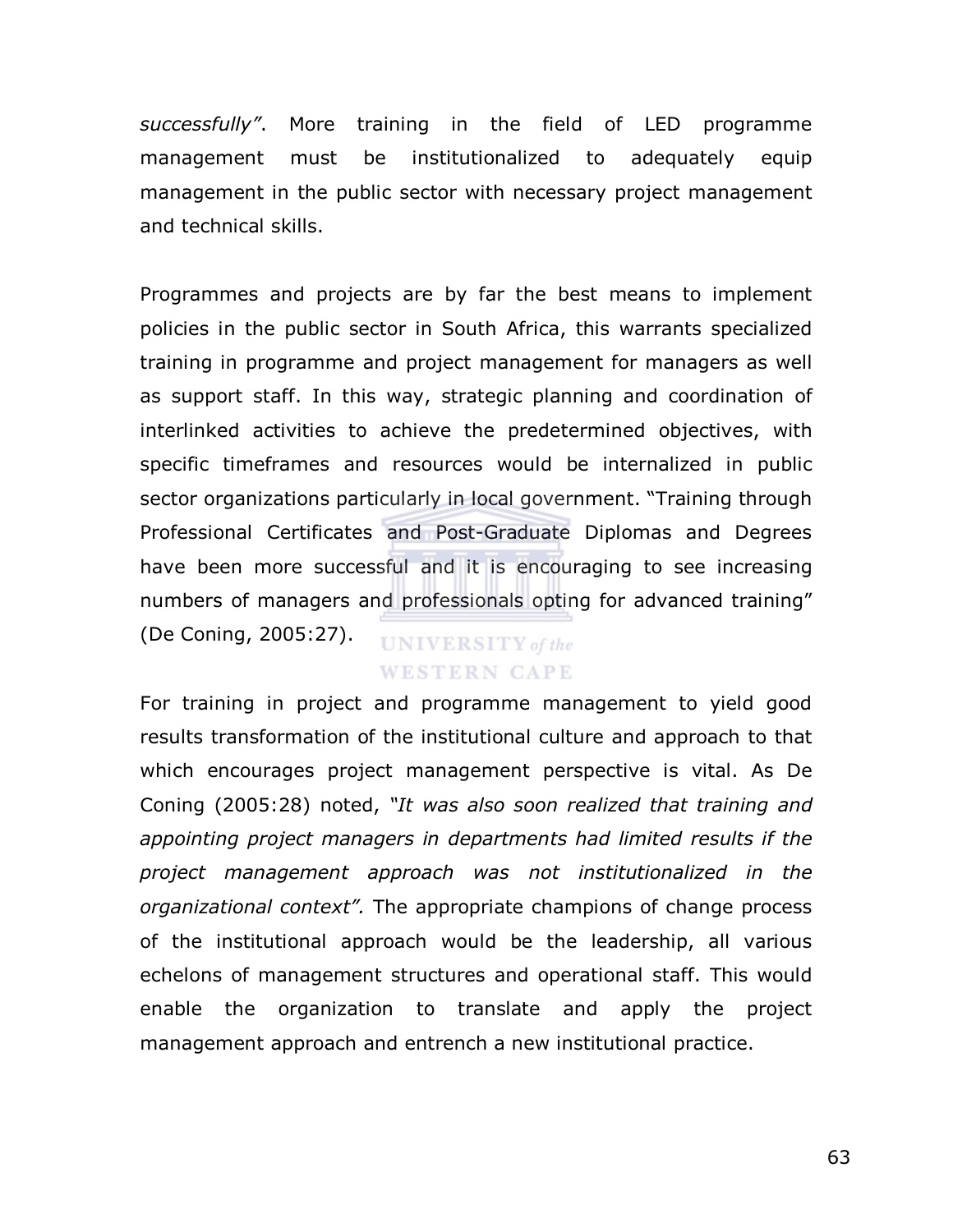*successfully"*. More training in the field of LED programme management must be institutionalized to adequately equip management in the public sector with necessary project management and technical skills.

Programmes and projects are by far the best means to implement policies in the public sector in South Africa, this warrants specialized training in programme and project management for managers as well as support staff. In this way, strategic planning and coordination of interlinked activities to achieve the predetermined objectives, with specific timeframes and resources would be internalized in public sector organizations particularly in local government. "Training through Professional Certificates and Post-Graduate Diplomas and Degrees have been more successful and it is encouraging to see increasing numbers of managers and professionals opting for advanced training" (De Coning, 2005:27). **UNIVERSITY** of the

# **WESTERN CAPE**

For training in project and programme management to yield good results transformation of the institutional culture and approach to that which encourages project management perspective is vital. As De Coning (2005:28) noted, *"It was also soon realized that training and appointing project managers in departments had limited results if the project management approach was not institutionalized in the organizational context".* The appropriate champions of change process of the institutional approach would be the leadership, all various echelons of management structures and operational staff. This would enable the organization to translate and apply the project management approach and entrench a new institutional practice.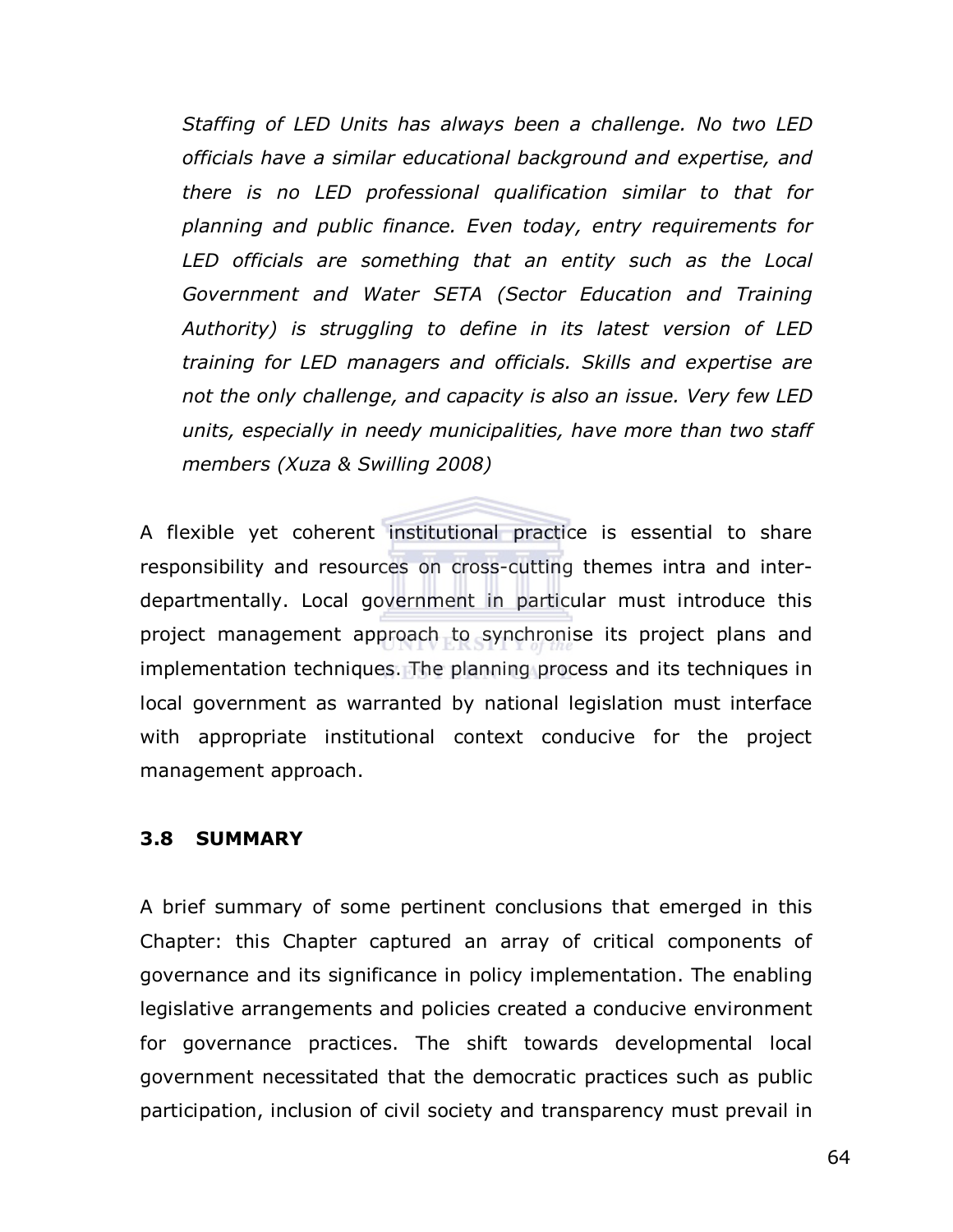*Staffing of LED Units has always been a challenge. No two LED officials have a similar educational background and expertise, and there is no LED professional qualification similar to that for planning and public finance. Even today, entry requirements for LED officials are something that an entity such as the Local Government and Water SETA (Sector Education and Training Authority) is struggling to define in its latest version of LED training for LED managers and officials. Skills and expertise are not the only challenge, and capacity is also an issue. Very few LED units, especially in needy municipalities, have more than two staff members (Xuza & Swilling 2008)* 

A flexible yet coherent institutional practice is essential to share responsibility and resources on cross-cutting themes intra and interdepartmentally. Local government in particular must introduce this project management approach to synchronise its project plans and implementation techniques. The planning process and its techniques in local government as warranted by national legislation must interface with appropriate institutional context conducive for the project management approach.

#### **3.8 SUMMARY**

A brief summary of some pertinent conclusions that emerged in this Chapter: this Chapter captured an array of critical components of governance and its significance in policy implementation. The enabling legislative arrangements and policies created a conducive environment for governance practices. The shift towards developmental local government necessitated that the democratic practices such as public participation, inclusion of civil society and transparency must prevail in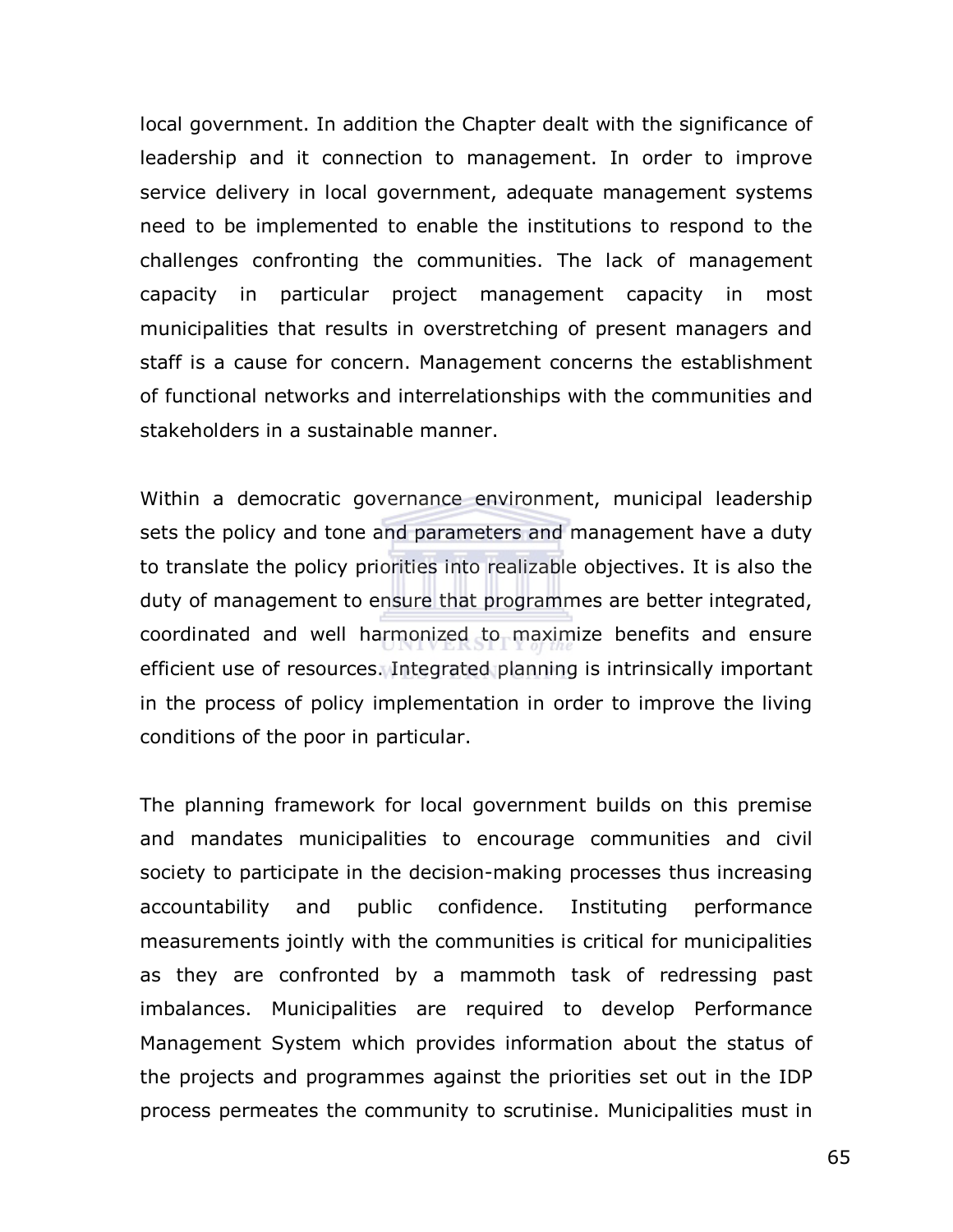local government. In addition the Chapter dealt with the significance of leadership and it connection to management. In order to improve service delivery in local government, adequate management systems need to be implemented to enable the institutions to respond to the challenges confronting the communities. The lack of management capacity in particular project management capacity in most municipalities that results in overstretching of present managers and staff is a cause for concern. Management concerns the establishment of functional networks and interrelationships with the communities and stakeholders in a sustainable manner.

Within a democratic governance environment, municipal leadership sets the policy and tone and parameters and management have a duty to translate the policy priorities into realizable objectives. It is also the duty of management to ensure that programmes are better integrated, coordinated and well harmonized to maximize benefits and ensure efficient use of resources. Integrated planning is intrinsically important in the process of policy implementation in order to improve the living conditions of the poor in particular.

The planning framework for local government builds on this premise and mandates municipalities to encourage communities and civil society to participate in the decision-making processes thus increasing accountability and public confidence. Instituting performance measurements jointly with the communities is critical for municipalities as they are confronted by a mammoth task of redressing past imbalances. Municipalities are required to develop Performance Management System which provides information about the status of the projects and programmes against the priorities set out in the IDP process permeates the community to scrutinise. Municipalities must in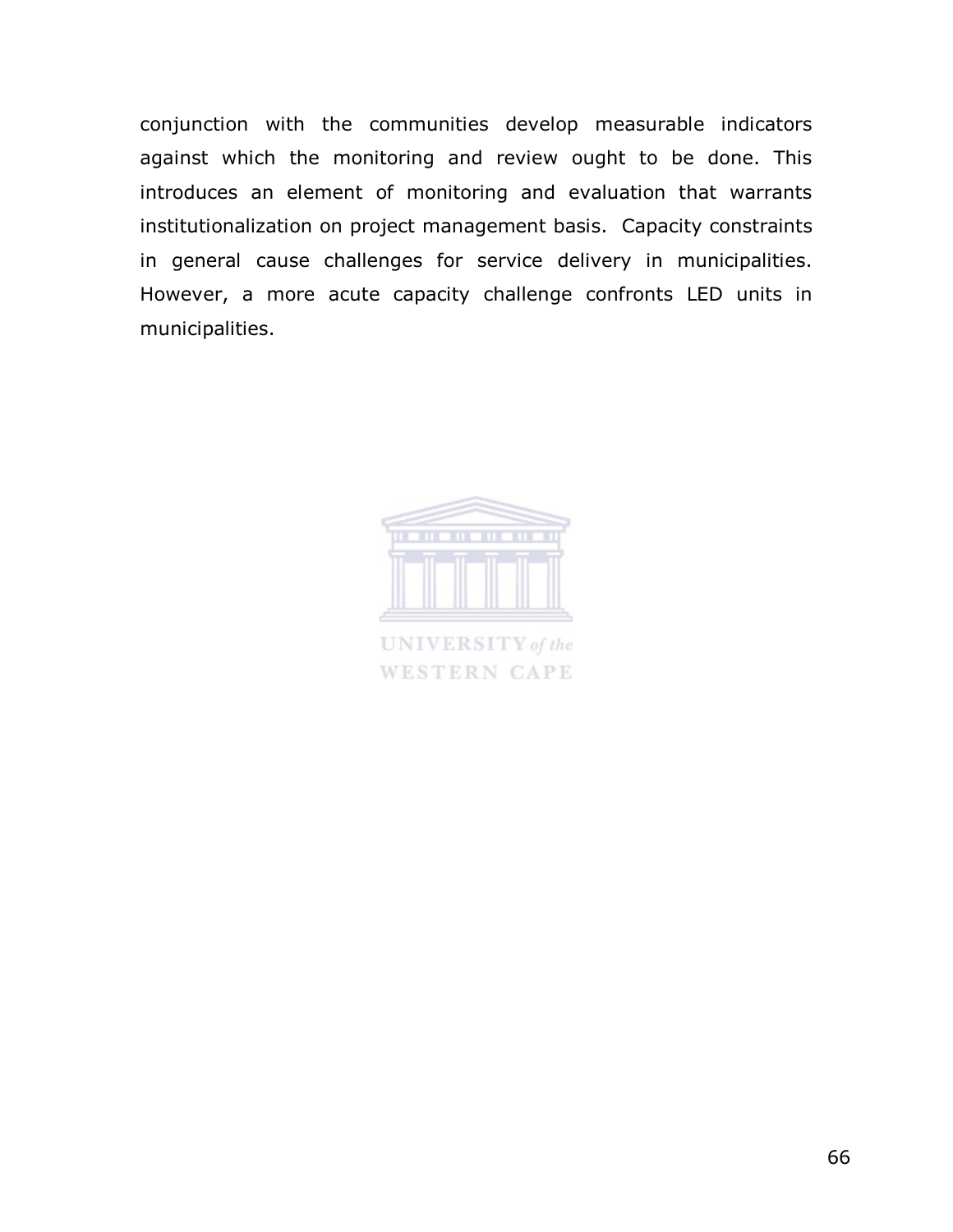conjunction with the communities develop measurable indicators against which the monitoring and review ought to be done. This introduces an element of monitoring and evaluation that warrants institutionalization on project management basis. Capacity constraints in general cause challenges for service delivery in municipalities. However, a more acute capacity challenge confronts LED units in municipalities.



**UNIVERSITY** of the **WESTERN CAPE**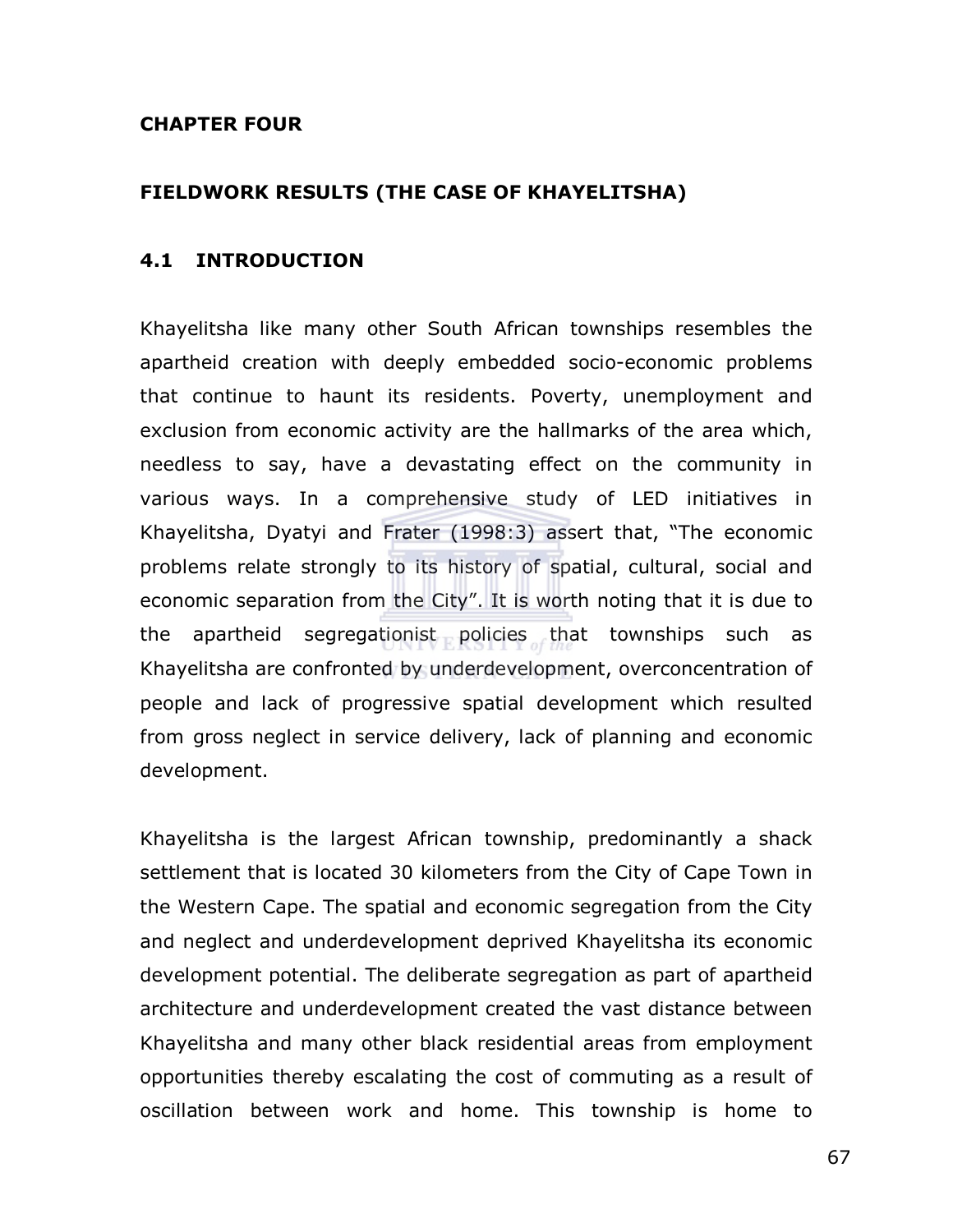#### **CHAPTER FOUR**

#### **FIELDWORK RESULTS (THE CASE OF KHAYELITSHA)**

#### **4.1 INTRODUCTION**

Khayelitsha like many other South African townships resembles the apartheid creation with deeply embedded socio-economic problems that continue to haunt its residents. Poverty, unemployment and exclusion from economic activity are the hallmarks of the area which, needless to say, have a devastating effect on the community in various ways. In a comprehensive study of LED initiatives in Khayelitsha, Dyatyi and Frater (1998:3) assert that, "The economic problems relate strongly to its history of spatial, cultural, social and economic separation from the City". It is worth noting that it is due to the apartheid segregationist policies that townships such as Khayelitsha are confronted by underdevelopment, overconcentration of people and lack of progressive spatial development which resulted from gross neglect in service delivery, lack of planning and economic development.

Khayelitsha is the largest African township, predominantly a shack settlement that is located 30 kilometers from the City of Cape Town in the Western Cape. The spatial and economic segregation from the City and neglect and underdevelopment deprived Khayelitsha its economic development potential. The deliberate segregation as part of apartheid architecture and underdevelopment created the vast distance between Khayelitsha and many other black residential areas from employment opportunities thereby escalating the cost of commuting as a result of oscillation between work and home. This township is home to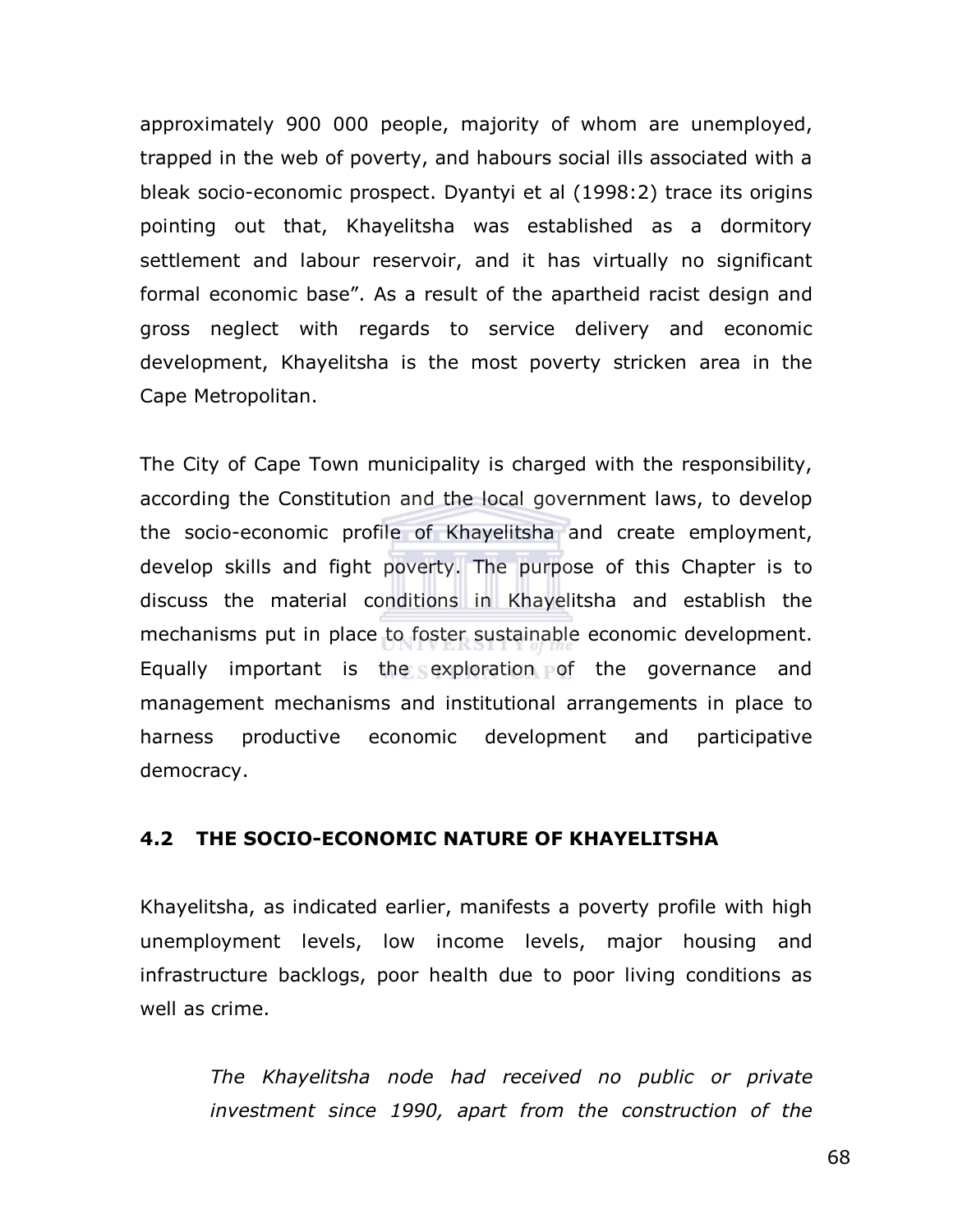approximately 900 000 people, majority of whom are unemployed, trapped in the web of poverty, and habours social ills associated with a bleak socio-economic prospect. Dyantyi et al (1998:2) trace its origins pointing out that, Khayelitsha was established as a dormitory settlement and labour reservoir, and it has virtually no significant formal economic base". As a result of the apartheid racist design and gross neglect with regards to service delivery and economic development, Khayelitsha is the most poverty stricken area in the Cape Metropolitan.

The City of Cape Town municipality is charged with the responsibility, according the Constitution and the local government laws, to develop the socio-economic profile of Khayelitsha and create employment, develop skills and fight poverty. The purpose of this Chapter is to discuss the material conditions in Khayelitsha and establish the mechanisms put in place to foster sustainable economic development. Equally important is the exploration of the governance and management mechanisms and institutional arrangements in place to harness productive economic development and participative democracy.

#### **4.2 THE SOCIO-ECONOMIC NATURE OF KHAYELITSHA**

Khayelitsha, as indicated earlier, manifests a poverty profile with high unemployment levels, low income levels, major housing and infrastructure backlogs, poor health due to poor living conditions as well as crime.

> *The Khayelitsha node had received no public or private investment since 1990, apart from the construction of the*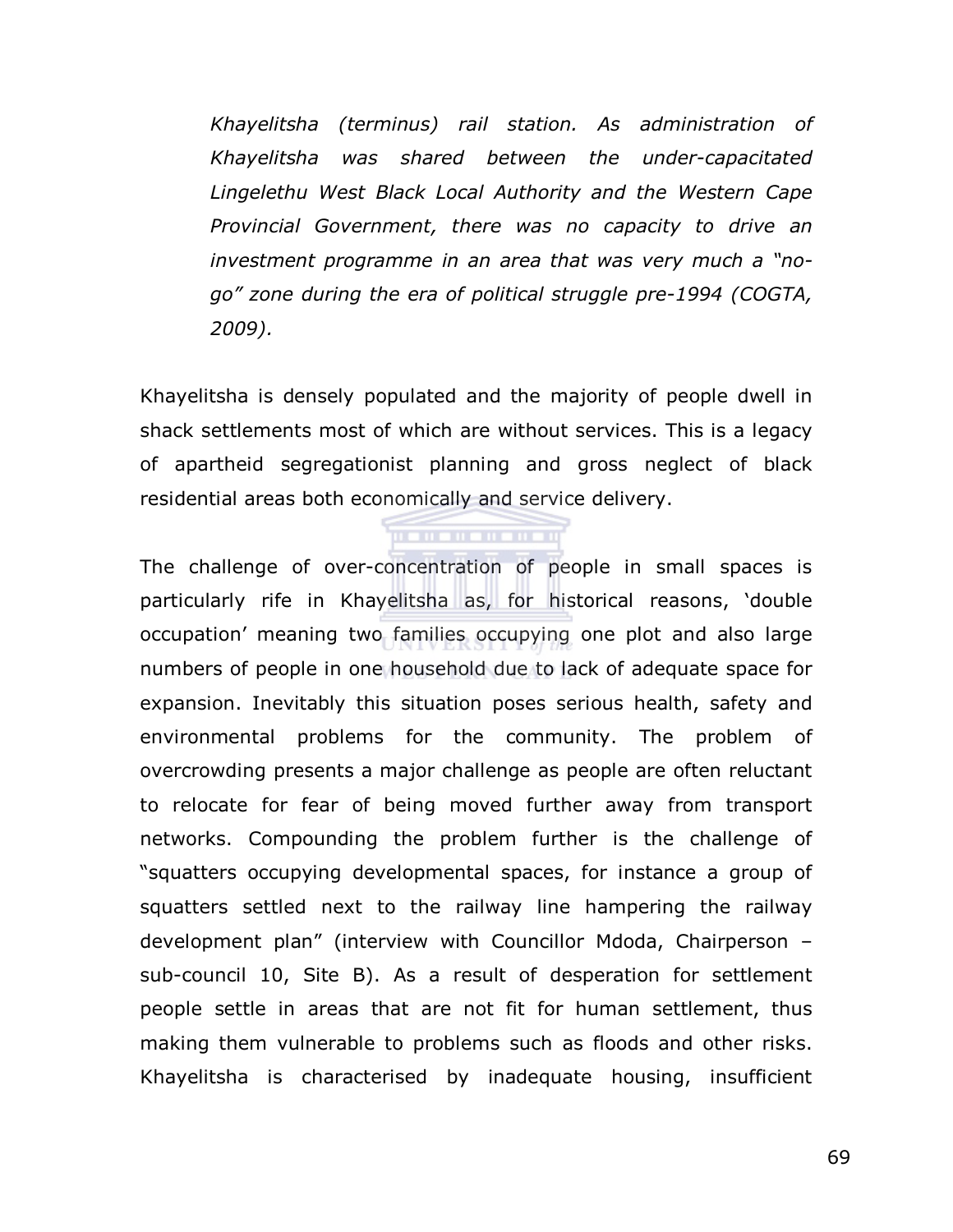*Khayelitsha (terminus) rail station. As administration of Khayelitsha was shared between the under-capacitated Lingelethu West Black Local Authority and the Western Cape Provincial Government, there was no capacity to drive an investment programme in an area that was very much a "nogo" zone during the era of political struggle pre-1994 (COGTA, 2009).*

Khayelitsha is densely populated and the majority of people dwell in shack settlements most of which are without services. This is a legacy of apartheid segregationist planning and gross neglect of black residential areas both economically and service delivery.

The challenge of over-concentration of people in small spaces is particularly rife in Khayelitsha as, for historical reasons, 'double occupation' meaning two families occupying one plot and also large numbers of people in one household due to lack of adequate space for expansion. Inevitably this situation poses serious health, safety and environmental problems for the community. The problem of overcrowding presents a major challenge as people are often reluctant to relocate for fear of being moved further away from transport networks. Compounding the problem further is the challenge of "squatters occupying developmental spaces, for instance a group of squatters settled next to the railway line hampering the railway development plan" (interview with Councillor Mdoda, Chairperson – sub-council 10, Site B). As a result of desperation for settlement people settle in areas that are not fit for human settlement, thus making them vulnerable to problems such as floods and other risks. Khayelitsha is characterised by inadequate housing, insufficient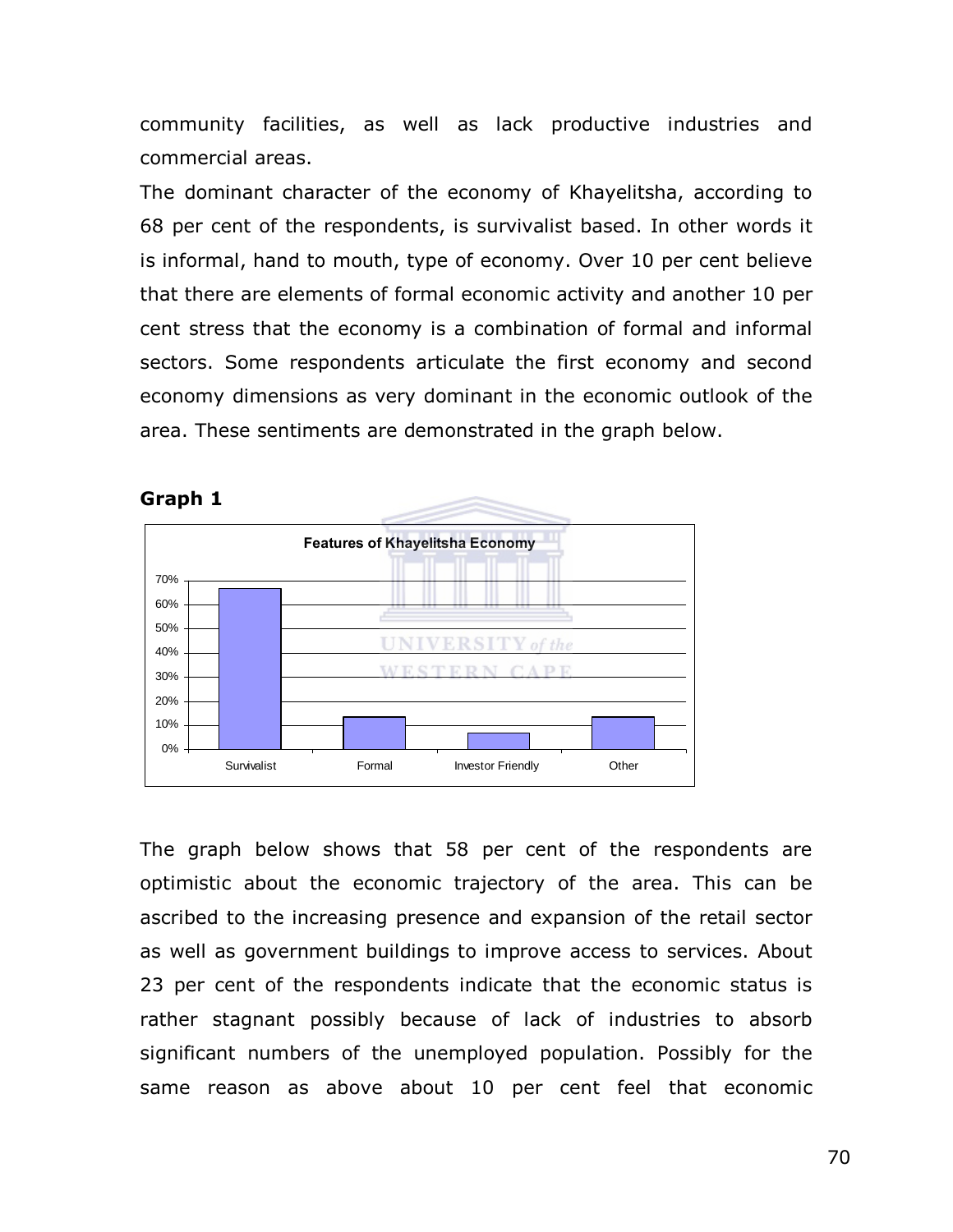community facilities, as well as lack productive industries and commercial areas.

The dominant character of the economy of Khayelitsha, according to 68 per cent of the respondents, is survivalist based. In other words it is informal, hand to mouth, type of economy. Over 10 per cent believe that there are elements of formal economic activity and another 10 per cent stress that the economy is a combination of formal and informal sectors. Some respondents articulate the first economy and second economy dimensions as very dominant in the economic outlook of the area. These sentiments are demonstrated in the graph below.



#### **Graph 1**

The graph below shows that 58 per cent of the respondents are optimistic about the economic trajectory of the area. This can be ascribed to the increasing presence and expansion of the retail sector as well as government buildings to improve access to services. About 23 per cent of the respondents indicate that the economic status is rather stagnant possibly because of lack of industries to absorb significant numbers of the unemployed population. Possibly for the same reason as above about 10 per cent feel that economic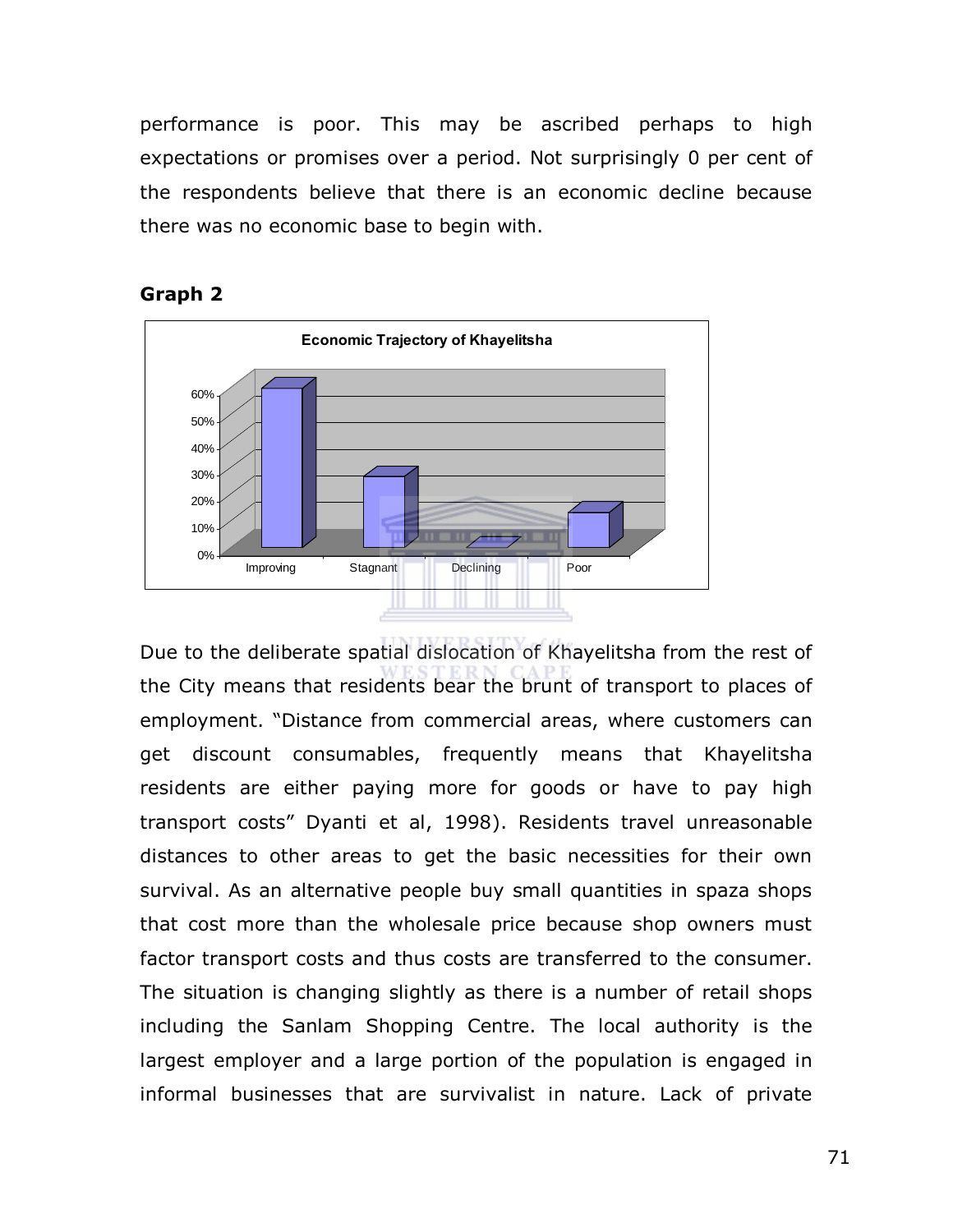performance is poor. This may be ascribed perhaps to high expectations or promises over a period. Not surprisingly 0 per cent of the respondents believe that there is an economic decline because there was no economic base to begin with.



#### **Graph 2**

Due to the deliberate spatial dislocation of Khayelitsha from the rest of the City means that residents bear the brunt of transport to places of employment. "Distance from commercial areas, where customers can get discount consumables, frequently means that Khayelitsha residents are either paying more for goods or have to pay high transport costs" Dyanti et al, 1998). Residents travel unreasonable distances to other areas to get the basic necessities for their own survival. As an alternative people buy small quantities in spaza shops that cost more than the wholesale price because shop owners must factor transport costs and thus costs are transferred to the consumer. The situation is changing slightly as there is a number of retail shops including the Sanlam Shopping Centre. The local authority is the largest employer and a large portion of the population is engaged in informal businesses that are survivalist in nature. Lack of private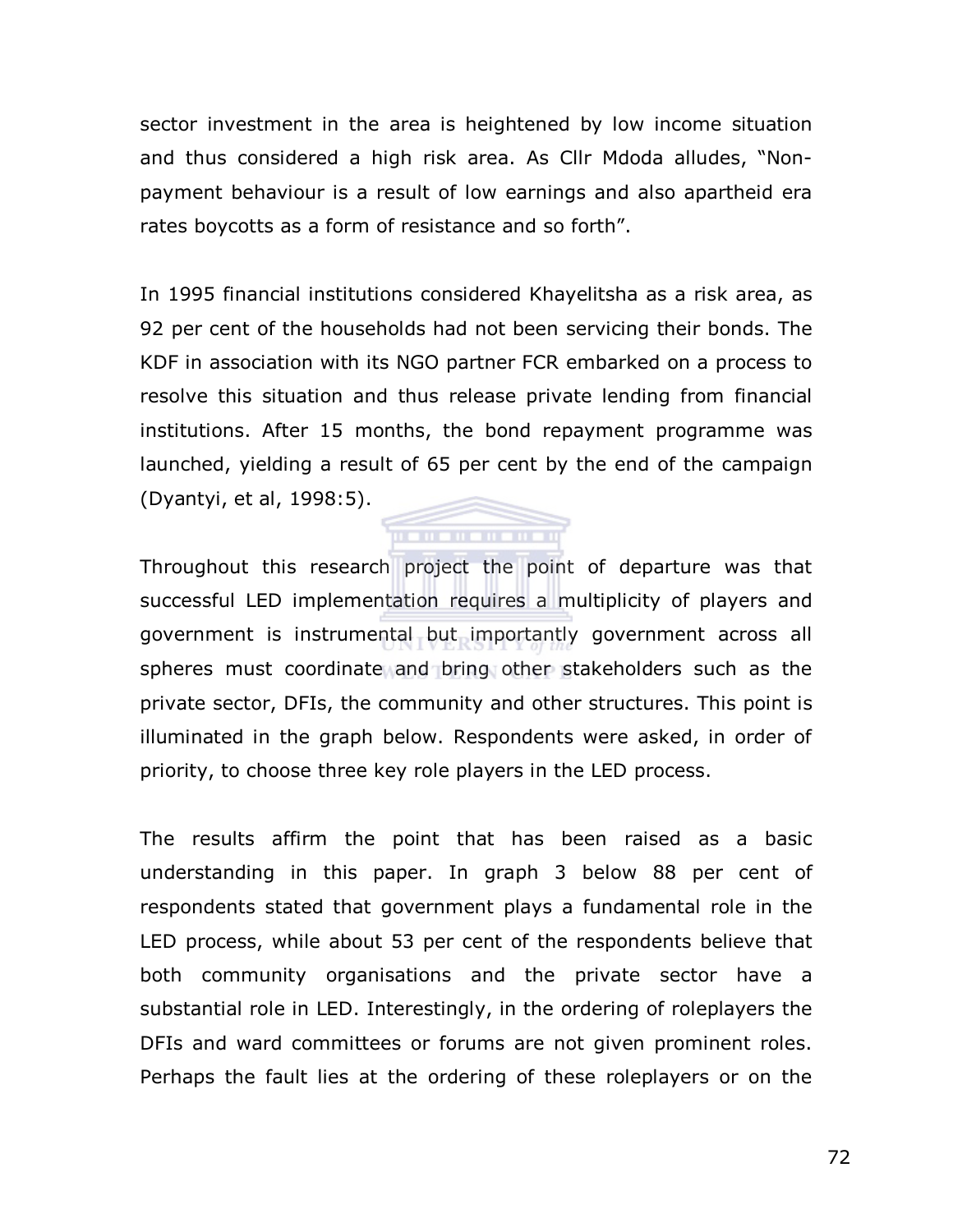sector investment in the area is heightened by low income situation and thus considered a high risk area. As Cllr Mdoda alludes, "Nonpayment behaviour is a result of low earnings and also apartheid era rates boycotts as a form of resistance and so forth".

In 1995 financial institutions considered Khayelitsha as a risk area, as 92 per cent of the households had not been servicing their bonds. The KDF in association with its NGO partner FCR embarked on a process to resolve this situation and thus release private lending from financial institutions. After 15 months, the bond repayment programme was launched, yielding a result of 65 per cent by the end of the campaign (Dyantyi, et al, 1998:5).

,,,,,,,,,,,,,,,,,

Throughout this research project the point of departure was that successful LED implementation requires a multiplicity of players and government is instrumental but importantly government across all spheres must coordinate and bring other stakeholders such as the private sector, DFIs, the community and other structures. This point is illuminated in the graph below. Respondents were asked, in order of priority, to choose three key role players in the LED process.

The results affirm the point that has been raised as a basic understanding in this paper. In graph 3 below 88 per cent of respondents stated that government plays a fundamental role in the LED process, while about 53 per cent of the respondents believe that both community organisations and the private sector have a substantial role in LED. Interestingly, in the ordering of roleplayers the DFIs and ward committees or forums are not given prominent roles. Perhaps the fault lies at the ordering of these roleplayers or on the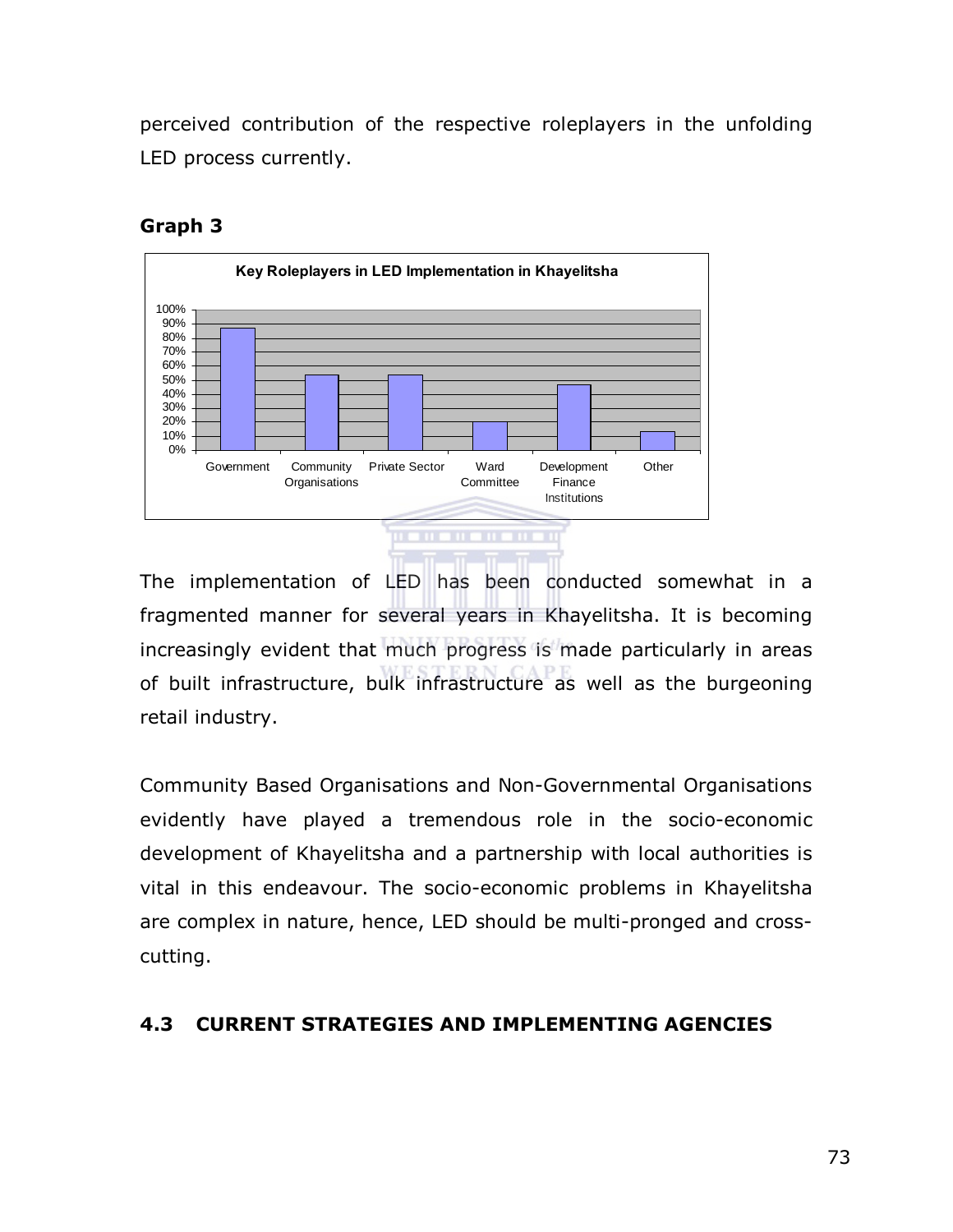perceived contribution of the respective roleplayers in the unfolding LED process currently.

# **Graph 3**



The implementation of LED has been conducted somewhat in a fragmented manner for several years in Khayelitsha. It is becoming increasingly evident that much progress is made particularly in areas of built infrastructure, bulk infrastructure as well as the burgeoning retail industry.

Community Based Organisations and Non-Governmental Organisations evidently have played a tremendous role in the socio-economic development of Khayelitsha and a partnership with local authorities is vital in this endeavour. The socio-economic problems in Khayelitsha are complex in nature, hence, LED should be multi-pronged and crosscutting.

# **4.3 CURRENT STRATEGIES AND IMPLEMENTING AGENCIES**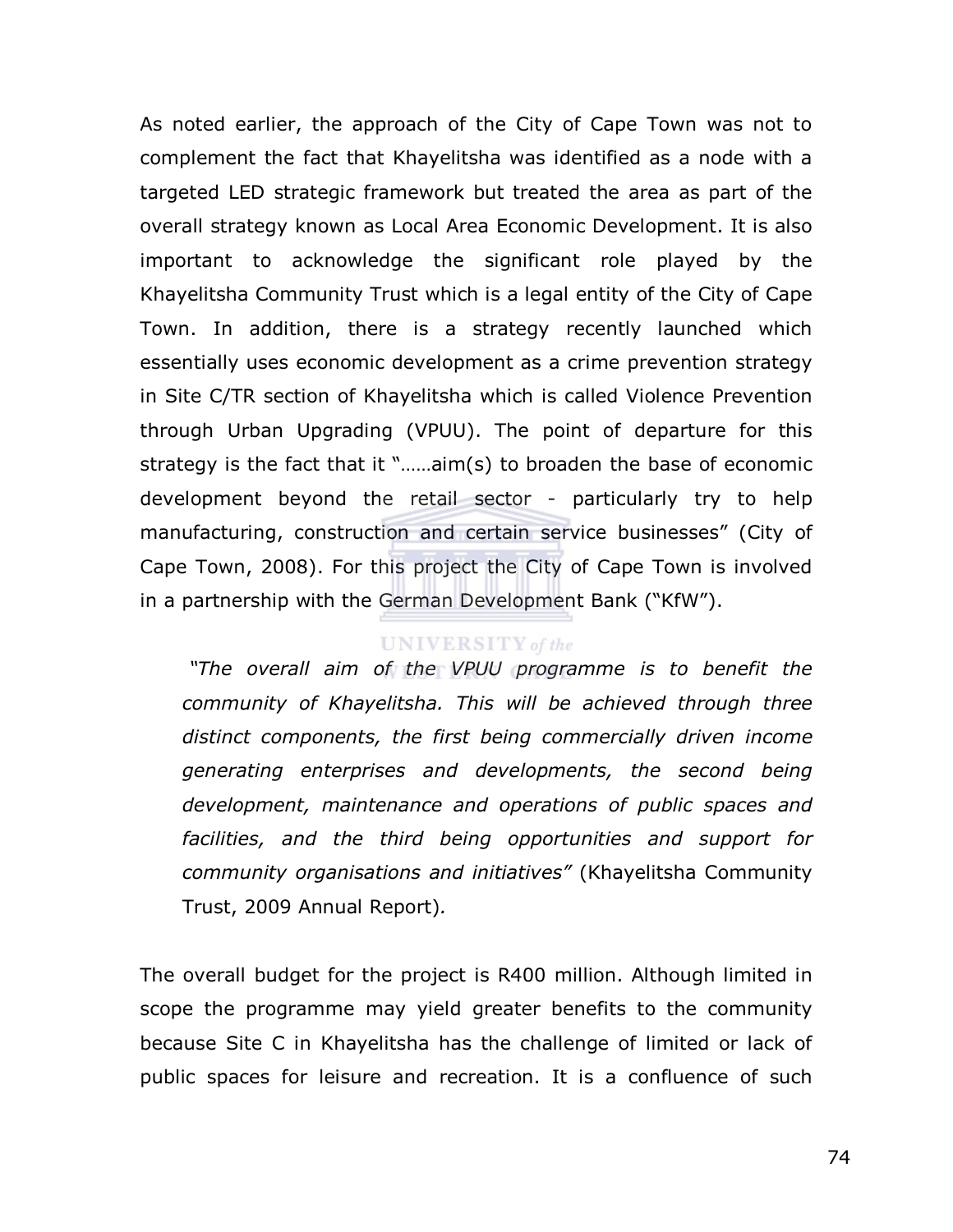As noted earlier, the approach of the City of Cape Town was not to complement the fact that Khayelitsha was identified as a node with a targeted LED strategic framework but treated the area as part of the overall strategy known as Local Area Economic Development. It is also important to acknowledge the significant role played by the Khayelitsha Community Trust which is a legal entity of the City of Cape Town. In addition, there is a strategy recently launched which essentially uses economic development as a crime prevention strategy in Site C/TR section of Khayelitsha which is called Violence Prevention through Urban Upgrading (VPUU). The point of departure for this strategy is the fact that it "……aim(s) to broaden the base of economic development beyond the retail sector - particularly try to help manufacturing, construction and certain service businesses" (City of Cape Town, 2008). For this project the City of Cape Town is involved in a partnership with the German Development Bank ("KfW").

#### **UNIVERSITY** of the

*"The overall aim of the VPUU programme is to benefit the community of Khayelitsha. This will be achieved through three distinct components, the first being commercially driven income generating enterprises and developments, the second being development, maintenance and operations of public spaces and facilities, and the third being opportunities and support for community organisations and initiatives"* (Khayelitsha Community Trust, 2009 Annual Report)*.*

The overall budget for the project is R400 million. Although limited in scope the programme may yield greater benefits to the community because Site C in Khayelitsha has the challenge of limited or lack of public spaces for leisure and recreation. It is a confluence of such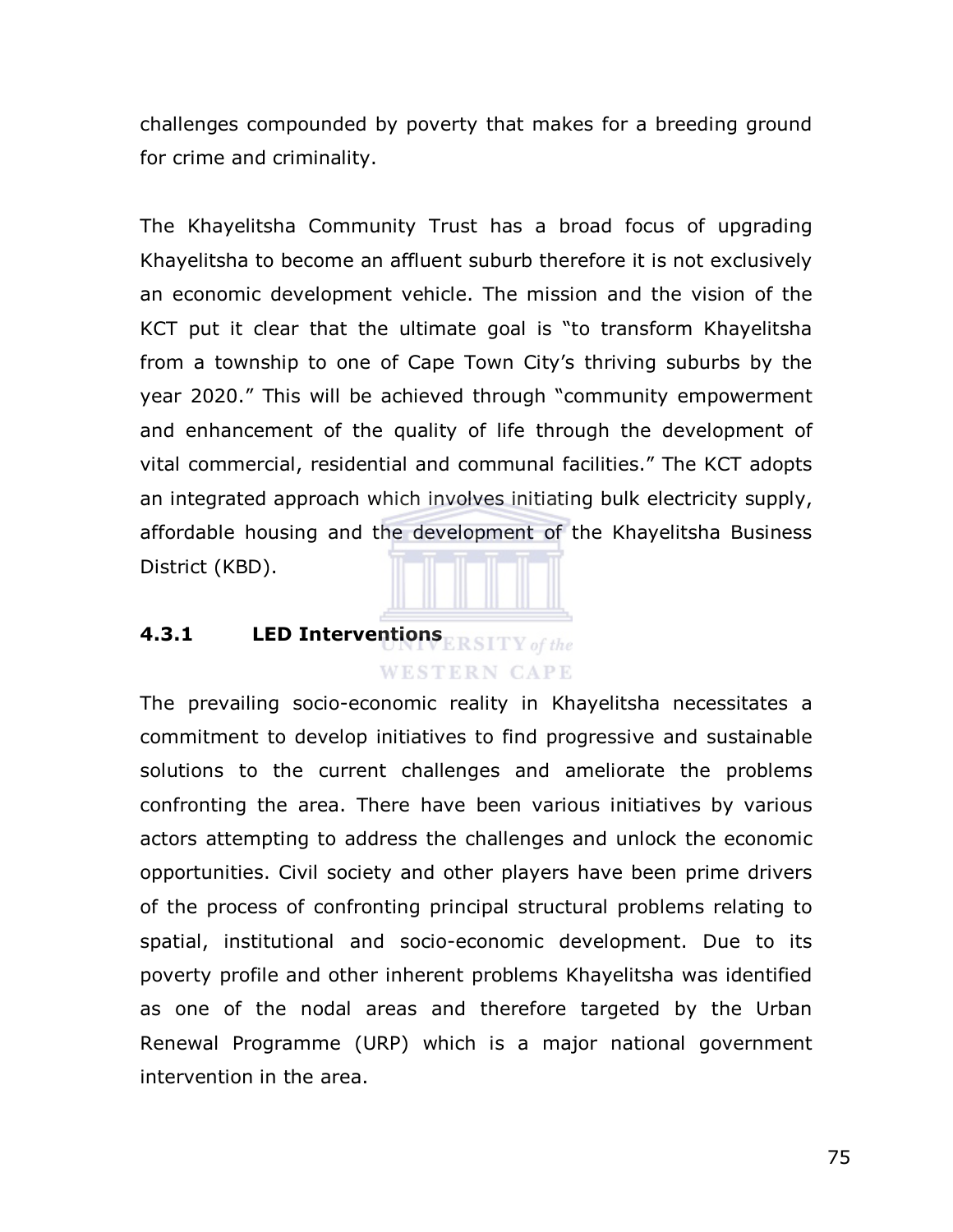challenges compounded by poverty that makes for a breeding ground for crime and criminality.

The Khayelitsha Community Trust has a broad focus of upgrading Khayelitsha to become an affluent suburb therefore it is not exclusively an economic development vehicle. The mission and the vision of the KCT put it clear that the ultimate goal is "to transform Khayelitsha from a township to one of Cape Town City's thriving suburbs by the year 2020." This will be achieved through "community empowerment and enhancement of the quality of life through the development of vital commercial, residential and communal facilities." The KCT adopts an integrated approach which involves initiating bulk electricity supply, affordable housing and the development of the Khayelitsha Business District (KBD).

# **4.3.1 LED Interventions ERSITY of the WESTERN CAPE**

The prevailing socio-economic reality in Khayelitsha necessitates a commitment to develop initiatives to find progressive and sustainable solutions to the current challenges and ameliorate the problems confronting the area. There have been various initiatives by various actors attempting to address the challenges and unlock the economic opportunities. Civil society and other players have been prime drivers of the process of confronting principal structural problems relating to spatial, institutional and socio-economic development. Due to its poverty profile and other inherent problems Khayelitsha was identified as one of the nodal areas and therefore targeted by the Urban Renewal Programme (URP) which is a major national government intervention in the area.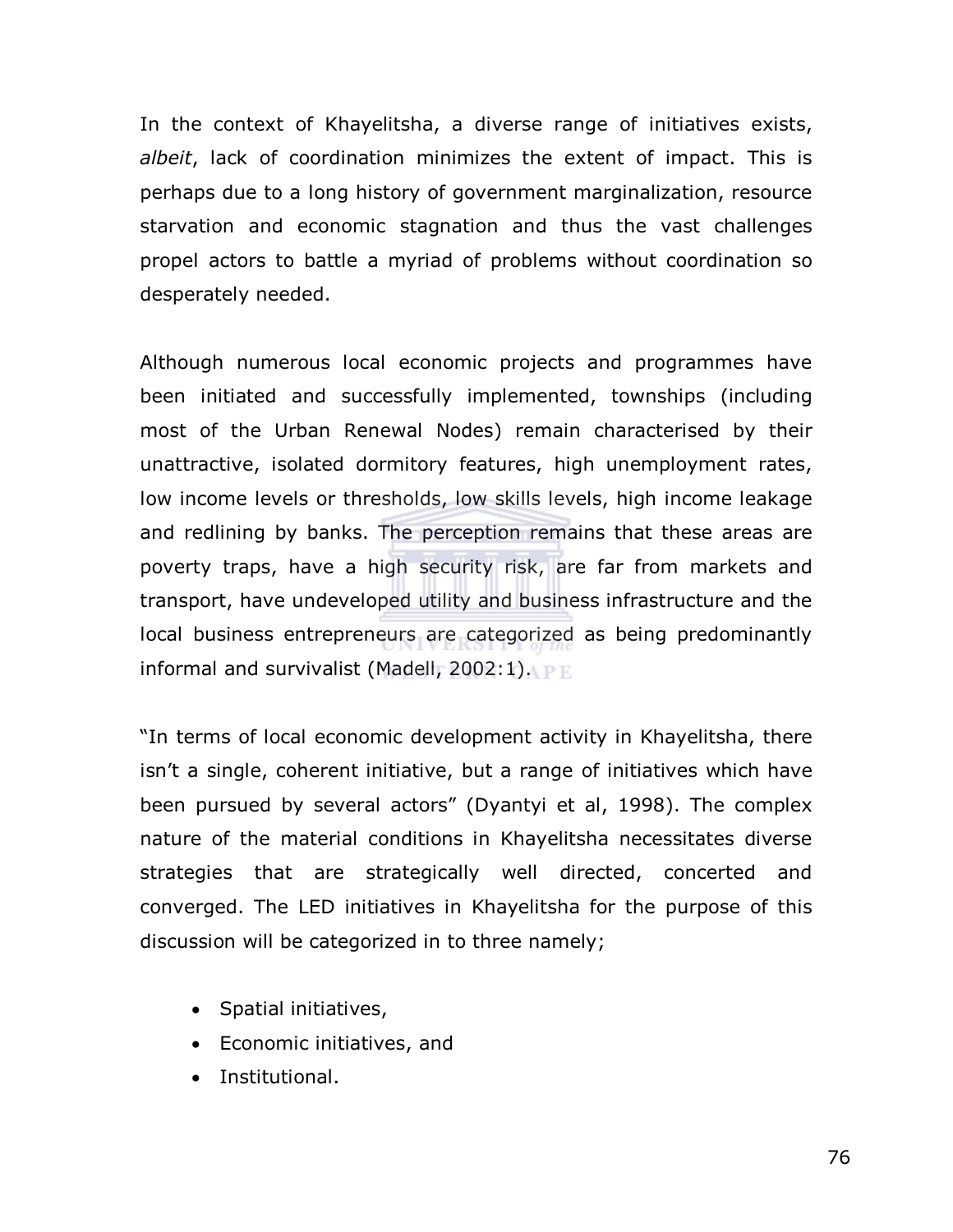In the context of Khayelitsha, a diverse range of initiatives exists, *albeit*, lack of coordination minimizes the extent of impact. This is perhaps due to a long history of government marginalization, resource starvation and economic stagnation and thus the vast challenges propel actors to battle a myriad of problems without coordination so desperately needed.

Although numerous local economic projects and programmes have been initiated and successfully implemented, townships (including most of the Urban Renewal Nodes) remain characterised by their unattractive, isolated dormitory features, high unemployment rates, low income levels or thresholds, low skills levels, high income leakage and redlining by banks. The perception remains that these areas are poverty traps, have a high security risk, are far from markets and transport, have undeveloped utility and business infrastructure and the local business entrepreneurs are categorized as being predominantly informal and survivalist (Madell, 2002:1).

"In terms of local economic development activity in Khayelitsha, there isn't a single, coherent initiative, but a range of initiatives which have been pursued by several actors" (Dyantyi et al, 1998). The complex nature of the material conditions in Khayelitsha necessitates diverse strategies that are strategically well directed, concerted and converged. The LED initiatives in Khayelitsha for the purpose of this discussion will be categorized in to three namely;

- · Spatial initiatives,
- · Economic initiatives, and
- · Institutional.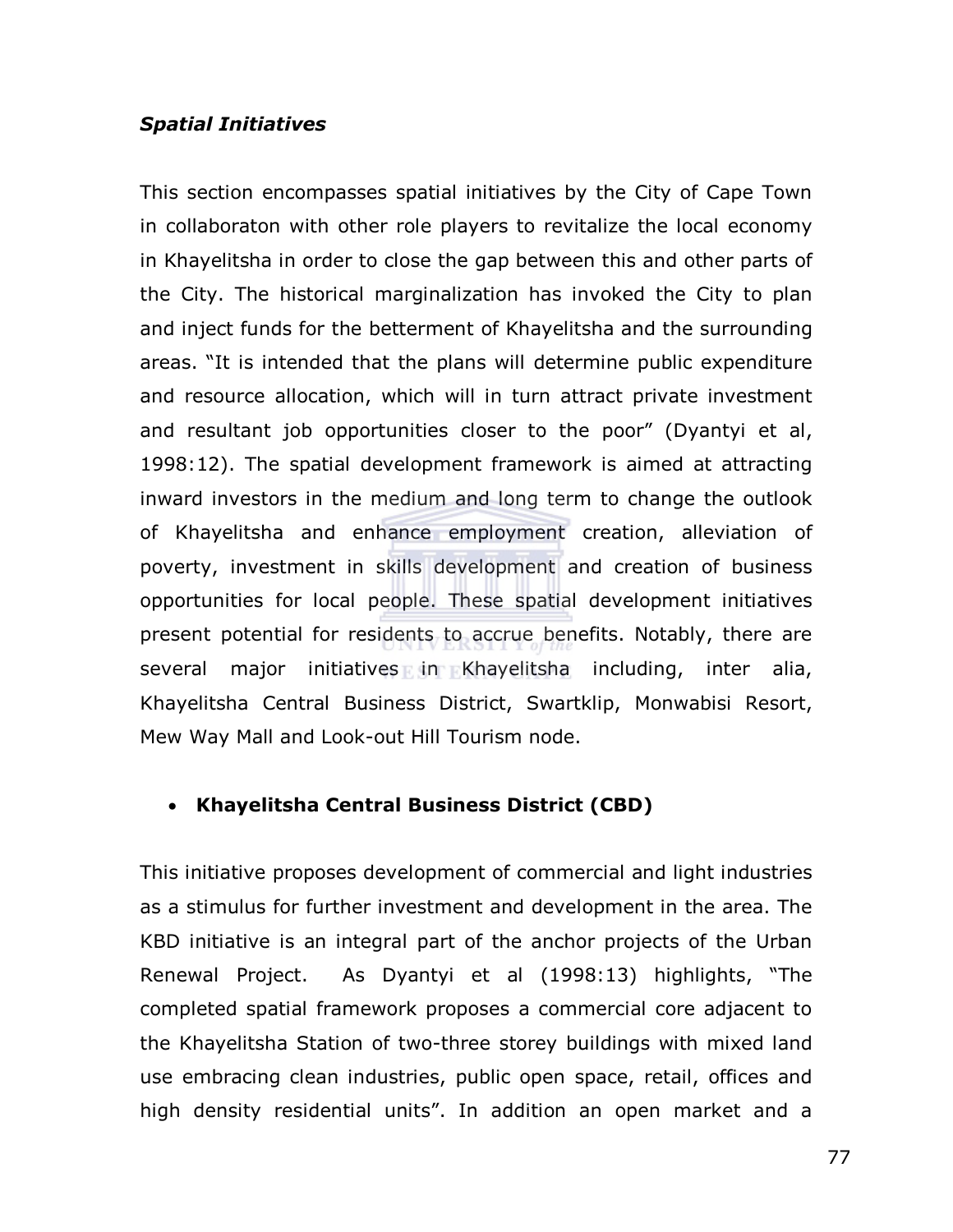#### *Spatial Initiatives*

This section encompasses spatial initiatives by the City of Cape Town in collaboraton with other role players to revitalize the local economy in Khayelitsha in order to close the gap between this and other parts of the City. The historical marginalization has invoked the City to plan and inject funds for the betterment of Khayelitsha and the surrounding areas. "It is intended that the plans will determine public expenditure and resource allocation, which will in turn attract private investment and resultant job opportunities closer to the poor" (Dyantyi et al, 1998:12). The spatial development framework is aimed at attracting inward investors in the medium and long term to change the outlook of Khayelitsha and enhance employment creation, alleviation of poverty, investment in skills development and creation of business opportunities for local people. These spatial development initiatives present potential for residents to accrue benefits. Notably, there are several major initiatives  $\lim_{k \to \infty} K$ hayelitsha including, inter alia, Khayelitsha Central Business District, Swartklip, Monwabisi Resort, Mew Way Mall and Look-out Hill Tourism node.

#### · **Khayelitsha Central Business District (CBD)**

This initiative proposes development of commercial and light industries as a stimulus for further investment and development in the area. The KBD initiative is an integral part of the anchor projects of the Urban Renewal Project. As Dyantyi et al (1998:13) highlights, "The completed spatial framework proposes a commercial core adjacent to the Khayelitsha Station of two-three storey buildings with mixed land use embracing clean industries, public open space, retail, offices and high density residential units". In addition an open market and a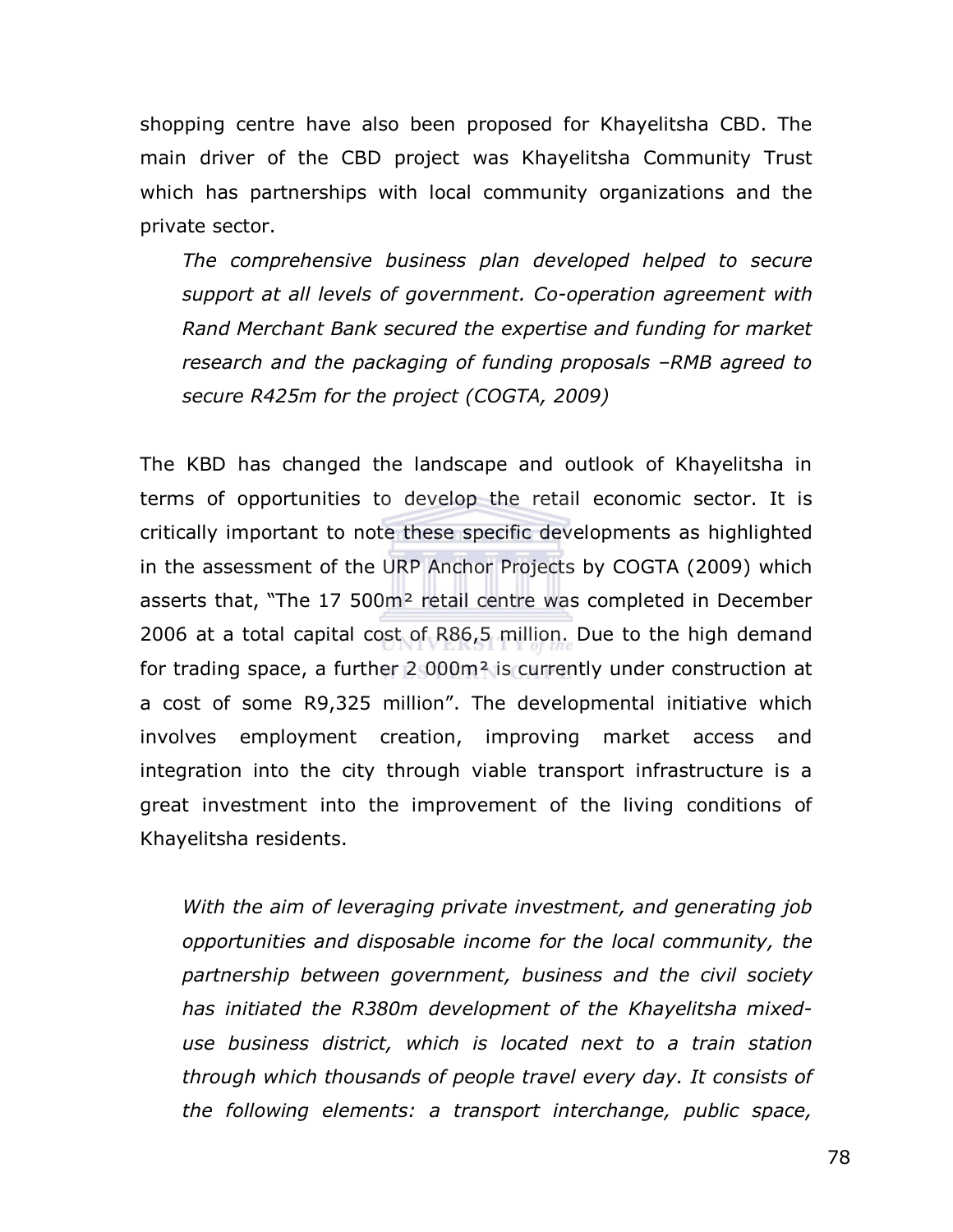shopping centre have also been proposed for Khayelitsha CBD. The main driver of the CBD project was Khayelitsha Community Trust which has partnerships with local community organizations and the private sector.

*The comprehensive business plan developed helped to secure support at all levels of government. Co-operation agreement with Rand Merchant Bank secured the expertise and funding for market research and the packaging of funding proposals –RMB agreed to secure R425m for the project (COGTA, 2009)* 

The KBD has changed the landscape and outlook of Khayelitsha in terms of opportunities to develop the retail economic sector. It is critically important to note these specific developments as highlighted in the assessment of the URP Anchor Projects by COGTA (2009) which asserts that, "The 17 500m² retail centre was completed in December 2006 at a total capital cost of R86,5 million. Due to the high demand for trading space, a further 2 000m² is currently under construction at a cost of some R9,325 million". The developmental initiative which involves employment creation, improving market access and integration into the city through viable transport infrastructure is a great investment into the improvement of the living conditions of Khayelitsha residents.

*With the aim of leveraging private investment, and generating job opportunities and disposable income for the local community, the partnership between government, business and the civil society has initiated the R380m development of the Khayelitsha mixeduse business district, which is located next to a train station through which thousands of people travel every day. It consists of the following elements: a transport interchange, public space,*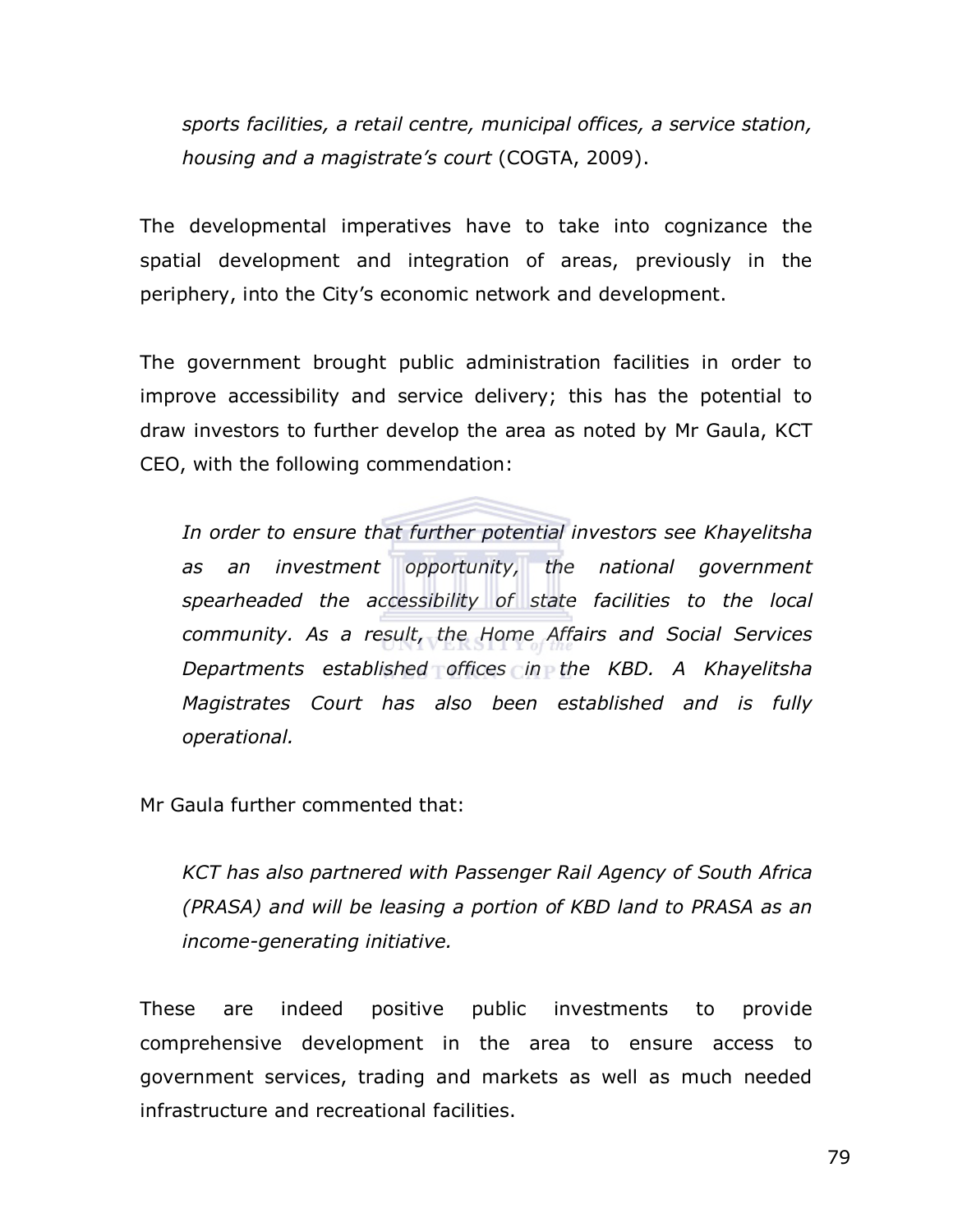*sports facilities, a retail centre, municipal offices, a service station, housing and a magistrate's court* (COGTA, 2009).

The developmental imperatives have to take into cognizance the spatial development and integration of areas, previously in the periphery, into the City's economic network and development.

The government brought public administration facilities in order to improve accessibility and service delivery; this has the potential to draw investors to further develop the area as noted by Mr Gaula, KCT CEO, with the following commendation:

*In order to ensure that further potential investors see Khayelitsha as an investment opportunity, the national government spearheaded the accessibility of state facilities to the local community. As a result, the Home Affairs and Social Services Departments established offices in the KBD. A Khayelitsha Magistrates Court has also been established and is fully operational.* 

Mr Gaula further commented that:

*KCT has also partnered with Passenger Rail Agency of South Africa (PRASA) and will be leasing a portion of KBD land to PRASA as an income-generating initiative.* 

These are indeed positive public investments to provide comprehensive development in the area to ensure access to government services, trading and markets as well as much needed infrastructure and recreational facilities.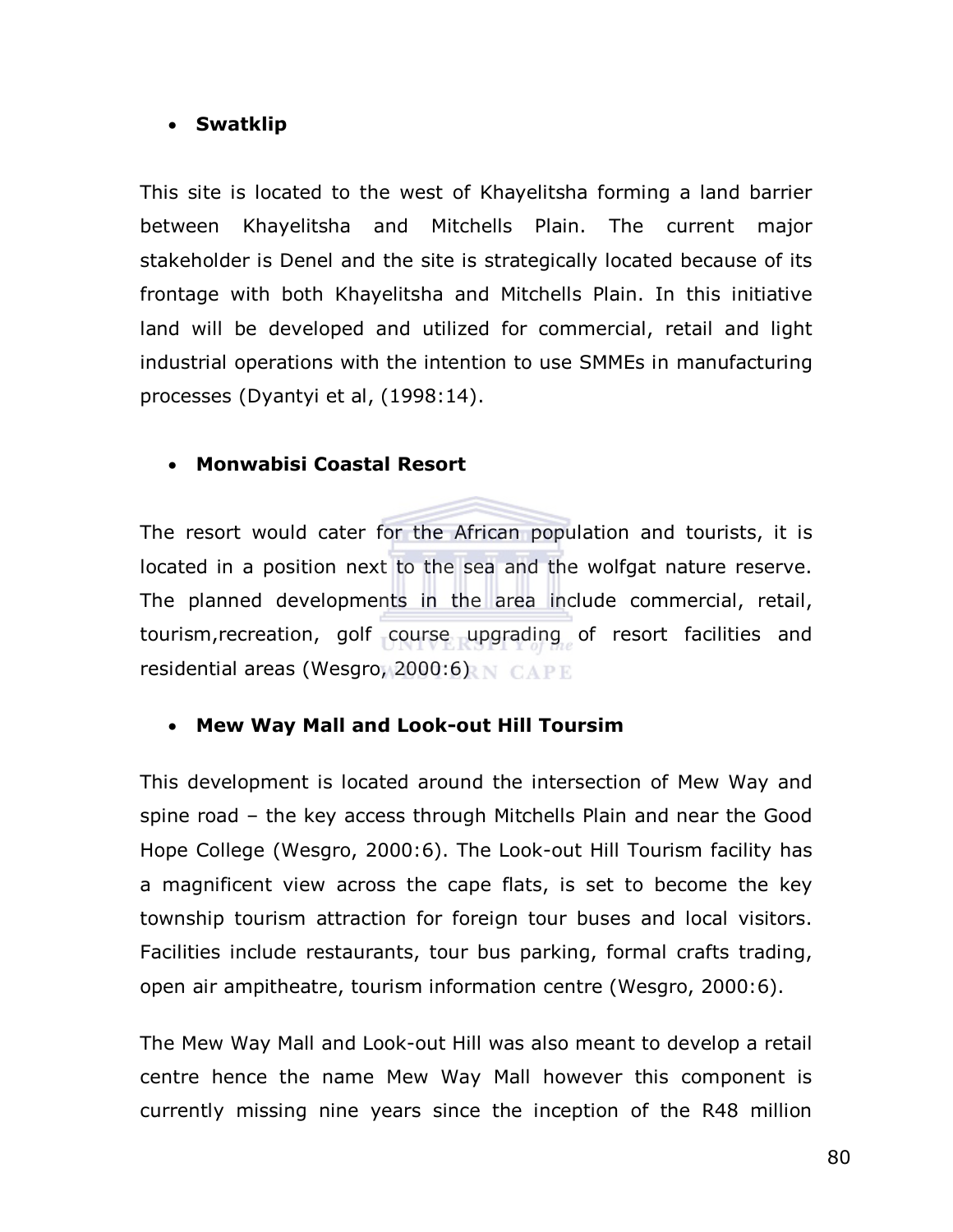## · **Swatklip**

This site is located to the west of Khayelitsha forming a land barrier between Khayelitsha and Mitchells Plain. The current major stakeholder is Denel and the site is strategically located because of its frontage with both Khayelitsha and Mitchells Plain. In this initiative land will be developed and utilized for commercial, retail and light industrial operations with the intention to use SMMEs in manufacturing processes (Dyantyi et al, (1998:14).

## · **Monwabisi Coastal Resort**

The resort would cater for the African population and tourists, it is located in a position next to the sea and the wolfgat nature reserve. The planned developments in the area include commercial, retail, tourism,recreation, golf course upgrading of resort facilities and residential areas (Wesgro, 2000:6)

## · **Mew Way Mall and Look-out Hill Toursim**

This development is located around the intersection of Mew Way and spine road – the key access through Mitchells Plain and near the Good Hope College (Wesgro, 2000:6). The Look-out Hill Tourism facility has a magnificent view across the cape flats, is set to become the key township tourism attraction for foreign tour buses and local visitors. Facilities include restaurants, tour bus parking, formal crafts trading, open air ampitheatre, tourism information centre (Wesgro, 2000:6).

The Mew Way Mall and Look-out Hill was also meant to develop a retail centre hence the name Mew Way Mall however this component is currently missing nine years since the inception of the R48 million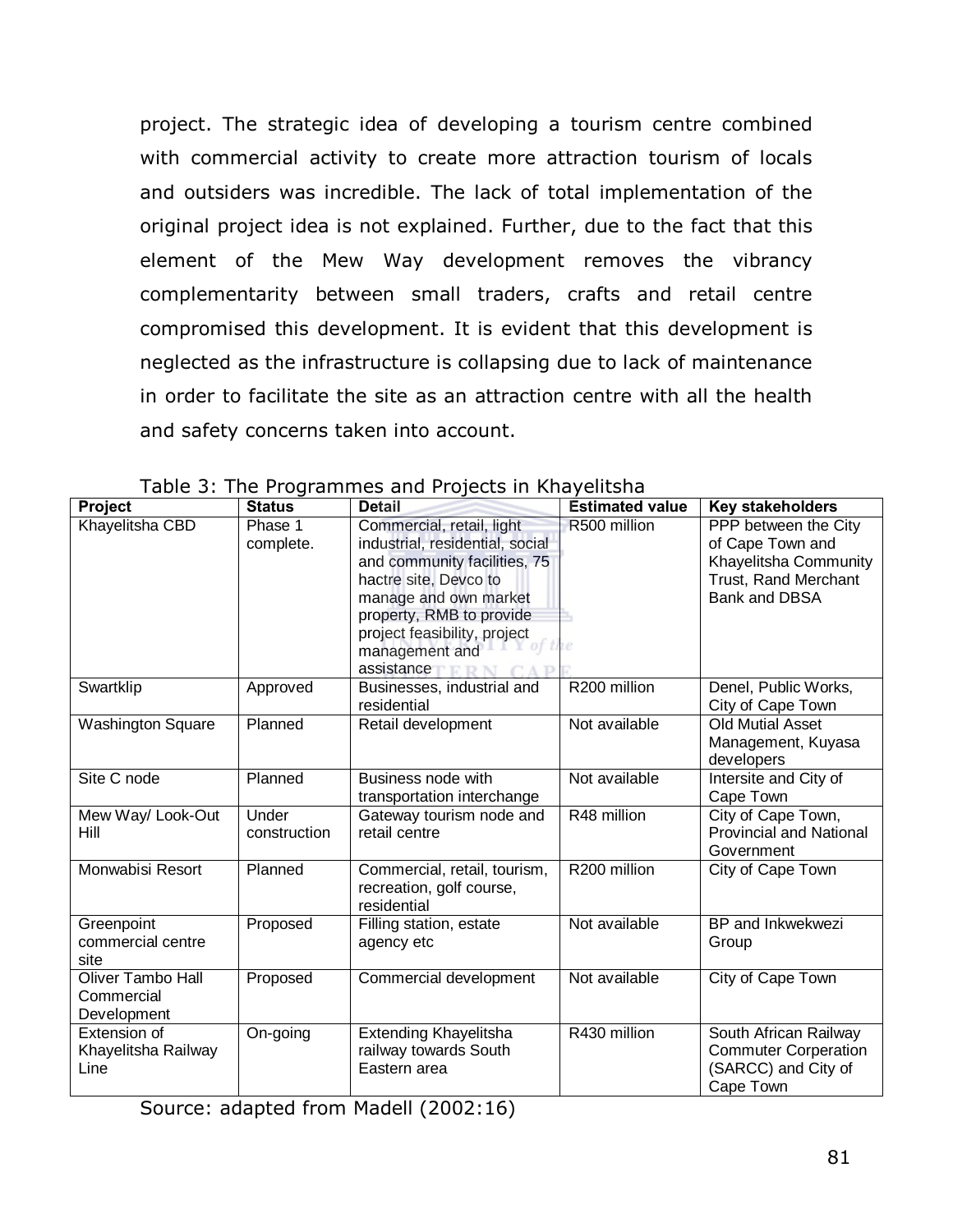project. The strategic idea of developing a tourism centre combined with commercial activity to create more attraction tourism of locals and outsiders was incredible. The lack of total implementation of the original project idea is not explained. Further, due to the fact that this element of the Mew Way development removes the vibrancy complementarity between small traders, crafts and retail centre compromised this development. It is evident that this development is neglected as the infrastructure is collapsing due to lack of maintenance in order to facilitate the site as an attraction centre with all the health and safety concerns taken into account.

| Project                         | <b>Status</b> | <b>Detail</b>                                    | <b>Estimated value</b> | Key stakeholders               |
|---------------------------------|---------------|--------------------------------------------------|------------------------|--------------------------------|
| Khayelitsha CBD                 | Phase 1       | Commercial, retail, light                        | R500 million           | PPP between the City           |
|                                 | complete.     | industrial, residential, social                  |                        | of Cape Town and               |
|                                 |               | and community facilities, 75                     |                        | Khayelitsha Community          |
|                                 |               | hactre site, Devco to                            |                        | Trust, Rand Merchant           |
|                                 |               | manage and own market                            |                        | Bank and DBSA                  |
|                                 |               | property, RMB to provide                         |                        |                                |
|                                 |               | project feasibility, project<br>management and   |                        |                                |
|                                 |               | $\mathsf{assistance} \top \mathbb{R} \mathbb{N}$ |                        |                                |
| Swartklip                       | Approved      | Businesses, industrial and                       | R200 million           | Denel, Public Works,           |
|                                 |               | residential                                      |                        | City of Cape Town              |
| <b>Washington Square</b>        | Planned       | Retail development                               | Not available          | <b>Old Mutial Asset</b>        |
|                                 |               |                                                  |                        | Management, Kuyasa             |
|                                 |               |                                                  |                        | developers                     |
| Site C node                     | Planned       | Business node with                               | Not available          | Intersite and City of          |
|                                 |               | transportation interchange                       |                        | Cape Town                      |
| Mew Way/ Look-Out               | Under         | Gateway tourism node and                         | R48 million            | City of Cape Town,             |
| Hill                            | construction  | retail centre                                    |                        | <b>Provincial and National</b> |
|                                 |               |                                                  |                        | Government                     |
| Monwabisi Resort                | Planned       | Commercial, retail, tourism,                     | R200 million           | City of Cape Town              |
|                                 |               | recreation, golf course,                         |                        |                                |
|                                 |               | residential                                      | Not available          | <b>BP</b> and Inkwekwezi       |
| Greenpoint<br>commercial centre | Proposed      | Filling station, estate                          |                        |                                |
| site                            |               | agency etc                                       |                        | Group                          |
| <b>Oliver Tambo Hall</b>        | Proposed      | Commercial development                           | Not available          | City of Cape Town              |
| Commercial                      |               |                                                  |                        |                                |
| Development                     |               |                                                  |                        |                                |
| Extension of                    | On-going      | Extending Khayelitsha                            | R430 million           | South African Railway          |
| Khayelitsha Railway             |               | railway towards South                            |                        | <b>Commuter Corperation</b>    |
| Line                            |               | Eastern area                                     |                        | (SARCC) and City of            |
|                                 |               |                                                  |                        | Cape Town                      |

Table 3: The Programmes and Projects in Khayelitsha

Source: adapted from Madell (2002:16)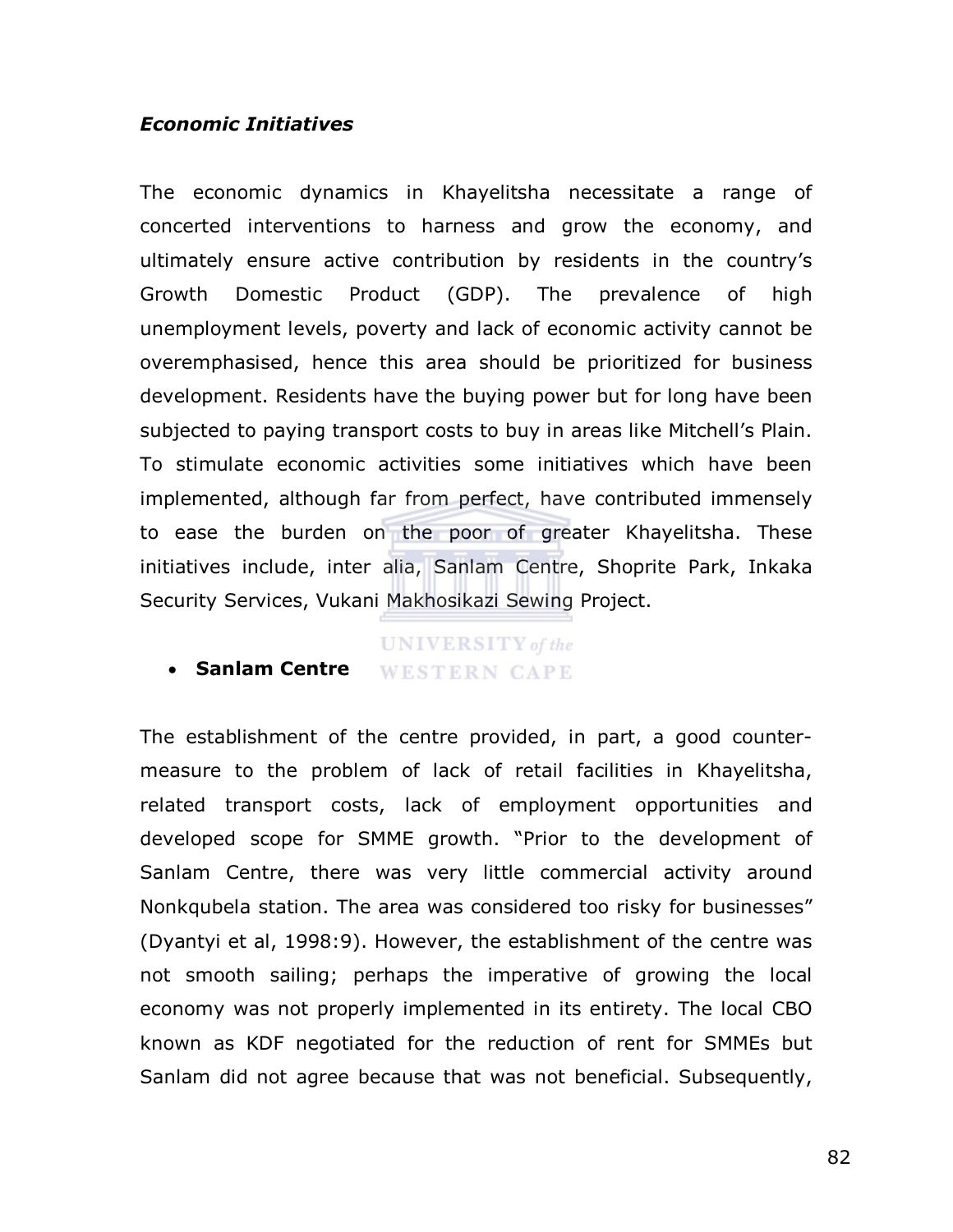#### *Economic Initiatives*

The economic dynamics in Khayelitsha necessitate a range of concerted interventions to harness and grow the economy, and ultimately ensure active contribution by residents in the country's Growth Domestic Product (GDP). The prevalence of high unemployment levels, poverty and lack of economic activity cannot be overemphasised, hence this area should be prioritized for business development. Residents have the buying power but for long have been subjected to paying transport costs to buy in areas like Mitchell's Plain. To stimulate economic activities some initiatives which have been implemented, although far from perfect, have contributed immensely to ease the burden on the poor of greater Khayelitsha. These initiatives include, inter alia, Sanlam Centre, Shoprite Park, Inkaka Security Services, Vukani Makhosikazi Sewing Project.

#### **UNIVERSITY** of the · **Sanlam Centre WESTERN CAPE**

The establishment of the centre provided, in part, a good countermeasure to the problem of lack of retail facilities in Khayelitsha, related transport costs, lack of employment opportunities and developed scope for SMME growth. "Prior to the development of Sanlam Centre, there was very little commercial activity around Nonkqubela station. The area was considered too risky for businesses" (Dyantyi et al, 1998:9). However, the establishment of the centre was not smooth sailing; perhaps the imperative of growing the local economy was not properly implemented in its entirety. The local CBO known as KDF negotiated for the reduction of rent for SMMEs but Sanlam did not agree because that was not beneficial. Subsequently,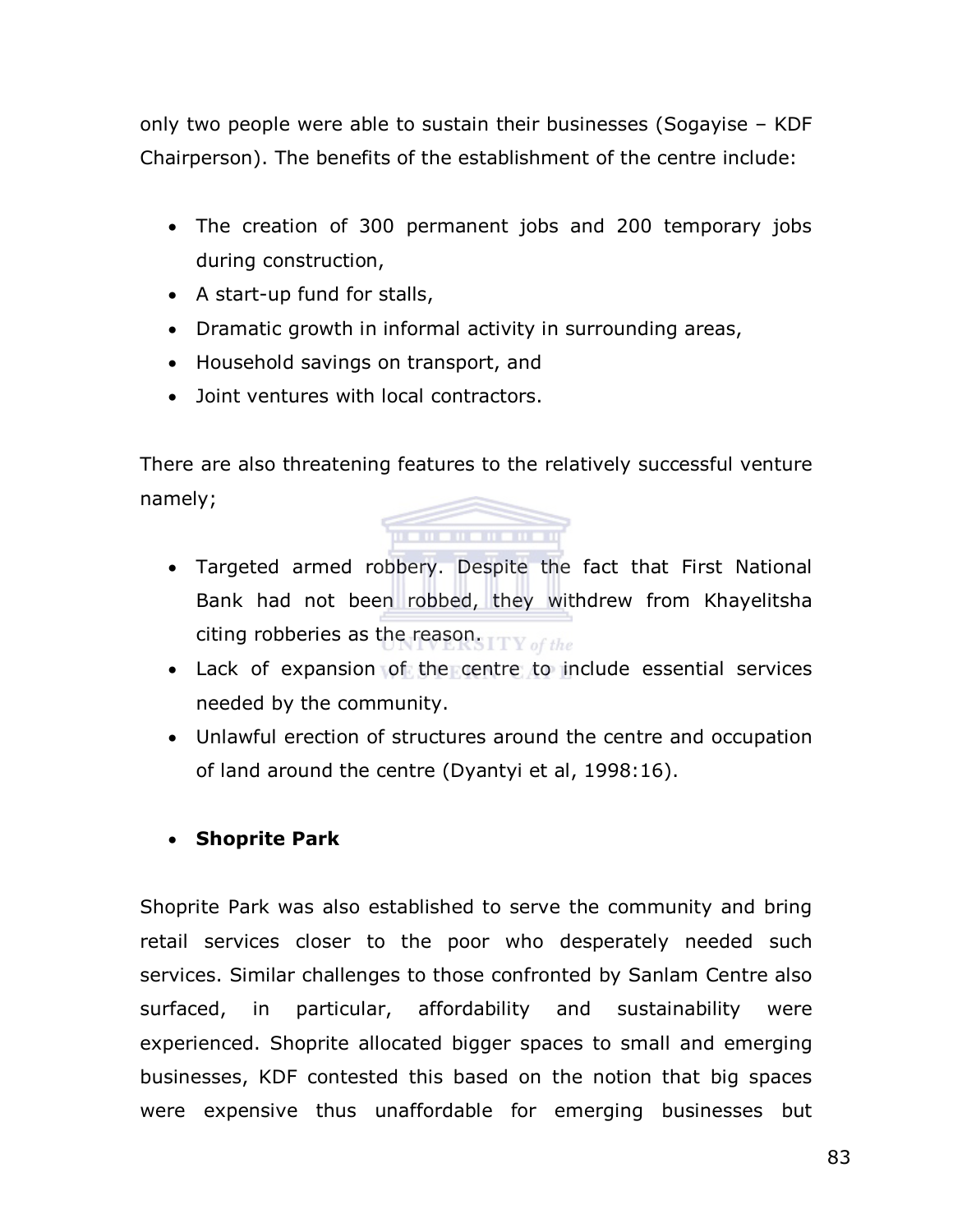only two people were able to sustain their businesses (Sogayise – KDF Chairperson). The benefits of the establishment of the centre include:

- · The creation of 300 permanent jobs and 200 temporary jobs during construction,
- · A start-up fund for stalls,
- · Dramatic growth in informal activity in surrounding areas,
- · Household savings on transport, and
- · Joint ventures with local contractors.

There are also threatening features to the relatively successful venture namely;



- · Targeted armed robbery. Despite the fact that First National Bank had not been robbed, they withdrew from Khayelitsha citing robberies as the reason.  $ITV$  of the
- · Lack of expansion of the centre to include essential services needed by the community.
- · Unlawful erection of structures around the centre and occupation of land around the centre (Dyantyi et al, 1998:16).

## · **Shoprite Park**

Shoprite Park was also established to serve the community and bring retail services closer to the poor who desperately needed such services. Similar challenges to those confronted by Sanlam Centre also surfaced, in particular, affordability and sustainability were experienced. Shoprite allocated bigger spaces to small and emerging businesses, KDF contested this based on the notion that big spaces were expensive thus unaffordable for emerging businesses but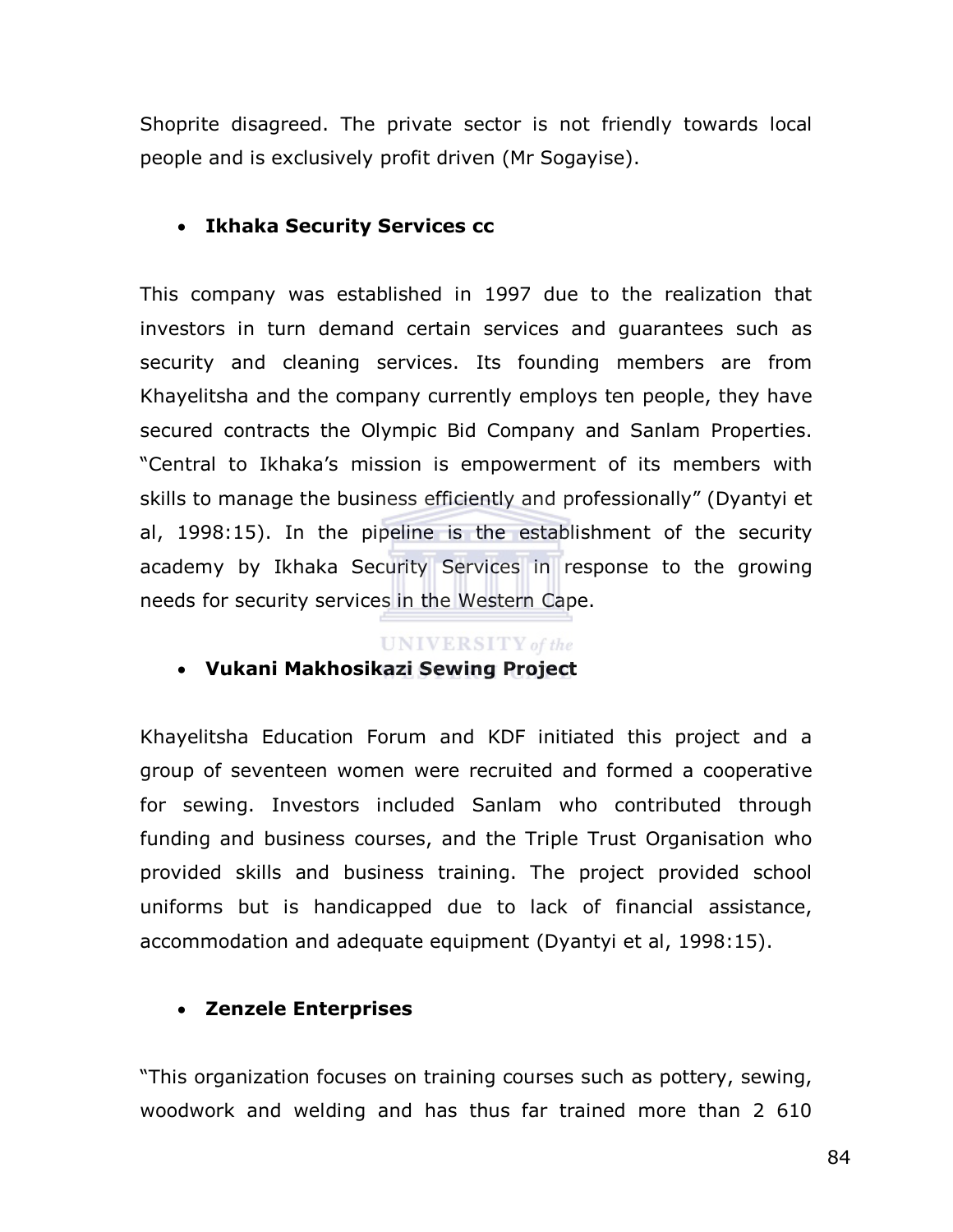Shoprite disagreed. The private sector is not friendly towards local people and is exclusively profit driven (Mr Sogayise).

### · **Ikhaka Security Services cc**

This company was established in 1997 due to the realization that investors in turn demand certain services and guarantees such as security and cleaning services. Its founding members are from Khayelitsha and the company currently employs ten people, they have secured contracts the Olympic Bid Company and Sanlam Properties. "Central to Ikhaka's mission is empowerment of its members with skills to manage the business efficiently and professionally" (Dyantyi et al, 1998:15). In the pipeline is the establishment of the security academy by Ikhaka Security Services in response to the growing needs for security services in the Western Cape.

#### **UNIVERSITY** of the

#### · **Vukani Makhosikazi Sewing Project**

Khayelitsha Education Forum and KDF initiated this project and a group of seventeen women were recruited and formed a cooperative for sewing. Investors included Sanlam who contributed through funding and business courses, and the Triple Trust Organisation who provided skills and business training. The project provided school uniforms but is handicapped due to lack of financial assistance, accommodation and adequate equipment (Dyantyi et al, 1998:15).

#### · **Zenzele Enterprises**

"This organization focuses on training courses such as pottery, sewing, woodwork and welding and has thus far trained more than 2 610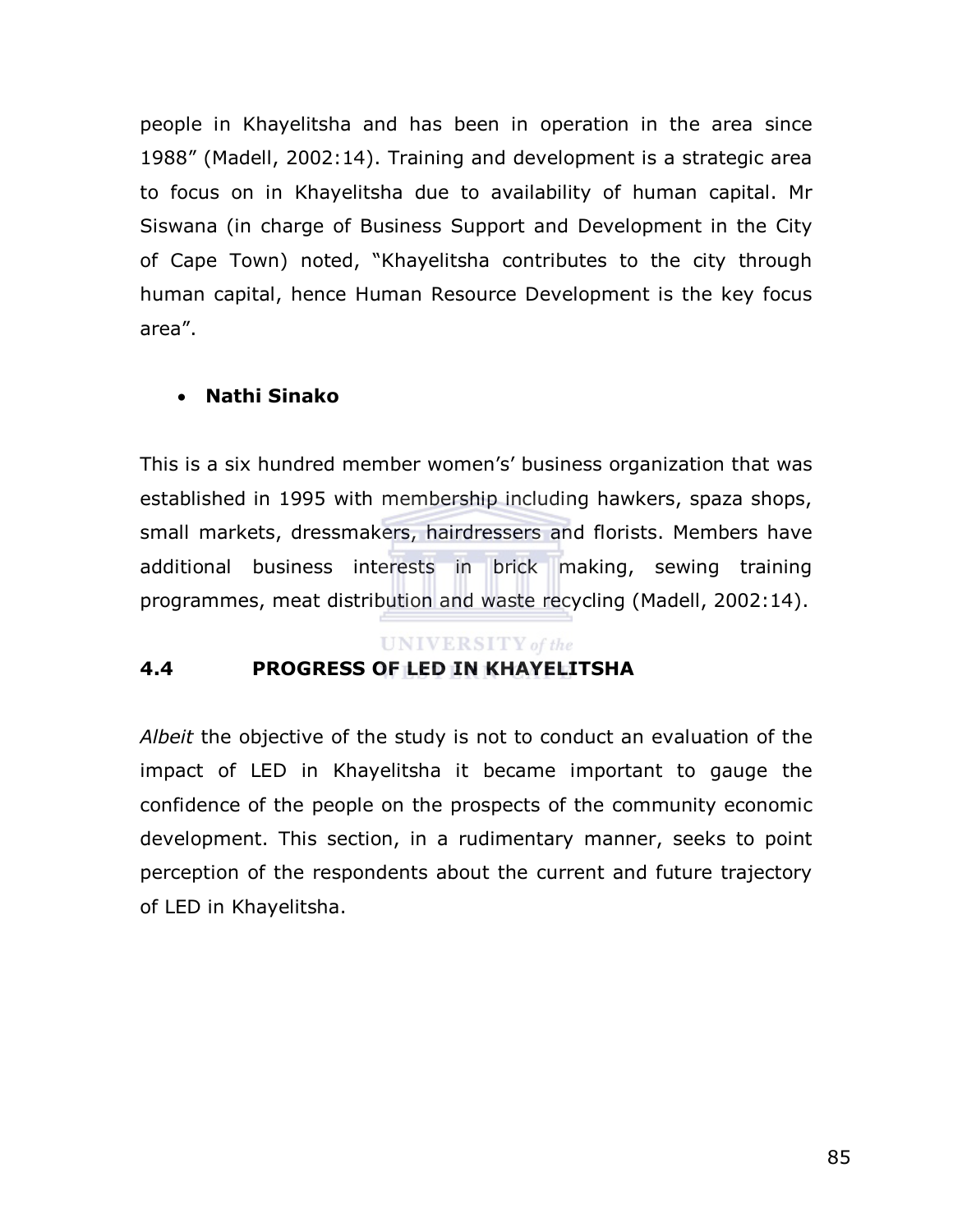people in Khayelitsha and has been in operation in the area since 1988" (Madell, 2002:14). Training and development is a strategic area to focus on in Khayelitsha due to availability of human capital. Mr Siswana (in charge of Business Support and Development in the City of Cape Town) noted, "Khayelitsha contributes to the city through human capital, hence Human Resource Development is the key focus area".

## · **Nathi Sinako**

This is a six hundred member women's' business organization that was established in 1995 with membership including hawkers, spaza shops, small markets, dressmakers, hairdressers and florists. Members have additional business interests in brick making, sewing training programmes, meat distribution and waste recycling (Madell, 2002:14).

#### **UNIVERSITY** of the

#### **4.4 PROGRESS OF LED IN KHAYELITSHA**

*Albeit* the objective of the study is not to conduct an evaluation of the impact of LED in Khayelitsha it became important to gauge the confidence of the people on the prospects of the community economic development. This section, in a rudimentary manner, seeks to point perception of the respondents about the current and future trajectory of LED in Khayelitsha.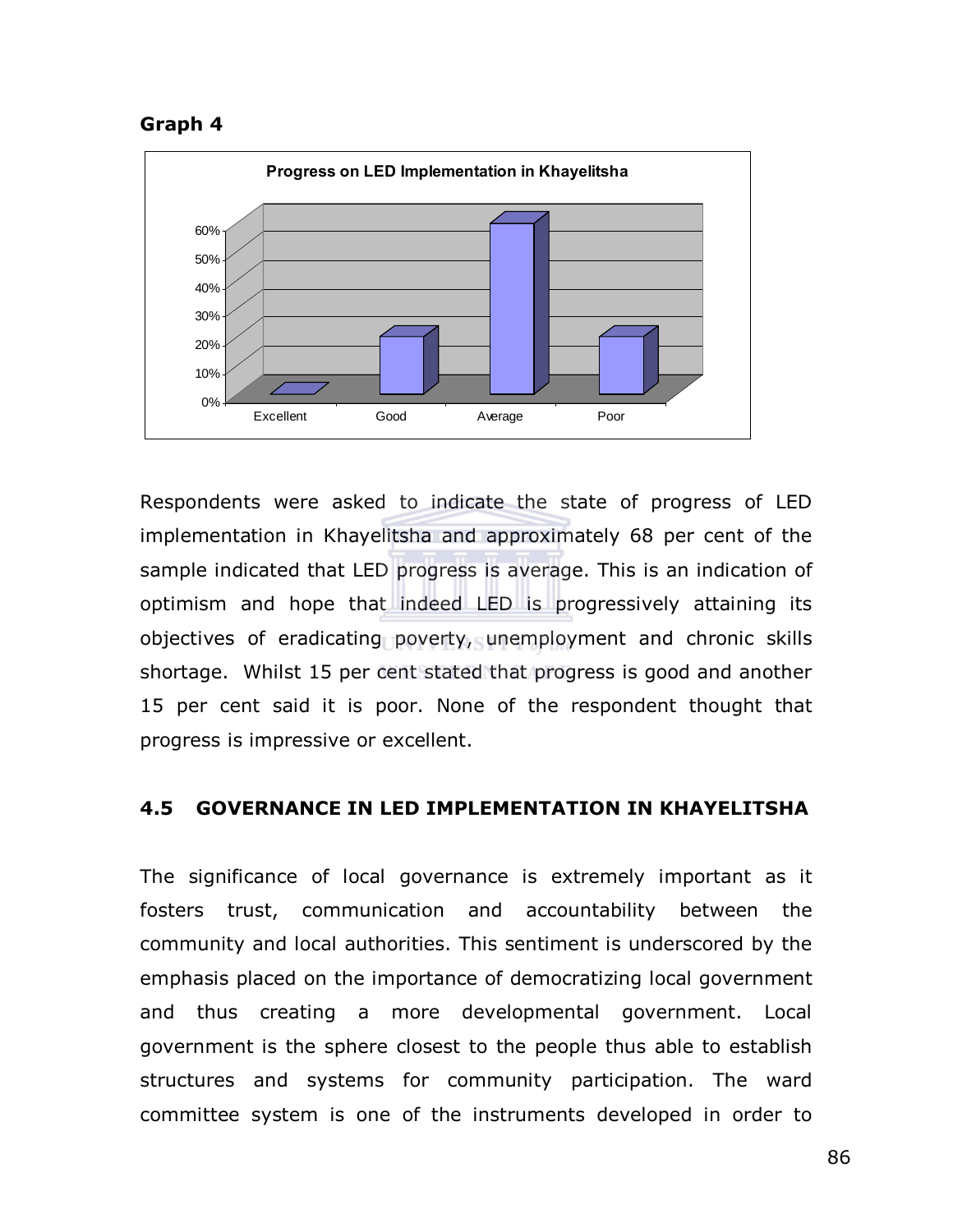



Respondents were asked to indicate the state of progress of LED implementation in Khayelitsha and approximately 68 per cent of the sample indicated that LED progress is average. This is an indication of optimism and hope that indeed LED is progressively attaining its objectives of eradicating poverty, unemployment and chronic skills shortage. Whilst 15 per cent stated that progress is good and another 15 per cent said it is poor. None of the respondent thought that progress is impressive or excellent.

#### **4.5 GOVERNANCE IN LED IMPLEMENTATION IN KHAYELITSHA**

The significance of local governance is extremely important as it fosters trust, communication and accountability between the community and local authorities. This sentiment is underscored by the emphasis placed on the importance of democratizing local government and thus creating a more developmental government. Local government is the sphere closest to the people thus able to establish structures and systems for community participation. The ward committee system is one of the instruments developed in order to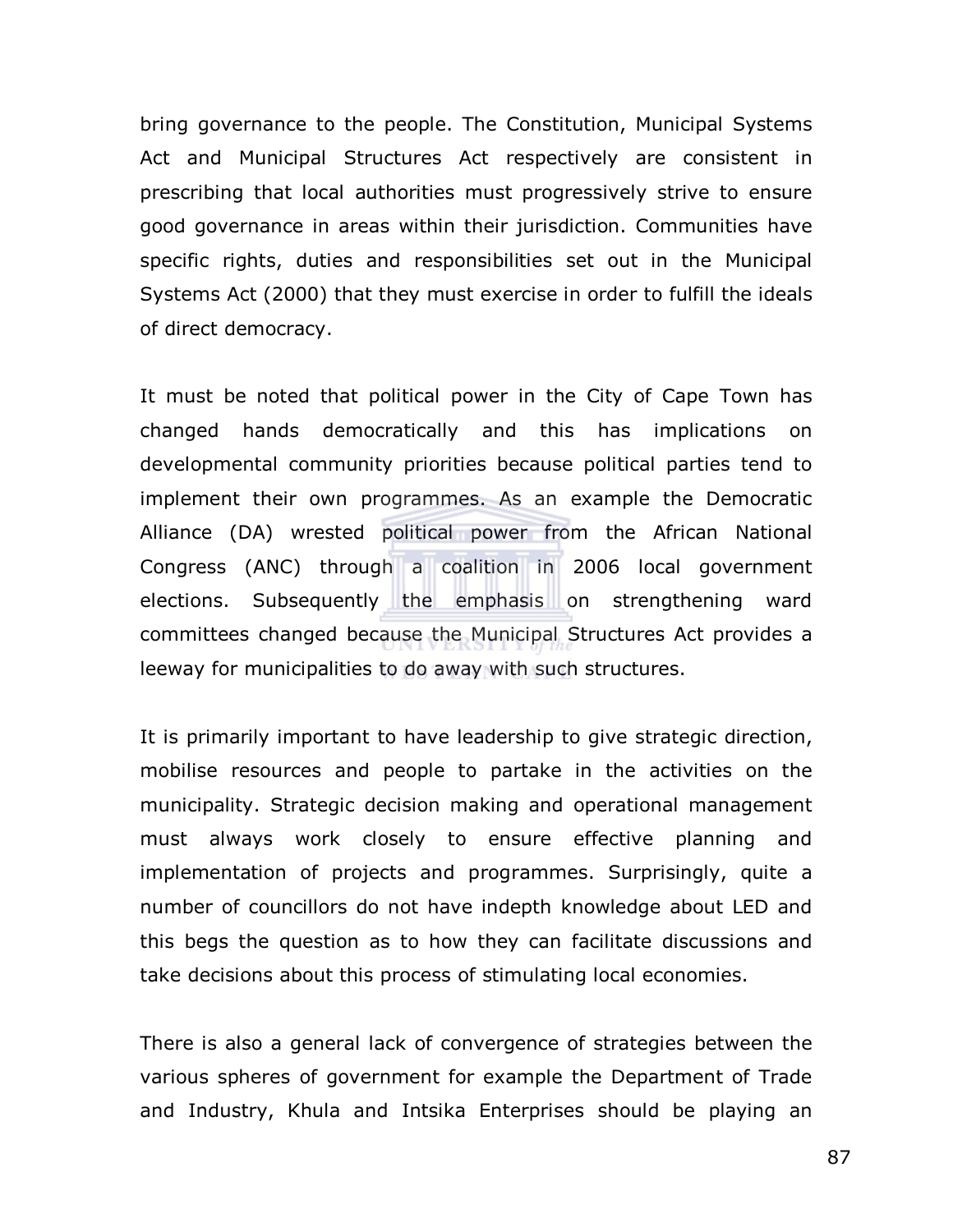bring governance to the people. The Constitution, Municipal Systems Act and Municipal Structures Act respectively are consistent in prescribing that local authorities must progressively strive to ensure good governance in areas within their jurisdiction. Communities have specific rights, duties and responsibilities set out in the Municipal Systems Act (2000) that they must exercise in order to fulfill the ideals of direct democracy.

It must be noted that political power in the City of Cape Town has changed hands democratically and this has implications on developmental community priorities because political parties tend to implement their own programmes. As an example the Democratic Alliance (DA) wrested political power from the African National Congress (ANC) through a coalition in 2006 local government elections. Subsequently the emphasis on strengthening ward committees changed because the Municipal Structures Act provides a leeway for municipalities to do away with such structures.

It is primarily important to have leadership to give strategic direction, mobilise resources and people to partake in the activities on the municipality. Strategic decision making and operational management must always work closely to ensure effective planning and implementation of projects and programmes. Surprisingly, quite a number of councillors do not have indepth knowledge about LED and this begs the question as to how they can facilitate discussions and take decisions about this process of stimulating local economies.

There is also a general lack of convergence of strategies between the various spheres of government for example the Department of Trade and Industry, Khula and Intsika Enterprises should be playing an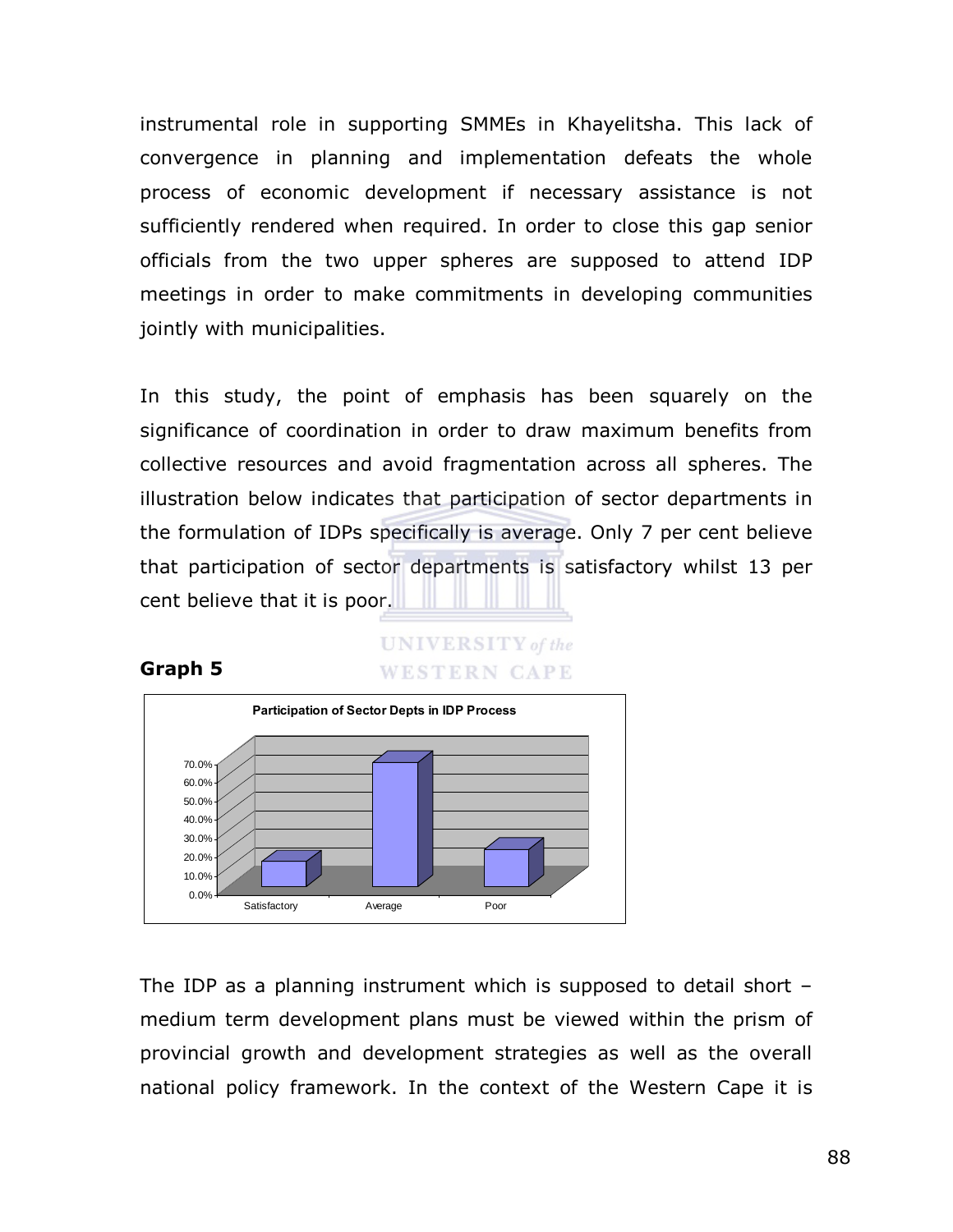instrumental role in supporting SMMEs in Khayelitsha. This lack of convergence in planning and implementation defeats the whole process of economic development if necessary assistance is not sufficiently rendered when required. In order to close this gap senior officials from the two upper spheres are supposed to attend IDP meetings in order to make commitments in developing communities jointly with municipalities.

In this study, the point of emphasis has been squarely on the significance of coordination in order to draw maximum benefits from collective resources and avoid fragmentation across all spheres. The illustration below indicates that participation of sector departments in the formulation of IDPs specifically is average. Only 7 per cent believe that participation of sector departments is satisfactory whilst 13 per cent believe that it is poor.

> **UNIVERSITY** of the WESTERN CAPE



#### **Graph 5**

The IDP as a planning instrument which is supposed to detail short – medium term development plans must be viewed within the prism of provincial growth and development strategies as well as the overall national policy framework. In the context of the Western Cape it is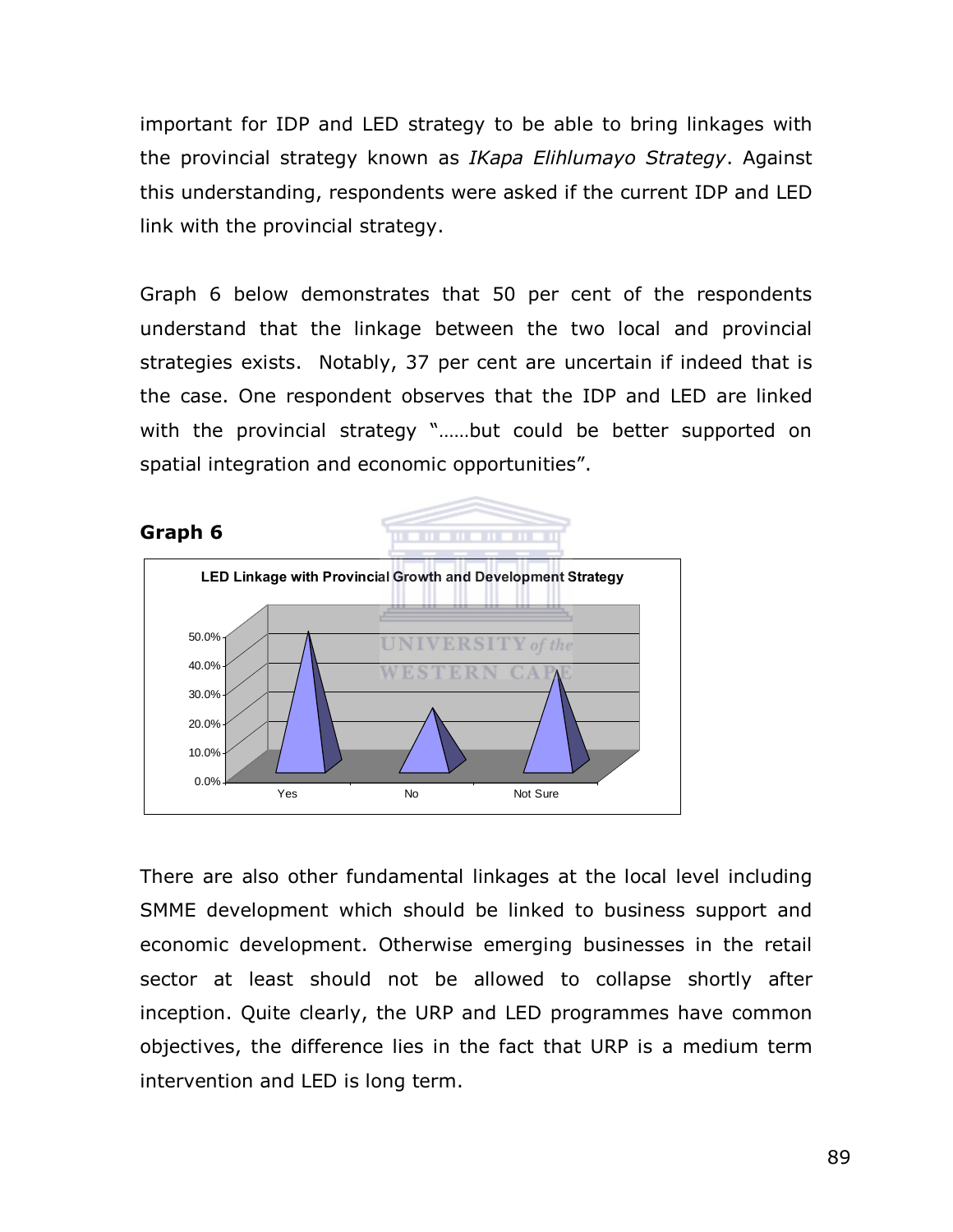important for IDP and LED strategy to be able to bring linkages with the provincial strategy known as *IKapa Elihlumayo Strategy*. Against this understanding, respondents were asked if the current IDP and LED link with the provincial strategy.

Graph 6 below demonstrates that 50 per cent of the respondents understand that the linkage between the two local and provincial strategies exists. Notably, 37 per cent are uncertain if indeed that is the case. One respondent observes that the IDP and LED are linked with the provincial strategy "……but could be better supported on spatial integration and economic opportunities".



There are also other fundamental linkages at the local level including SMME development which should be linked to business support and economic development. Otherwise emerging businesses in the retail sector at least should not be allowed to collapse shortly after inception. Quite clearly, the URP and LED programmes have common objectives, the difference lies in the fact that URP is a medium term intervention and LED is long term.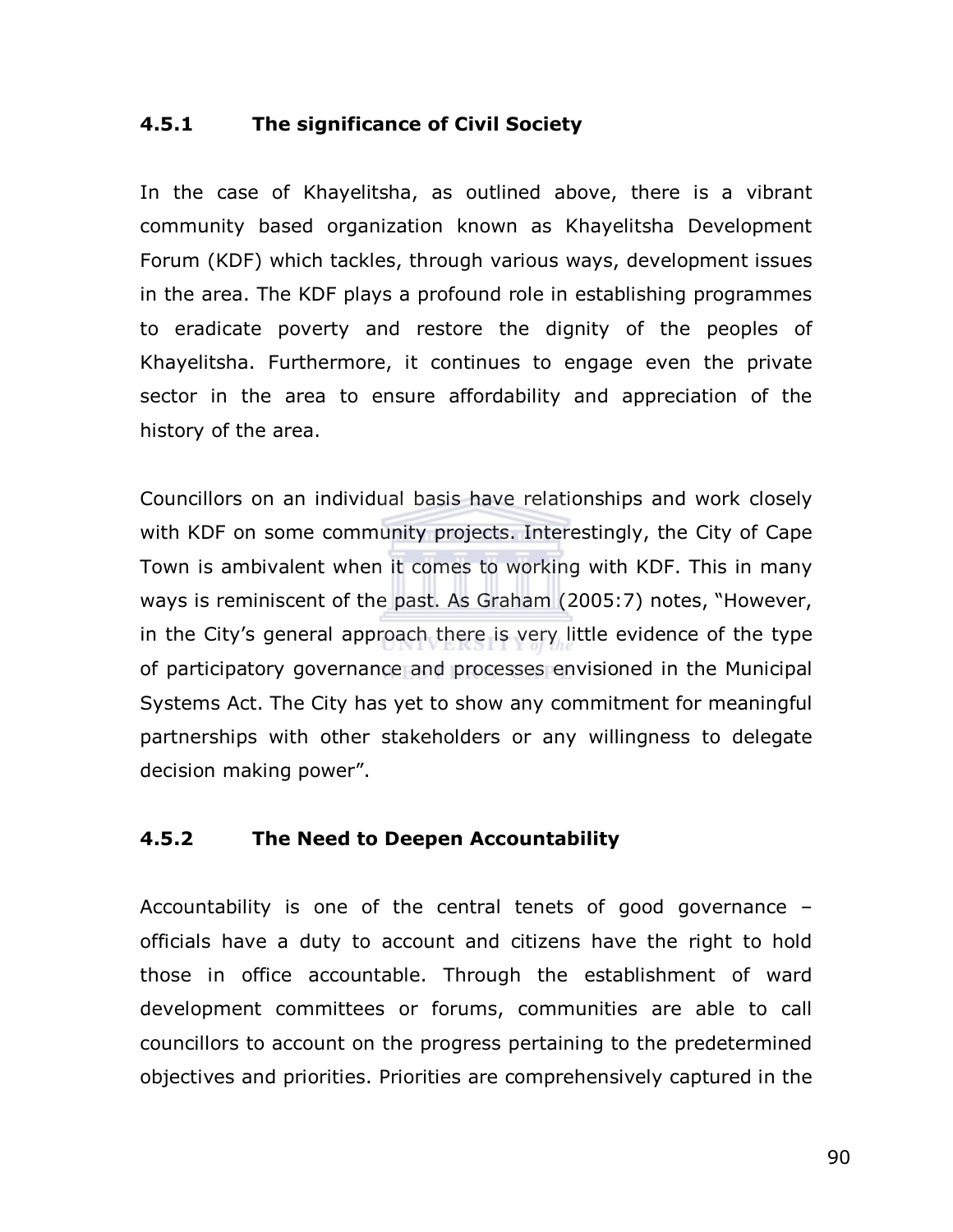### **4.5.1 The significance of Civil Society**

In the case of Khayelitsha, as outlined above, there is a vibrant community based organization known as Khayelitsha Development Forum (KDF) which tackles, through various ways, development issues in the area. The KDF plays a profound role in establishing programmes to eradicate poverty and restore the dignity of the peoples of Khayelitsha. Furthermore, it continues to engage even the private sector in the area to ensure affordability and appreciation of the history of the area.

Councillors on an individual basis have relationships and work closely with KDF on some community projects. Interestingly, the City of Cape Town is ambivalent when it comes to working with KDF. This in many ways is reminiscent of the past. As Graham (2005:7) notes, "However, in the City's general approach there is very little evidence of the type of participatory governance and processes envisioned in the Municipal Systems Act. The City has yet to show any commitment for meaningful partnerships with other stakeholders or any willingness to delegate decision making power".

#### **4.5.2 The Need to Deepen Accountability**

Accountability is one of the central tenets of good governance – officials have a duty to account and citizens have the right to hold those in office accountable. Through the establishment of ward development committees or forums, communities are able to call councillors to account on the progress pertaining to the predetermined objectives and priorities. Priorities are comprehensively captured in the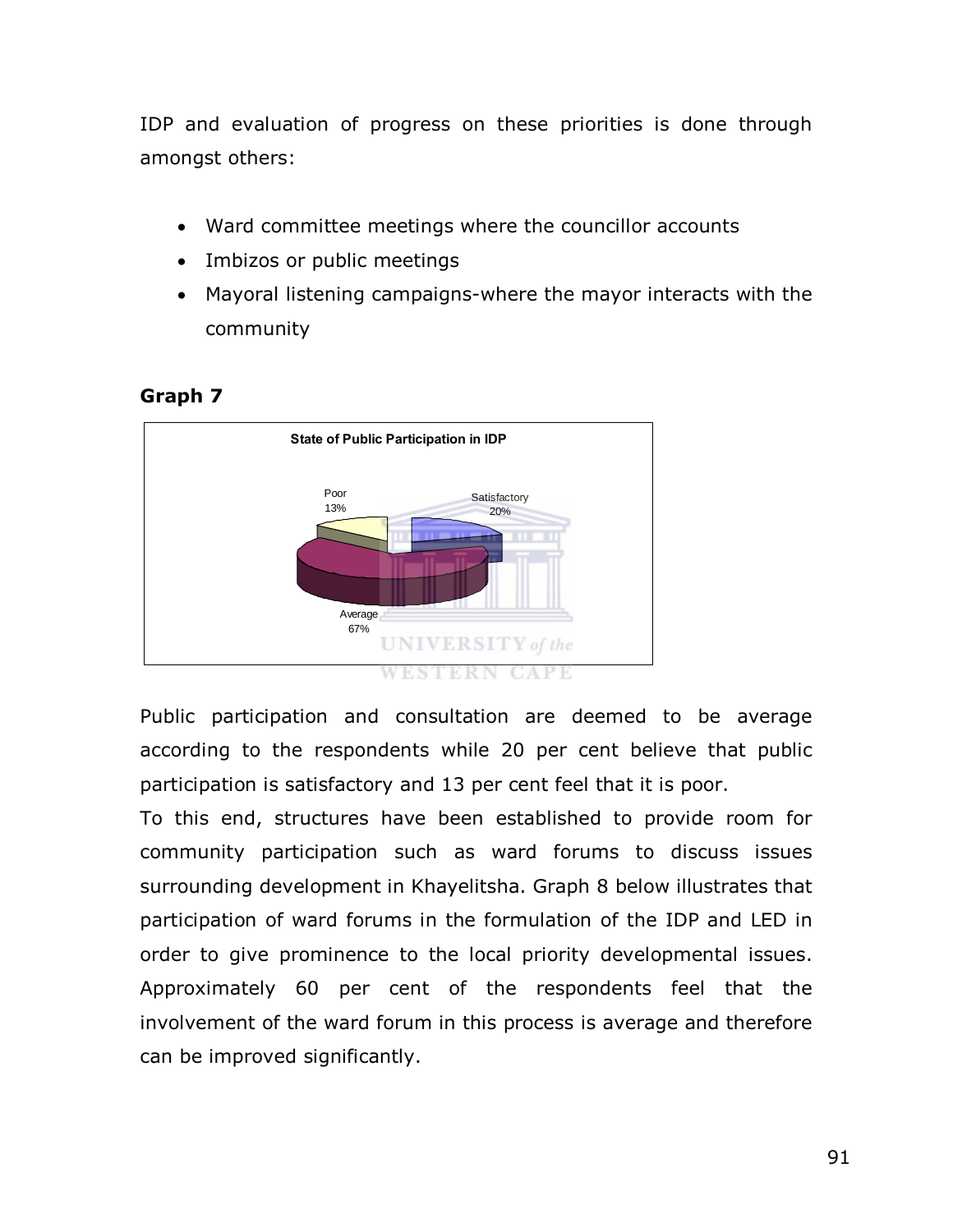IDP and evaluation of progress on these priorities is done through amongst others:

- · Ward committee meetings where the councillor accounts
- · Imbizos or public meetings
- · Mayoral listening campaigns-where the mayor interacts with the community





Public participation and consultation are deemed to be average according to the respondents while 20 per cent believe that public participation is satisfactory and 13 per cent feel that it is poor.

To this end, structures have been established to provide room for community participation such as ward forums to discuss issues surrounding development in Khayelitsha. Graph 8 below illustrates that participation of ward forums in the formulation of the IDP and LED in order to give prominence to the local priority developmental issues. Approximately 60 per cent of the respondents feel that the involvement of the ward forum in this process is average and therefore can be improved significantly.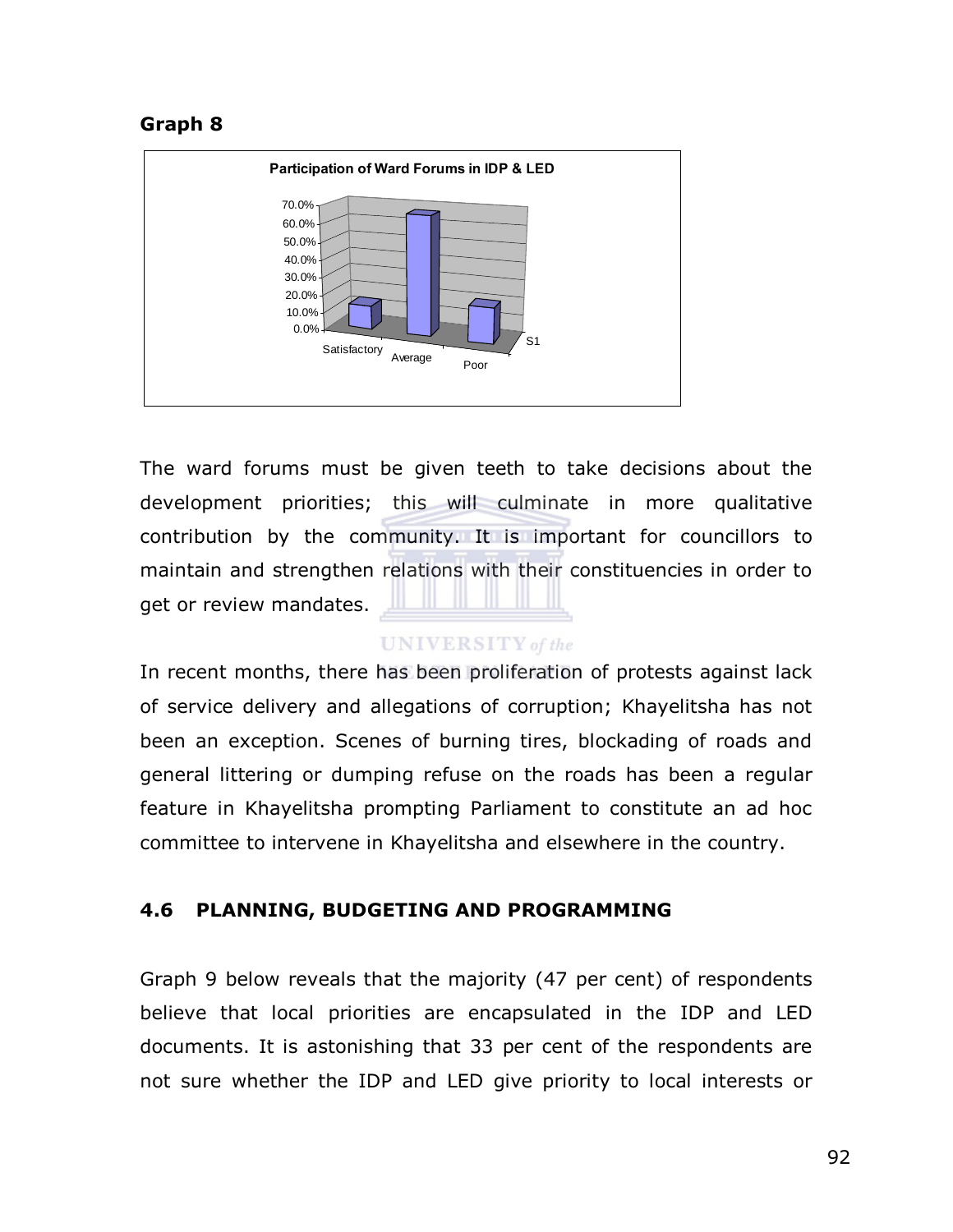#### **Graph 8**



The ward forums must be given teeth to take decisions about the development priorities; this will culminate in more qualitative contribution by the community. It is important for councillors to maintain and strengthen relations with their constituencies in order to get or review mandates.

#### **UNIVERSITY** of the

In recent months, there has been proliferation of protests against lack of service delivery and allegations of corruption; Khayelitsha has not been an exception. Scenes of burning tires, blockading of roads and general littering or dumping refuse on the roads has been a regular feature in Khayelitsha prompting Parliament to constitute an ad hoc committee to intervene in Khayelitsha and elsewhere in the country.

## **4.6 PLANNING, BUDGETING AND PROGRAMMING**

Graph 9 below reveals that the majority (47 per cent) of respondents believe that local priorities are encapsulated in the IDP and LED documents. It is astonishing that 33 per cent of the respondents are not sure whether the IDP and LED give priority to local interests or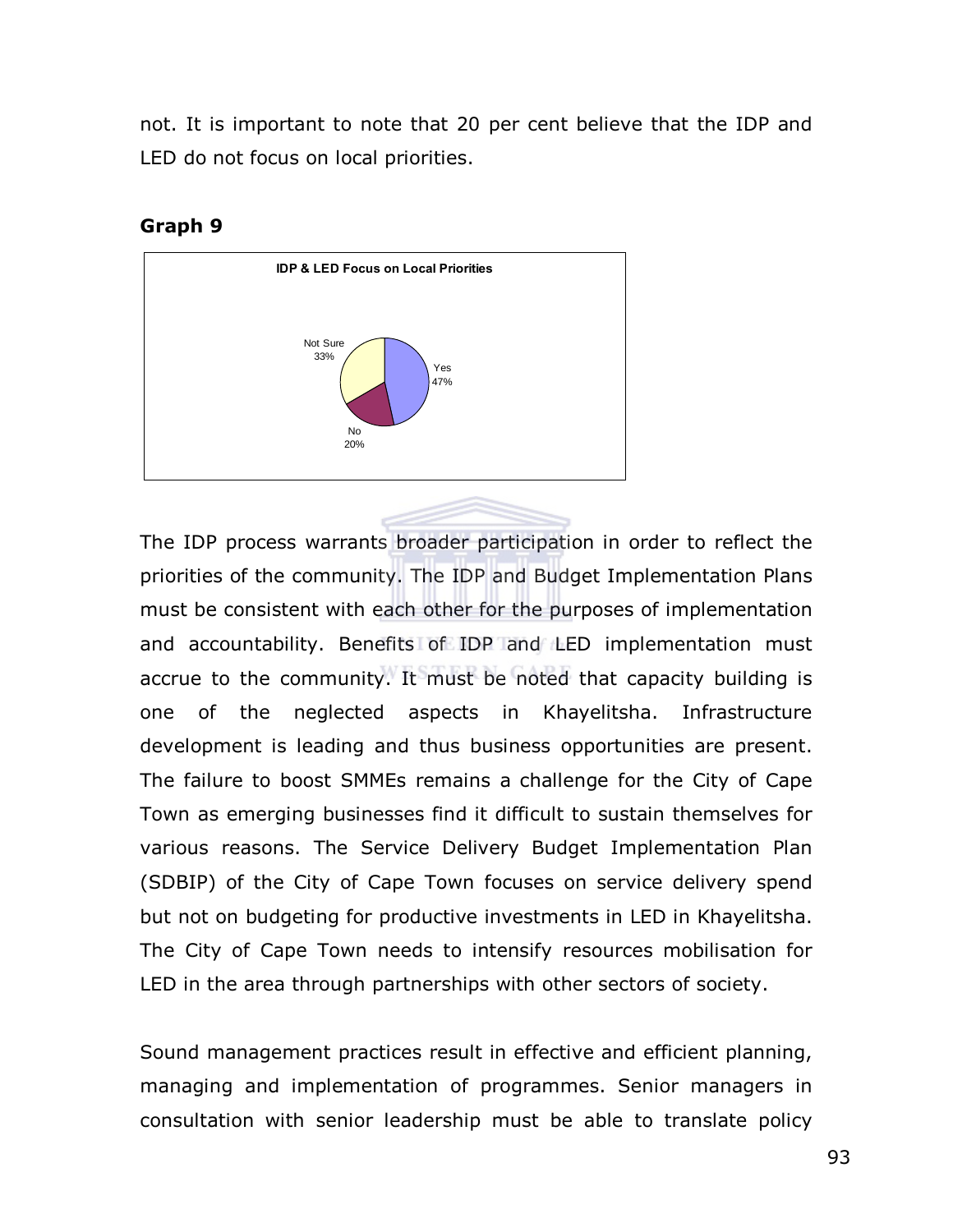not. It is important to note that 20 per cent believe that the IDP and LED do not focus on local priorities.

## **Graph 9**



The IDP process warrants broader participation in order to reflect the priorities of the community. The IDP and Budget Implementation Plans must be consistent with each other for the purposes of implementation and accountability. Benefits of IDP and LED implementation must accrue to the community. It must be noted that capacity building is one of the neglected aspects in Khayelitsha. Infrastructure development is leading and thus business opportunities are present. The failure to boost SMMEs remains a challenge for the City of Cape Town as emerging businesses find it difficult to sustain themselves for various reasons. The Service Delivery Budget Implementation Plan (SDBIP) of the City of Cape Town focuses on service delivery spend but not on budgeting for productive investments in LED in Khayelitsha. The City of Cape Town needs to intensify resources mobilisation for LED in the area through partnerships with other sectors of society.

Sound management practices result in effective and efficient planning, managing and implementation of programmes. Senior managers in consultation with senior leadership must be able to translate policy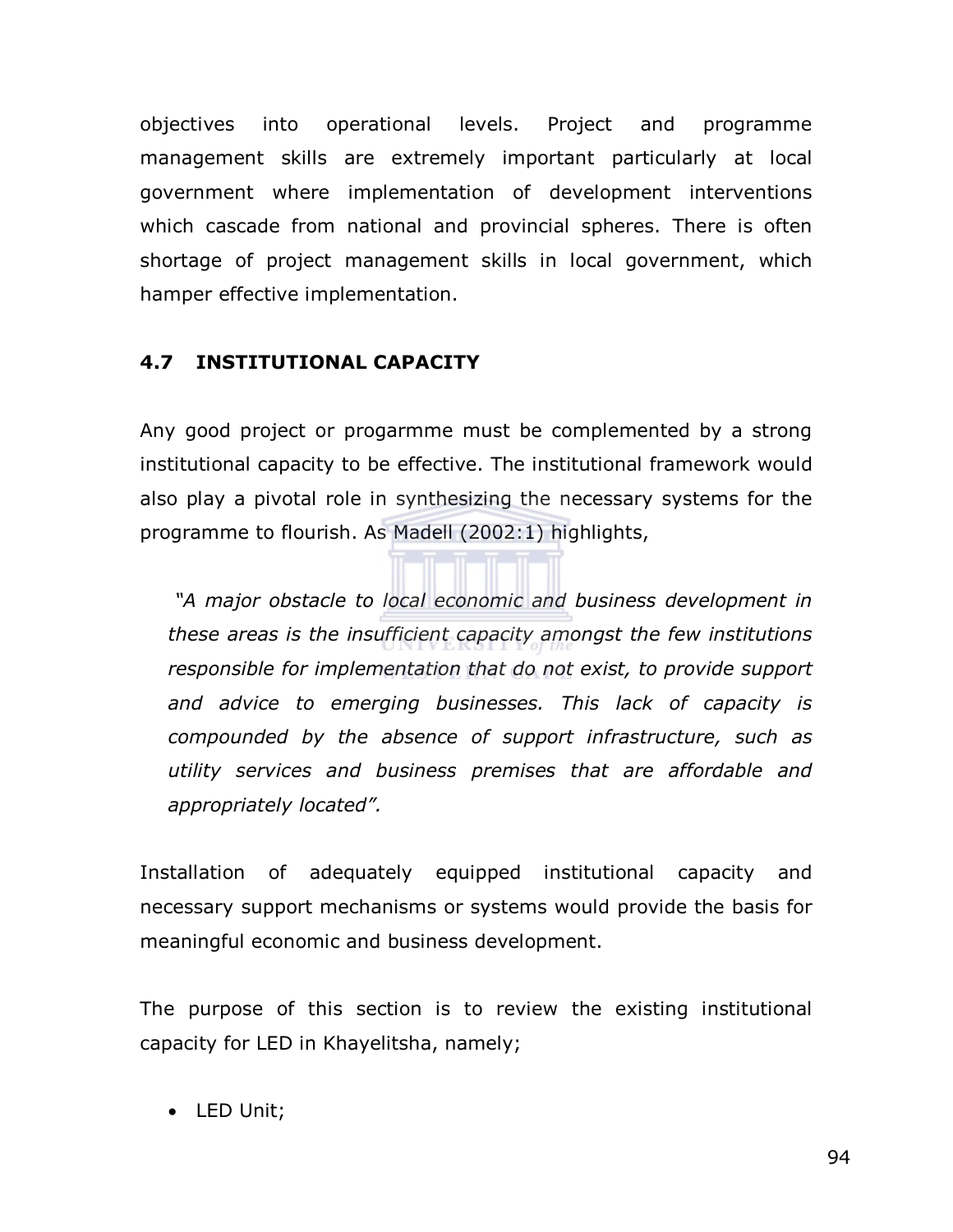objectives into operational levels. Project and programme management skills are extremely important particularly at local government where implementation of development interventions which cascade from national and provincial spheres. There is often shortage of project management skills in local government, which hamper effective implementation.

# **4.7 INSTITUTIONAL CAPACITY**

Any good project or progarmme must be complemented by a strong institutional capacity to be effective. The institutional framework would also play a pivotal role in synthesizing the necessary systems for the programme to flourish. As Madell (2002:1) highlights,

*"A major obstacle to local economic and business development in these areas is the insufficient capacity amongst the few institutions responsible for implementation that do not exist, to provide support and advice to emerging businesses. This lack of capacity is compounded by the absence of support infrastructure, such as utility services and business premises that are affordable and appropriately located".* 

Installation of adequately equipped institutional capacity and necessary support mechanisms or systems would provide the basis for meaningful economic and business development.

The purpose of this section is to review the existing institutional capacity for LED in Khayelitsha, namely;

· LED Unit;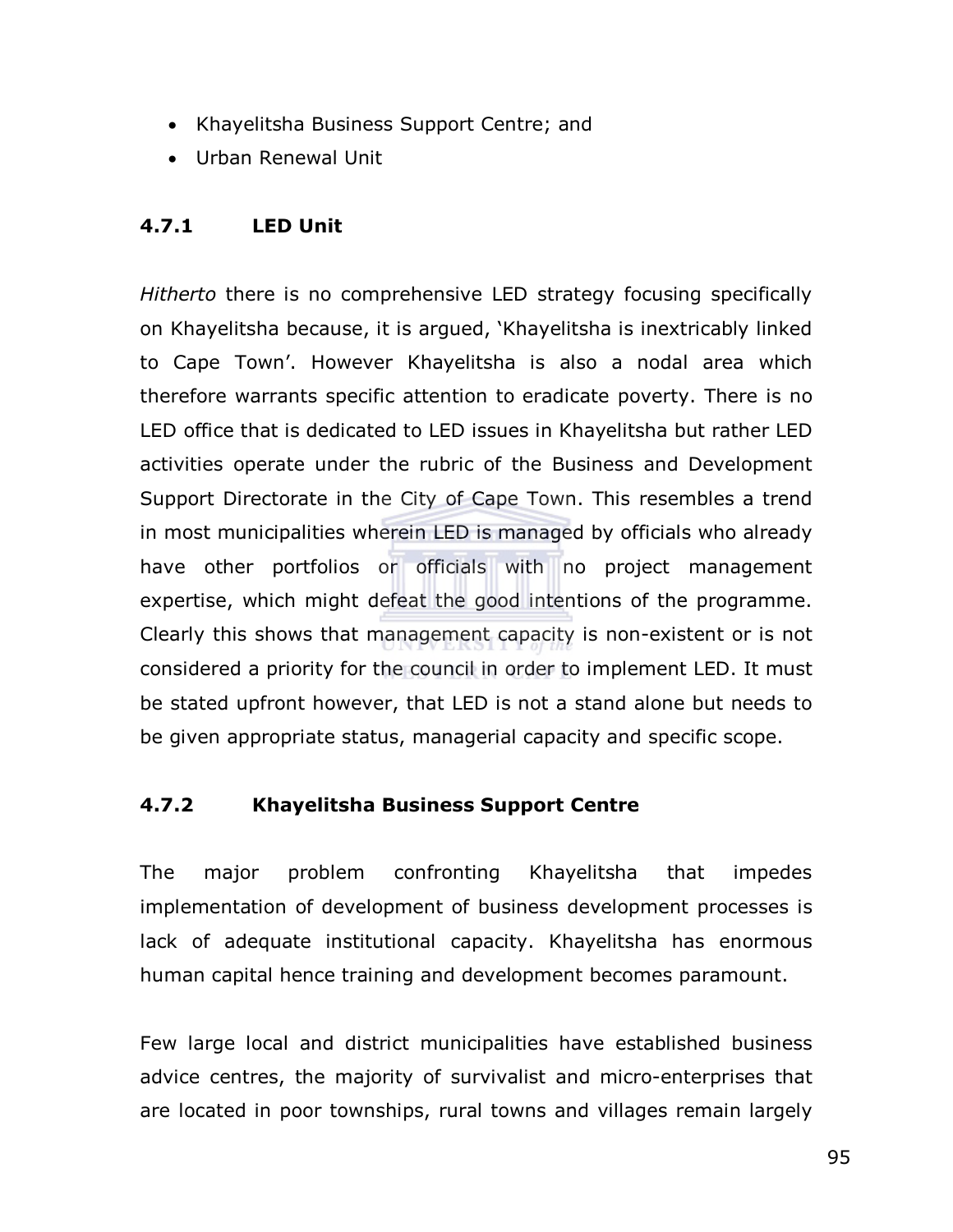- · Khayelitsha Business Support Centre; and
- · Urban Renewal Unit

## **4.7.1 LED Unit**

*Hitherto* there is no comprehensive LED strategy focusing specifically on Khayelitsha because, it is argued, 'Khayelitsha is inextricably linked to Cape Town'. However Khayelitsha is also a nodal area which therefore warrants specific attention to eradicate poverty. There is no LED office that is dedicated to LED issues in Khayelitsha but rather LED activities operate under the rubric of the Business and Development Support Directorate in the City of Cape Town. This resembles a trend in most municipalities wherein LED is managed by officials who already have other portfolios or officials with no project management expertise, which might defeat the good intentions of the programme. Clearly this shows that management capacity is non-existent or is not considered a priority for the council in order to implement LED. It must be stated upfront however, that LED is not a stand alone but needs to be given appropriate status, managerial capacity and specific scope.

## **4.7.2 Khayelitsha Business Support Centre**

The major problem confronting Khayelitsha that impedes implementation of development of business development processes is lack of adequate institutional capacity. Khayelitsha has enormous human capital hence training and development becomes paramount.

Few large local and district municipalities have established business advice centres, the majority of survivalist and micro-enterprises that are located in poor townships, rural towns and villages remain largely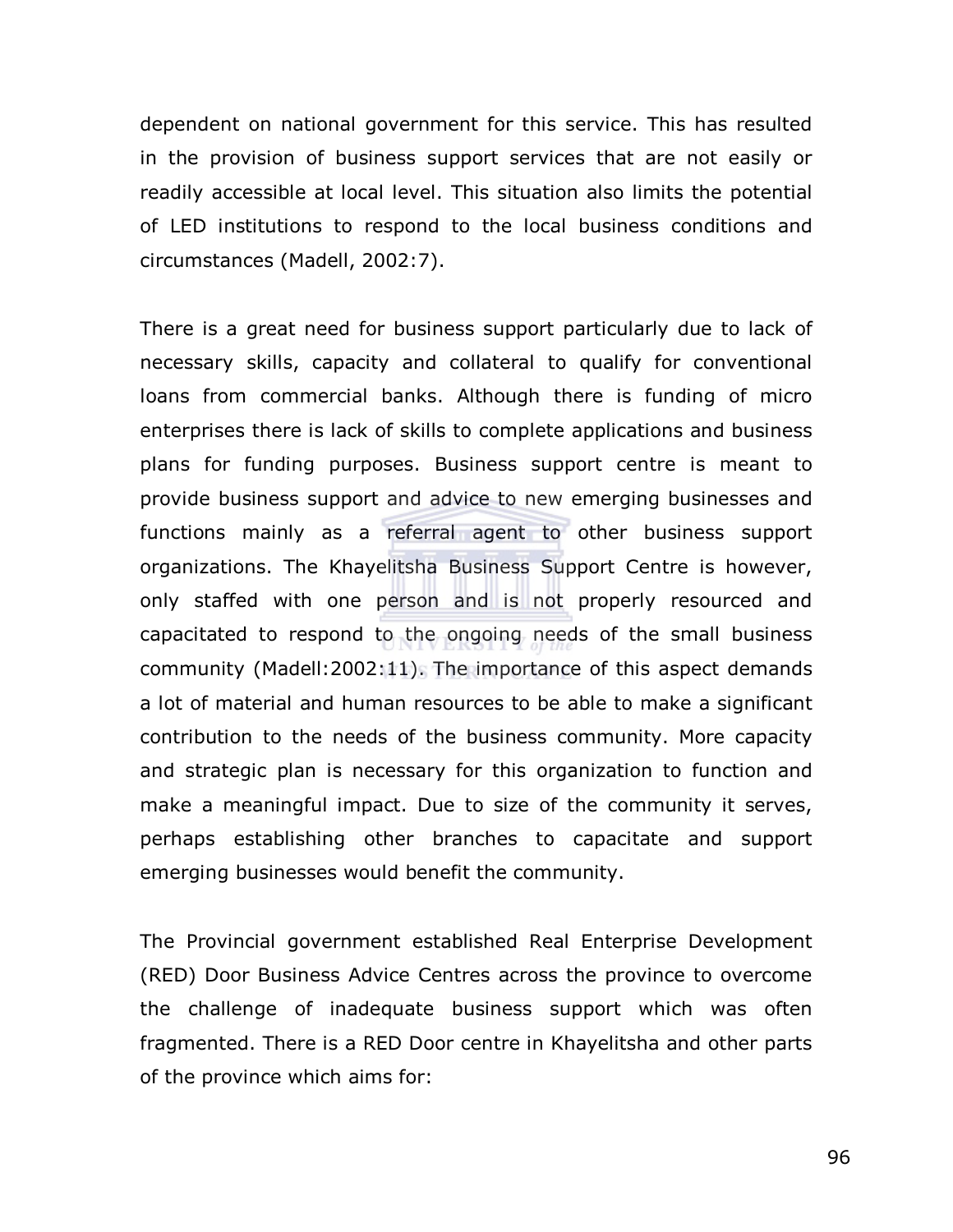dependent on national government for this service. This has resulted in the provision of business support services that are not easily or readily accessible at local level. This situation also limits the potential of LED institutions to respond to the local business conditions and circumstances (Madell, 2002:7).

There is a great need for business support particularly due to lack of necessary skills, capacity and collateral to qualify for conventional loans from commercial banks. Although there is funding of micro enterprises there is lack of skills to complete applications and business plans for funding purposes. Business support centre is meant to provide business support and advice to new emerging businesses and functions mainly as a referral agent to other business support organizations. The Khayelitsha Business Support Centre is however, only staffed with one person and is not properly resourced and capacitated to respond to the ongoing needs of the small business community (Madell:2002:11). The importance of this aspect demands a lot of material and human resources to be able to make a significant contribution to the needs of the business community. More capacity and strategic plan is necessary for this organization to function and make a meaningful impact. Due to size of the community it serves, perhaps establishing other branches to capacitate and support emerging businesses would benefit the community.

The Provincial government established Real Enterprise Development (RED) Door Business Advice Centres across the province to overcome the challenge of inadequate business support which was often fragmented. There is a RED Door centre in Khayelitsha and other parts of the province which aims for:

96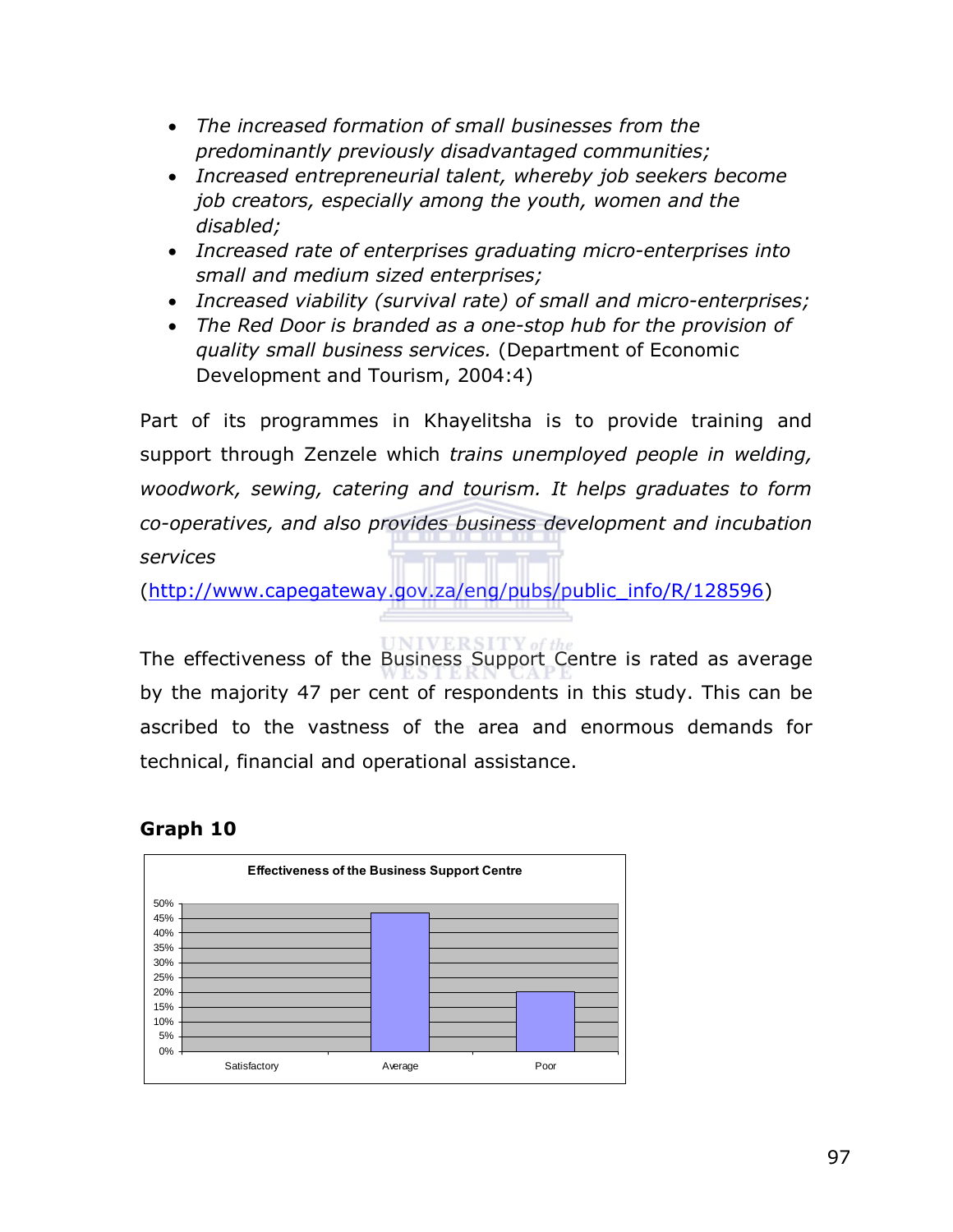- · *The increased formation of small businesses from the predominantly previously disadvantaged communities;*
- · *Increased entrepreneurial talent, whereby job seekers become job creators, especially among the youth, women and the disabled;*
- · *Increased rate of enterprises graduating micro-enterprises into small and medium sized enterprises;*
- · *Increased viability (survival rate) of small and micro-enterprises;*
- · *The Red Door is branded as a one-stop hub for the provision of quality small business services.* (Department of Economic Development and Tourism, 2004:4)

Part of its programmes in Khayelitsha is to provide training and support through Zenzele which *trains unemployed people in welding, woodwork, sewing, catering and tourism. It helps graduates to form co-operatives, and also provides business development and incubation services*

[\(http://www.capegateway.gov.za/eng/pubs/public\\_info/R/128596](http://www.capegateway.gov.za/eng/pubs/public_info/R/128596))

**UNIVERSITY** of the The effectiveness of the Business Support Centre is rated as average by the majority 47 per cent of respondents in this study. This can be ascribed to the vastness of the area and enormous demands for technical, financial and operational assistance.

# **Graph 10**

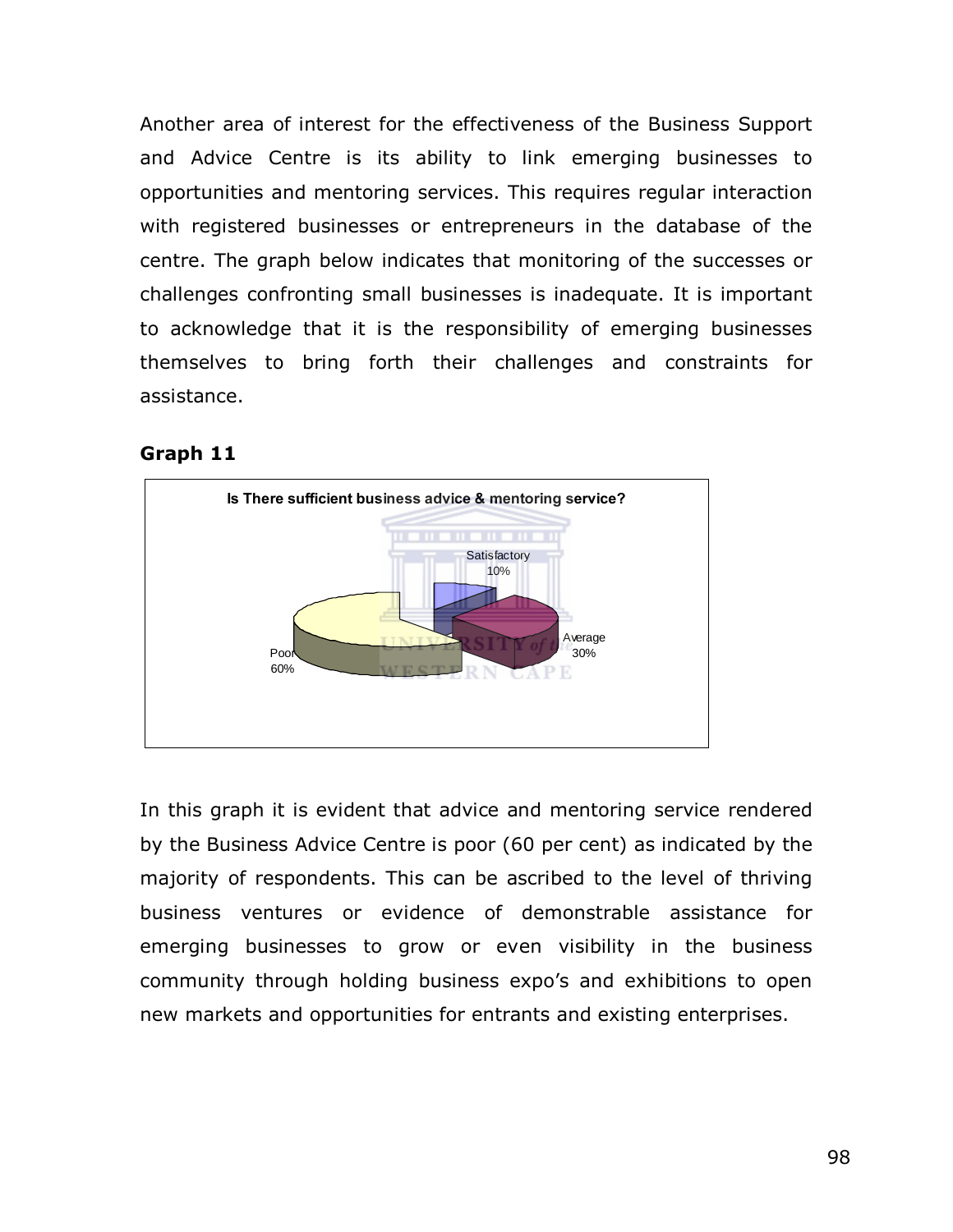Another area of interest for the effectiveness of the Business Support and Advice Centre is its ability to link emerging businesses to opportunities and mentoring services. This requires regular interaction with registered businesses or entrepreneurs in the database of the centre. The graph below indicates that monitoring of the successes or challenges confronting small businesses is inadequate. It is important to acknowledge that it is the responsibility of emerging businesses themselves to bring forth their challenges and constraints for assistance.

# **Graph 11**



In this graph it is evident that advice and mentoring service rendered by the Business Advice Centre is poor (60 per cent) as indicated by the majority of respondents. This can be ascribed to the level of thriving business ventures or evidence of demonstrable assistance for emerging businesses to grow or even visibility in the business community through holding business expo's and exhibitions to open new markets and opportunities for entrants and existing enterprises.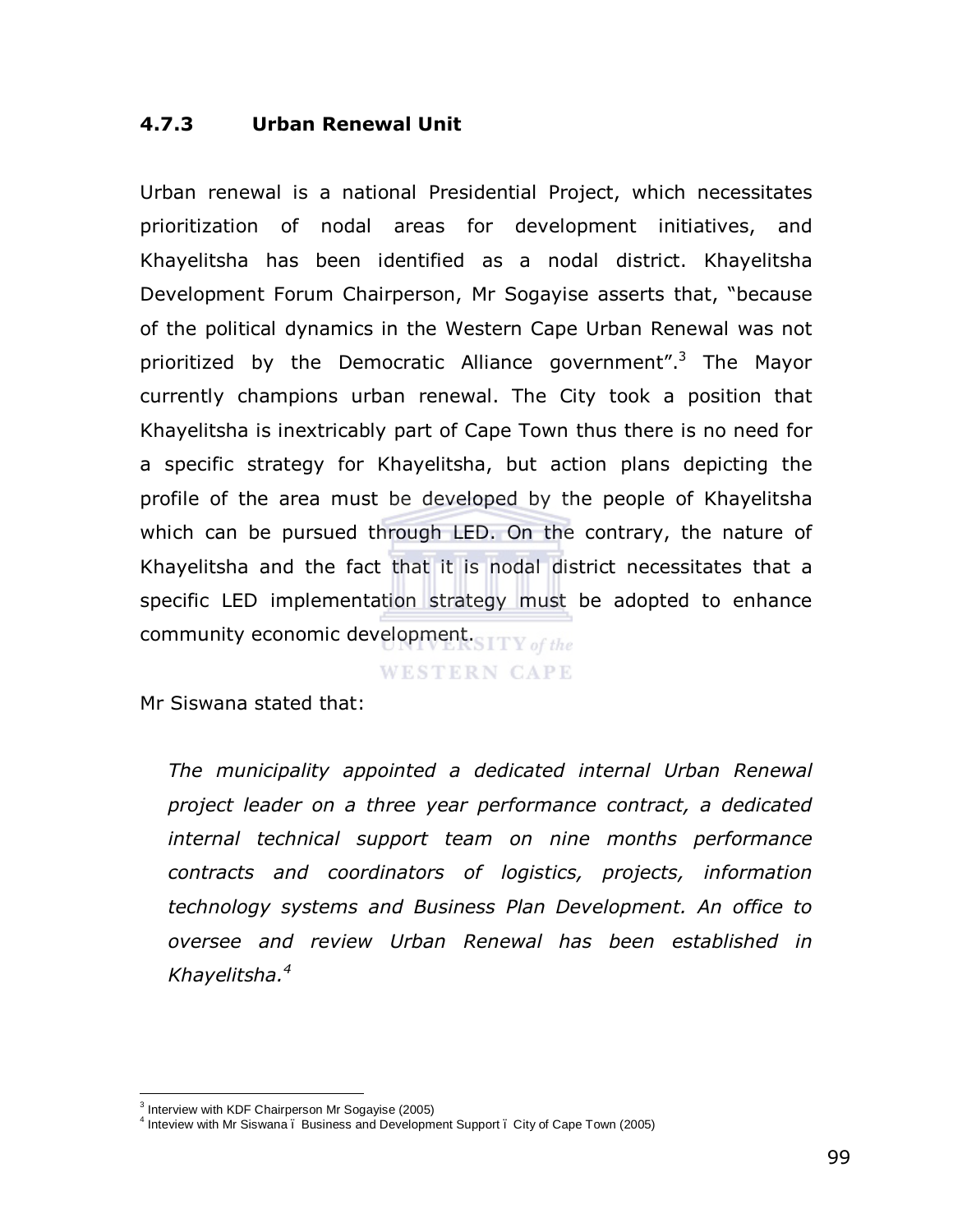# **4.7.3 Urban Renewal Unit**

Urban renewal is a national Presidential Project, which necessitates prioritization of nodal areas for development initiatives, and Khayelitsha has been identified as a nodal district. Khayelitsha Development Forum Chairperson, Mr Sogayise asserts that, "because of the political dynamics in the Western Cape Urban Renewal was not prioritized by the Democratic Alliance government".<sup>3</sup> The Mayor currently champions urban renewal. The City took a position that Khayelitsha is inextricably part of Cape Town thus there is no need for a specific strategy for Khayelitsha, but action plans depicting the profile of the area must be developed by the people of Khayelitsha which can be pursued through LED. On the contrary, the nature of Khayelitsha and the fact that it is nodal district necessitates that a specific LED implementation strategy must be adopted to enhance community economic development. SITY of the

# **WESTERN CAPE**

Mr Siswana stated that:

*The municipality appointed a dedicated internal Urban Renewal project leader on a three year performance contract, a dedicated internal technical support team on nine months performance contracts and coordinators of logistics, projects, information technology systems and Business Plan Development. An office to oversee and review Urban Renewal has been established in Khayelitsha.4* 

 3 Interview with KDF Chairperson Mr Sogayise (2005)

<sup>&</sup>lt;sup>4</sup> Inteview with Mr Siswana . Business and Development Support . City of Cape Town (2005)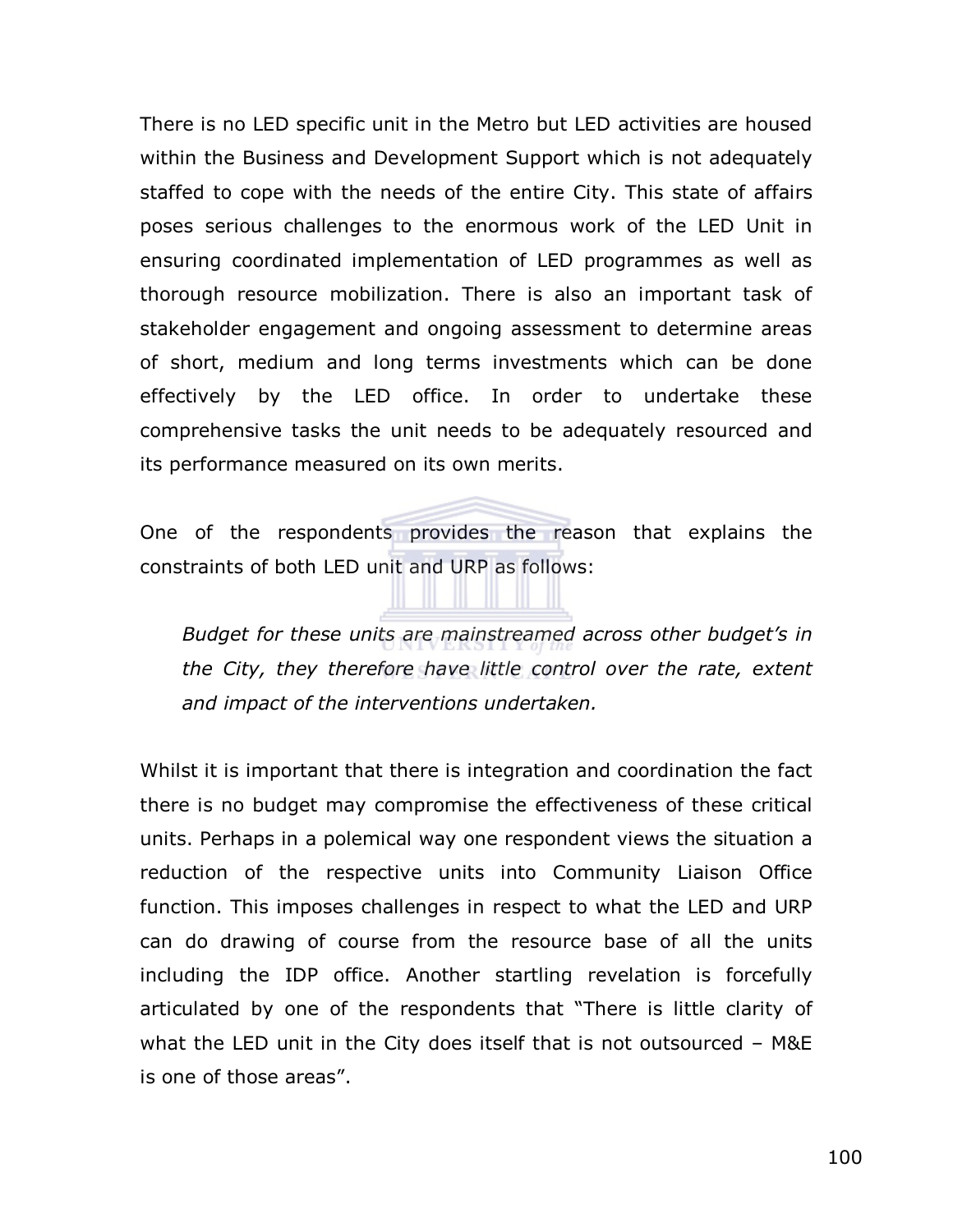There is no LED specific unit in the Metro but LED activities are housed within the Business and Development Support which is not adequately staffed to cope with the needs of the entire City. This state of affairs poses serious challenges to the enormous work of the LED Unit in ensuring coordinated implementation of LED programmes as well as thorough resource mobilization. There is also an important task of stakeholder engagement and ongoing assessment to determine areas of short, medium and long terms investments which can be done effectively by the LED office. In order to undertake these comprehensive tasks the unit needs to be adequately resourced and its performance measured on its own merits.

One of the respondents provides the reason that explains the constraints of both LED unit and URP as follows:

*Budget for these units are mainstreamed across other budget's in the City, they therefore have little control over the rate, extent and impact of the interventions undertaken.* 

Whilst it is important that there is integration and coordination the fact there is no budget may compromise the effectiveness of these critical units. Perhaps in a polemical way one respondent views the situation a reduction of the respective units into Community Liaison Office function. This imposes challenges in respect to what the LED and URP can do drawing of course from the resource base of all the units including the IDP office. Another startling revelation is forcefully articulated by one of the respondents that "There is little clarity of what the LED unit in the City does itself that is not outsourced – M&E is one of those areas".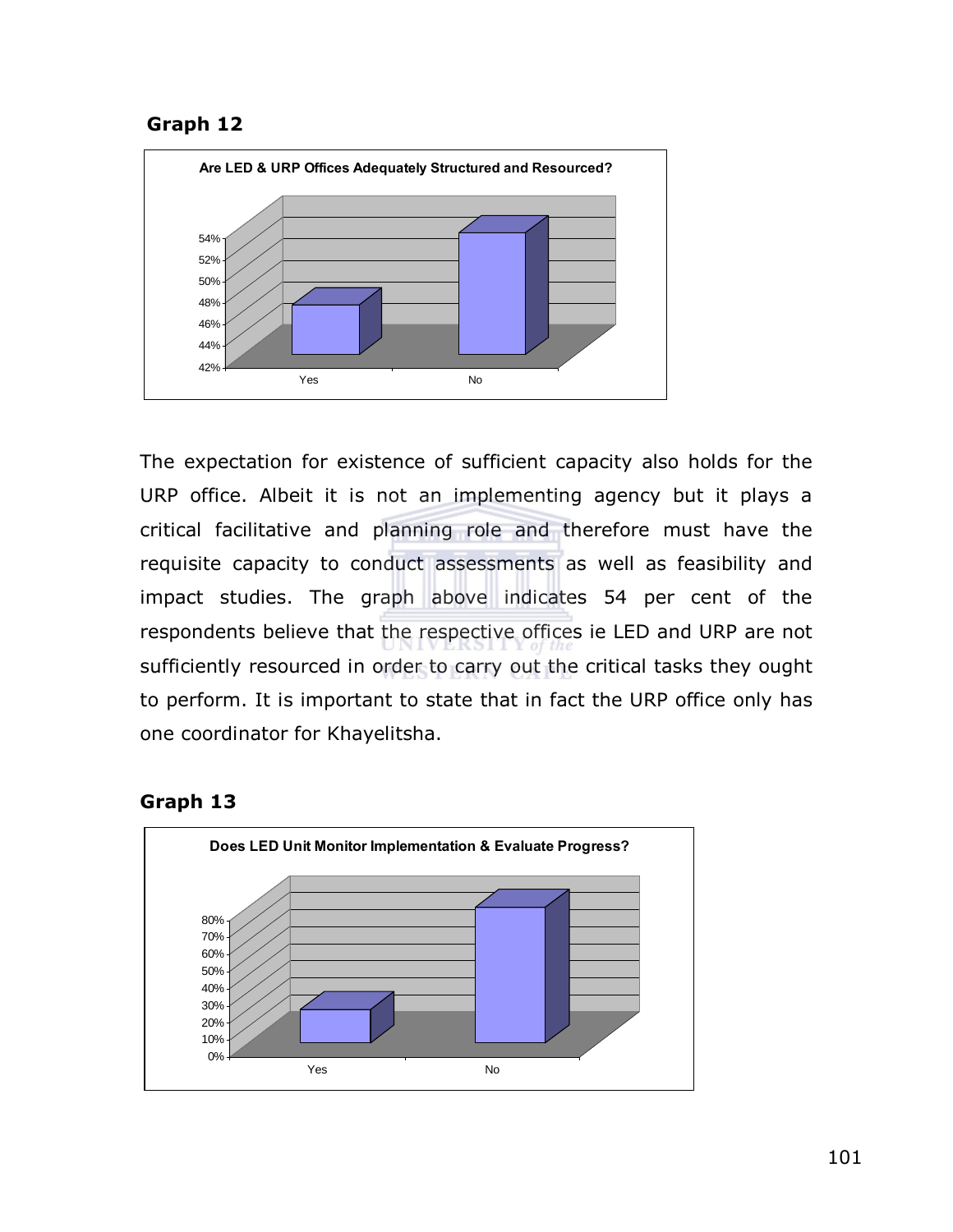## **Graph 12**



The expectation for existence of sufficient capacity also holds for the URP office. Albeit it is not an implementing agency but it plays a critical facilitative and planning role and therefore must have the requisite capacity to conduct assessments as well as feasibility and impact studies. The graph above indicates 54 per cent of the respondents believe that the respective offices ie LED and URP are not sufficiently resourced in order to carry out the critical tasks they ought to perform. It is important to state that in fact the URP office only has one coordinator for Khayelitsha.

# **Graph 13**

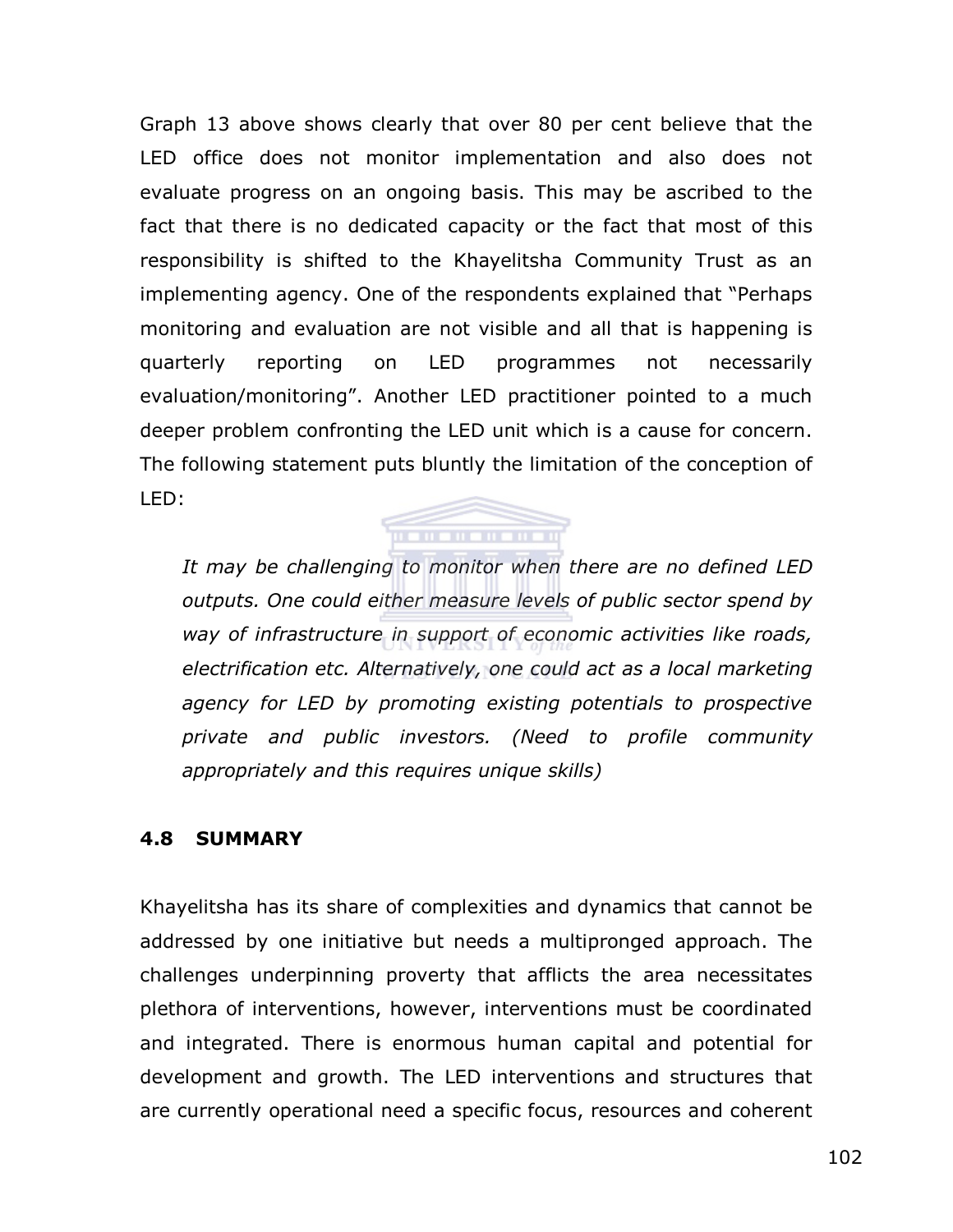Graph 13 above shows clearly that over 80 per cent believe that the LED office does not monitor implementation and also does not evaluate progress on an ongoing basis. This may be ascribed to the fact that there is no dedicated capacity or the fact that most of this responsibility is shifted to the Khayelitsha Community Trust as an implementing agency. One of the respondents explained that "Perhaps monitoring and evaluation are not visible and all that is happening is quarterly reporting on LED programmes not necessarily evaluation/monitoring". Another LED practitioner pointed to a much deeper problem confronting the LED unit which is a cause for concern. The following statement puts bluntly the limitation of the conception of LED:



# **4.8 SUMMARY**

Khayelitsha has its share of complexities and dynamics that cannot be addressed by one initiative but needs a multipronged approach. The challenges underpinning proverty that afflicts the area necessitates plethora of interventions, however, interventions must be coordinated and integrated. There is enormous human capital and potential for development and growth. The LED interventions and structures that are currently operational need a specific focus, resources and coherent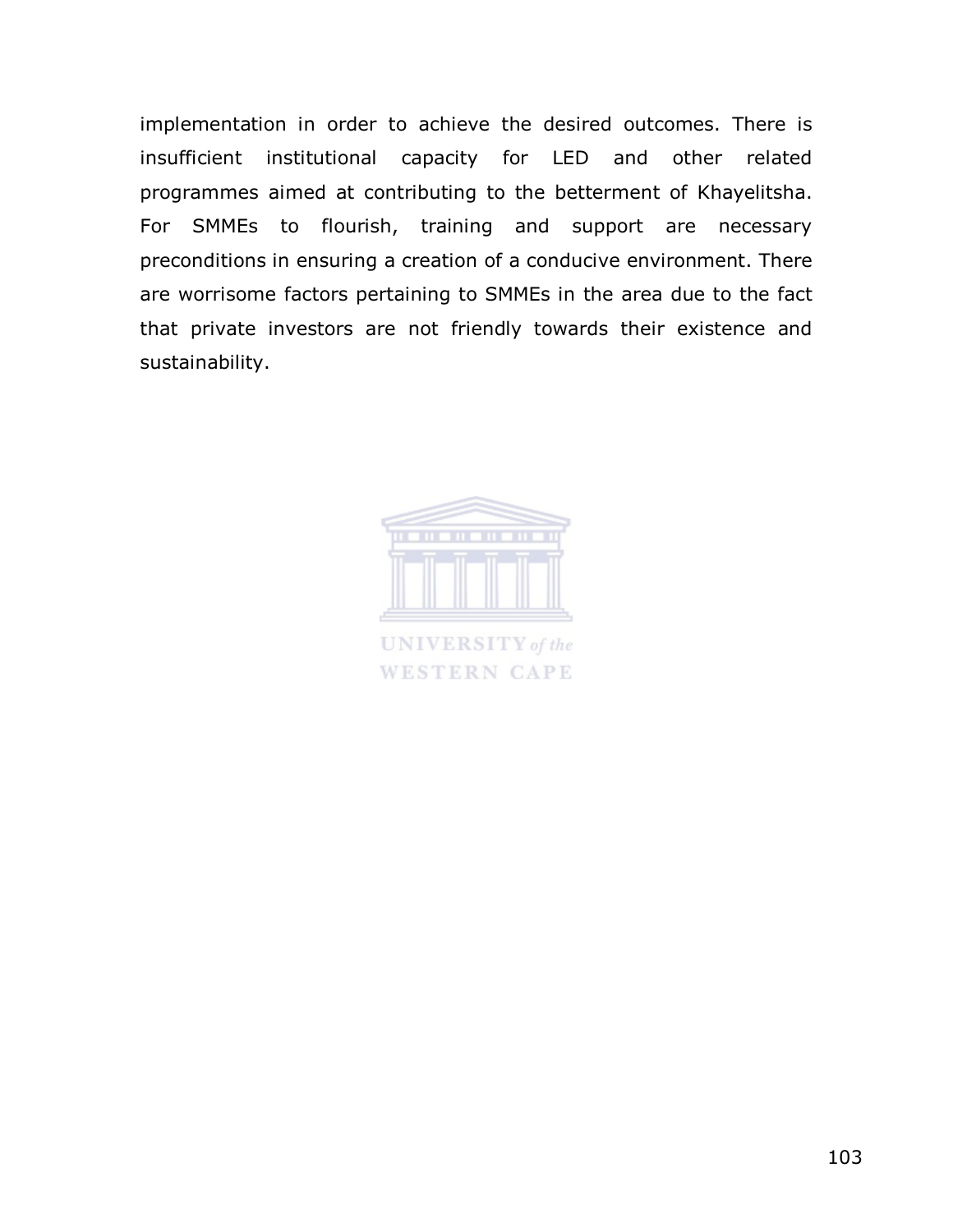implementation in order to achieve the desired outcomes. There is insufficient institutional capacity for LED and other related programmes aimed at contributing to the betterment of Khayelitsha. For SMMEs to flourish, training and support are necessary preconditions in ensuring a creation of a conducive environment. There are worrisome factors pertaining to SMMEs in the area due to the fact that private investors are not friendly towards their existence and sustainability.



**UNIVERSITY** of the **WESTERN CAPE**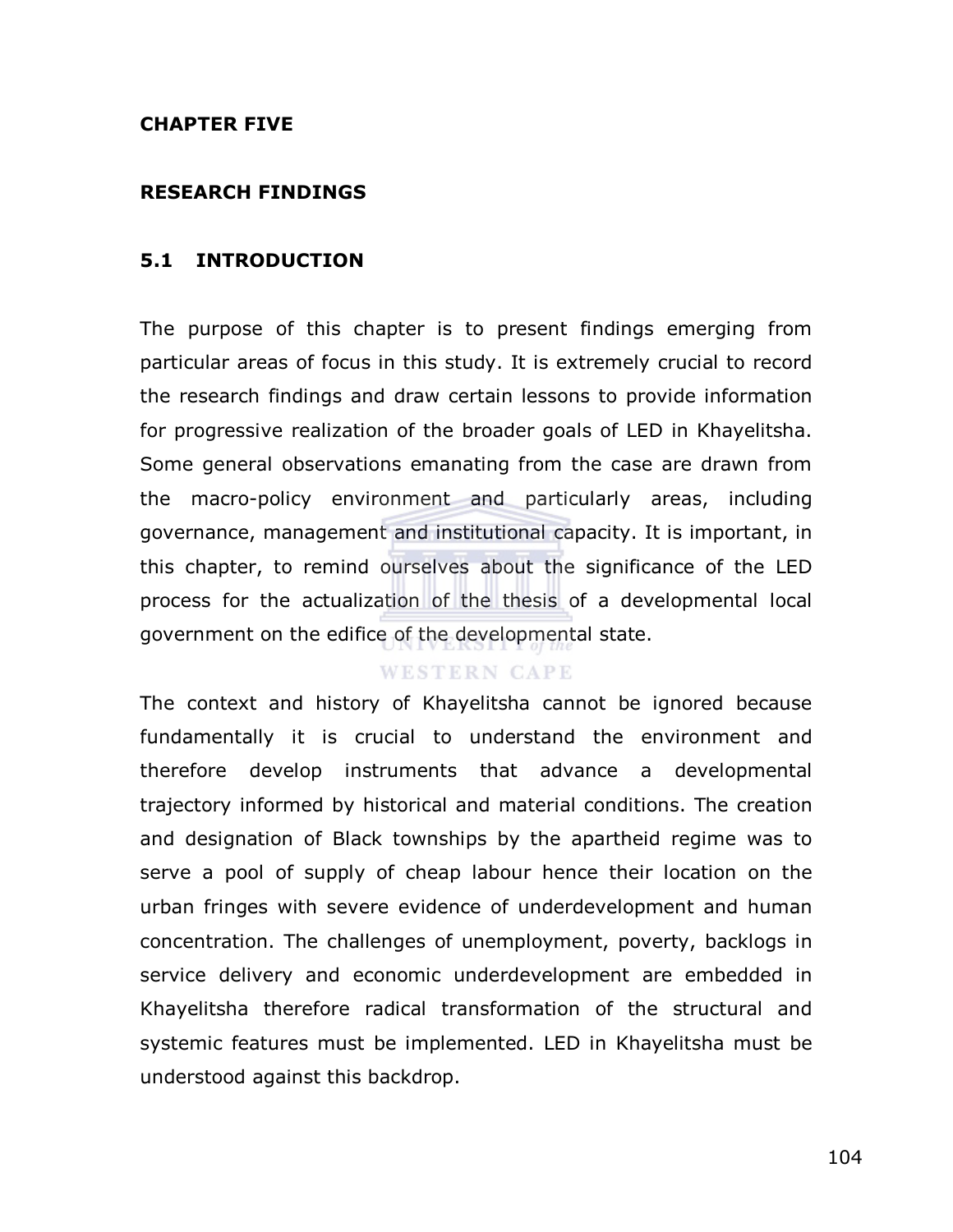# **CHAPTER FIVE**

# **RESEARCH FINDINGS**

## **5.1 INTRODUCTION**

The purpose of this chapter is to present findings emerging from particular areas of focus in this study. It is extremely crucial to record the research findings and draw certain lessons to provide information for progressive realization of the broader goals of LED in Khayelitsha. Some general observations emanating from the case are drawn from the macro-policy environment and particularly areas, including governance, management and institutional capacity. It is important, in this chapter, to remind ourselves about the significance of the LED process for the actualization of the thesis of a developmental local government on the edifice of the developmental state.

# **WESTERN CAPE**

The context and history of Khayelitsha cannot be ignored because fundamentally it is crucial to understand the environment and therefore develop instruments that advance a developmental trajectory informed by historical and material conditions. The creation and designation of Black townships by the apartheid regime was to serve a pool of supply of cheap labour hence their location on the urban fringes with severe evidence of underdevelopment and human concentration. The challenges of unemployment, poverty, backlogs in service delivery and economic underdevelopment are embedded in Khayelitsha therefore radical transformation of the structural and systemic features must be implemented. LED in Khayelitsha must be understood against this backdrop.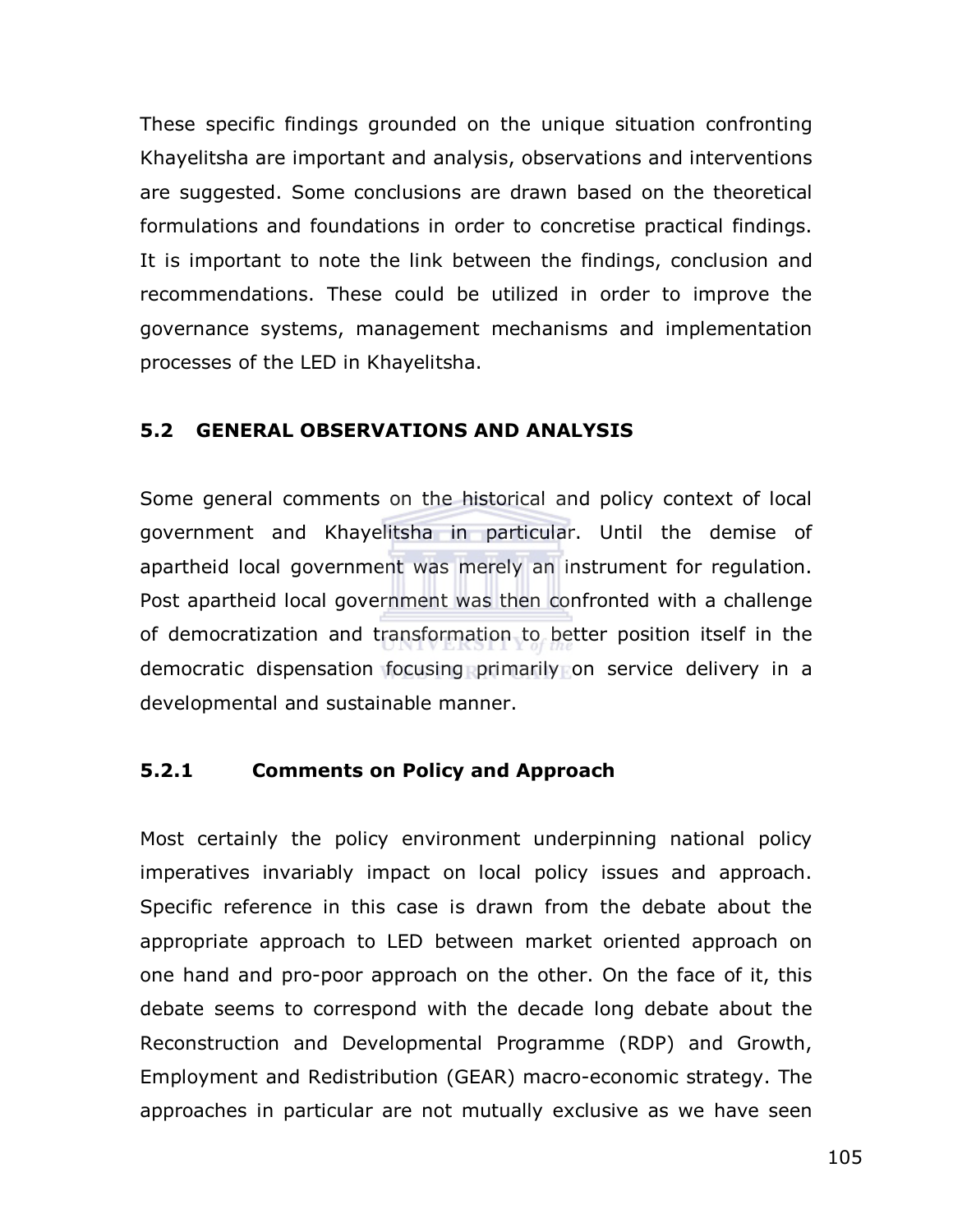These specific findings grounded on the unique situation confronting Khayelitsha are important and analysis, observations and interventions are suggested. Some conclusions are drawn based on the theoretical formulations and foundations in order to concretise practical findings. It is important to note the link between the findings, conclusion and recommendations. These could be utilized in order to improve the governance systems, management mechanisms and implementation processes of the LED in Khayelitsha.

# **5.2 GENERAL OBSERVATIONS AND ANALYSIS**

Some general comments on the historical and policy context of local government and Khayelitsha in particular. Until the demise of apartheid local government was merely an instrument for regulation. Post apartheid local government was then confronted with a challenge of democratization and transformation to better position itself in the democratic dispensation focusing primarily on service delivery in a developmental and sustainable manner.

# **5.2.1 Comments on Policy and Approach**

Most certainly the policy environment underpinning national policy imperatives invariably impact on local policy issues and approach. Specific reference in this case is drawn from the debate about the appropriate approach to LED between market oriented approach on one hand and pro-poor approach on the other. On the face of it, this debate seems to correspond with the decade long debate about the Reconstruction and Developmental Programme (RDP) and Growth, Employment and Redistribution (GEAR) macro-economic strategy. The approaches in particular are not mutually exclusive as we have seen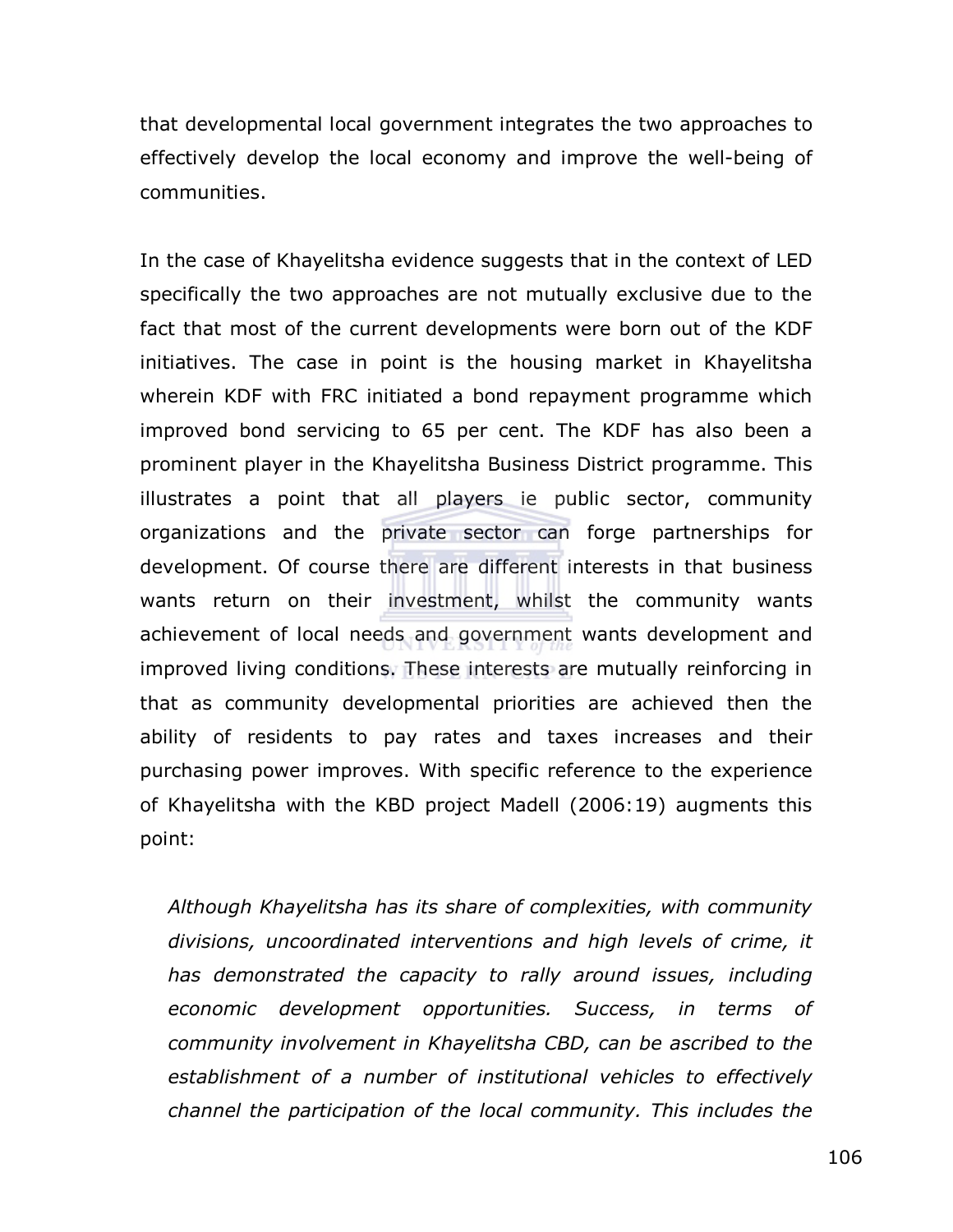that developmental local government integrates the two approaches to effectively develop the local economy and improve the well-being of communities.

In the case of Khayelitsha evidence suggests that in the context of LED specifically the two approaches are not mutually exclusive due to the fact that most of the current developments were born out of the KDF initiatives. The case in point is the housing market in Khayelitsha wherein KDF with FRC initiated a bond repayment programme which improved bond servicing to 65 per cent. The KDF has also been a prominent player in the Khayelitsha Business District programme. This illustrates a point that all players ie public sector, community organizations and the private sector can forge partnerships for development. Of course there are different interests in that business wants return on their investment, whilst the community wants achievement of local needs and government wants development and improved living conditions. These interests are mutually reinforcing in that as community developmental priorities are achieved then the ability of residents to pay rates and taxes increases and their purchasing power improves. With specific reference to the experience of Khayelitsha with the KBD project Madell (2006:19) augments this point:

*Although Khayelitsha has its share of complexities, with community divisions, uncoordinated interventions and high levels of crime, it*  has demonstrated the capacity to rally around *issues*, including *economic development opportunities. Success, in terms of community involvement in Khayelitsha CBD, can be ascribed to the establishment of a number of institutional vehicles to effectively channel the participation of the local community. This includes the*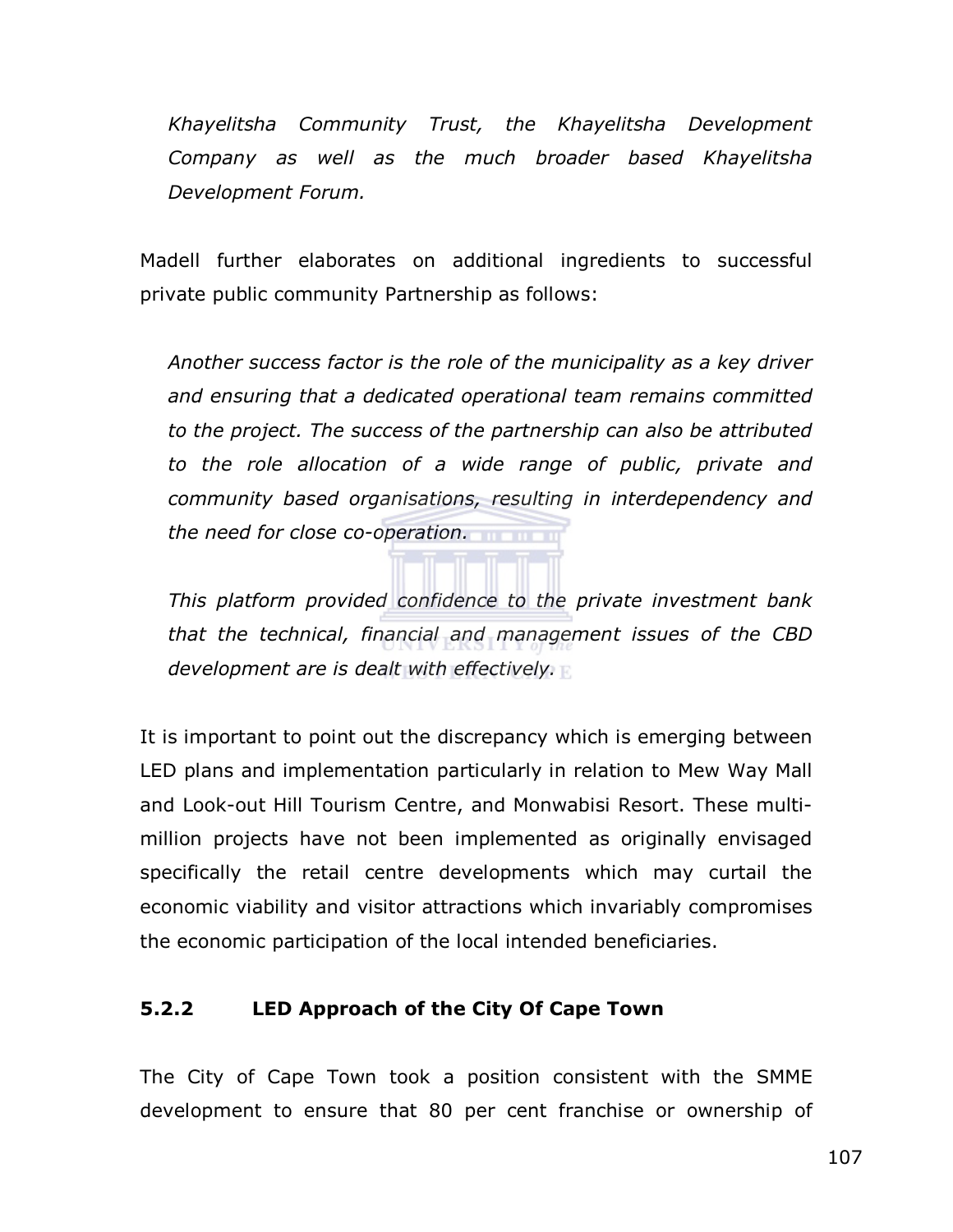*Khayelitsha Community Trust, the Khayelitsha Development Company as well as the much broader based Khayelitsha Development Forum.* 

Madell further elaborates on additional ingredients to successful private public community Partnership as follows:

*Another success factor is the role of the municipality as a key driver and ensuring that a dedicated operational team remains committed to the project. The success of the partnership can also be attributed to the role allocation of a wide range of public, private and community based organisations, resulting in interdependency and the need for close co-operation.* 

*This platform provided confidence to the private investment bank that the technical, financial and management issues of the CBD development are is dealt with effectively.* 

It is important to point out the discrepancy which is emerging between LED plans and implementation particularly in relation to Mew Way Mall and Look-out Hill Tourism Centre, and Monwabisi Resort. These multimillion projects have not been implemented as originally envisaged specifically the retail centre developments which may curtail the economic viability and visitor attractions which invariably compromises the economic participation of the local intended beneficiaries.

# **5.2.2 LED Approach of the City Of Cape Town**

The City of Cape Town took a position consistent with the SMME development to ensure that 80 per cent franchise or ownership of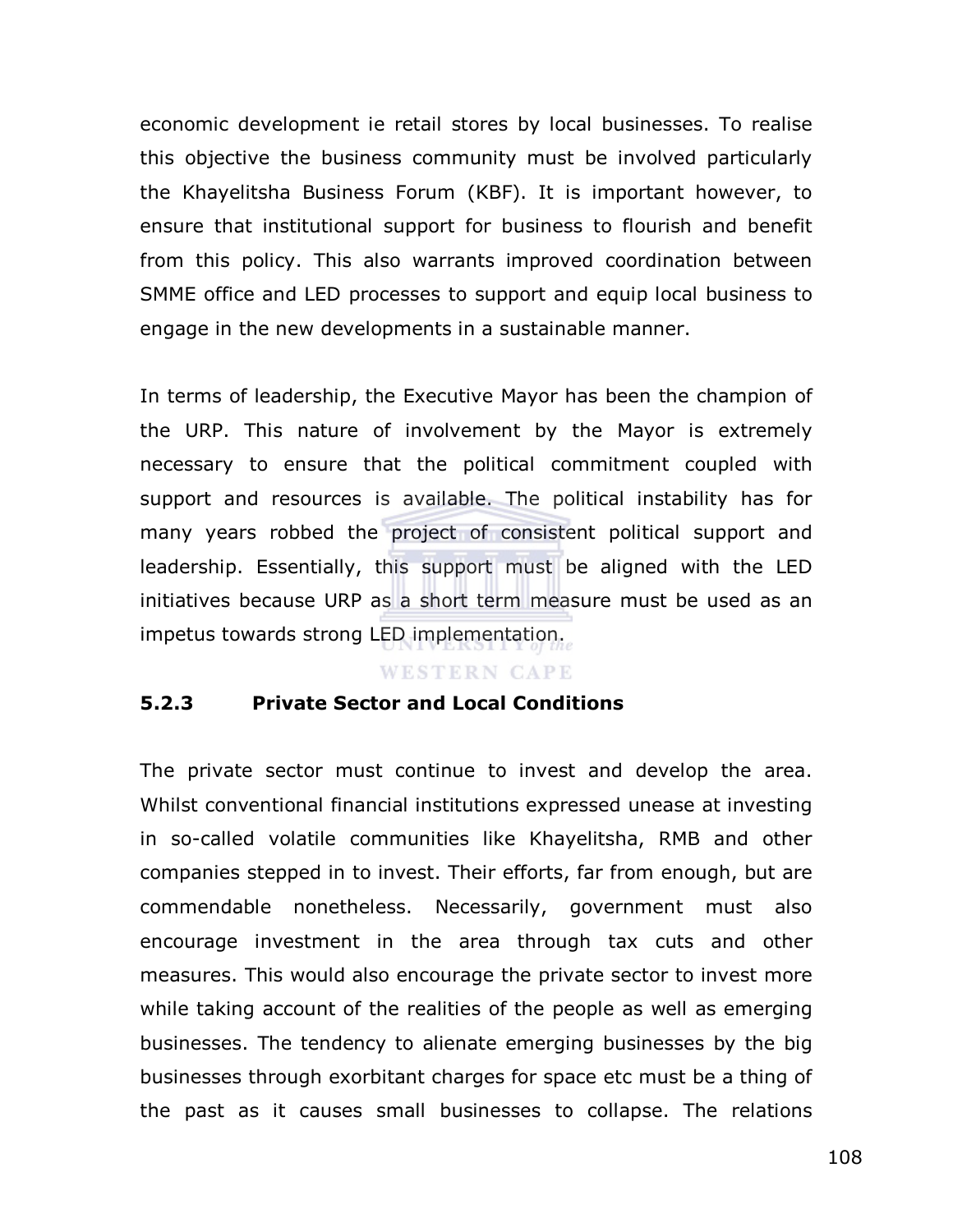economic development ie retail stores by local businesses. To realise this objective the business community must be involved particularly the Khayelitsha Business Forum (KBF). It is important however, to ensure that institutional support for business to flourish and benefit from this policy. This also warrants improved coordination between SMME office and LED processes to support and equip local business to engage in the new developments in a sustainable manner.

In terms of leadership, the Executive Mayor has been the champion of the URP. This nature of involvement by the Mayor is extremely necessary to ensure that the political commitment coupled with support and resources is available. The political instability has for many years robbed the project of consistent political support and leadership. Essentially, this support must be aligned with the LED initiatives because URP as a short term measure must be used as an impetus towards strong LED implementation.

# **WESTERN CAPE**

# **5.2.3 Private Sector and Local Conditions**

The private sector must continue to invest and develop the area. Whilst conventional financial institutions expressed unease at investing in so-called volatile communities like Khayelitsha, RMB and other companies stepped in to invest. Their efforts, far from enough, but are commendable nonetheless. Necessarily, government must also encourage investment in the area through tax cuts and other measures. This would also encourage the private sector to invest more while taking account of the realities of the people as well as emerging businesses. The tendency to alienate emerging businesses by the big businesses through exorbitant charges for space etc must be a thing of the past as it causes small businesses to collapse. The relations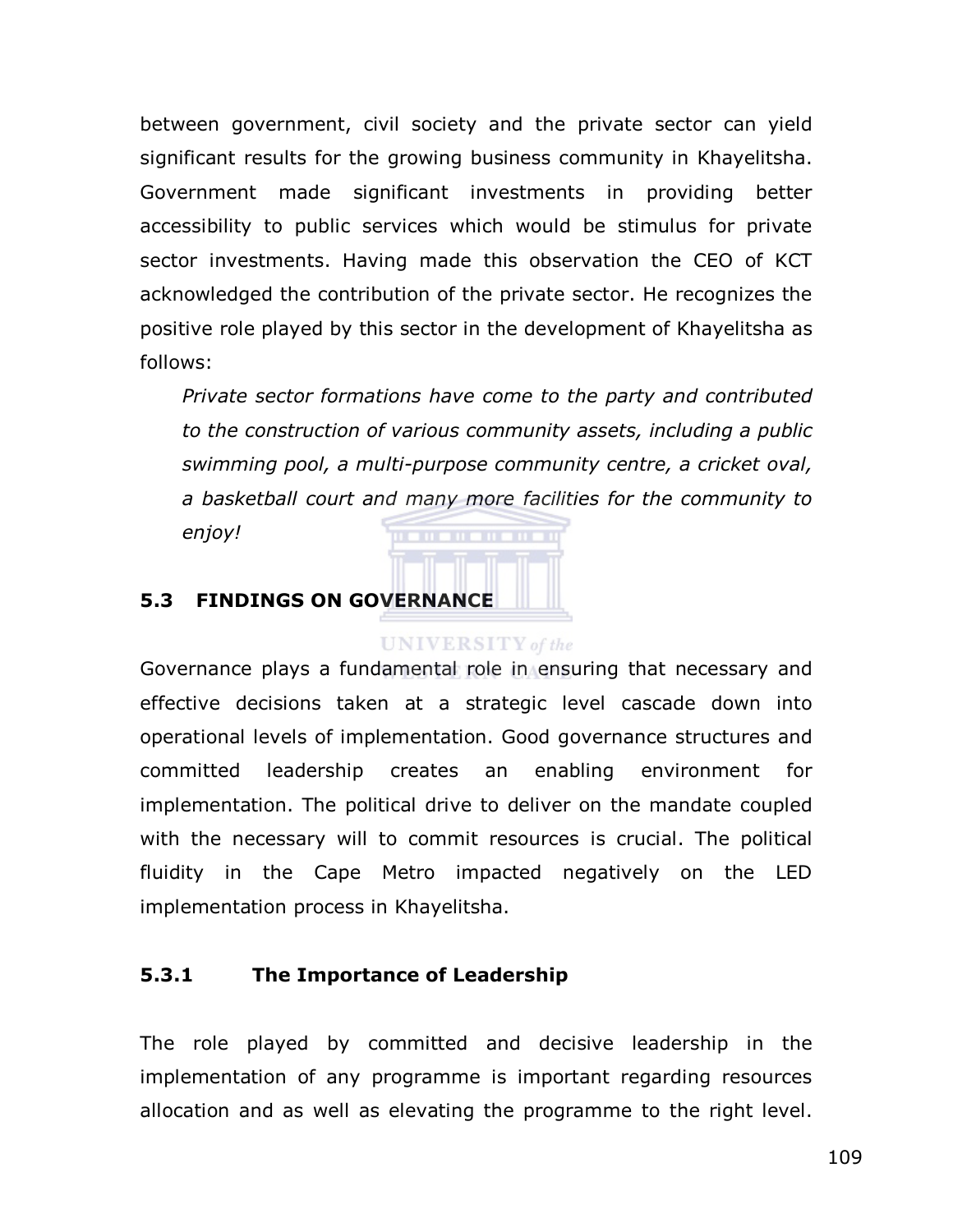between government, civil society and the private sector can yield significant results for the growing business community in Khayelitsha. Government made significant investments in providing better accessibility to public services which would be stimulus for private sector investments. Having made this observation the CEO of KCT acknowledged the contribution of the private sector. He recognizes the positive role played by this sector in the development of Khayelitsha as follows:

*Private sector formations have come to the party and contributed to the construction of various community assets, including a public swimming pool, a multi-purpose community centre, a cricket oval, a basketball court and many more facilities for the community to enjoy!*  **TITLE** 

# **5.3 FINDINGS ON GOVERNANCE**

#### **UNIVERSITY** of the

Governance plays a fundamental role in ensuring that necessary and effective decisions taken at a strategic level cascade down into operational levels of implementation. Good governance structures and committed leadership creates an enabling environment for implementation. The political drive to deliver on the mandate coupled with the necessary will to commit resources is crucial. The political fluidity in the Cape Metro impacted negatively on the LED implementation process in Khayelitsha.

# **5.3.1 The Importance of Leadership**

The role played by committed and decisive leadership in the implementation of any programme is important regarding resources allocation and as well as elevating the programme to the right level.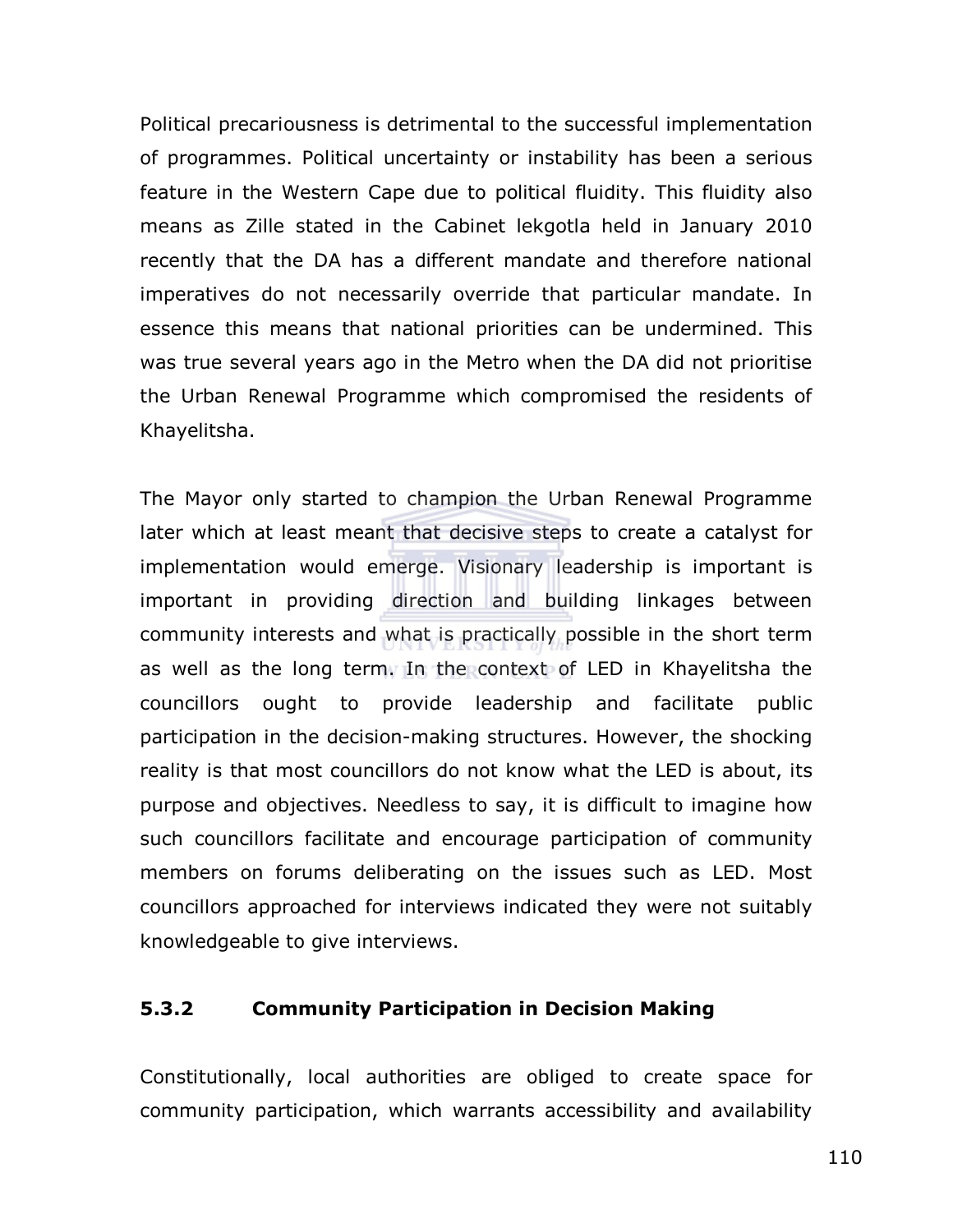Political precariousness is detrimental to the successful implementation of programmes. Political uncertainty or instability has been a serious feature in the Western Cape due to political fluidity. This fluidity also means as Zille stated in the Cabinet lekgotla held in January 2010 recently that the DA has a different mandate and therefore national imperatives do not necessarily override that particular mandate. In essence this means that national priorities can be undermined. This was true several years ago in the Metro when the DA did not prioritise the Urban Renewal Programme which compromised the residents of Khayelitsha.

The Mayor only started to champion the Urban Renewal Programme later which at least meant that decisive steps to create a catalyst for implementation would emerge. Visionary leadership is important is important in providing direction and building linkages between community interests and what is practically possible in the short term as well as the long term. In the context of LED in Khayelitsha the councillors ought to provide leadership and facilitate public participation in the decision-making structures. However, the shocking reality is that most councillors do not know what the LED is about, its purpose and objectives. Needless to say, it is difficult to imagine how such councillors facilitate and encourage participation of community members on forums deliberating on the issues such as LED. Most councillors approached for interviews indicated they were not suitably knowledgeable to give interviews.

# **5.3.2 Community Participation in Decision Making**

Constitutionally, local authorities are obliged to create space for community participation, which warrants accessibility and availability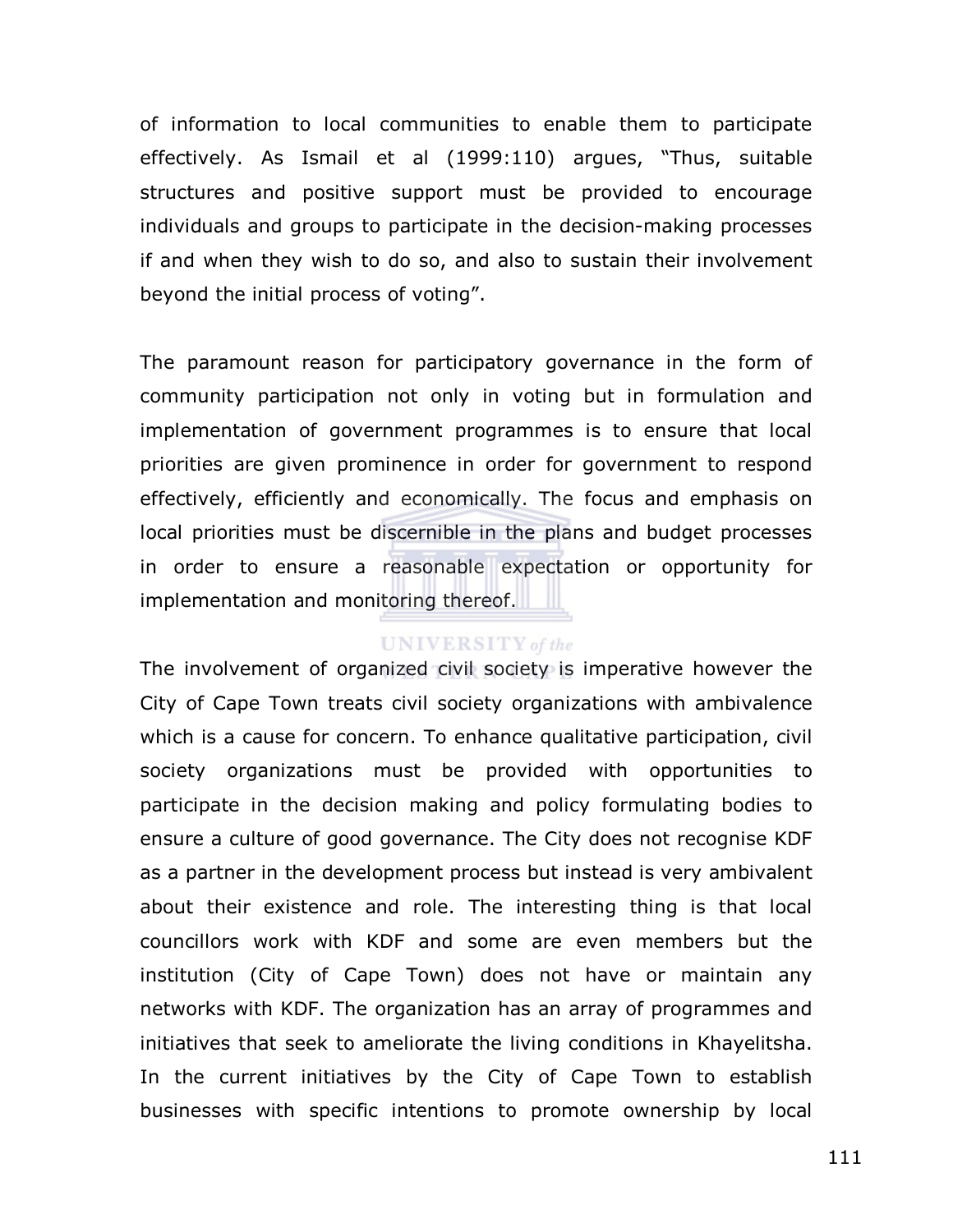of information to local communities to enable them to participate effectively. As Ismail et al (1999:110) argues, "Thus, suitable structures and positive support must be provided to encourage individuals and groups to participate in the decision-making processes if and when they wish to do so, and also to sustain their involvement beyond the initial process of voting".

The paramount reason for participatory governance in the form of community participation not only in voting but in formulation and implementation of government programmes is to ensure that local priorities are given prominence in order for government to respond effectively, efficiently and economically. The focus and emphasis on local priorities must be discernible in the plans and budget processes in order to ensure a reasonable expectation or opportunity for implementation and monitoring thereof.

#### **UNIVERSITY** of the

The involvement of organized civil society is imperative however the City of Cape Town treats civil society organizations with ambivalence which is a cause for concern. To enhance qualitative participation, civil society organizations must be provided with opportunities to participate in the decision making and policy formulating bodies to ensure a culture of good governance. The City does not recognise KDF as a partner in the development process but instead is very ambivalent about their existence and role. The interesting thing is that local councillors work with KDF and some are even members but the institution (City of Cape Town) does not have or maintain any networks with KDF. The organization has an array of programmes and initiatives that seek to ameliorate the living conditions in Khayelitsha. In the current initiatives by the City of Cape Town to establish businesses with specific intentions to promote ownership by local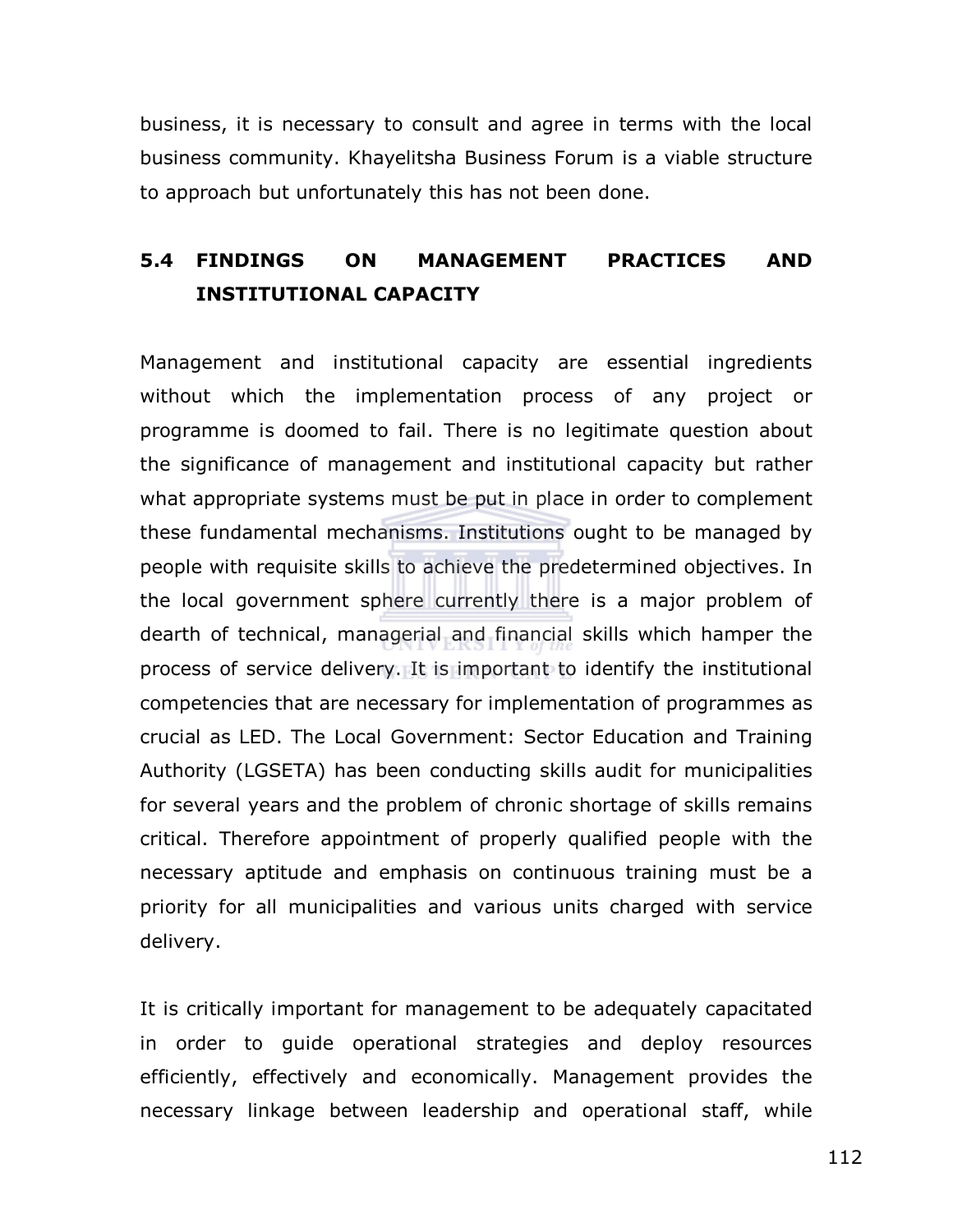business, it is necessary to consult and agree in terms with the local business community. Khayelitsha Business Forum is a viable structure to approach but unfortunately this has not been done.

# **5.4 FINDINGS ON MANAGEMENT PRACTICES AND INSTITUTIONAL CAPACITY**

Management and institutional capacity are essential ingredients without which the implementation process of any project or programme is doomed to fail. There is no legitimate question about the significance of management and institutional capacity but rather what appropriate systems must be put in place in order to complement these fundamental mechanisms. Institutions ought to be managed by people with requisite skills to achieve the predetermined objectives. In the local government sphere currently there is a major problem of dearth of technical, managerial and financial skills which hamper the process of service delivery. It is important to identify the institutional competencies that are necessary for implementation of programmes as crucial as LED. The Local Government: Sector Education and Training Authority (LGSETA) has been conducting skills audit for municipalities for several years and the problem of chronic shortage of skills remains critical. Therefore appointment of properly qualified people with the necessary aptitude and emphasis on continuous training must be a priority for all municipalities and various units charged with service delivery.

It is critically important for management to be adequately capacitated in order to guide operational strategies and deploy resources efficiently, effectively and economically. Management provides the necessary linkage between leadership and operational staff, while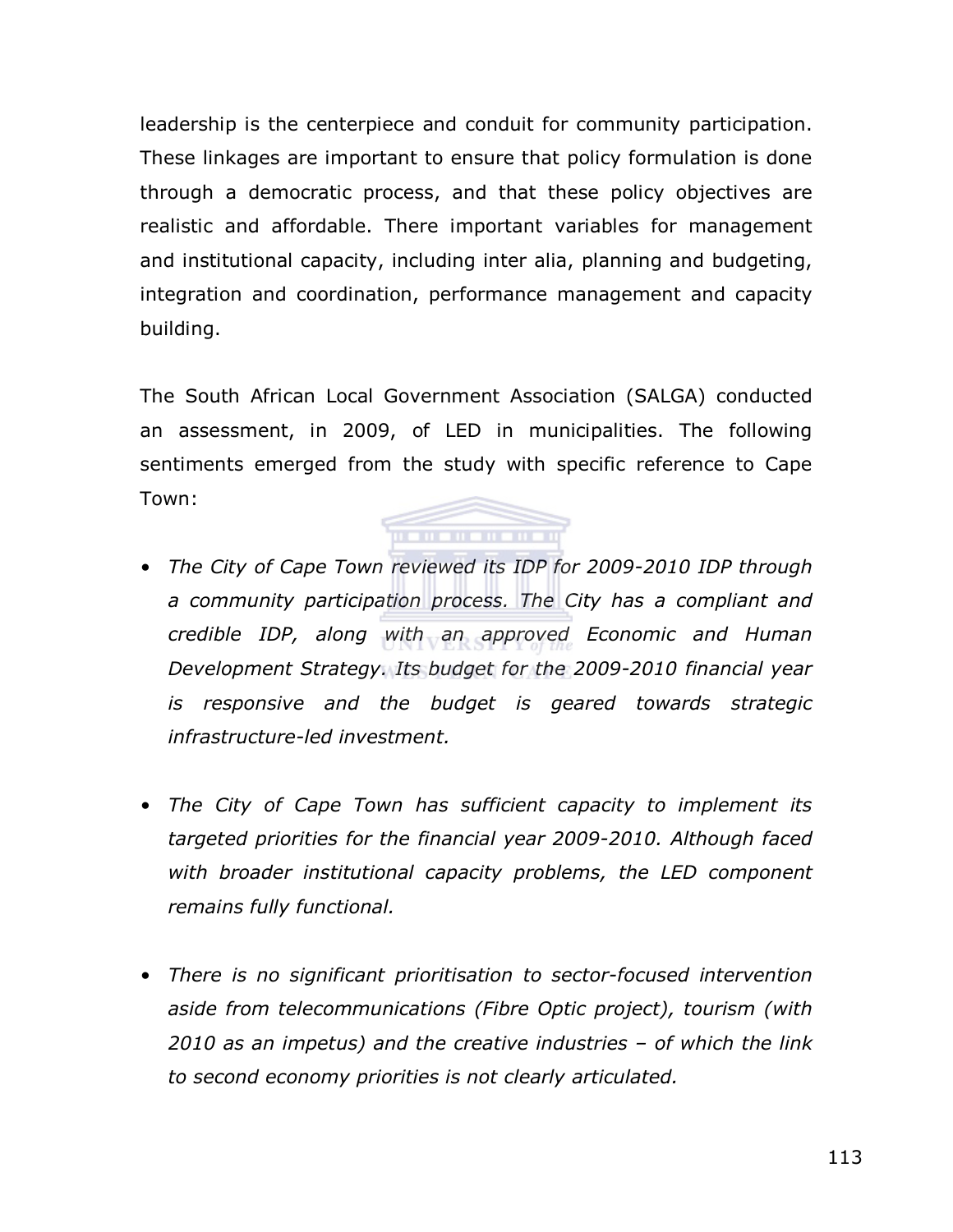leadership is the centerpiece and conduit for community participation. These linkages are important to ensure that policy formulation is done through a democratic process, and that these policy objectives are realistic and affordable. There important variables for management and institutional capacity, including inter alia, planning and budgeting, integration and coordination, performance management and capacity building.

The South African Local Government Association (SALGA) conducted an assessment, in 2009, of LED in municipalities. The following sentiments emerged from the study with specific reference to Cape Town:

**............** 

- *• The City of Cape Town reviewed its IDP for 2009-2010 IDP through a community participation process. The City has a compliant and credible IDP, along with an approved Economic and Human Development Strategy. Its budget for the 2009-2010 financial year is responsive and the budget is geared towards strategic infrastructure-led investment.*
- *• The City of Cape Town has sufficient capacity to implement its targeted priorities for the financial year 2009-2010. Although faced with broader institutional capacity problems, the LED component remains fully functional.*
- *• There is no significant prioritisation to sector-focused intervention aside from telecommunications (Fibre Optic project), tourism (with 2010 as an impetus) and the creative industries – of which the link to second economy priorities is not clearly articulated.*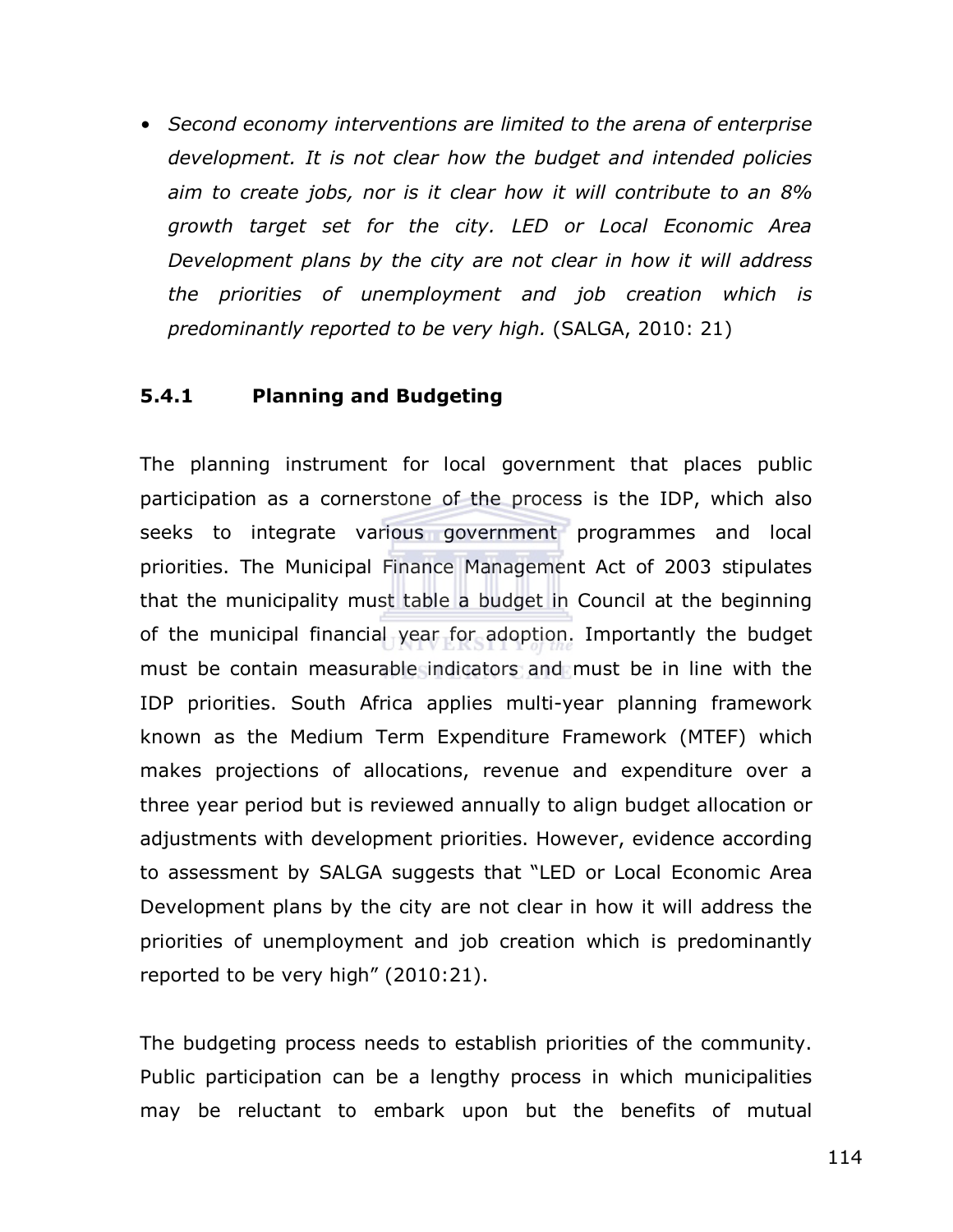*• Second economy interventions are limited to the arena of enterprise development. It is not clear how the budget and intended policies aim to create jobs, nor is it clear how it will contribute to an 8% growth target set for the city. LED or Local Economic Area Development plans by the city are not clear in how it will address the priorities of unemployment and job creation which is predominantly reported to be very high.* (SALGA, 2010: 21)

# **5.4.1 Planning and Budgeting**

The planning instrument for local government that places public participation as a cornerstone of the process is the IDP, which also seeks to integrate various government programmes and local priorities. The Municipal Finance Management Act of 2003 stipulates that the municipality must table a budget in Council at the beginning of the municipal financial year for adoption. Importantly the budget must be contain measurable indicators and must be in line with the IDP priorities. South Africa applies multi-year planning framework known as the Medium Term Expenditure Framework (MTEF) which makes projections of allocations, revenue and expenditure over a three year period but is reviewed annually to align budget allocation or adjustments with development priorities. However, evidence according to assessment by SALGA suggests that "LED or Local Economic Area Development plans by the city are not clear in how it will address the priorities of unemployment and job creation which is predominantly reported to be very high" (2010:21).

The budgeting process needs to establish priorities of the community. Public participation can be a lengthy process in which municipalities may be reluctant to embark upon but the benefits of mutual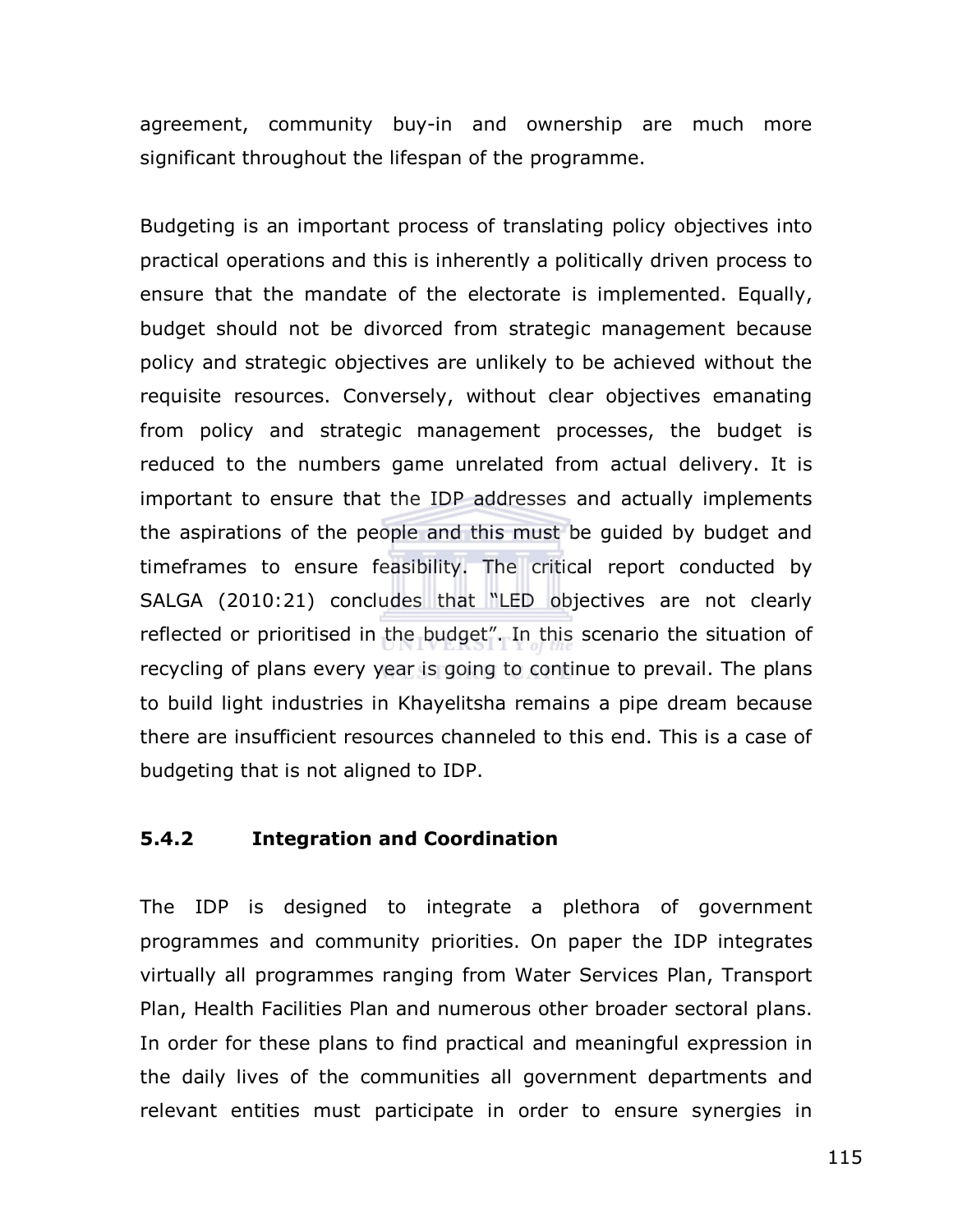agreement, community buy-in and ownership are much more significant throughout the lifespan of the programme.

Budgeting is an important process of translating policy objectives into practical operations and this is inherently a politically driven process to ensure that the mandate of the electorate is implemented. Equally, budget should not be divorced from strategic management because policy and strategic objectives are unlikely to be achieved without the requisite resources. Conversely, without clear objectives emanating from policy and strategic management processes, the budget is reduced to the numbers game unrelated from actual delivery. It is important to ensure that the IDP addresses and actually implements the aspirations of the people and this must be guided by budget and timeframes to ensure feasibility. The critical report conducted by SALGA (2010:21) concludes that "LED objectives are not clearly reflected or prioritised in the budget". In this scenario the situation of recycling of plans every year is going to continue to prevail. The plans to build light industries in Khayelitsha remains a pipe dream because there are insufficient resources channeled to this end. This is a case of budgeting that is not aligned to IDP.

# **5.4.2 Integration and Coordination**

The IDP is designed to integrate a plethora of government programmes and community priorities. On paper the IDP integrates virtually all programmes ranging from Water Services Plan, Transport Plan, Health Facilities Plan and numerous other broader sectoral plans. In order for these plans to find practical and meaningful expression in the daily lives of the communities all government departments and relevant entities must participate in order to ensure synergies in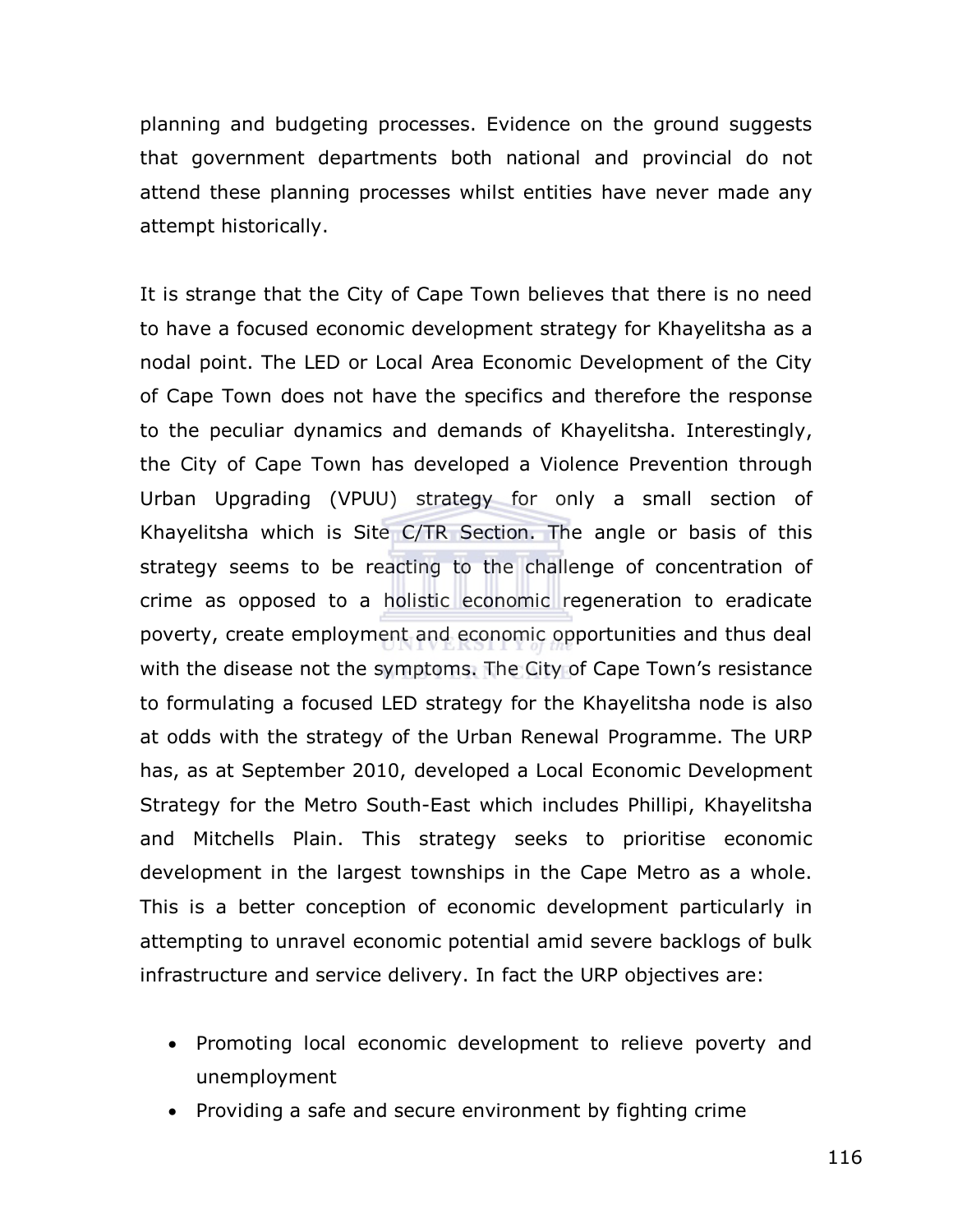planning and budgeting processes. Evidence on the ground suggests that government departments both national and provincial do not attend these planning processes whilst entities have never made any attempt historically.

It is strange that the City of Cape Town believes that there is no need to have a focused economic development strategy for Khayelitsha as a nodal point. The LED or Local Area Economic Development of the City of Cape Town does not have the specifics and therefore the response to the peculiar dynamics and demands of Khayelitsha. Interestingly, the City of Cape Town has developed a Violence Prevention through Urban Upgrading (VPUU) strategy for only a small section of Khayelitsha which is Site C/TR Section. The angle or basis of this strategy seems to be reacting to the challenge of concentration of crime as opposed to a holistic economic regeneration to eradicate poverty, create employment and economic opportunities and thus deal with the disease not the symptoms. The City of Cape Town's resistance to formulating a focused LED strategy for the Khayelitsha node is also at odds with the strategy of the Urban Renewal Programme. The URP has, as at September 2010, developed a Local Economic Development Strategy for the Metro South-East which includes Phillipi, Khayelitsha and Mitchells Plain. This strategy seeks to prioritise economic development in the largest townships in the Cape Metro as a whole. This is a better conception of economic development particularly in attempting to unravel economic potential amid severe backlogs of bulk infrastructure and service delivery. In fact the URP objectives are:

- · Promoting local economic development to relieve poverty and unemployment
- · Providing a safe and secure environment by fighting crime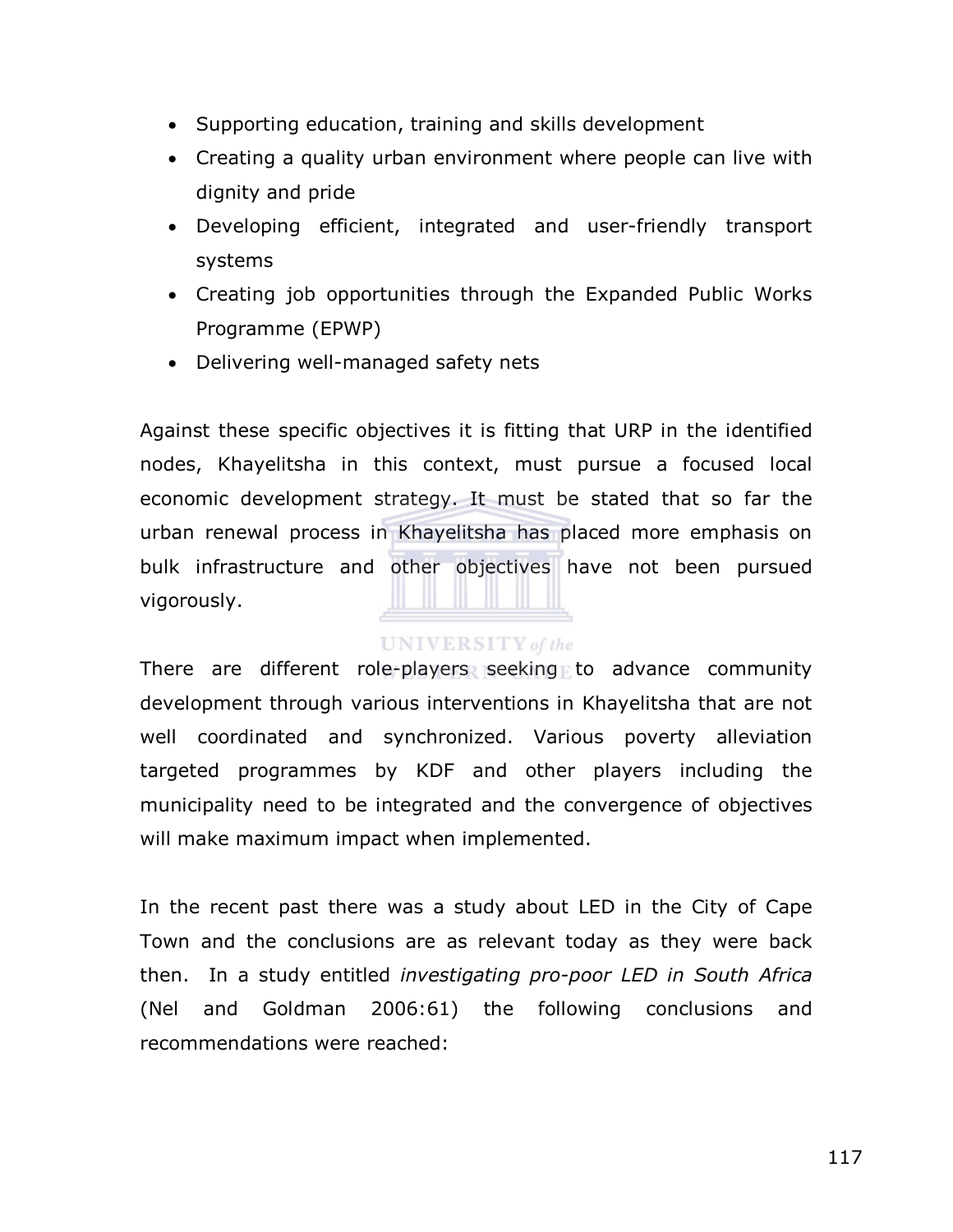- · Supporting education, training and skills development
- · Creating a quality urban environment where people can live with dignity and pride
- · Developing efficient, integrated and user-friendly transport systems
- · Creating job opportunities through the Expanded Public Works Programme (EPWP)
- · Delivering well-managed safety nets

Against these specific objectives it is fitting that URP in the identified nodes, Khayelitsha in this context, must pursue a focused local economic development strategy. It must be stated that so far the urban renewal process in Khayelitsha has placed more emphasis on bulk infrastructure and other objectives have not been pursued vigorously.

#### **UNIVERSITY** of the

There are different role-players seeking to advance community development through various interventions in Khayelitsha that are not well coordinated and synchronized. Various poverty alleviation targeted programmes by KDF and other players including the municipality need to be integrated and the convergence of objectives will make maximum impact when implemented.

In the recent past there was a study about LED in the City of Cape Town and the conclusions are as relevant today as they were back then. In a study entitled *investigating pro-poor LED in South Africa* (Nel and Goldman 2006:61) the following conclusions and recommendations were reached: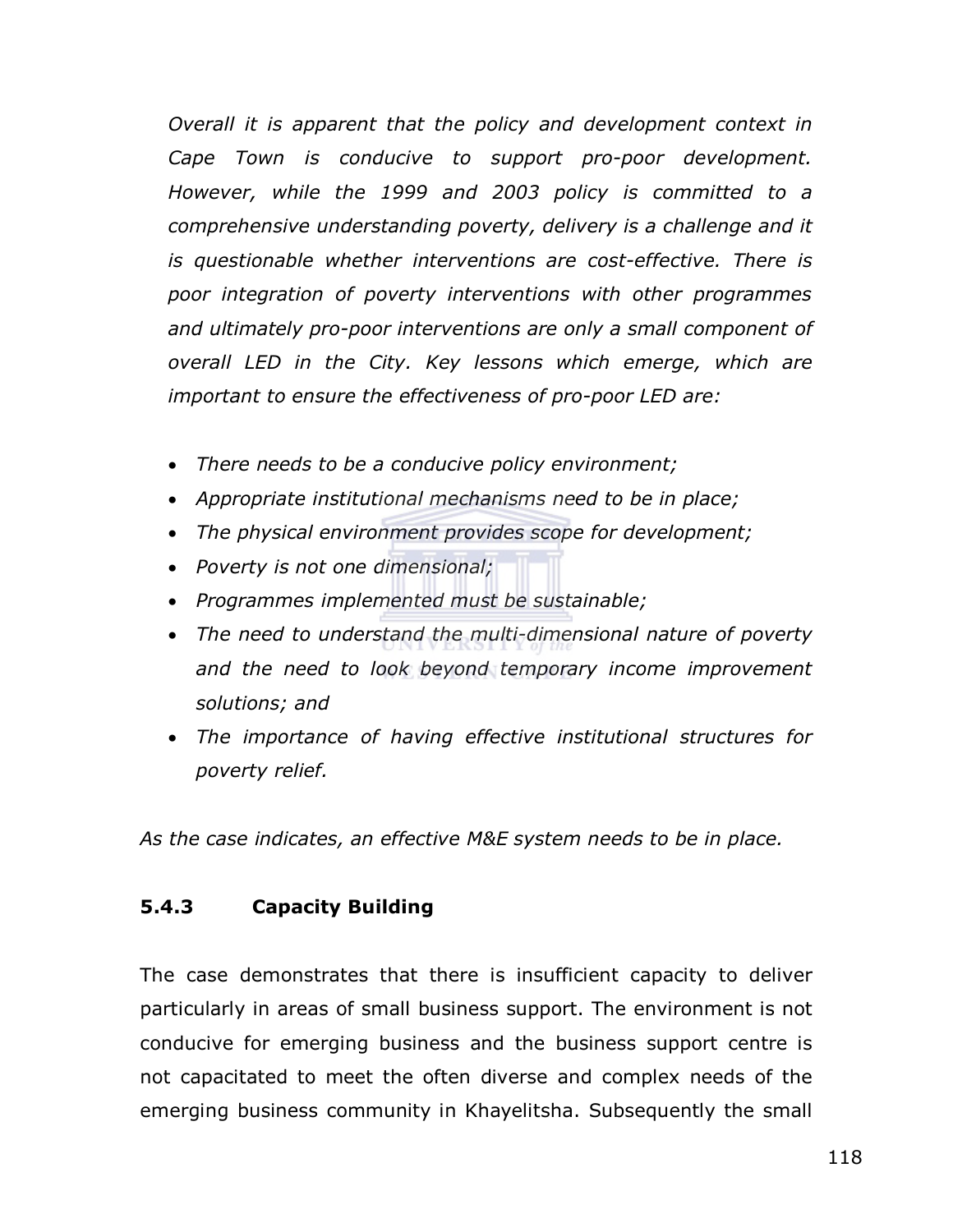*Overall it is apparent that the policy and development context in Cape Town is conducive to support pro-poor development. However, while the 1999 and 2003 policy is committed to a comprehensive understanding poverty, delivery is a challenge and it is questionable whether interventions are cost-effective. There is poor integration of poverty interventions with other programmes and ultimately pro-poor interventions are only a small component of overall LED in the City. Key lessons which emerge, which are important to ensure the effectiveness of pro-poor LED are:* 

- · *There needs to be a conducive policy environment;*
- · *Appropriate institutional mechanisms need to be in place;*
- · *The physical environment provides scope for development;*
- · *Poverty is not one dimensional;*
- · *Programmes implemented must be sustainable;*
- · *The need to understand the multi-dimensional nature of poverty and the need to look beyond temporary income improvement solutions; and*
- · *The importance of having effective institutional structures for poverty relief.*

*As the case indicates, an effective M&E system needs to be in place.* 

# **5.4.3 Capacity Building**

The case demonstrates that there is insufficient capacity to deliver particularly in areas of small business support. The environment is not conducive for emerging business and the business support centre is not capacitated to meet the often diverse and complex needs of the emerging business community in Khayelitsha. Subsequently the small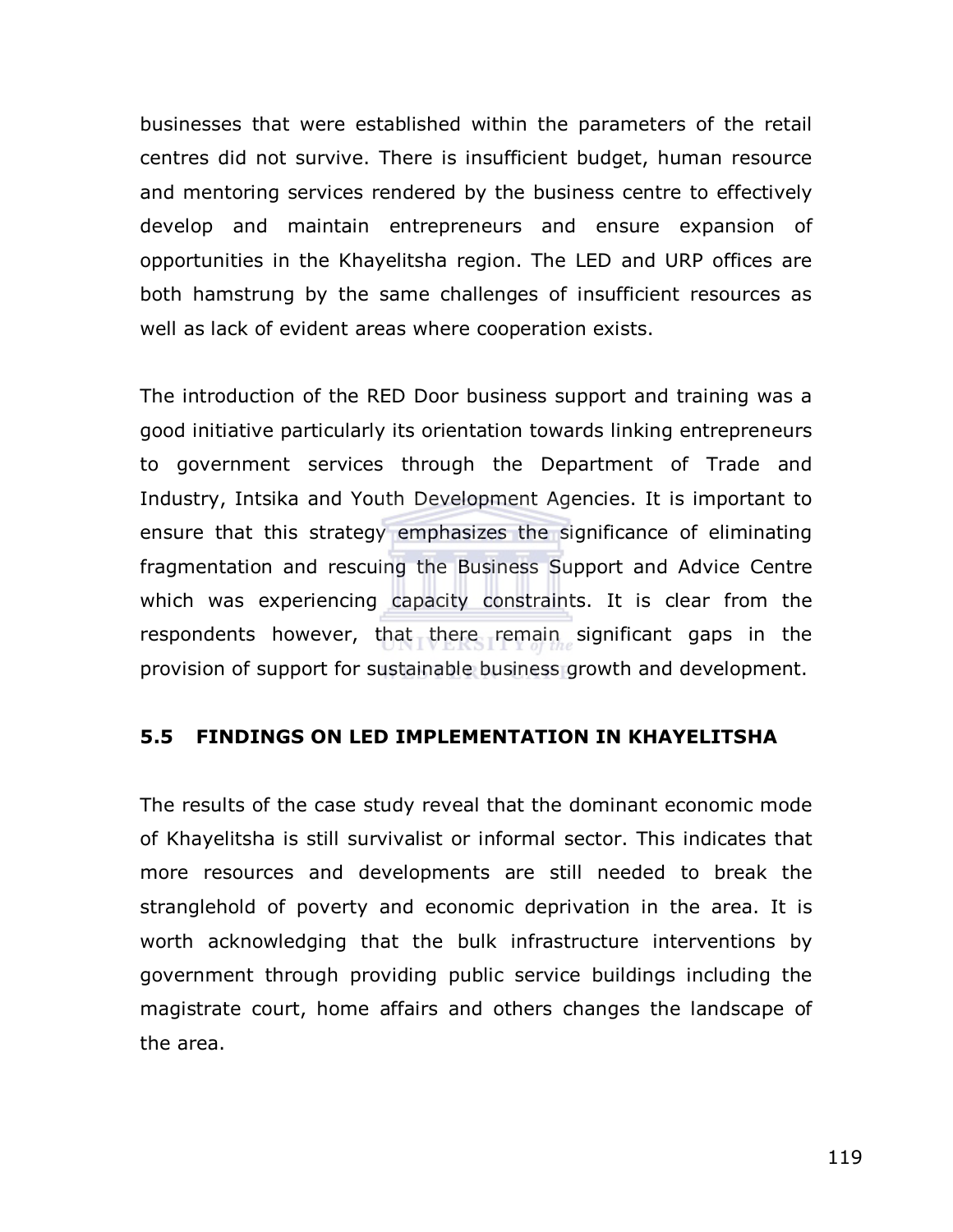businesses that were established within the parameters of the retail centres did not survive. There is insufficient budget, human resource and mentoring services rendered by the business centre to effectively develop and maintain entrepreneurs and ensure expansion of opportunities in the Khayelitsha region. The LED and URP offices are both hamstrung by the same challenges of insufficient resources as well as lack of evident areas where cooperation exists.

The introduction of the RED Door business support and training was a good initiative particularly its orientation towards linking entrepreneurs to government services through the Department of Trade and Industry, Intsika and Youth Development Agencies. It is important to ensure that this strategy emphasizes the significance of eliminating fragmentation and rescuing the Business Support and Advice Centre which was experiencing capacity constraints. It is clear from the respondents however, that there remain significant gaps in the provision of support for sustainable business growth and development.

# **5.5 FINDINGS ON LED IMPLEMENTATION IN KHAYELITSHA**

The results of the case study reveal that the dominant economic mode of Khayelitsha is still survivalist or informal sector. This indicates that more resources and developments are still needed to break the stranglehold of poverty and economic deprivation in the area. It is worth acknowledging that the bulk infrastructure interventions by government through providing public service buildings including the magistrate court, home affairs and others changes the landscape of the area.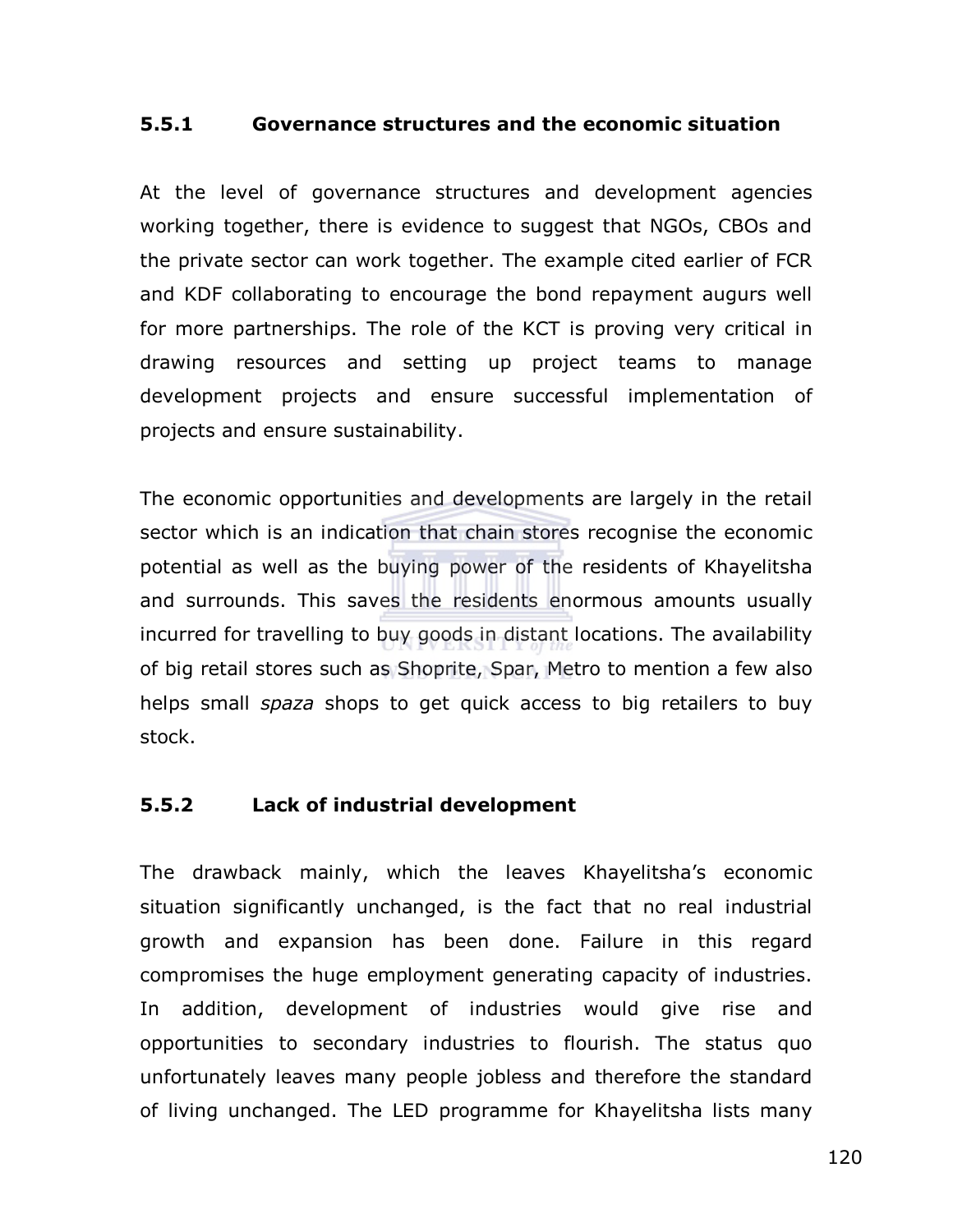## **5.5.1 Governance structures and the economic situation**

At the level of governance structures and development agencies working together, there is evidence to suggest that NGOs, CBOs and the private sector can work together. The example cited earlier of FCR and KDF collaborating to encourage the bond repayment augurs well for more partnerships. The role of the KCT is proving very critical in drawing resources and setting up project teams to manage development projects and ensure successful implementation of projects and ensure sustainability.

The economic opportunities and developments are largely in the retail sector which is an indication that chain stores recognise the economic potential as well as the buying power of the residents of Khayelitsha and surrounds. This saves the residents enormous amounts usually incurred for travelling to buy goods in distant locations. The availability of big retail stores such as Shoprite, Spar, Metro to mention a few also helps small *spaza* shops to get quick access to big retailers to buy stock.

# **5.5.2 Lack of industrial development**

The drawback mainly, which the leaves Khayelitsha's economic situation significantly unchanged, is the fact that no real industrial growth and expansion has been done. Failure in this regard compromises the huge employment generating capacity of industries. In addition, development of industries would give rise and opportunities to secondary industries to flourish. The status quo unfortunately leaves many people jobless and therefore the standard of living unchanged. The LED programme for Khayelitsha lists many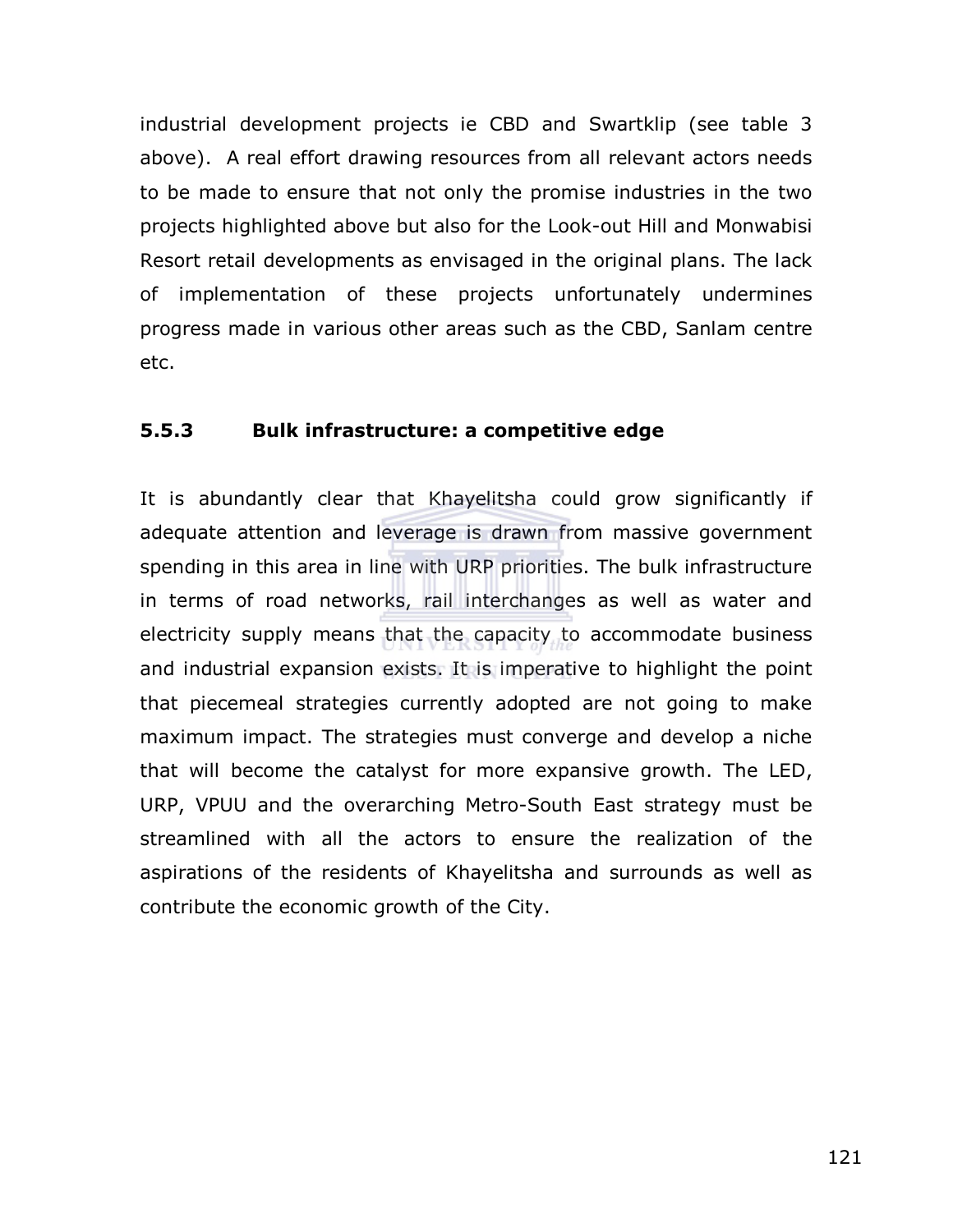industrial development projects ie CBD and Swartklip (see table 3 above). A real effort drawing resources from all relevant actors needs to be made to ensure that not only the promise industries in the two projects highlighted above but also for the Look-out Hill and Monwabisi Resort retail developments as envisaged in the original plans. The lack of implementation of these projects unfortunately undermines progress made in various other areas such as the CBD, Sanlam centre etc.

# **5.5.3 Bulk infrastructure: a competitive edge**

It is abundantly clear that Khayelitsha could grow significantly if adequate attention and leverage is drawn from massive government spending in this area in line with URP priorities. The bulk infrastructure in terms of road networks, rail interchanges as well as water and electricity supply means that the capacity to accommodate business and industrial expansion exists. It is imperative to highlight the point that piecemeal strategies currently adopted are not going to make maximum impact. The strategies must converge and develop a niche that will become the catalyst for more expansive growth. The LED, URP, VPUU and the overarching Metro-South East strategy must be streamlined with all the actors to ensure the realization of the aspirations of the residents of Khayelitsha and surrounds as well as contribute the economic growth of the City.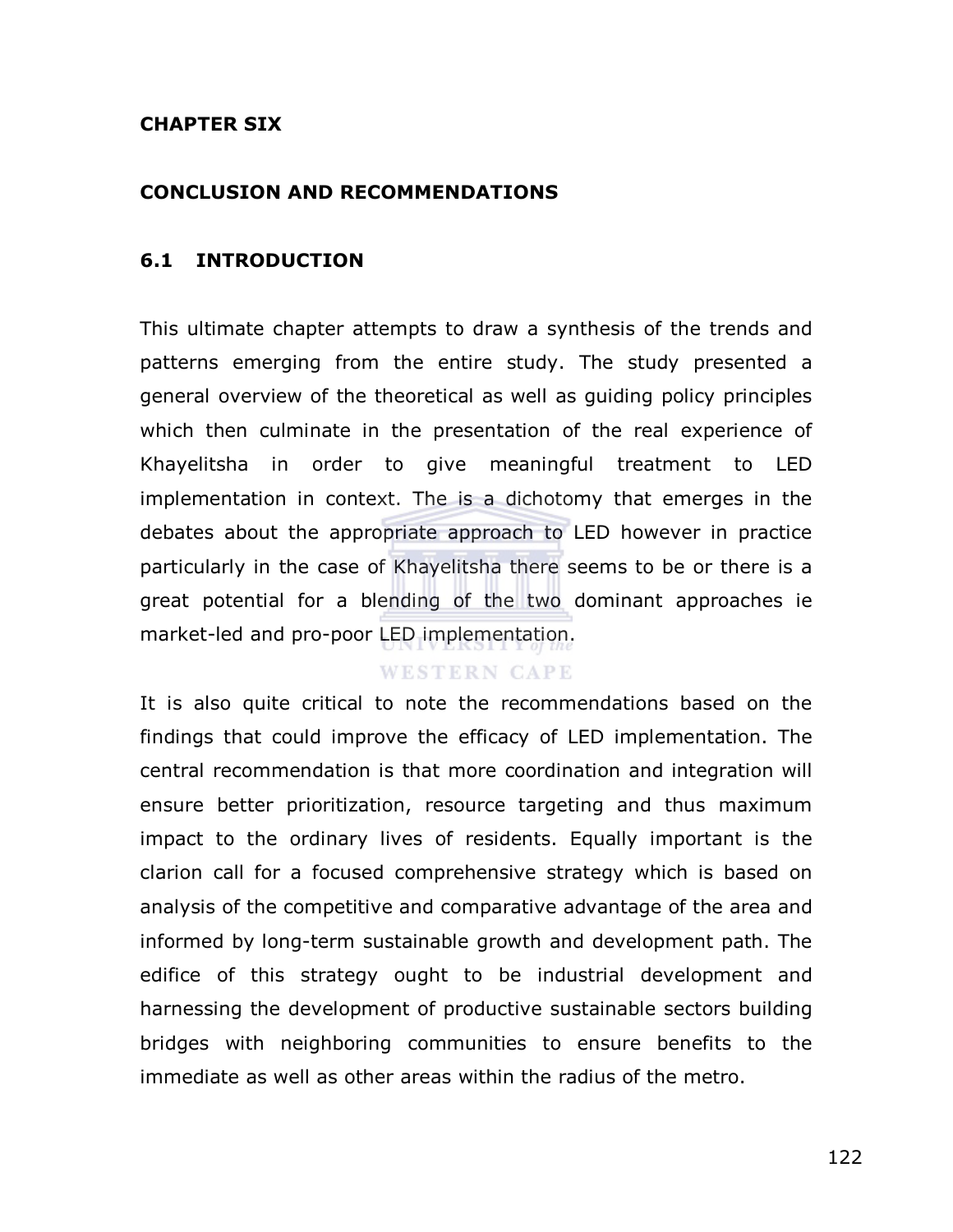# **CHAPTER SIX**

# **CONCLUSION AND RECOMMENDATIONS**

## **6.1 INTRODUCTION**

This ultimate chapter attempts to draw a synthesis of the trends and patterns emerging from the entire study. The study presented a general overview of the theoretical as well as guiding policy principles which then culminate in the presentation of the real experience of Khayelitsha in order to give meaningful treatment to LED implementation in context. The is a dichotomy that emerges in the debates about the appropriate approach to LED however in practice particularly in the case of Khayelitsha there seems to be or there is a great potential for a blending of the two dominant approaches ie market-led and pro-poor LED implementation.

# **WESTERN CAPE**

It is also quite critical to note the recommendations based on the findings that could improve the efficacy of LED implementation. The central recommendation is that more coordination and integration will ensure better prioritization, resource targeting and thus maximum impact to the ordinary lives of residents. Equally important is the clarion call for a focused comprehensive strategy which is based on analysis of the competitive and comparative advantage of the area and informed by long-term sustainable growth and development path. The edifice of this strategy ought to be industrial development and harnessing the development of productive sustainable sectors building bridges with neighboring communities to ensure benefits to the immediate as well as other areas within the radius of the metro.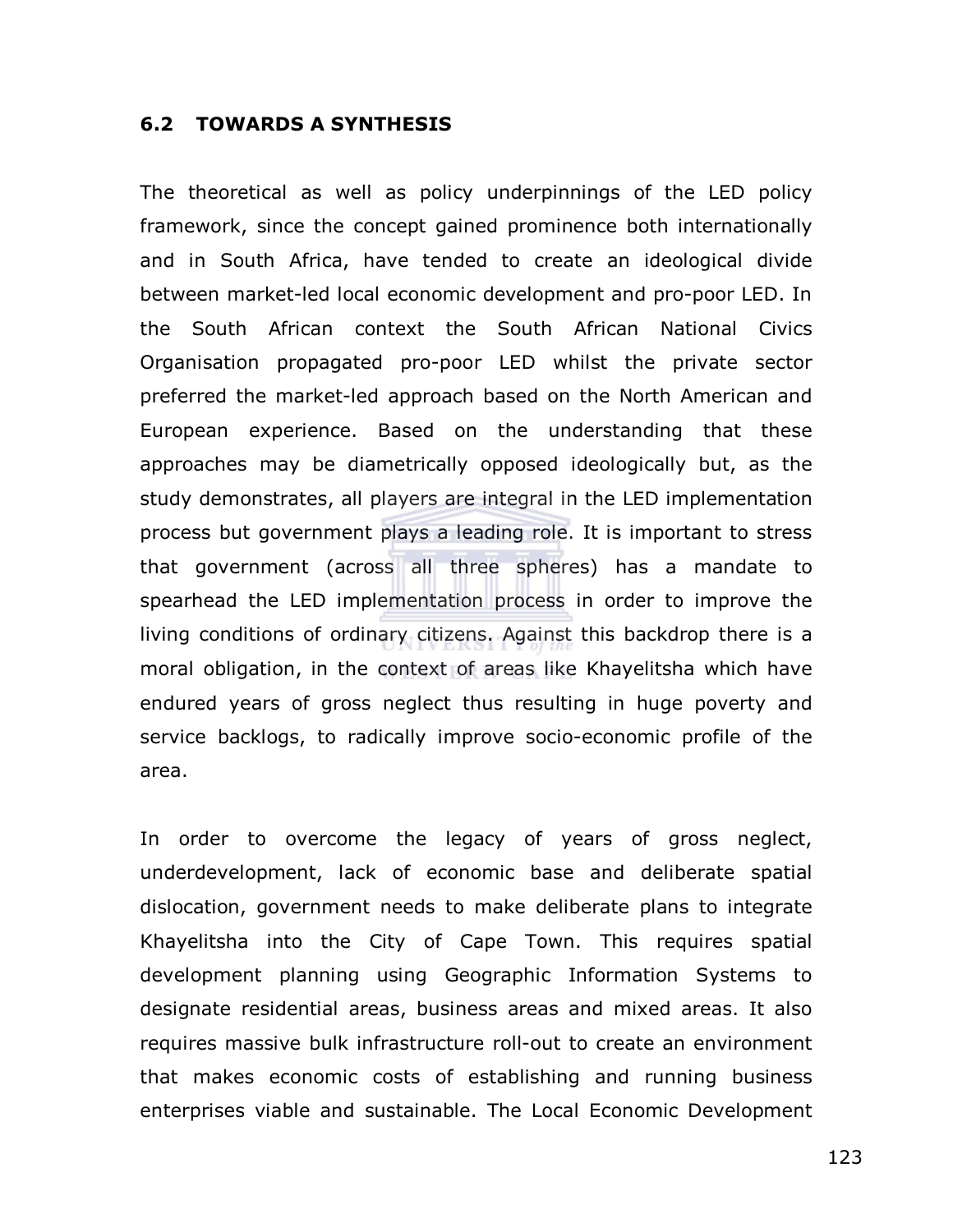#### **6.2 TOWARDS A SYNTHESIS**

The theoretical as well as policy underpinnings of the LED policy framework, since the concept gained prominence both internationally and in South Africa, have tended to create an ideological divide between market-led local economic development and pro-poor LED. In the South African context the South African National Civics Organisation propagated pro-poor LED whilst the private sector preferred the market-led approach based on the North American and European experience. Based on the understanding that these approaches may be diametrically opposed ideologically but, as the study demonstrates, all players are integral in the LED implementation process but government plays a leading role. It is important to stress that government (across all three spheres) has a mandate to spearhead the LED implementation process in order to improve the living conditions of ordinary citizens. Against this backdrop there is a moral obligation, in the context of areas like Khayelitsha which have endured years of gross neglect thus resulting in huge poverty and service backlogs, to radically improve socio-economic profile of the area.

In order to overcome the legacy of years of gross neglect, underdevelopment, lack of economic base and deliberate spatial dislocation, government needs to make deliberate plans to integrate Khayelitsha into the City of Cape Town. This requires spatial development planning using Geographic Information Systems to designate residential areas, business areas and mixed areas. It also requires massive bulk infrastructure roll-out to create an environment that makes economic costs of establishing and running business enterprises viable and sustainable. The Local Economic Development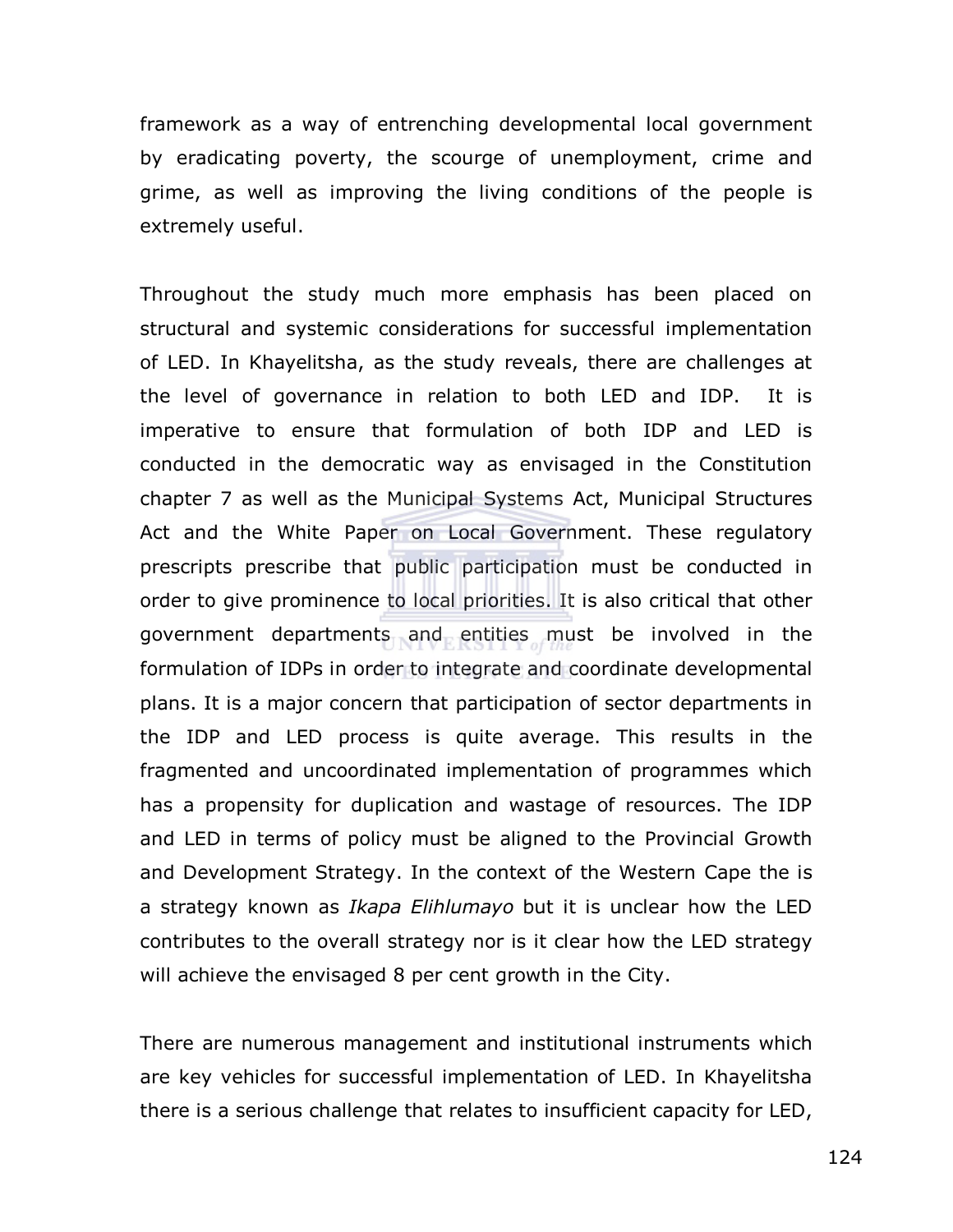framework as a way of entrenching developmental local government by eradicating poverty, the scourge of unemployment, crime and grime, as well as improving the living conditions of the people is extremely useful.

Throughout the study much more emphasis has been placed on structural and systemic considerations for successful implementation of LED. In Khayelitsha, as the study reveals, there are challenges at the level of governance in relation to both LED and IDP. It is imperative to ensure that formulation of both IDP and LED is conducted in the democratic way as envisaged in the Constitution chapter 7 as well as the Municipal Systems Act, Municipal Structures Act and the White Paper on Local Government. These regulatory prescripts prescribe that public participation must be conducted in order to give prominence to local priorities. It is also critical that other government departments and entities must be involved in the formulation of IDPs in order to integrate and coordinate developmental plans. It is a major concern that participation of sector departments in the IDP and LED process is quite average. This results in the fragmented and uncoordinated implementation of programmes which has a propensity for duplication and wastage of resources. The IDP and LED in terms of policy must be aligned to the Provincial Growth and Development Strategy. In the context of the Western Cape the is a strategy known as *Ikapa Elihlumayo* but it is unclear how the LED contributes to the overall strategy nor is it clear how the LED strategy will achieve the envisaged 8 per cent growth in the City.

There are numerous management and institutional instruments which are key vehicles for successful implementation of LED. In Khayelitsha there is a serious challenge that relates to insufficient capacity for LED,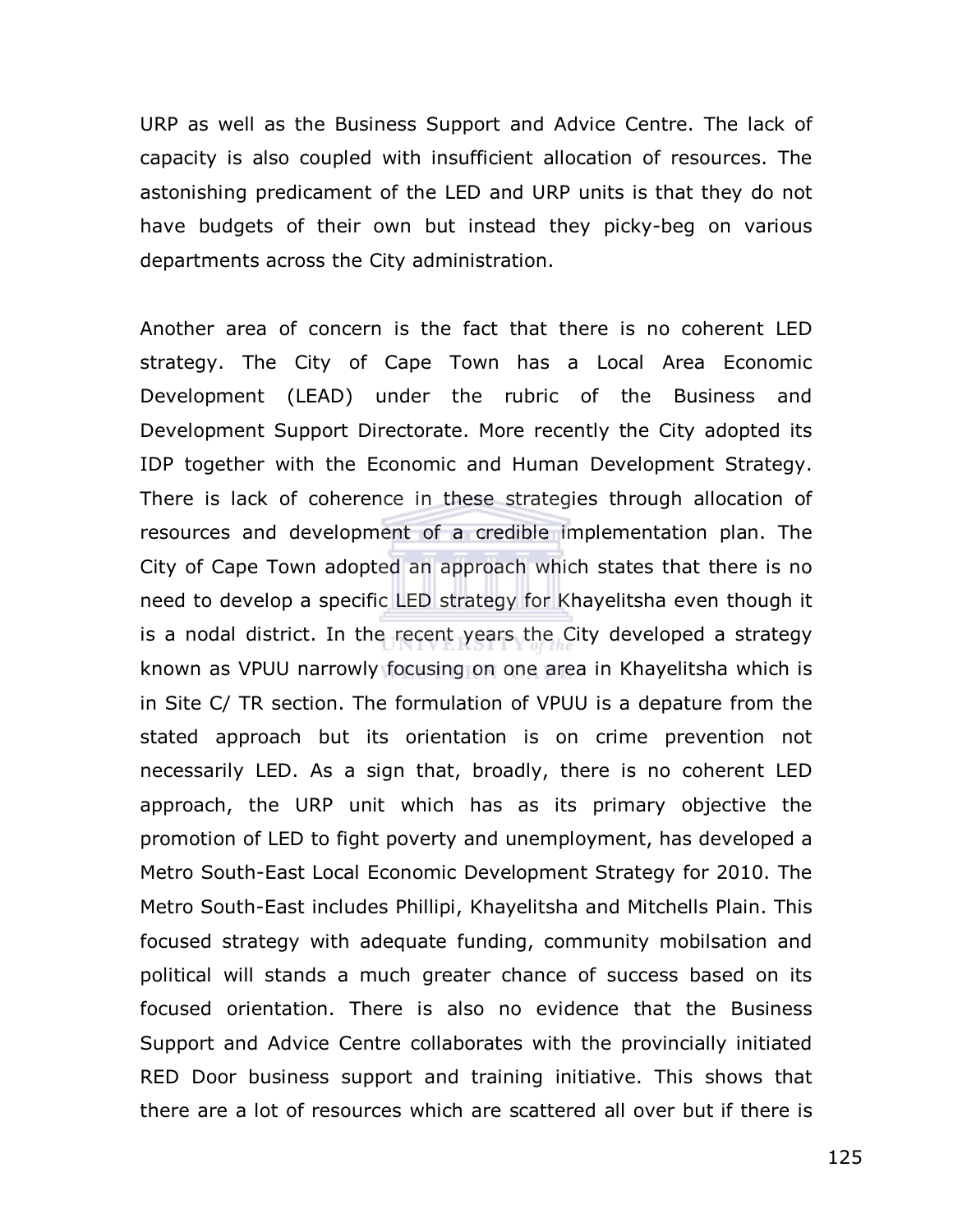URP as well as the Business Support and Advice Centre. The lack of capacity is also coupled with insufficient allocation of resources. The astonishing predicament of the LED and URP units is that they do not have budgets of their own but instead they picky-beg on various departments across the City administration.

Another area of concern is the fact that there is no coherent LED strategy. The City of Cape Town has a Local Area Economic Development (LEAD) under the rubric of the Business and Development Support Directorate. More recently the City adopted its IDP together with the Economic and Human Development Strategy. There is lack of coherence in these strategies through allocation of resources and development of a credible implementation plan. The City of Cape Town adopted an approach which states that there is no need to develop a specific LED strategy for Khayelitsha even though it is a nodal district. In the recent years the City developed a strategy known as VPUU narrowly focusing on one area in Khayelitsha which is in Site C/ TR section. The formulation of VPUU is a depature from the stated approach but its orientation is on crime prevention not necessarily LED. As a sign that, broadly, there is no coherent LED approach, the URP unit which has as its primary objective the promotion of LED to fight poverty and unemployment, has developed a Metro South-East Local Economic Development Strategy for 2010. The Metro South-East includes Phillipi, Khayelitsha and Mitchells Plain. This focused strategy with adequate funding, community mobilsation and political will stands a much greater chance of success based on its focused orientation. There is also no evidence that the Business Support and Advice Centre collaborates with the provincially initiated RED Door business support and training initiative. This shows that there are a lot of resources which are scattered all over but if there is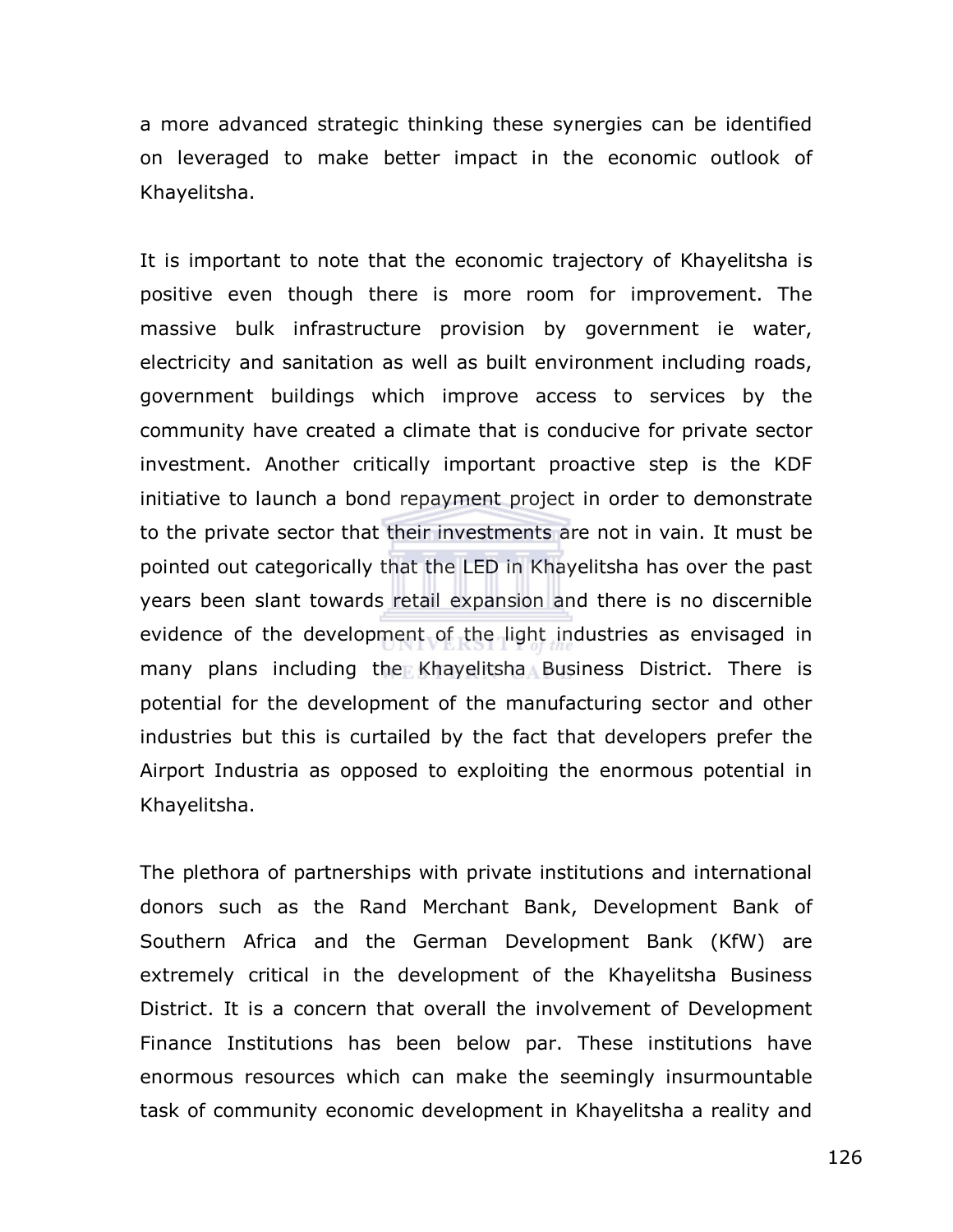a more advanced strategic thinking these synergies can be identified on leveraged to make better impact in the economic outlook of Khayelitsha.

It is important to note that the economic trajectory of Khayelitsha is positive even though there is more room for improvement. The massive bulk infrastructure provision by government ie water, electricity and sanitation as well as built environment including roads, government buildings which improve access to services by the community have created a climate that is conducive for private sector investment. Another critically important proactive step is the KDF initiative to launch a bond repayment project in order to demonstrate to the private sector that their investments are not in vain. It must be pointed out categorically that the LED in Khayelitsha has over the past years been slant towards retail expansion and there is no discernible evidence of the development of the light industries as envisaged in many plans including the Khayelitsha Business District. There is potential for the development of the manufacturing sector and other industries but this is curtailed by the fact that developers prefer the Airport Industria as opposed to exploiting the enormous potential in Khayelitsha.

The plethora of partnerships with private institutions and international donors such as the Rand Merchant Bank, Development Bank of Southern Africa and the German Development Bank (KfW) are extremely critical in the development of the Khayelitsha Business District. It is a concern that overall the involvement of Development Finance Institutions has been below par. These institutions have enormous resources which can make the seemingly insurmountable task of community economic development in Khayelitsha a reality and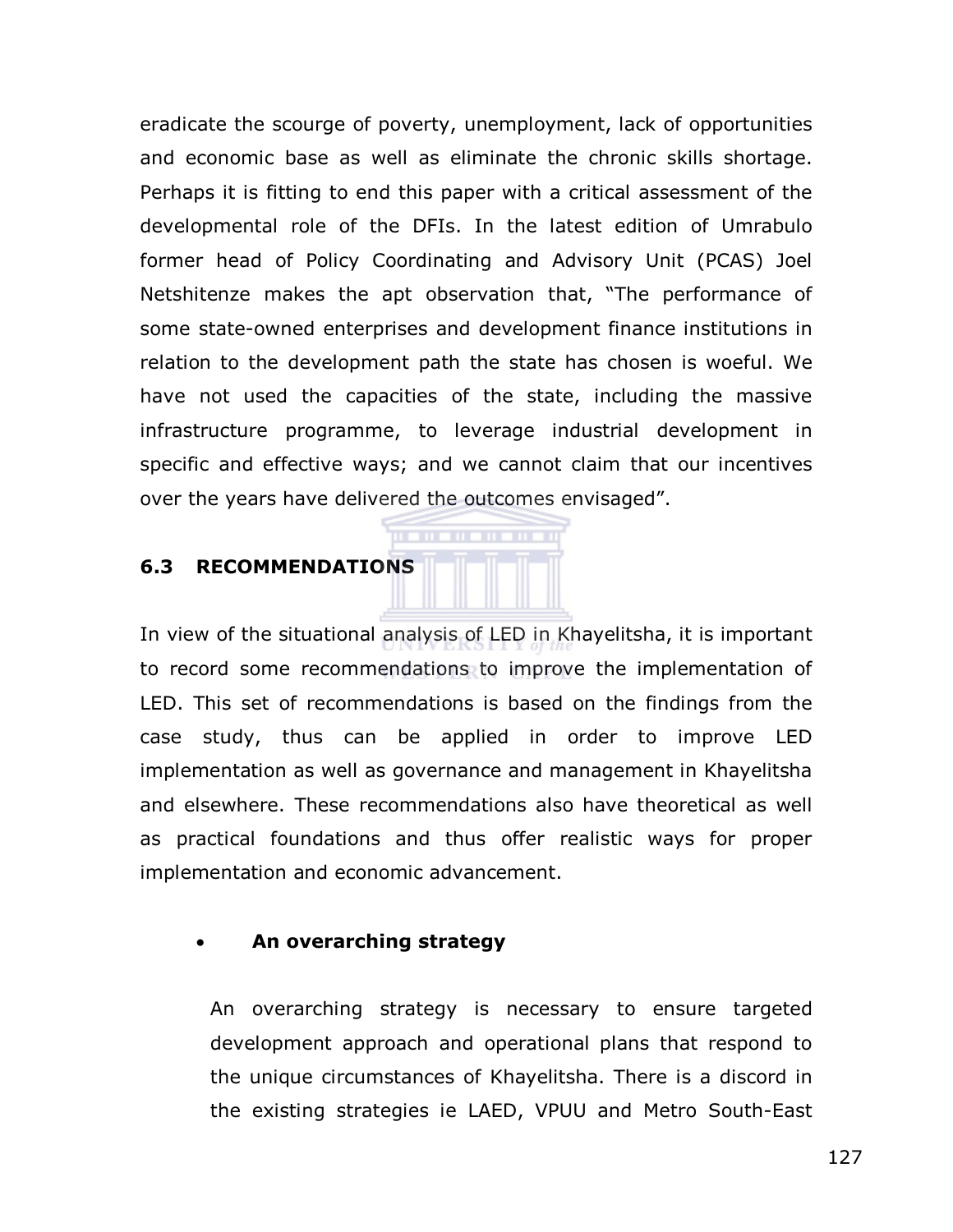eradicate the scourge of poverty, unemployment, lack of opportunities and economic base as well as eliminate the chronic skills shortage. Perhaps it is fitting to end this paper with a critical assessment of the developmental role of the DFIs. In the latest edition of Umrabulo former head of Policy Coordinating and Advisory Unit (PCAS) Joel Netshitenze makes the apt observation that, "The performance of some state-owned enterprises and development finance institutions in relation to the development path the state has chosen is woeful. We have not used the capacities of the state, including the massive infrastructure programme, to leverage industrial development in specific and effective ways; and we cannot claim that our incentives over the years have delivered the outcomes envisaged".

### **6.3 RECOMMENDATIONS**

In view of the situational analysis of LED in Khayelitsha, it is important to record some recommendations to improve the implementation of LED. This set of recommendations is based on the findings from the case study, thus can be applied in order to improve LED implementation as well as governance and management in Khayelitsha and elsewhere. These recommendations also have theoretical as well as practical foundations and thus offer realistic ways for proper implementation and economic advancement.

**THE HEATER** 

#### · **An overarching strategy**

An overarching strategy is necessary to ensure targeted development approach and operational plans that respond to the unique circumstances of Khayelitsha. There is a discord in the existing strategies ie LAED, VPUU and Metro South-East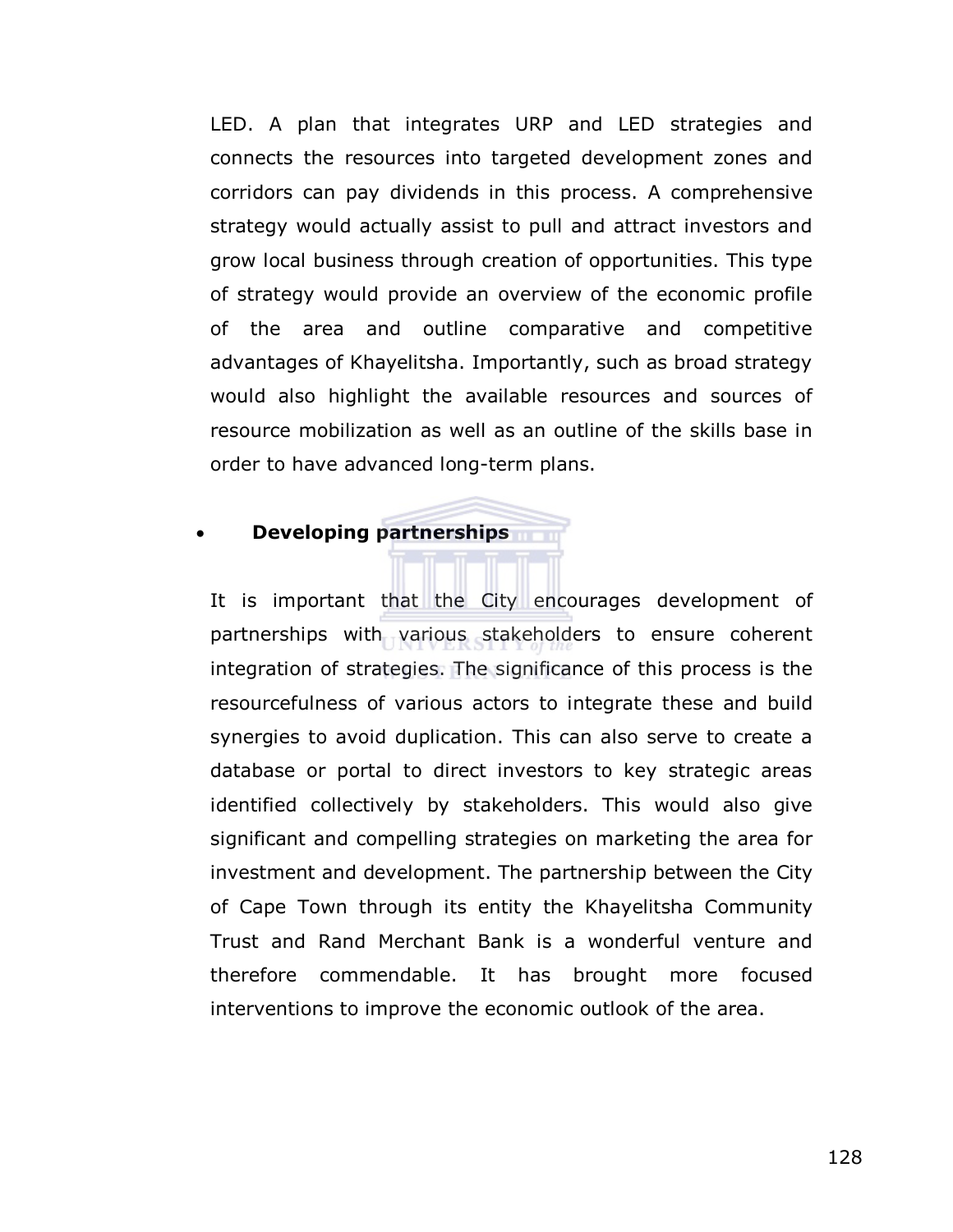LED. A plan that integrates URP and LED strategies and connects the resources into targeted development zones and corridors can pay dividends in this process. A comprehensive strategy would actually assist to pull and attract investors and grow local business through creation of opportunities. This type of strategy would provide an overview of the economic profile of the area and outline comparative and competitive advantages of Khayelitsha. Importantly, such as broad strategy would also highlight the available resources and sources of resource mobilization as well as an outline of the skills base in order to have advanced long-term plans.

# · **Developing partnerships**

It is important that the City encourages development of partnerships with various stakeholders to ensure coherent integration of strategies. The significance of this process is the resourcefulness of various actors to integrate these and build synergies to avoid duplication. This can also serve to create a database or portal to direct investors to key strategic areas identified collectively by stakeholders. This would also give significant and compelling strategies on marketing the area for investment and development. The partnership between the City of Cape Town through its entity the Khayelitsha Community Trust and Rand Merchant Bank is a wonderful venture and therefore commendable. It has brought more focused interventions to improve the economic outlook of the area.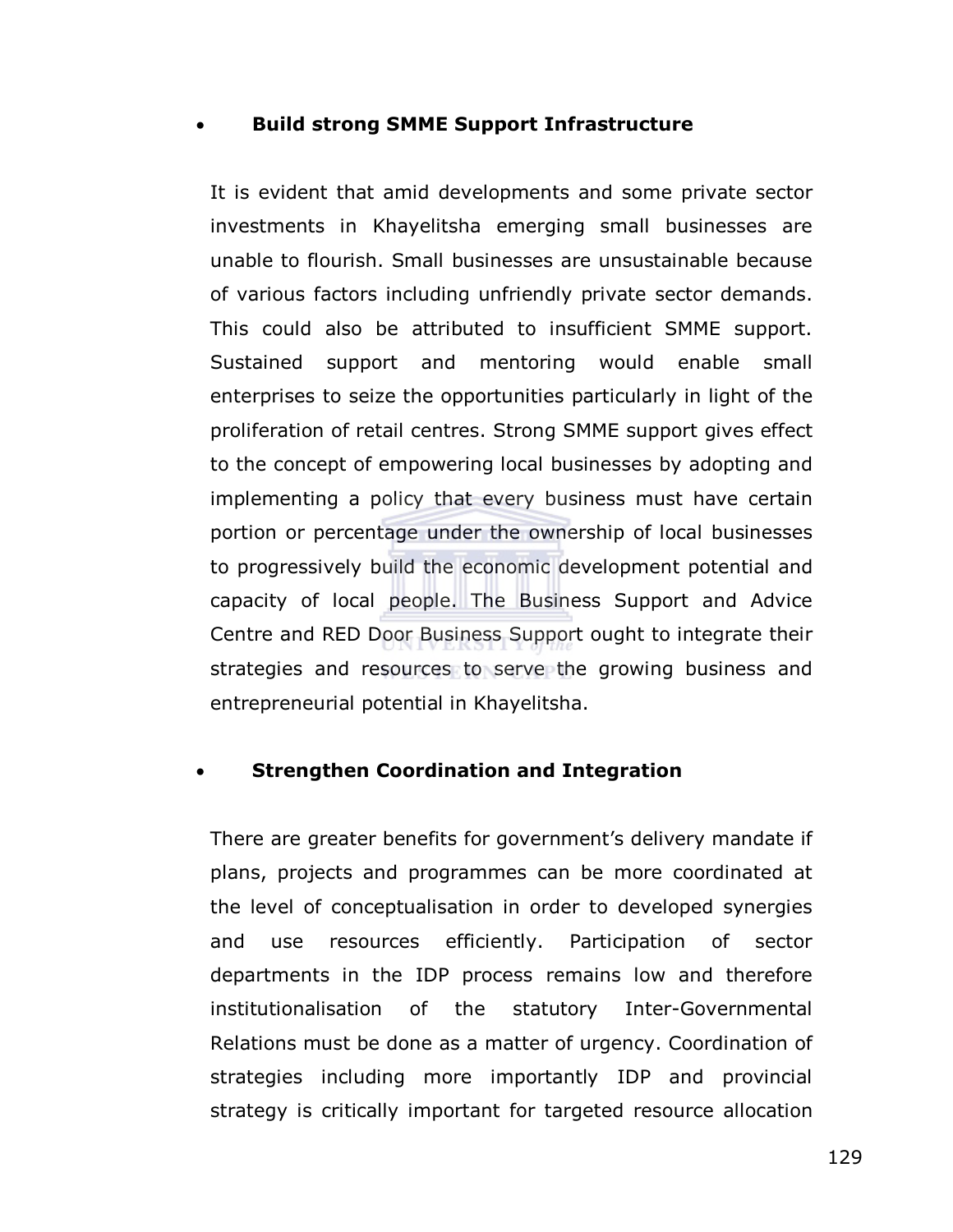## · **Build strong SMME Support Infrastructure**

It is evident that amid developments and some private sector investments in Khayelitsha emerging small businesses are unable to flourish. Small businesses are unsustainable because of various factors including unfriendly private sector demands. This could also be attributed to insufficient SMME support. Sustained support and mentoring would enable small enterprises to seize the opportunities particularly in light of the proliferation of retail centres. Strong SMME support gives effect to the concept of empowering local businesses by adopting and implementing a policy that every business must have certain portion or percentage under the ownership of local businesses to progressively build the economic development potential and capacity of local people. The Business Support and Advice Centre and RED Door Business Support ought to integrate their strategies and resources to serve the growing business and entrepreneurial potential in Khayelitsha.

# · **Strengthen Coordination and Integration**

There are greater benefits for government's delivery mandate if plans, projects and programmes can be more coordinated at the level of conceptualisation in order to developed synergies and use resources efficiently. Participation of sector departments in the IDP process remains low and therefore institutionalisation of the statutory Inter-Governmental Relations must be done as a matter of urgency. Coordination of strategies including more importantly IDP and provincial strategy is critically important for targeted resource allocation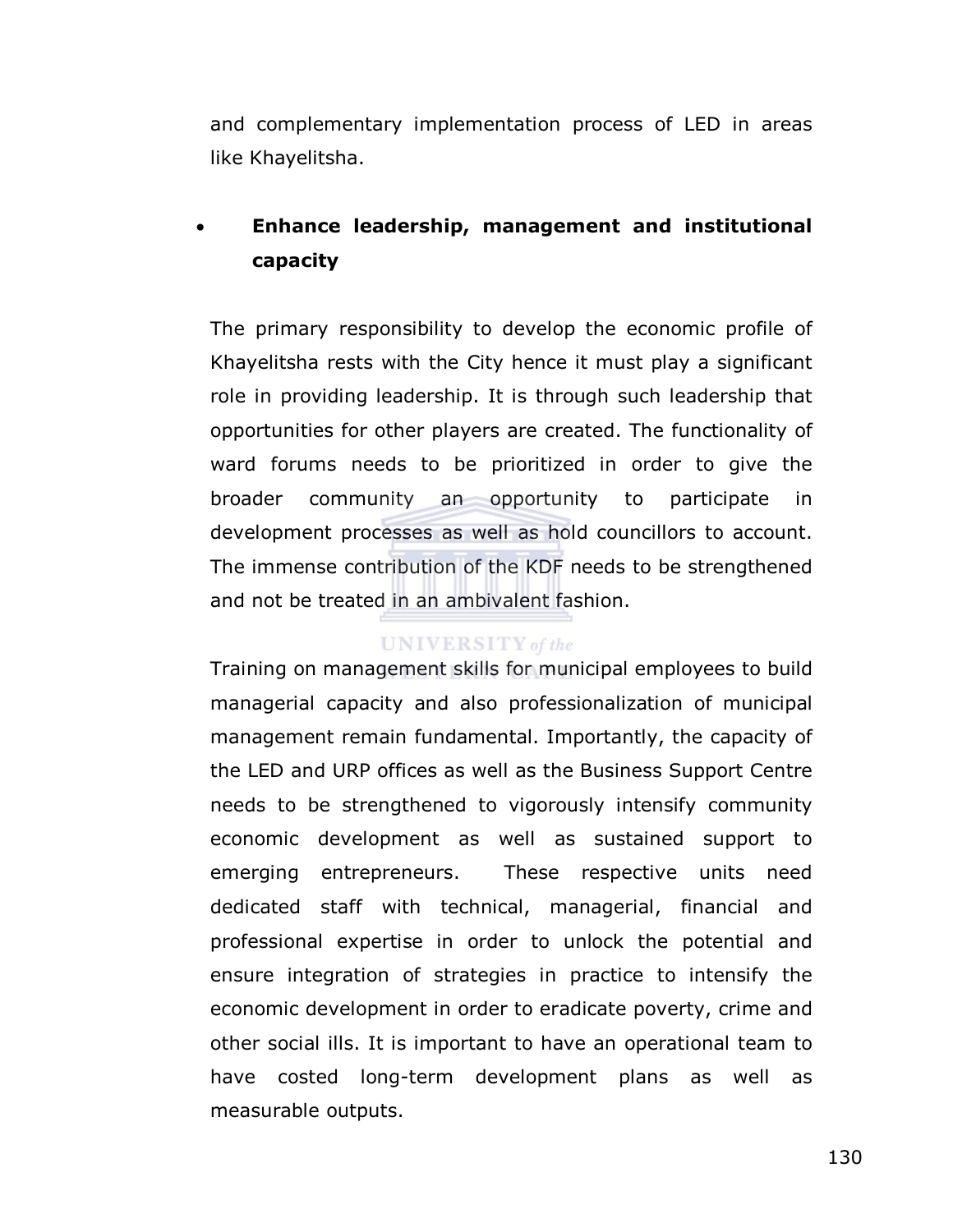and complementary implementation process of LED in areas like Khayelitsha.

# · **Enhance leadership, management and institutional capacity**

The primary responsibility to develop the economic profile of Khayelitsha rests with the City hence it must play a significant role in providing leadership. It is through such leadership that opportunities for other players are created. The functionality of ward forums needs to be prioritized in order to give the broader community an opportunity to participate in development processes as well as hold councillors to account. The immense contribution of the KDF needs to be strengthened and not be treated in an ambivalent fashion.

#### **UNIVERSITY** of the

Training on management skills for municipal employees to build managerial capacity and also professionalization of municipal management remain fundamental. Importantly, the capacity of the LED and URP offices as well as the Business Support Centre needs to be strengthened to vigorously intensify community economic development as well as sustained support to emerging entrepreneurs. These respective units need dedicated staff with technical, managerial, financial and professional expertise in order to unlock the potential and ensure integration of strategies in practice to intensify the economic development in order to eradicate poverty, crime and other social ills. It is important to have an operational team to have costed long-term development plans as well as measurable outputs.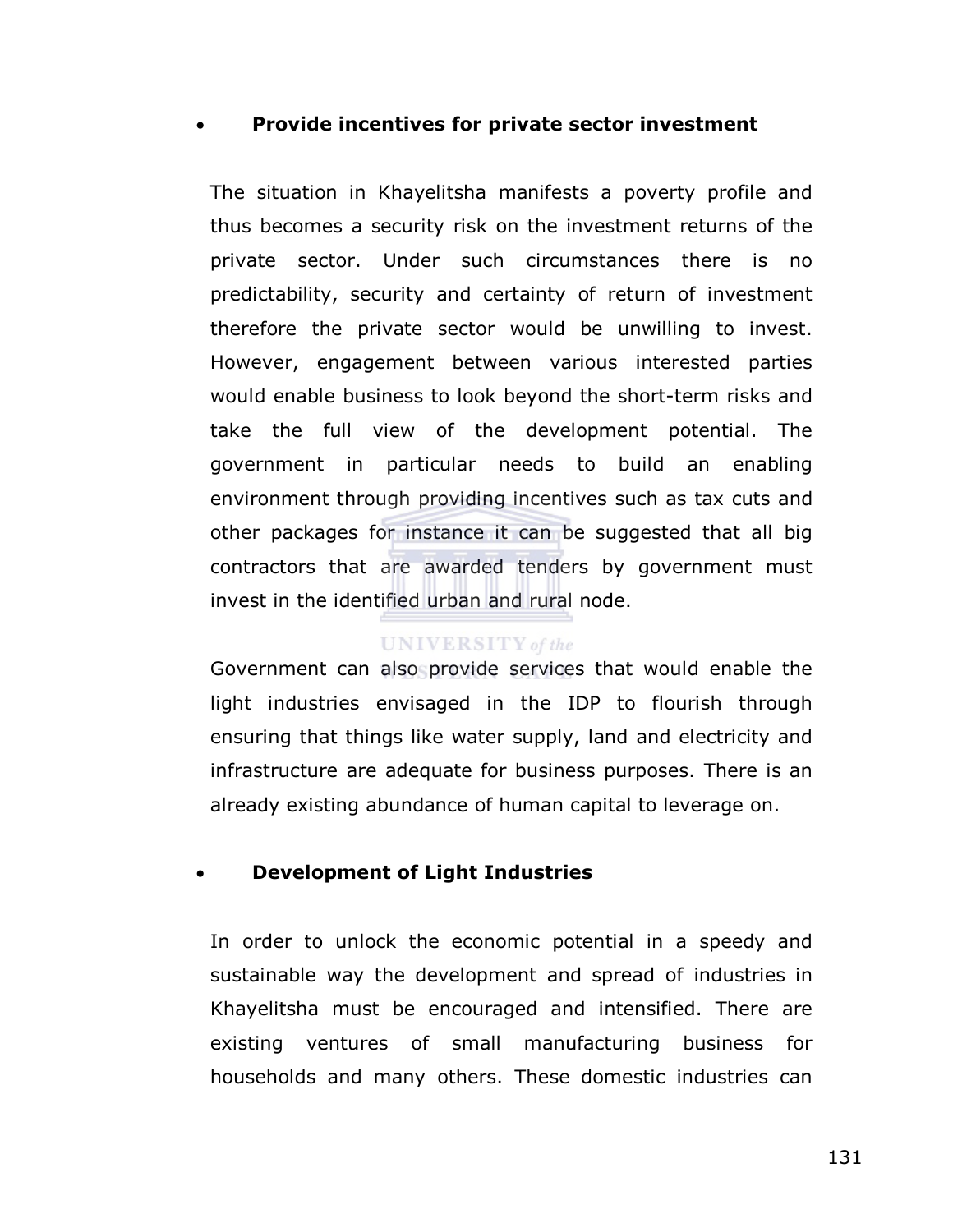## · **Provide incentives for private sector investment**

The situation in Khayelitsha manifests a poverty profile and thus becomes a security risk on the investment returns of the private sector. Under such circumstances there is no predictability, security and certainty of return of investment therefore the private sector would be unwilling to invest. However, engagement between various interested parties would enable business to look beyond the short-term risks and take the full view of the development potential. The government in particular needs to build an enabling environment through providing incentives such as tax cuts and other packages for instance it can be suggested that all big contractors that are awarded tenders by government must invest in the identified urban and rural node.

#### **UNIVERSITY** of the

Government can also provide services that would enable the light industries envisaged in the IDP to flourish through ensuring that things like water supply, land and electricity and infrastructure are adequate for business purposes. There is an already existing abundance of human capital to leverage on.

# · **Development of Light Industries**

In order to unlock the economic potential in a speedy and sustainable way the development and spread of industries in Khayelitsha must be encouraged and intensified. There are existing ventures of small manufacturing business for households and many others. These domestic industries can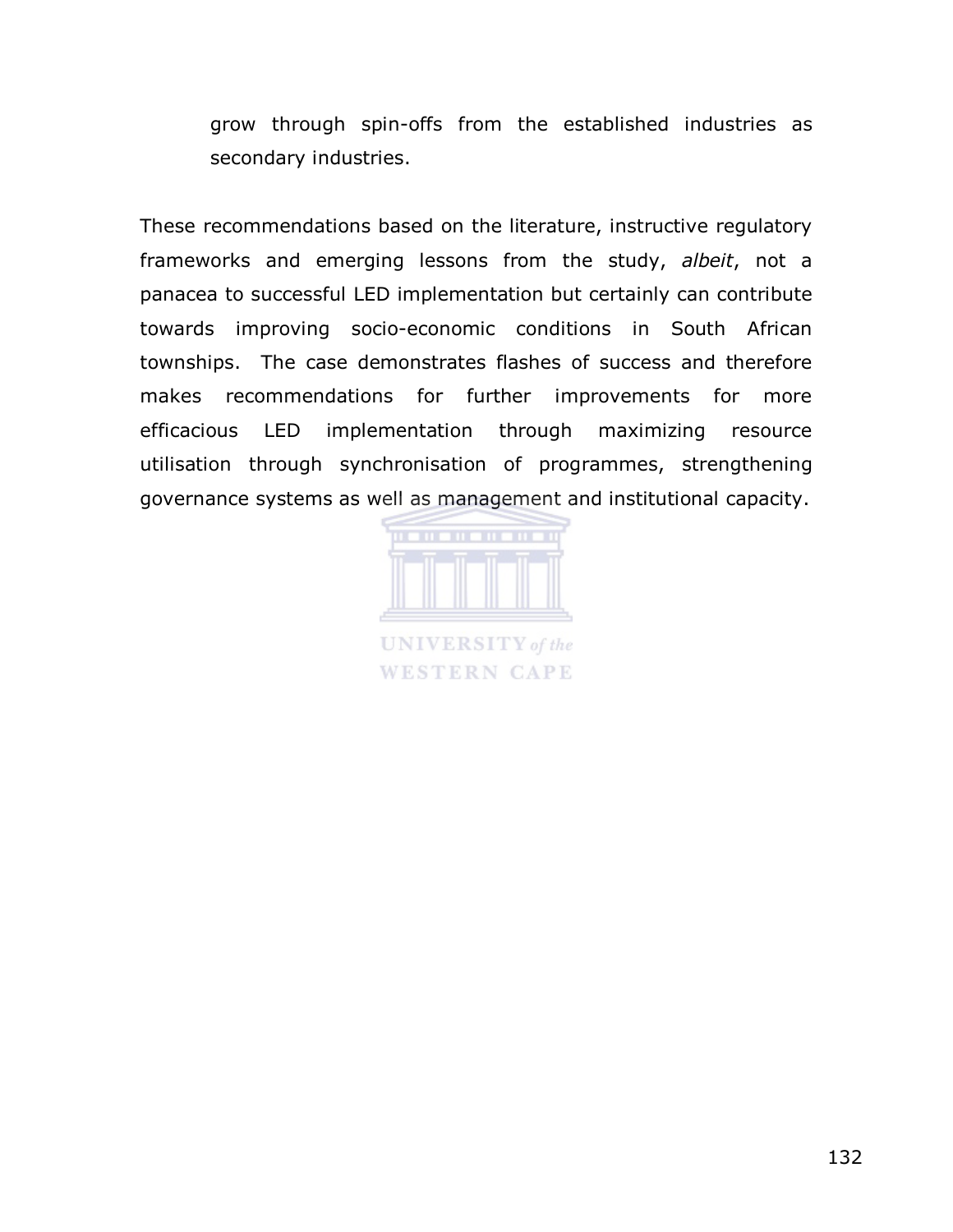grow through spin-offs from the established industries as secondary industries.

These recommendations based on the literature, instructive regulatory frameworks and emerging lessons from the study, *albeit*, not a panacea to successful LED implementation but certainly can contribute towards improving socio-economic conditions in South African townships. The case demonstrates flashes of success and therefore makes recommendations for further improvements for more efficacious LED implementation through maximizing resource utilisation through synchronisation of programmes, strengthening governance systems as well as management and institutional capacity.



**UNIVERSITY** of the **WESTERN CAPE**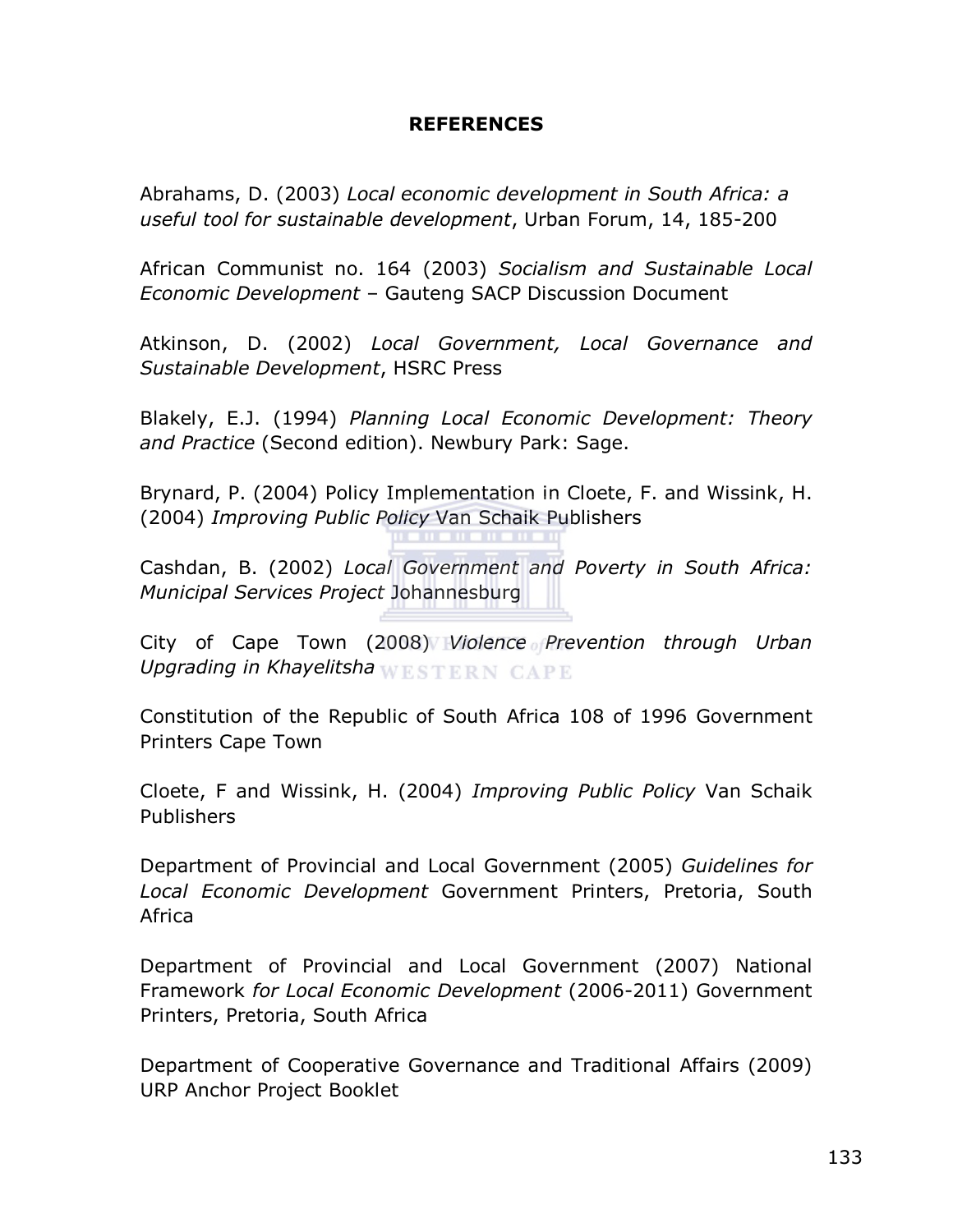## **REFERENCES**

Abrahams, D. (2003) *Local economic development in South Africa: a useful tool for sustainable development*, Urban Forum, 14, 185-200

African Communist no. 164 (2003) *Socialism and Sustainable Local Economic Development* – Gauteng SACP Discussion Document

Atkinson, D. (2002) *Local Government, Local Governance and Sustainable Development*, HSRC Press

Blakely, E.J. (1994) *Planning Local Economic Development: Theory and Practice* (Second edition). Newbury Park: Sage.

Brynard, P. (2004) Policy Implementation in Cloete, F. and Wissink, H. (2004) *Improving Public Policy* Van Schaik Publishers

Cashdan, B. (2002) *Local Government and Poverty in South Africa: Municipal Services Project* Johannesburg

City of Cape Town (2008) *Violence Prevention through Urban Upgrading in Khayelitsha*

Constitution of the Republic of South Africa 108 of 1996 Government Printers Cape Town

Cloete, F and Wissink, H. (2004) *Improving Public Policy* Van Schaik Publishers

Department of Provincial and Local Government (2005) *Guidelines for Local Economic Development* Government Printers, Pretoria, South Africa

Department of Provincial and Local Government (2007) National Framework *for Local Economic Development* (2006-2011) Government Printers, Pretoria, South Africa

Department of Cooperative Governance and Traditional Affairs (2009) URP Anchor Project Booklet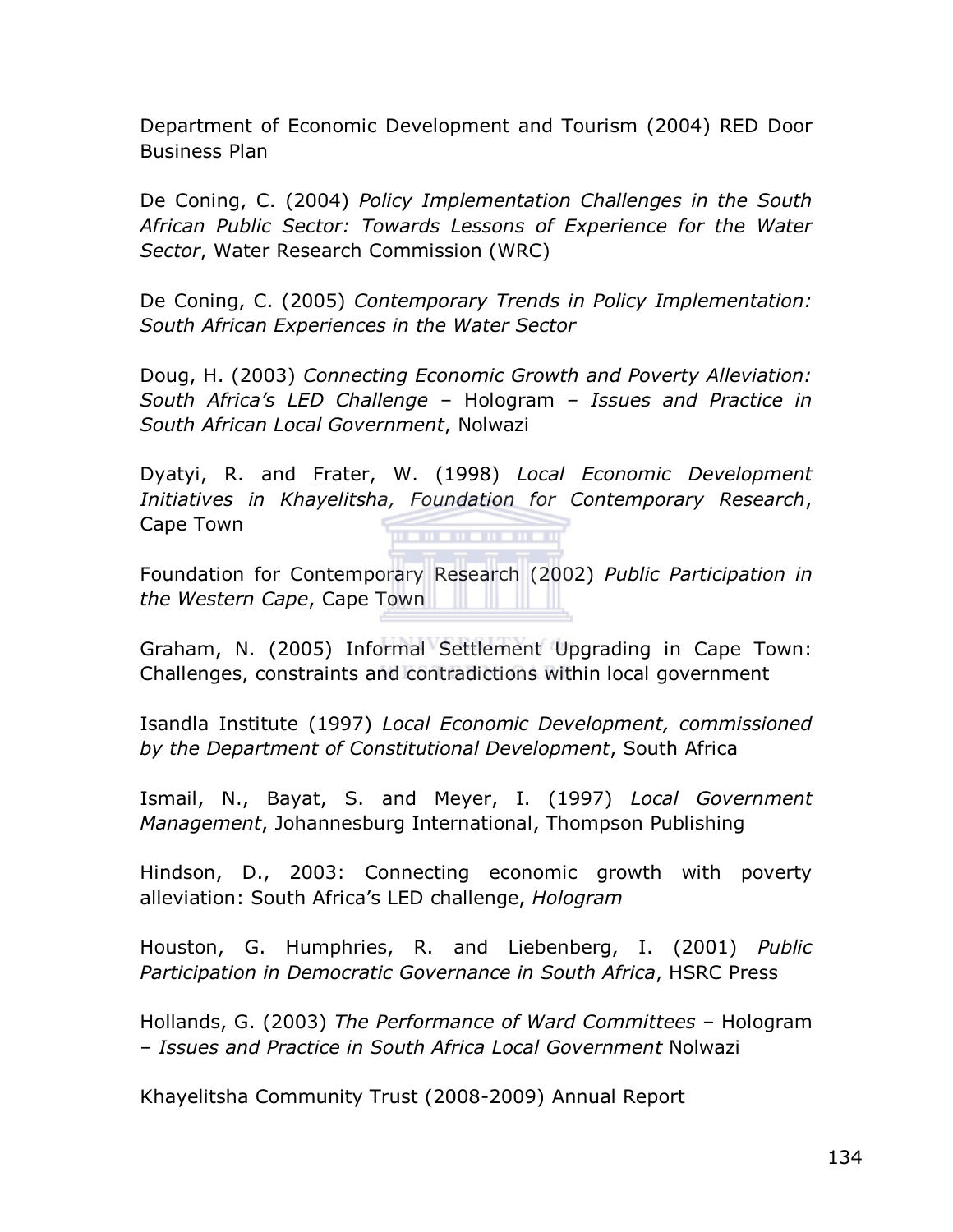Department of Economic Development and Tourism (2004) RED Door Business Plan

De Coning, C. (2004) *Policy Implementation Challenges in the South African Public Sector: Towards Lessons of Experience for the Water Sector*, Water Research Commission (WRC)

De Coning, C. (2005) *Contemporary Trends in Policy Implementation: South African Experiences in the Water Sector* 

Doug, H. (2003) *Connecting Economic Growth and Poverty Alleviation: South Africa's LED Challenge* – Hologram – *Issues and Practice in South African Local Government*, Nolwazi

Dyatyi, R. and Frater, W. (1998) *Local Economic Development Initiatives in Khayelitsha, Foundation for Contemporary Research*, Cape Town . . . . . . . . . . . .

Foundation for Contemporary Research (2002) *Public Participation in the Western Cape*, Cape Town

Graham, N. (2005) Informal Settlement Upgrading in Cape Town: Challenges, constraints and contradictions within local government

Isandla Institute (1997) *Local Economic Development, commissioned by the Department of Constitutional Development*, South Africa

Ismail, N., Bayat, S. and Meyer, I. (1997) *Local Government Management*, Johannesburg International, Thompson Publishing

Hindson, D., 2003: Connecting economic growth with poverty alleviation: South Africa's LED challenge, *Hologram*

Houston, G. Humphries, R. and Liebenberg, I. (2001) *Public Participation in Democratic Governance in South Africa*, HSRC Press

Hollands, G. (2003) *The Performance of Ward Committees* – Hologram – *Issues and Practice in South Africa Local Government* Nolwazi

Khayelitsha Community Trust (2008-2009) Annual Report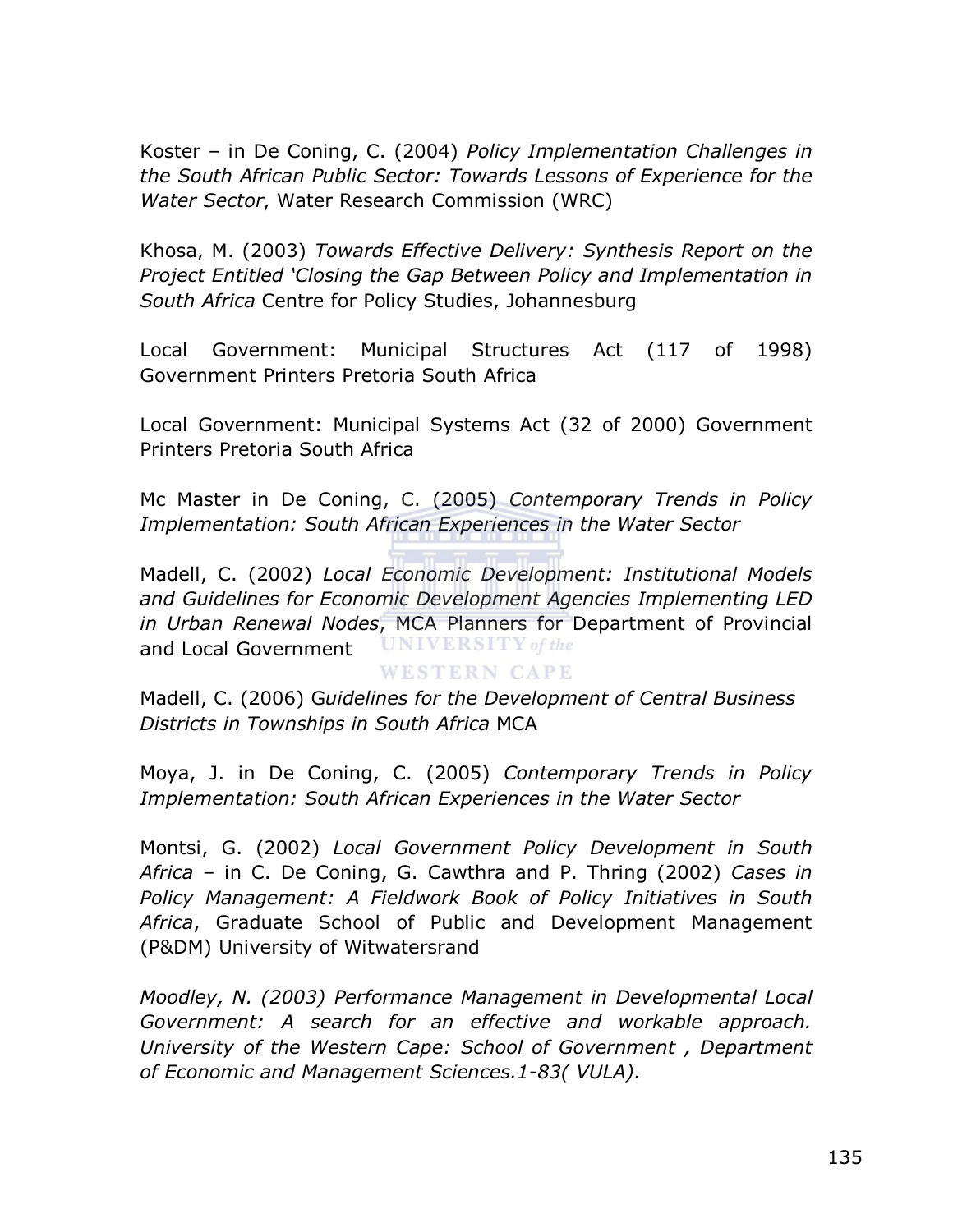Koster – in De Coning, C. (2004) *Policy Implementation Challenges in the South African Public Sector: Towards Lessons of Experience for the Water Sector*, Water Research Commission (WRC)

Khosa, M. (2003) *Towards Effective Delivery: Synthesis Report on the Project Entitled 'Closing the Gap Between Policy and Implementation in South Africa* Centre for Policy Studies, Johannesburg

Local Government: Municipal Structures Act (117 of 1998) Government Printers Pretoria South Africa

Local Government: Municipal Systems Act (32 of 2000) Government Printers Pretoria South Africa

Mc Master in De Coning, C. (2005) *Contemporary Trends in Policy Implementation: South African Experiences in the Water Sector*

Madell, C. (2002) *Local Economic Development: Institutional Models and Guidelines for Economic Development Agencies Implementing LED in Urban Renewal Nodes*, MCA Planners for Department of Provincial **UNIVERSITY** of the and Local Government

WESTERN CAPE

Madell, C. (2006) G*uidelines for the Development of Central Business Districts in Townships in South Africa* MCA

Moya, J. in De Coning, C. (2005) *Contemporary Trends in Policy Implementation: South African Experiences in the Water Sector*

Montsi, G. (2002) *Local Government Policy Development in South Africa* – in C. De Coning, G. Cawthra and P. Thring (2002) *Cases in Policy Management: A Fieldwork Book of Policy Initiatives in South Africa*, Graduate School of Public and Development Management (P&DM) University of Witwatersrand

*Moodley, N. (2003) Performance Management in Developmental Local Government: A search for an effective and workable approach. University of the Western Cape: School of Government , Department of Economic and Management Sciences.1-83( VULA).*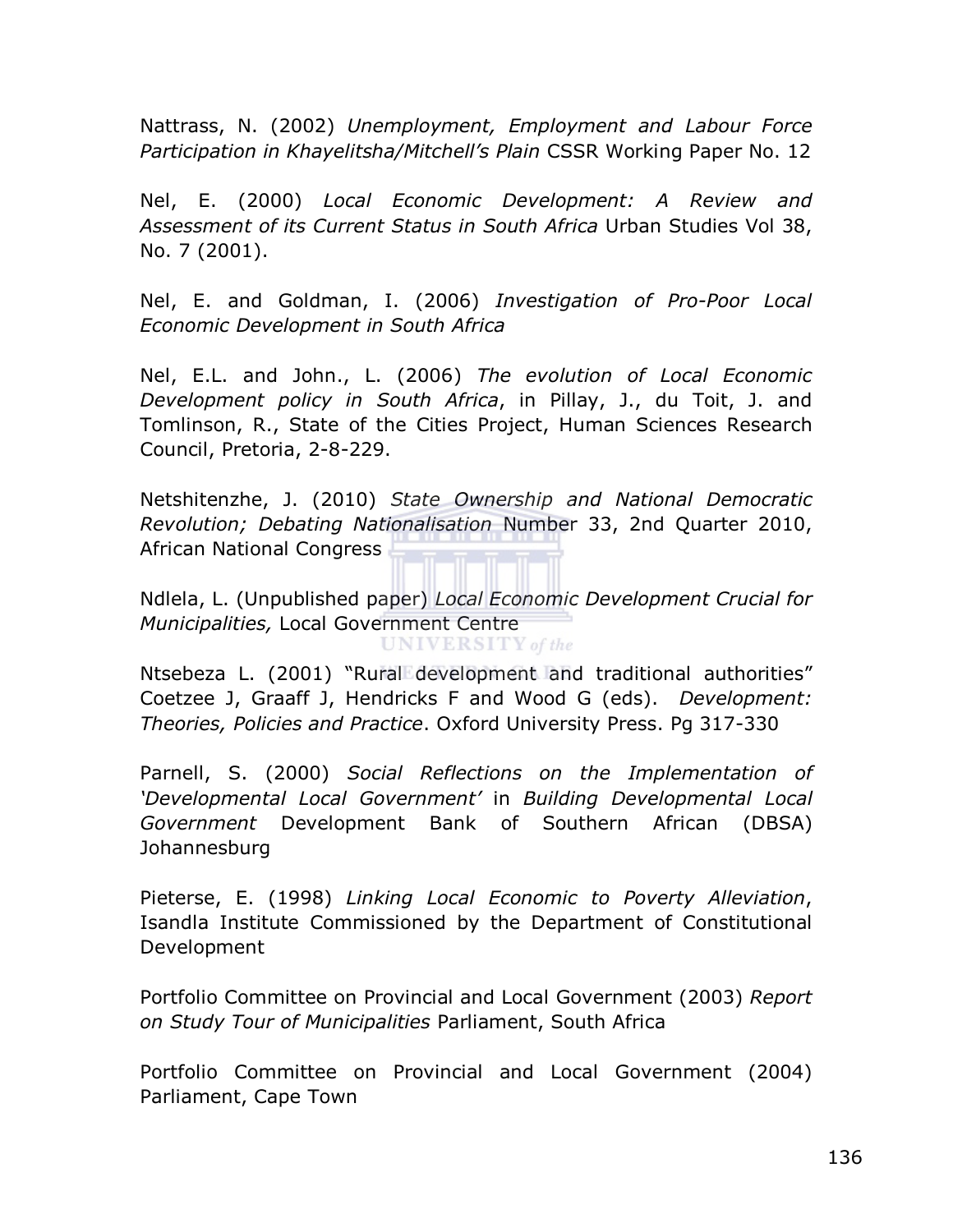Nattrass, N. (2002) *Unemployment, Employment and Labour Force Participation in Khayelitsha/Mitchell's Plain* CSSR Working Paper No. 12

Nel, E. (2000) *Local Economic Development: A Review and Assessment of its Current Status in South Africa* Urban Studies Vol 38, No. 7 (2001).

Nel, E. and Goldman, I. (2006) *Investigation of Pro-Poor Local Economic Development in South Africa* 

Nel, E.L. and John., L. (2006) *The evolution of Local Economic Development policy in South Africa*, in Pillay, J., du Toit, J. and Tomlinson, R., State of the Cities Project, Human Sciences Research Council, Pretoria, 2-8-229.

Netshitenzhe, J. (2010) *State Ownership and National Democratic Revolution; Debating Nationalisation* Number 33, 2nd Quarter 2010, African National Congress

Ndlela, L. (Unpublished paper) *Local Economic Development Crucial for Municipalities,* Local Government Centre **UNIVERSITY** of the

Ntsebeza L. (2001) "Rural development and traditional authorities" Coetzee J, Graaff J, Hendricks F and Wood G (eds). *Development: Theories, Policies and Practice*. Oxford University Press. Pg 317-330

Parnell, S. (2000) *Social Reflections on the Implementation of 'Developmental Local Government'* in *Building Developmental Local Government* Development Bank of Southern African (DBSA) Johannesburg

Pieterse, E. (1998) *Linking Local Economic to Poverty Alleviation*, Isandla Institute Commissioned by the Department of Constitutional Development

Portfolio Committee on Provincial and Local Government (2003) *Report on Study Tour of Municipalities* Parliament, South Africa

Portfolio Committee on Provincial and Local Government (2004) Parliament, Cape Town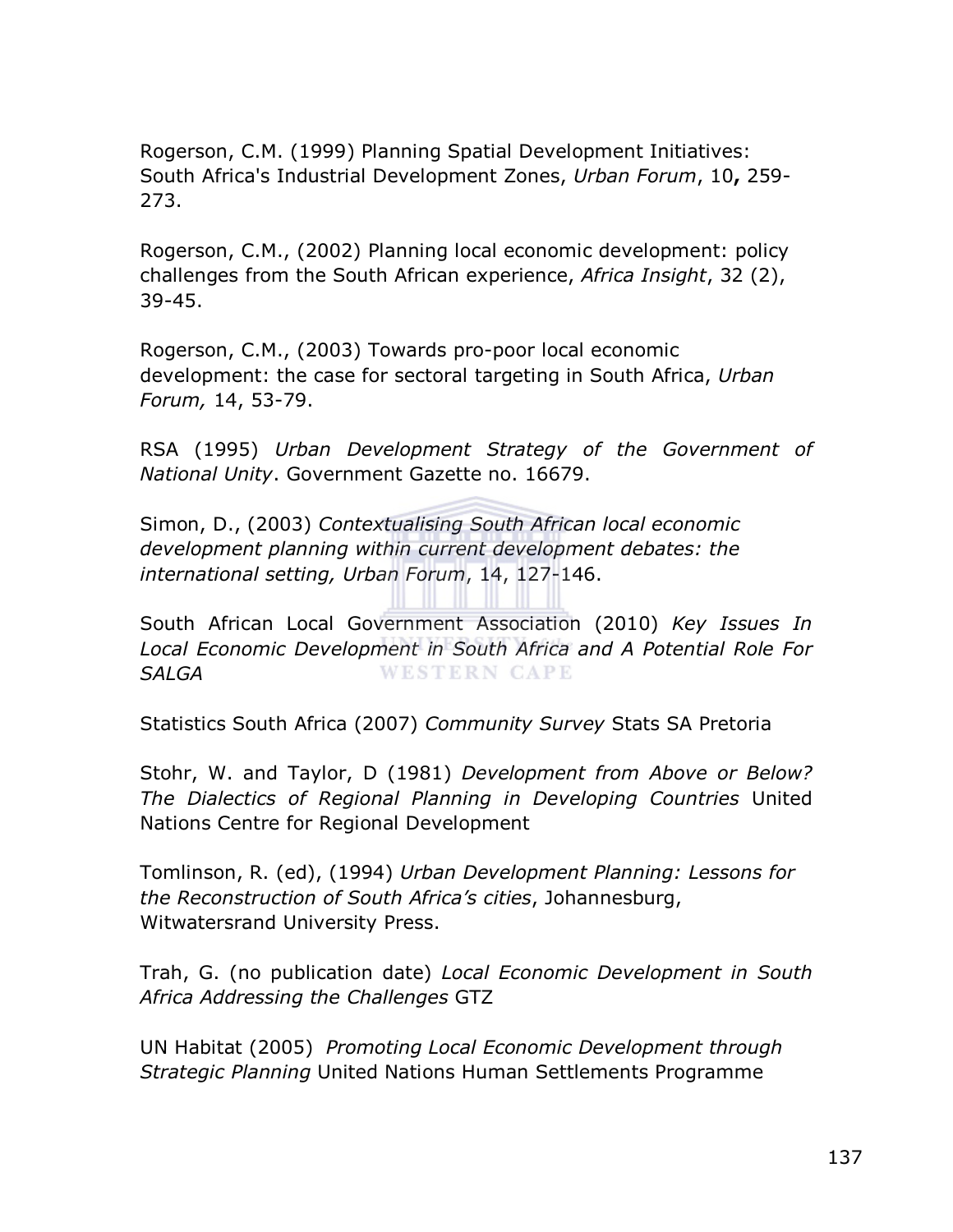Rogerson, C.M. (1999) Planning Spatial Development Initiatives: South Africa's Industrial Development Zones, *Urban Forum*, 10**,** 259- 273.

Rogerson, C.M., (2002) Planning local economic development: policy challenges from the South African experience, *Africa Insight*, 32 (2), 39-45.

Rogerson, C.M., (2003) Towards pro-poor local economic development: the case for sectoral targeting in South Africa, *Urban Forum,* 14, 53-79.

RSA (1995) *Urban Development Strategy of the Government of National Unity*. Government Gazette no. 16679.

Simon, D., (2003) *Contextualising South African local economic development planning within current development debates: the international setting, Urban Forum*, 14, 127-146.

South African Local Government Association (2010) *Key Issues In Local Economic Development in South Africa and A Potential Role For SALGA* **WESTERN CAPE** 

Statistics South Africa (2007) *Community Survey* Stats SA Pretoria

Stohr, W. and Taylor, D (1981) *Development from Above or Below? The Dialectics of Regional Planning in Developing Countries* United Nations Centre for Regional Development

Tomlinson, R. (ed), (1994) *Urban Development Planning: Lessons for the Reconstruction of South Africa's cities*, Johannesburg, Witwatersrand University Press.

Trah, G. (no publication date) *Local Economic Development in South Africa Addressing the Challenges* GTZ

UN Habitat (2005) *Promoting Local Economic Development through Strategic Planning* United Nations Human Settlements Programme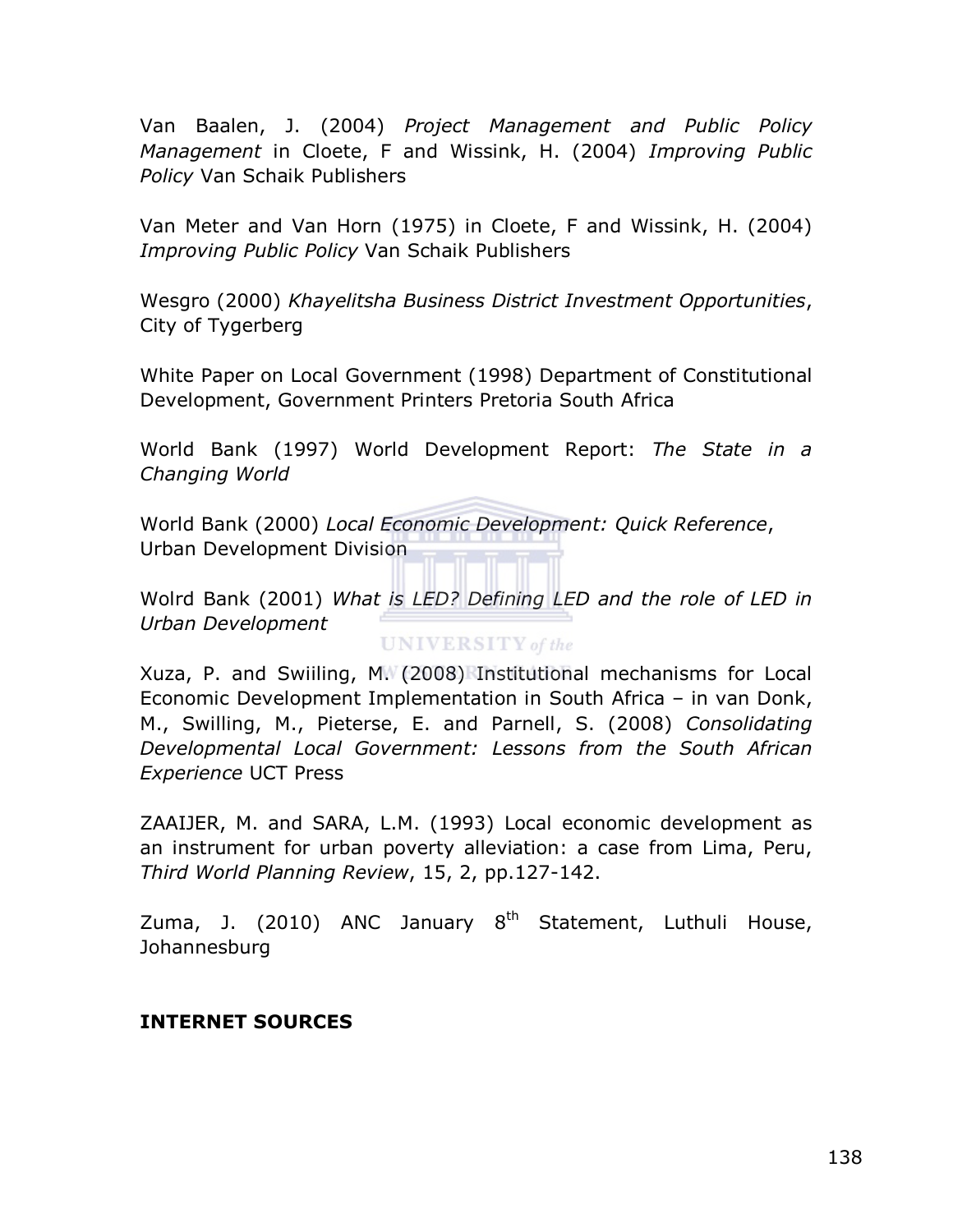Van Baalen, J. (2004) *Project Management and Public Policy Management* in Cloete, F and Wissink, H. (2004) *Improving Public Policy* Van Schaik Publishers

Van Meter and Van Horn (1975) in Cloete, F and Wissink, H. (2004) *Improving Public Policy* Van Schaik Publishers

Wesgro (2000) *Khayelitsha Business District Investment Opportunities*, City of Tygerberg

White Paper on Local Government (1998) Department of Constitutional Development, Government Printers Pretoria South Africa

World Bank (1997) World Development Report: *The State in a Changing World*

World Bank (2000) *Local Economic Development: Quick Reference*, Urban Development Division

Wolrd Bank (2001) *What is LED? Defining LED and the role of LED in Urban Development*

**UNIVERSITY** of the

Xuza, P. and Swiiling, M. (2008) Institutional mechanisms for Local Economic Development Implementation in South Africa – in van Donk, M., Swilling, M., Pieterse, E. and Parnell, S. (2008) *Consolidating Developmental Local Government: Lessons from the South African Experience* UCT Press

ZAAIJER, M. and SARA, L.M. (1993) Local economic development as an instrument for urban poverty alleviation: a case from Lima, Peru, *Third World Planning Review*, 15, 2, pp.127-142.

Zuma, J. (2010) ANC January  $8<sup>th</sup>$  Statement, Luthuli House, Johannesburg

## **INTERNET SOURCES**